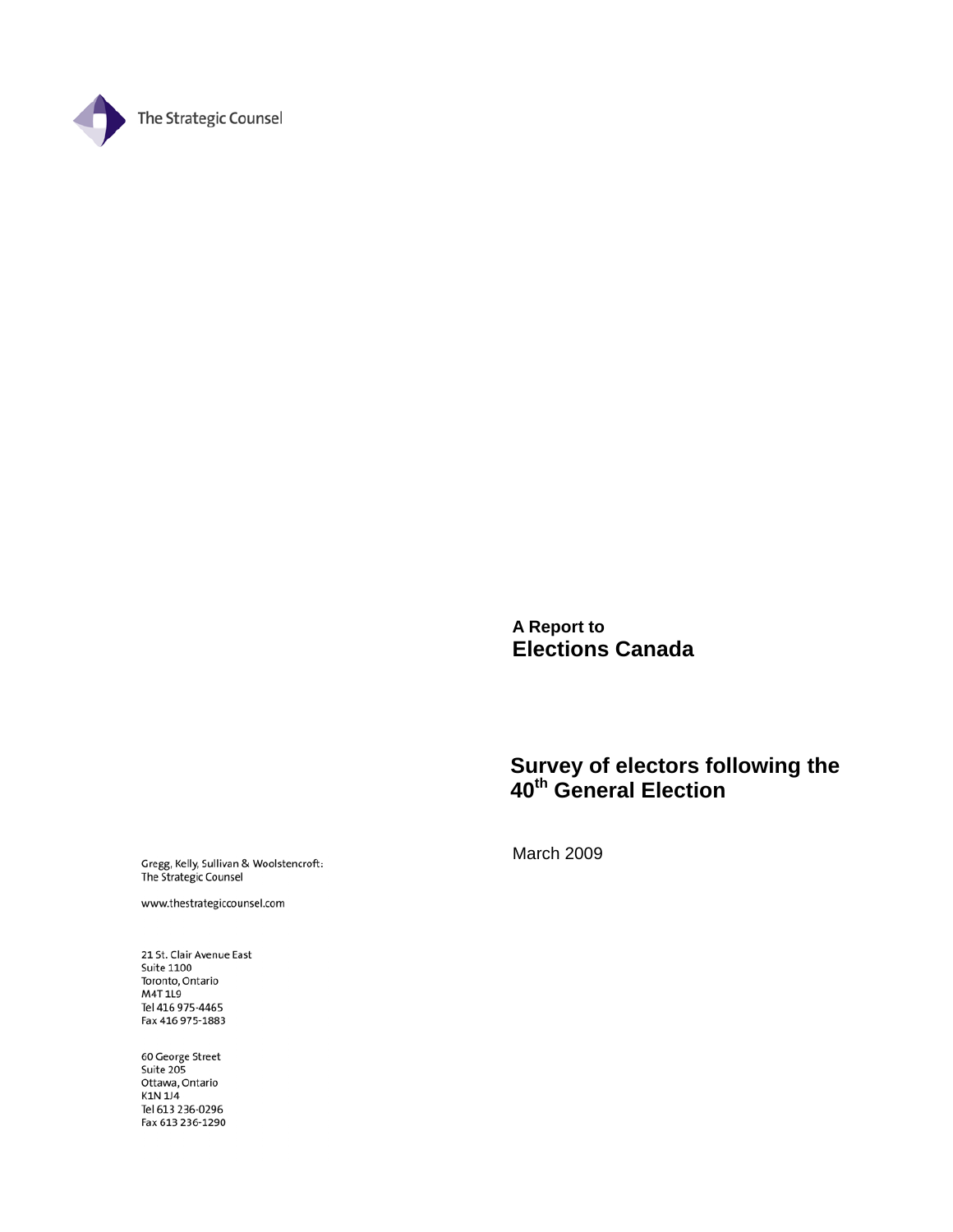

**A Report to Elections Canada** 

# **Survey of electors following the 40th General Election**

Gregg, Kelly, Sullivan & Woolstencroft:<br>The Strategic Counsel

www.thestrategiccounsel.com

21 St. Clair Avenue East **Suite 1100** Toronto, Ontario M4T 1L9 Tel 416 975-4465 Fax 416 975-1883

60 George Street Suite 205<br>Suite 205<br>Ottawa, Ontario K1N 1J4 Tel 613 236-0296 Fax 613 236-1290 March 2009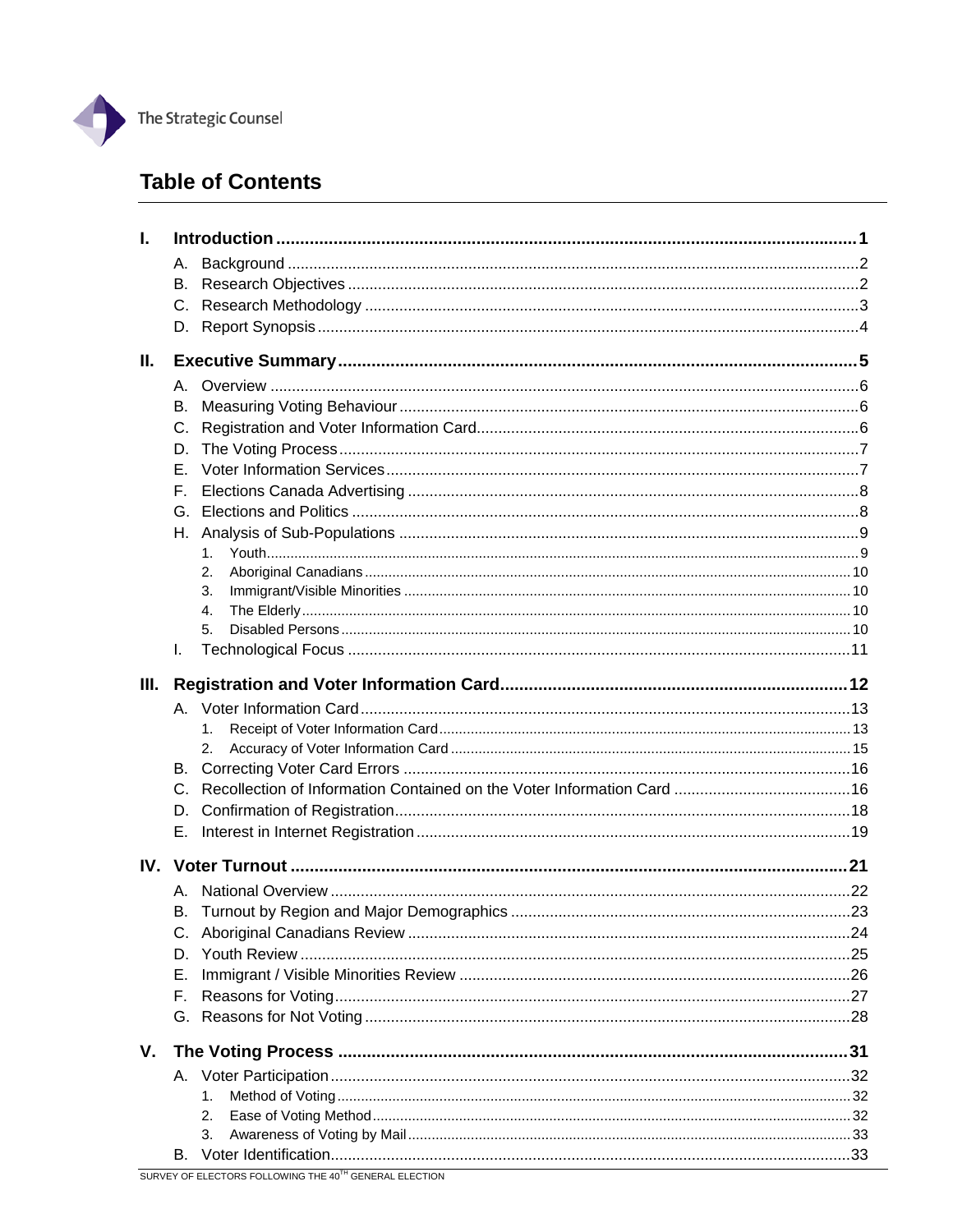

# **Table of Contents**

| ı.  |         |    |  |
|-----|---------|----|--|
|     | А.      |    |  |
|     | В.      |    |  |
|     |         |    |  |
|     |         |    |  |
| II. |         |    |  |
|     | А.      |    |  |
|     | В.      |    |  |
|     | C.      |    |  |
|     | D.      |    |  |
|     | Е.      |    |  |
|     | F.      |    |  |
|     |         |    |  |
|     | Н.      |    |  |
|     |         | 1. |  |
|     |         | 2. |  |
|     |         | 3. |  |
|     |         | 4. |  |
|     |         | 5. |  |
|     | I.      |    |  |
| Ш.  |         |    |  |
|     |         |    |  |
|     |         | 1. |  |
|     |         | 2. |  |
|     | В.      |    |  |
|     | $C_{1}$ |    |  |
|     | D.      |    |  |
|     | Е.      |    |  |
|     |         |    |  |
|     |         |    |  |
|     | А.      |    |  |
|     | В.      |    |  |
|     |         |    |  |
|     | D.      |    |  |
|     | Е.      |    |  |
|     |         |    |  |
|     | F.      |    |  |
|     |         |    |  |
| V.  |         |    |  |
|     |         | 1. |  |
|     |         | 2. |  |
|     |         | 3. |  |

 $\overline{\phantom{0}}$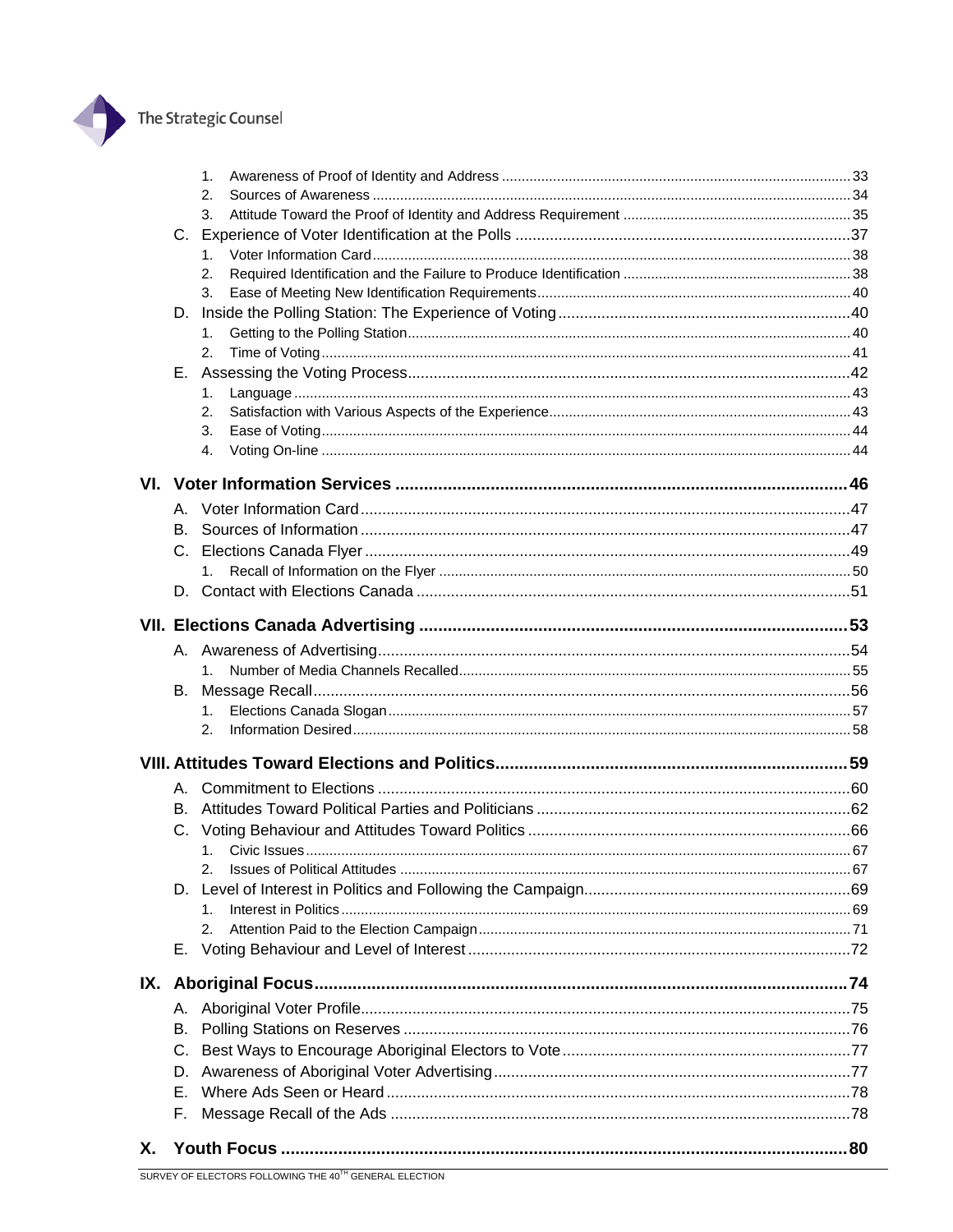

|    |    | 1.      |  |
|----|----|---------|--|
|    |    | 2.      |  |
|    |    | 3.      |  |
|    |    |         |  |
|    |    | 1.      |  |
|    |    | 2.      |  |
|    |    | 3.      |  |
|    |    |         |  |
|    |    | 1.      |  |
|    |    | 2.      |  |
|    | Е. |         |  |
|    |    | 1.      |  |
|    |    | 2.      |  |
|    |    | 3.      |  |
|    |    | 4.      |  |
|    |    |         |  |
|    |    |         |  |
|    | В. |         |  |
|    |    |         |  |
|    |    |         |  |
|    |    |         |  |
|    |    |         |  |
|    |    |         |  |
|    |    |         |  |
|    |    | 1.      |  |
|    | В. |         |  |
|    |    | 1.      |  |
|    |    | 2.      |  |
|    |    |         |  |
|    |    |         |  |
|    | В. |         |  |
|    |    |         |  |
|    |    |         |  |
|    |    |         |  |
|    |    |         |  |
|    |    | $1_{-}$ |  |
|    |    | 2.      |  |
|    | Е. |         |  |
|    |    |         |  |
|    |    |         |  |
|    |    |         |  |
|    | В. |         |  |
|    | C. |         |  |
|    | D. |         |  |
|    | Е. |         |  |
|    | F. |         |  |
|    |    |         |  |
| Х. |    |         |  |

 $\overline{\phantom{0}}$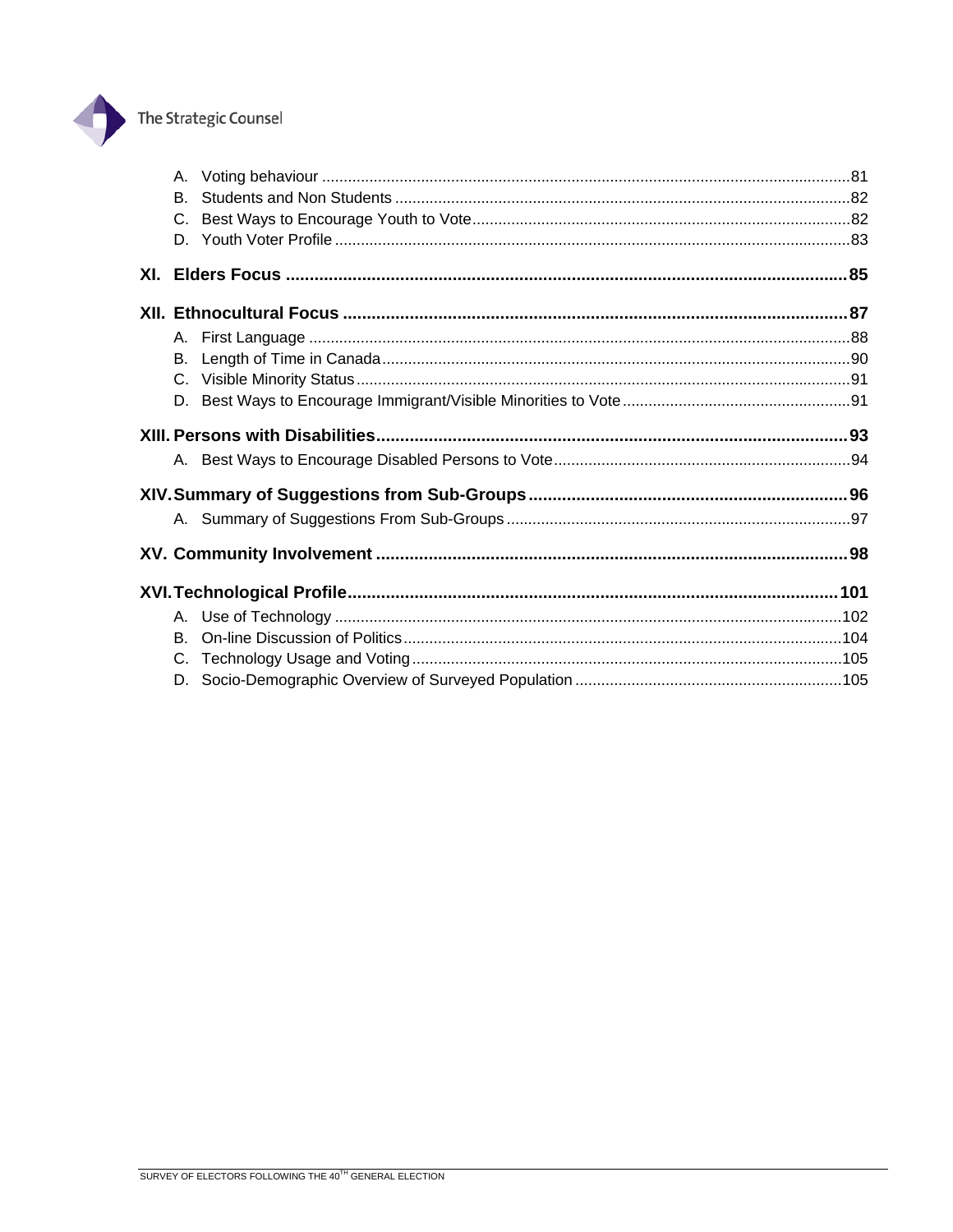

# The Strategic Counsel

| В.      |  |
|---------|--|
| $C_{-}$ |  |
|         |  |
|         |  |
|         |  |
| А.      |  |
| В.      |  |
|         |  |
| D.      |  |
|         |  |
|         |  |
|         |  |
|         |  |
|         |  |
|         |  |
|         |  |
| В.      |  |
| $C_{-}$ |  |
|         |  |
|         |  |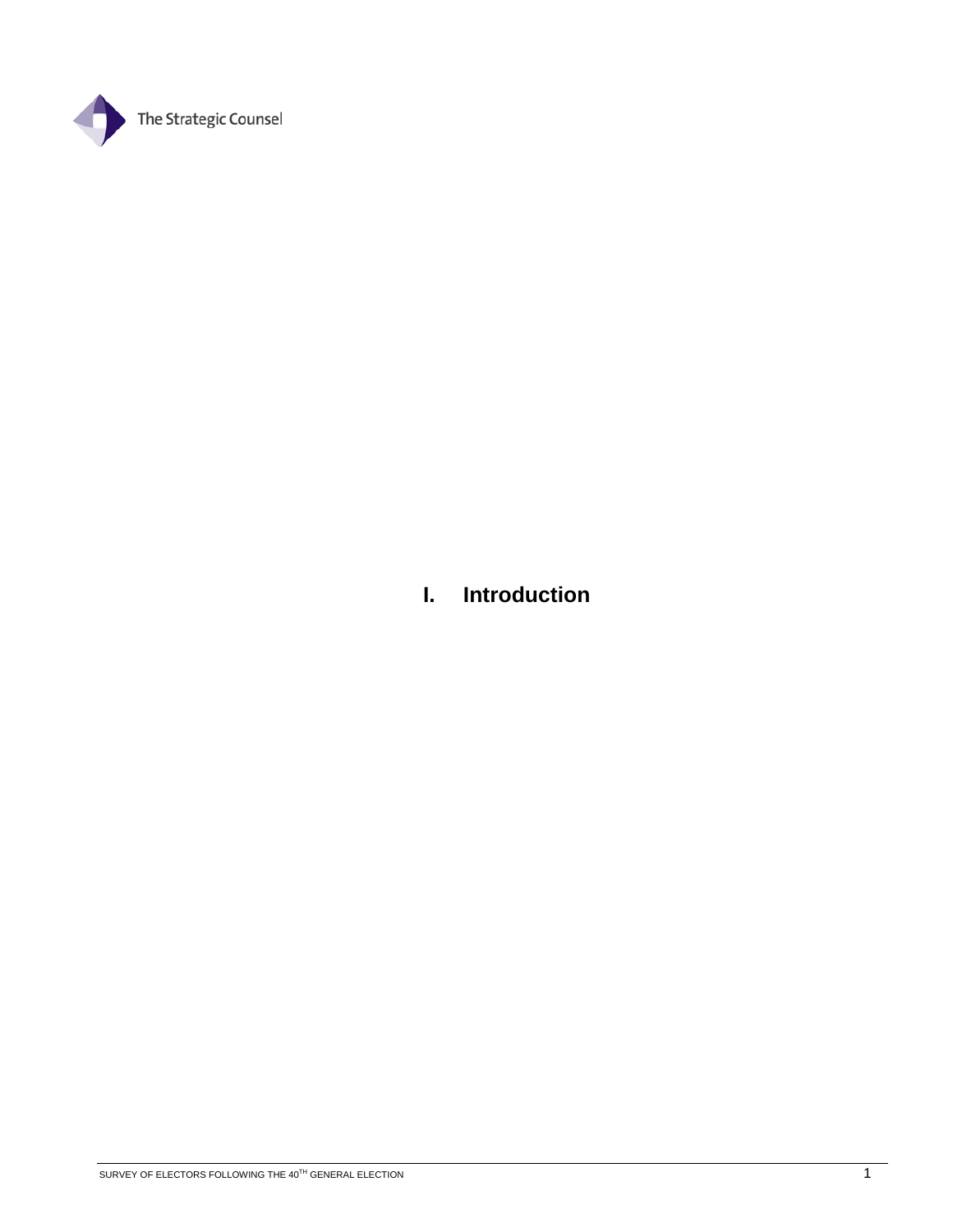

# **I. Introduction**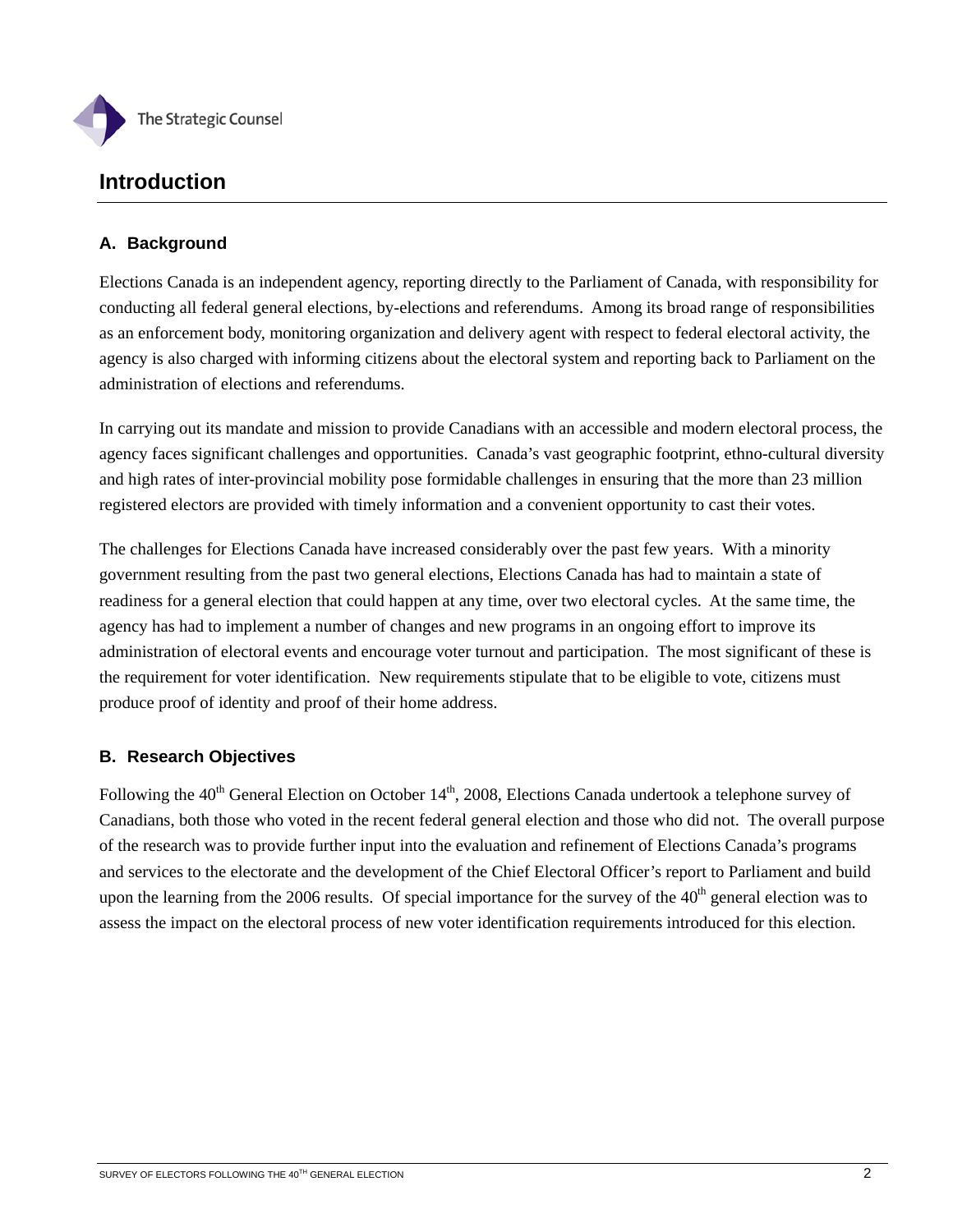

# **Introduction**

## **A. Background**

Elections Canada is an independent agency, reporting directly to the Parliament of Canada, with responsibility for conducting all federal general elections, by-elections and referendums. Among its broad range of responsibilities as an enforcement body, monitoring organization and delivery agent with respect to federal electoral activity, the agency is also charged with informing citizens about the electoral system and reporting back to Parliament on the administration of elections and referendums.

In carrying out its mandate and mission to provide Canadians with an accessible and modern electoral process, the agency faces significant challenges and opportunities. Canada's vast geographic footprint, ethno-cultural diversity and high rates of inter-provincial mobility pose formidable challenges in ensuring that the more than 23 million registered electors are provided with timely information and a convenient opportunity to cast their votes.

The challenges for Elections Canada have increased considerably over the past few years. With a minority government resulting from the past two general elections, Elections Canada has had to maintain a state of readiness for a general election that could happen at any time, over two electoral cycles. At the same time, the agency has had to implement a number of changes and new programs in an ongoing effort to improve its administration of electoral events and encourage voter turnout and participation. The most significant of these is the requirement for voter identification. New requirements stipulate that to be eligible to vote, citizens must produce proof of identity and proof of their home address.

## **B. Research Objectives**

Following the 40<sup>th</sup> General Election on October 14<sup>th</sup>, 2008, Elections Canada undertook a telephone survey of Canadians, both those who voted in the recent federal general election and those who did not. The overall purpose of the research was to provide further input into the evaluation and refinement of Elections Canada's programs and services to the electorate and the development of the Chief Electoral Officer's report to Parliament and build upon the learning from the 2006 results. Of special importance for the survey of the  $40<sup>th</sup>$  general election was to assess the impact on the electoral process of new voter identification requirements introduced for this election.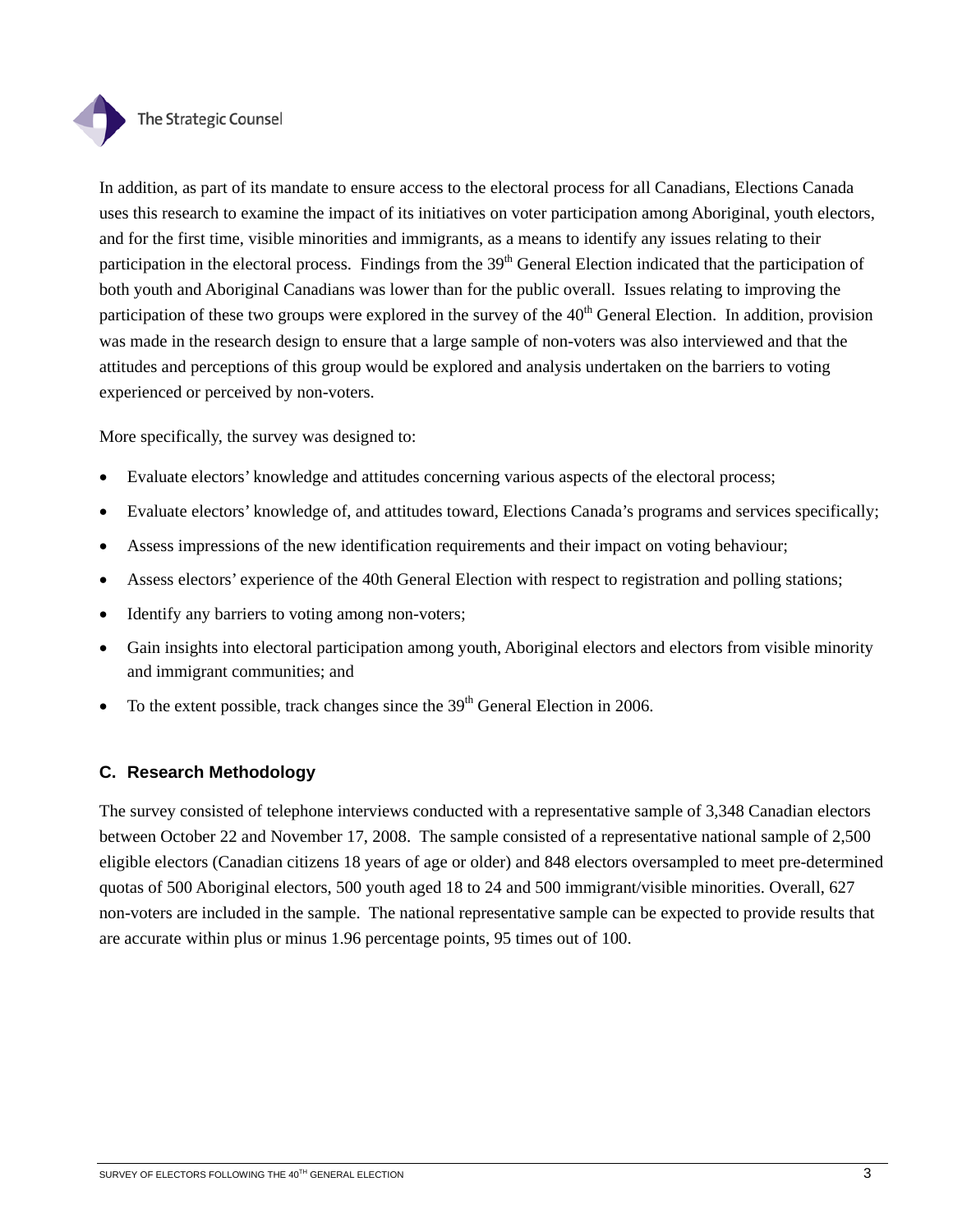

In addition, as part of its mandate to ensure access to the electoral process for all Canadians, Elections Canada uses this research to examine the impact of its initiatives on voter participation among Aboriginal, youth electors, and for the first time, visible minorities and immigrants, as a means to identify any issues relating to their participation in the electoral process. Findings from the  $39<sup>th</sup>$  General Election indicated that the participation of both youth and Aboriginal Canadians was lower than for the public overall. Issues relating to improving the participation of these two groups were explored in the survey of the  $40<sup>th</sup>$  General Election. In addition, provision was made in the research design to ensure that a large sample of non-voters was also interviewed and that the attitudes and perceptions of this group would be explored and analysis undertaken on the barriers to voting experienced or perceived by non-voters.

More specifically, the survey was designed to:

- Evaluate electors' knowledge and attitudes concerning various aspects of the electoral process;
- Evaluate electors' knowledge of, and attitudes toward, Elections Canada's programs and services specifically;
- Assess impressions of the new identification requirements and their impact on voting behaviour;
- Assess electors' experience of the 40th General Election with respect to registration and polling stations;
- Identify any barriers to voting among non-voters;
- Gain insights into electoral participation among youth, Aboriginal electors and electors from visible minority and immigrant communities; and
- To the extent possible, track changes since the  $39<sup>th</sup>$  General Election in 2006.

## **C. Research Methodology**

The survey consisted of telephone interviews conducted with a representative sample of 3,348 Canadian electors between October 22 and November 17, 2008. The sample consisted of a representative national sample of 2,500 eligible electors (Canadian citizens 18 years of age or older) and 848 electors oversampled to meet pre-determined quotas of 500 Aboriginal electors, 500 youth aged 18 to 24 and 500 immigrant/visible minorities. Overall, 627 non-voters are included in the sample. The national representative sample can be expected to provide results that are accurate within plus or minus 1.96 percentage points, 95 times out of 100.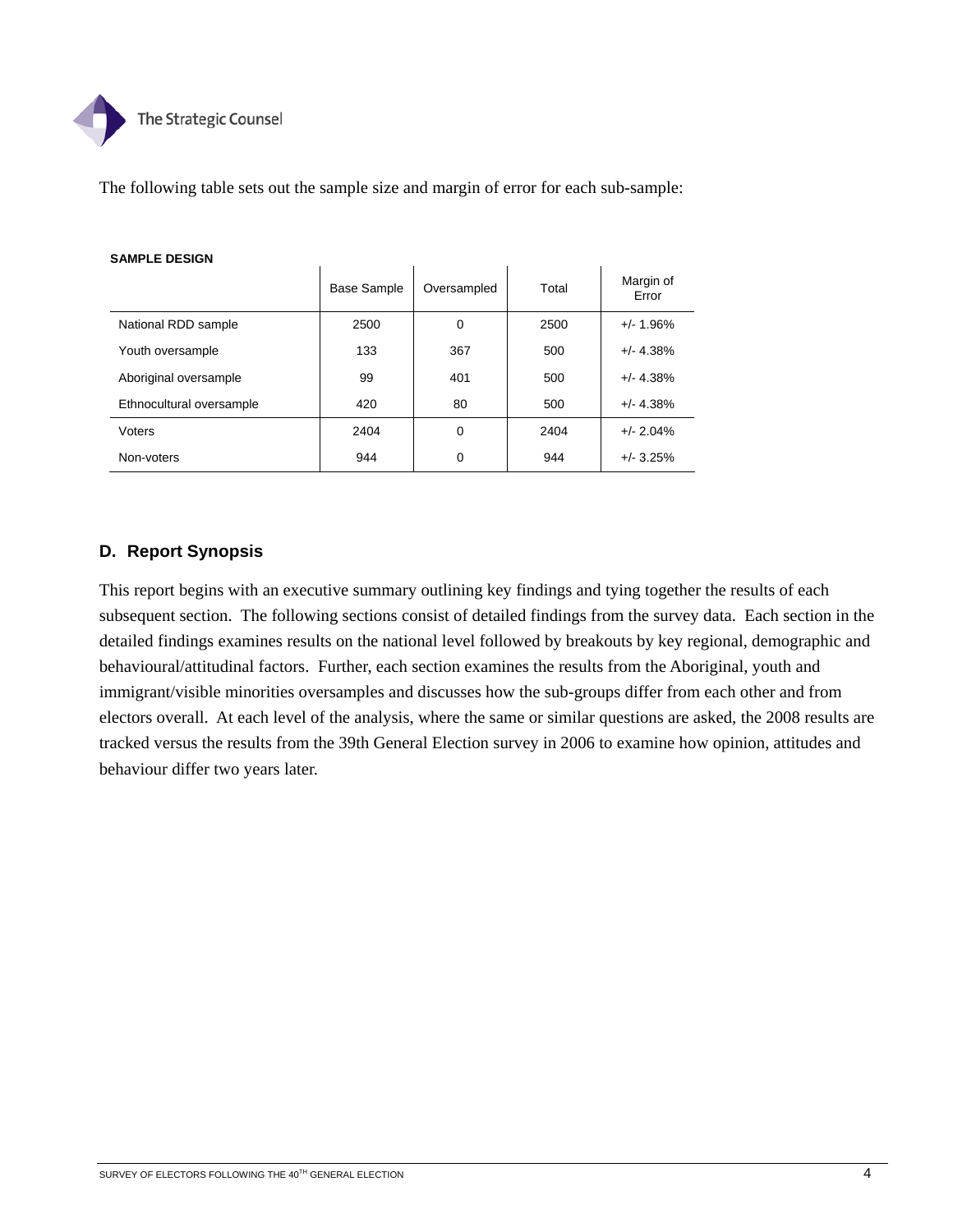

The following table sets out the sample size and margin of error for each sub-sample:

|                          | <b>Base Sample</b> | Oversampled | Total | Margin of<br>Error |
|--------------------------|--------------------|-------------|-------|--------------------|
| National RDD sample      | 2500               | 0           | 2500  | $+/- 1.96%$        |
| Youth oversample         | 133                | 367         | 500   | $+/- 4.38%$        |
| Aboriginal oversample    | 99                 | 401         | 500   | $+/- 4.38%$        |
| Ethnocultural oversample | 420                | 80          | 500   | $+/- 4.38%$        |
| Voters                   | 2404               | $\Omega$    | 2404  | $+/- 2.04%$        |
| Non-voters               | 944                | 0           | 944   | $+/- 3.25%$        |

#### **SAMPLE DESIGN**

## **D. Report Synopsis**

This report begins with an executive summary outlining key findings and tying together the results of each subsequent section. The following sections consist of detailed findings from the survey data. Each section in the detailed findings examines results on the national level followed by breakouts by key regional, demographic and behavioural/attitudinal factors. Further, each section examines the results from the Aboriginal, youth and immigrant/visible minorities oversamples and discusses how the sub-groups differ from each other and from electors overall. At each level of the analysis, where the same or similar questions are asked, the 2008 results are tracked versus the results from the 39th General Election survey in 2006 to examine how opinion, attitudes and behaviour differ two years later.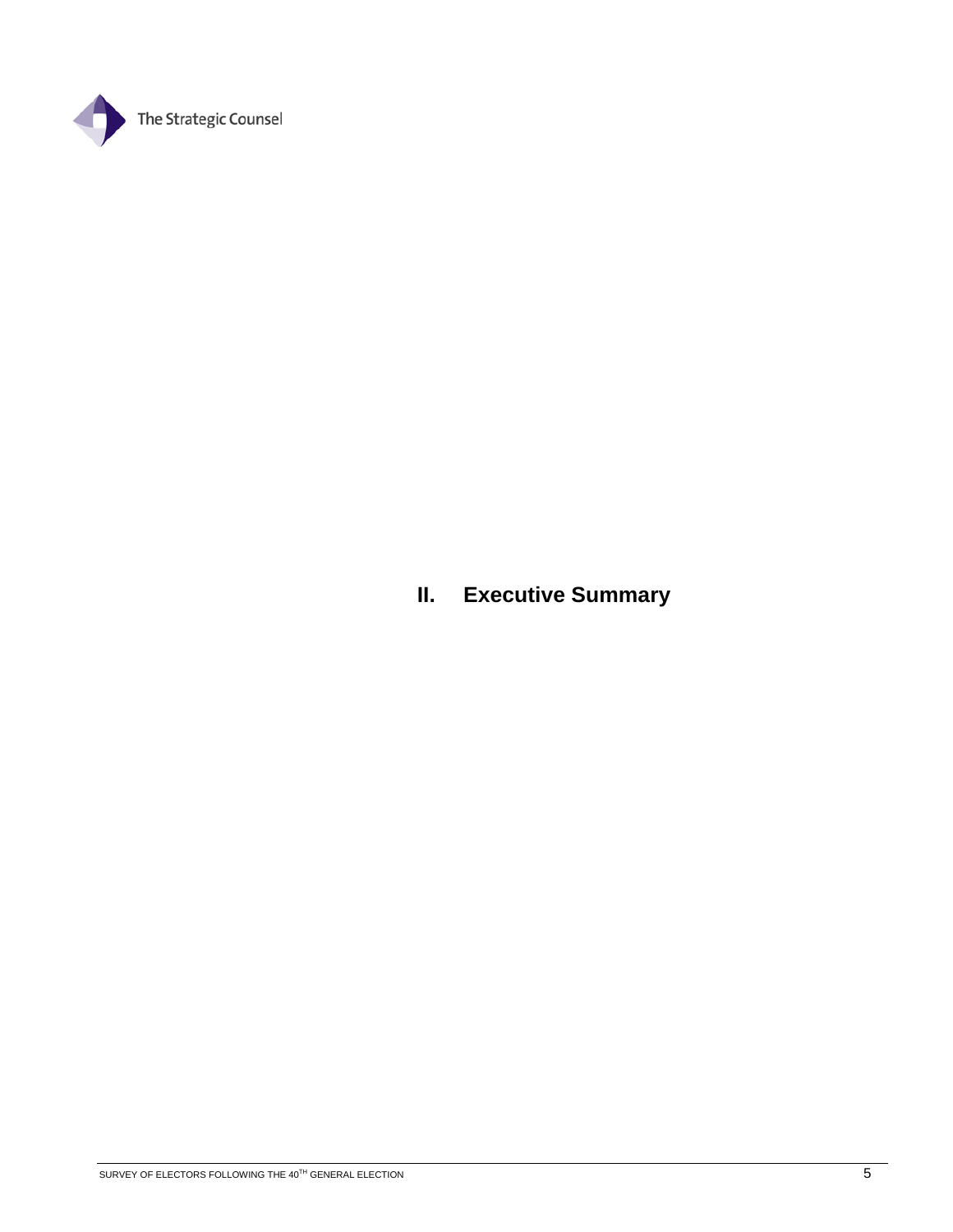

**II. Executive Summary**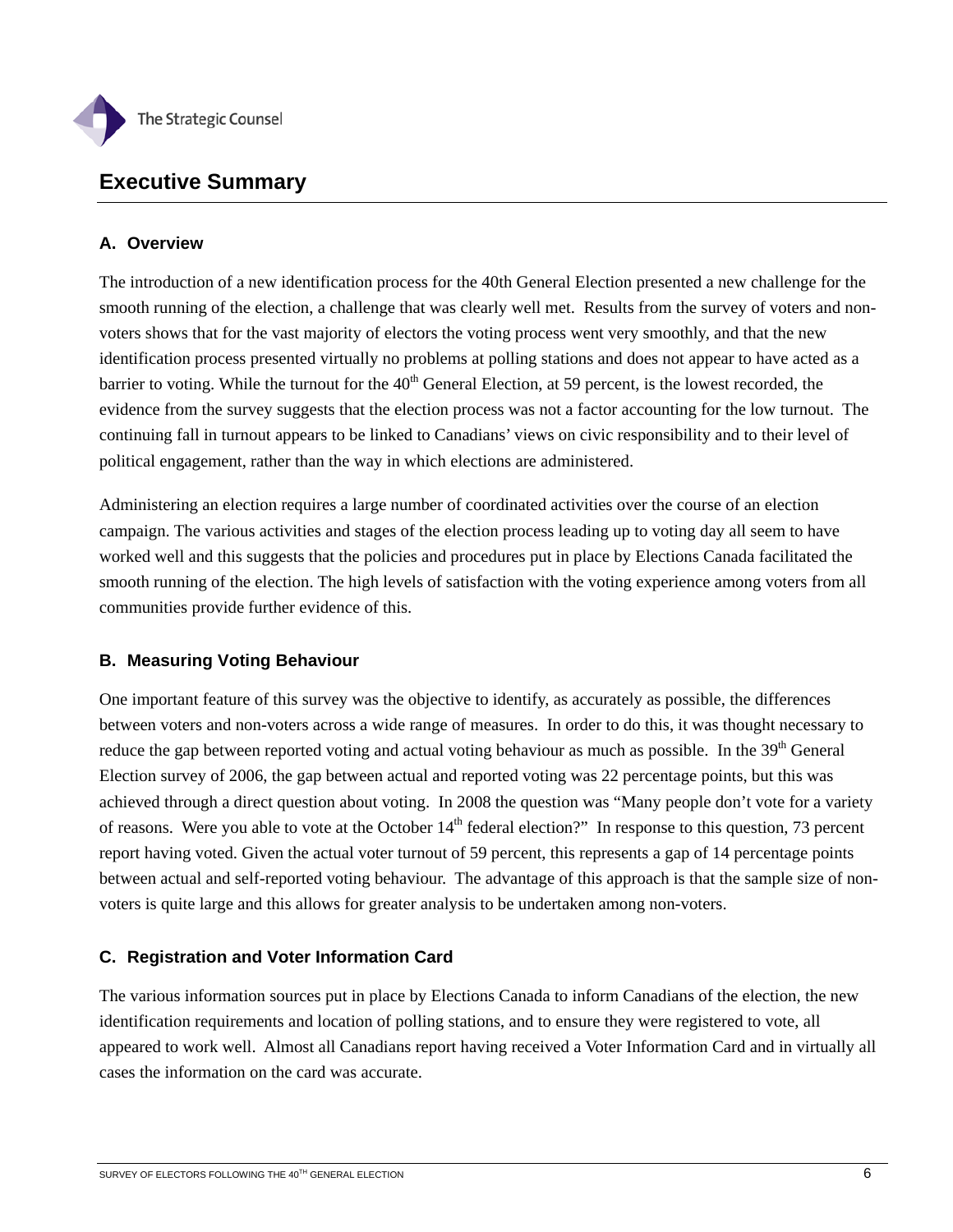

# **Executive Summary**

## **A. Overview**

The introduction of a new identification process for the 40th General Election presented a new challenge for the smooth running of the election, a challenge that was clearly well met. Results from the survey of voters and nonvoters shows that for the vast majority of electors the voting process went very smoothly, and that the new identification process presented virtually no problems at polling stations and does not appear to have acted as a barrier to voting. While the turnout for the  $40<sup>th</sup>$  General Election, at 59 percent, is the lowest recorded, the evidence from the survey suggests that the election process was not a factor accounting for the low turnout. The continuing fall in turnout appears to be linked to Canadians' views on civic responsibility and to their level of political engagement, rather than the way in which elections are administered.

Administering an election requires a large number of coordinated activities over the course of an election campaign. The various activities and stages of the election process leading up to voting day all seem to have worked well and this suggests that the policies and procedures put in place by Elections Canada facilitated the smooth running of the election. The high levels of satisfaction with the voting experience among voters from all communities provide further evidence of this.

## **B. Measuring Voting Behaviour**

One important feature of this survey was the objective to identify, as accurately as possible, the differences between voters and non-voters across a wide range of measures. In order to do this, it was thought necessary to reduce the gap between reported voting and actual voting behaviour as much as possible. In the 39<sup>th</sup> General Election survey of 2006, the gap between actual and reported voting was 22 percentage points, but this was achieved through a direct question about voting. In 2008 the question was "Many people don't vote for a variety of reasons. Were you able to vote at the October  $14<sup>th</sup>$  federal election?" In response to this question, 73 percent report having voted. Given the actual voter turnout of 59 percent, this represents a gap of 14 percentage points between actual and self-reported voting behaviour. The advantage of this approach is that the sample size of nonvoters is quite large and this allows for greater analysis to be undertaken among non-voters.

## **C. Registration and Voter Information Card**

The various information sources put in place by Elections Canada to inform Canadians of the election, the new identification requirements and location of polling stations, and to ensure they were registered to vote, all appeared to work well. Almost all Canadians report having received a Voter Information Card and in virtually all cases the information on the card was accurate.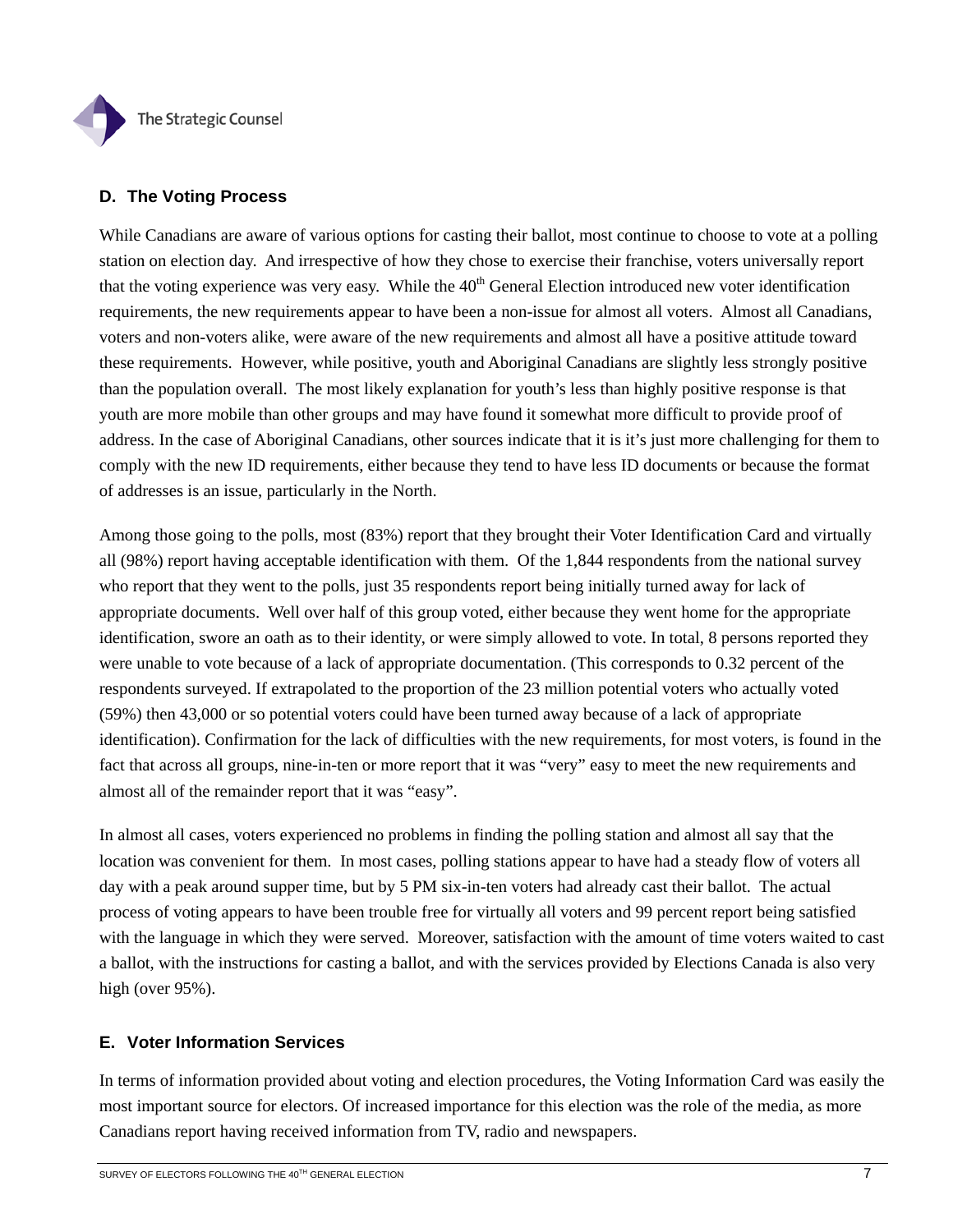

## **D. The Voting Process**

While Canadians are aware of various options for casting their ballot, most continue to choose to vote at a polling station on election day. And irrespective of how they chose to exercise their franchise, voters universally report that the voting experience was very easy. While the  $40<sup>th</sup>$  General Election introduced new voter identification requirements, the new requirements appear to have been a non-issue for almost all voters. Almost all Canadians, voters and non-voters alike, were aware of the new requirements and almost all have a positive attitude toward these requirements. However, while positive, youth and Aboriginal Canadians are slightly less strongly positive than the population overall. The most likely explanation for youth's less than highly positive response is that youth are more mobile than other groups and may have found it somewhat more difficult to provide proof of address. In the case of Aboriginal Canadians, other sources indicate that it is it's just more challenging for them to comply with the new ID requirements, either because they tend to have less ID documents or because the format of addresses is an issue, particularly in the North.

Among those going to the polls, most (83%) report that they brought their Voter Identification Card and virtually all (98%) report having acceptable identification with them. Of the 1,844 respondents from the national survey who report that they went to the polls, just 35 respondents report being initially turned away for lack of appropriate documents. Well over half of this group voted, either because they went home for the appropriate identification, swore an oath as to their identity, or were simply allowed to vote. In total, 8 persons reported they were unable to vote because of a lack of appropriate documentation. (This corresponds to 0.32 percent of the respondents surveyed. If extrapolated to the proportion of the 23 million potential voters who actually voted (59%) then 43,000 or so potential voters could have been turned away because of a lack of appropriate identification). Confirmation for the lack of difficulties with the new requirements, for most voters, is found in the fact that across all groups, nine-in-ten or more report that it was "very" easy to meet the new requirements and almost all of the remainder report that it was "easy".

In almost all cases, voters experienced no problems in finding the polling station and almost all say that the location was convenient for them. In most cases, polling stations appear to have had a steady flow of voters all day with a peak around supper time, but by 5 PM six-in-ten voters had already cast their ballot. The actual process of voting appears to have been trouble free for virtually all voters and 99 percent report being satisfied with the language in which they were served. Moreover, satisfaction with the amount of time voters waited to cast a ballot, with the instructions for casting a ballot, and with the services provided by Elections Canada is also very high (over 95%).

## **E. Voter Information Services**

In terms of information provided about voting and election procedures, the Voting Information Card was easily the most important source for electors. Of increased importance for this election was the role of the media, as more Canadians report having received information from TV, radio and newspapers.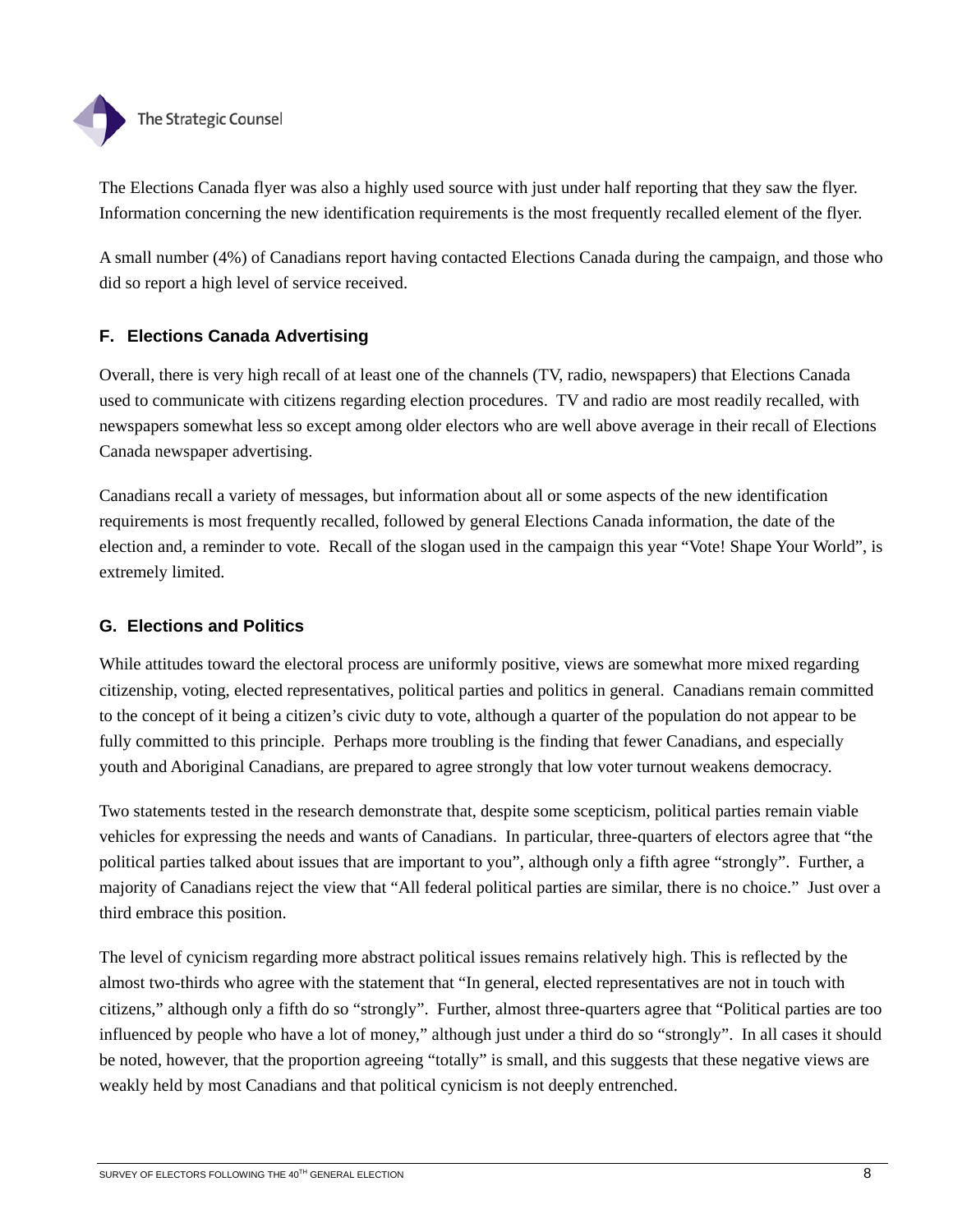

The Elections Canada flyer was also a highly used source with just under half reporting that they saw the flyer. Information concerning the new identification requirements is the most frequently recalled element of the flyer.

A small number (4%) of Canadians report having contacted Elections Canada during the campaign, and those who did so report a high level of service received.

# **F. Elections Canada Advertising**

Overall, there is very high recall of at least one of the channels (TV, radio, newspapers) that Elections Canada used to communicate with citizens regarding election procedures. TV and radio are most readily recalled, with newspapers somewhat less so except among older electors who are well above average in their recall of Elections Canada newspaper advertising.

Canadians recall a variety of messages, but information about all or some aspects of the new identification requirements is most frequently recalled, followed by general Elections Canada information, the date of the election and, a reminder to vote. Recall of the slogan used in the campaign this year "Vote! Shape Your World", is extremely limited.

## **G. Elections and Politics**

While attitudes toward the electoral process are uniformly positive, views are somewhat more mixed regarding citizenship, voting, elected representatives, political parties and politics in general. Canadians remain committed to the concept of it being a citizen's civic duty to vote, although a quarter of the population do not appear to be fully committed to this principle. Perhaps more troubling is the finding that fewer Canadians, and especially youth and Aboriginal Canadians, are prepared to agree strongly that low voter turnout weakens democracy.

Two statements tested in the research demonstrate that, despite some scepticism, political parties remain viable vehicles for expressing the needs and wants of Canadians. In particular, three-quarters of electors agree that "the political parties talked about issues that are important to you", although only a fifth agree "strongly". Further, a majority of Canadians reject the view that "All federal political parties are similar, there is no choice." Just over a third embrace this position.

The level of cynicism regarding more abstract political issues remains relatively high. This is reflected by the almost two-thirds who agree with the statement that "In general, elected representatives are not in touch with citizens," although only a fifth do so "strongly". Further, almost three-quarters agree that "Political parties are too influenced by people who have a lot of money," although just under a third do so "strongly". In all cases it should be noted, however, that the proportion agreeing "totally" is small, and this suggests that these negative views are weakly held by most Canadians and that political cynicism is not deeply entrenched.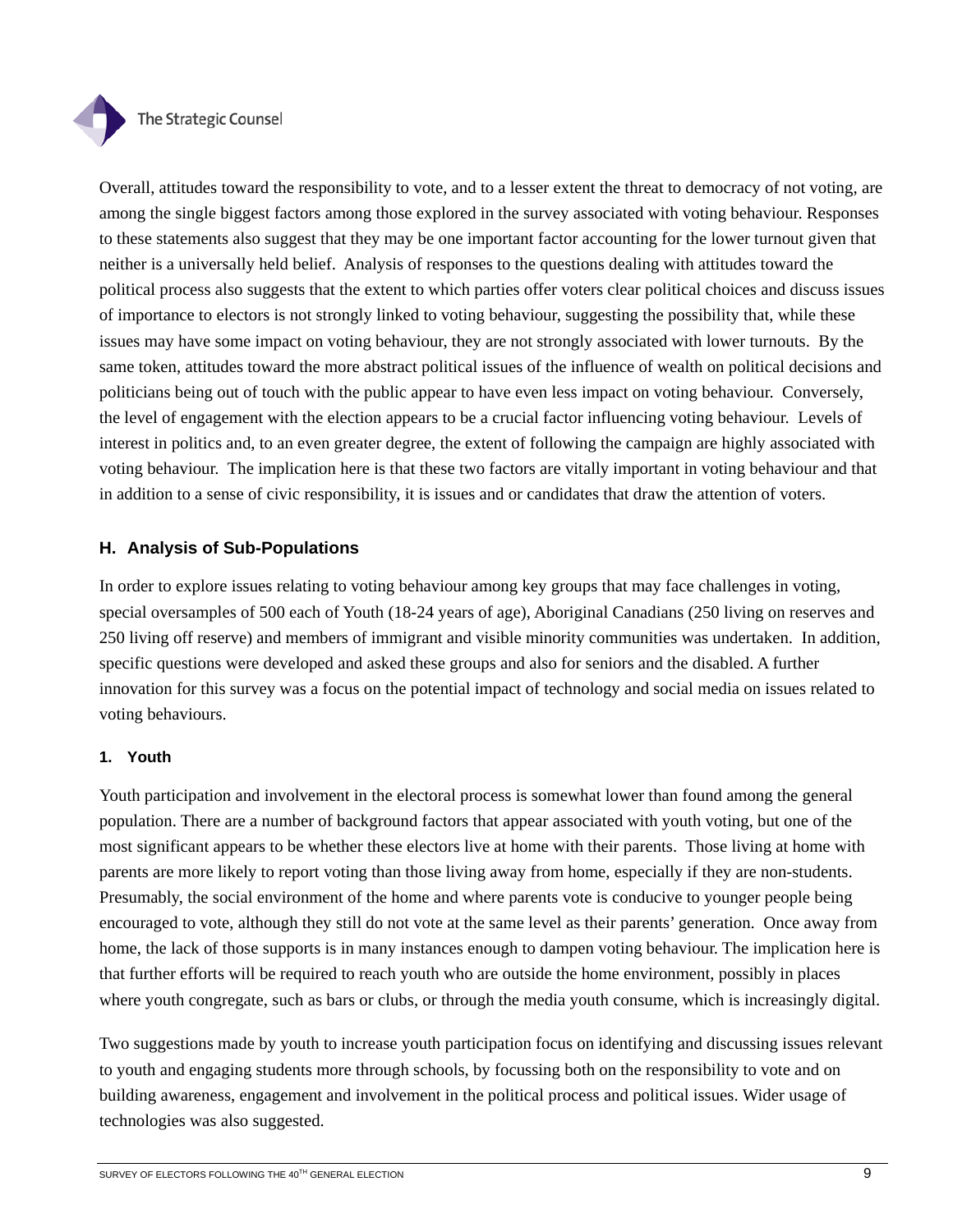

Overall, attitudes toward the responsibility to vote, and to a lesser extent the threat to democracy of not voting, are among the single biggest factors among those explored in the survey associated with voting behaviour. Responses to these statements also suggest that they may be one important factor accounting for the lower turnout given that neither is a universally held belief. Analysis of responses to the questions dealing with attitudes toward the political process also suggests that the extent to which parties offer voters clear political choices and discuss issues of importance to electors is not strongly linked to voting behaviour, suggesting the possibility that, while these issues may have some impact on voting behaviour, they are not strongly associated with lower turnouts. By the same token, attitudes toward the more abstract political issues of the influence of wealth on political decisions and politicians being out of touch with the public appear to have even less impact on voting behaviour. Conversely, the level of engagement with the election appears to be a crucial factor influencing voting behaviour. Levels of interest in politics and, to an even greater degree, the extent of following the campaign are highly associated with voting behaviour. The implication here is that these two factors are vitally important in voting behaviour and that in addition to a sense of civic responsibility, it is issues and or candidates that draw the attention of voters.

## **H. Analysis of Sub-Populations**

In order to explore issues relating to voting behaviour among key groups that may face challenges in voting, special oversamples of 500 each of Youth (18-24 years of age), Aboriginal Canadians (250 living on reserves and 250 living off reserve) and members of immigrant and visible minority communities was undertaken. In addition, specific questions were developed and asked these groups and also for seniors and the disabled. A further innovation for this survey was a focus on the potential impact of technology and social media on issues related to voting behaviours.

## **1. Youth**

Youth participation and involvement in the electoral process is somewhat lower than found among the general population. There are a number of background factors that appear associated with youth voting, but one of the most significant appears to be whether these electors live at home with their parents. Those living at home with parents are more likely to report voting than those living away from home, especially if they are non-students. Presumably, the social environment of the home and where parents vote is conducive to younger people being encouraged to vote, although they still do not vote at the same level as their parents' generation. Once away from home, the lack of those supports is in many instances enough to dampen voting behaviour. The implication here is that further efforts will be required to reach youth who are outside the home environment, possibly in places where youth congregate, such as bars or clubs, or through the media youth consume, which is increasingly digital.

Two suggestions made by youth to increase youth participation focus on identifying and discussing issues relevant to youth and engaging students more through schools, by focussing both on the responsibility to vote and on building awareness, engagement and involvement in the political process and political issues. Wider usage of technologies was also suggested.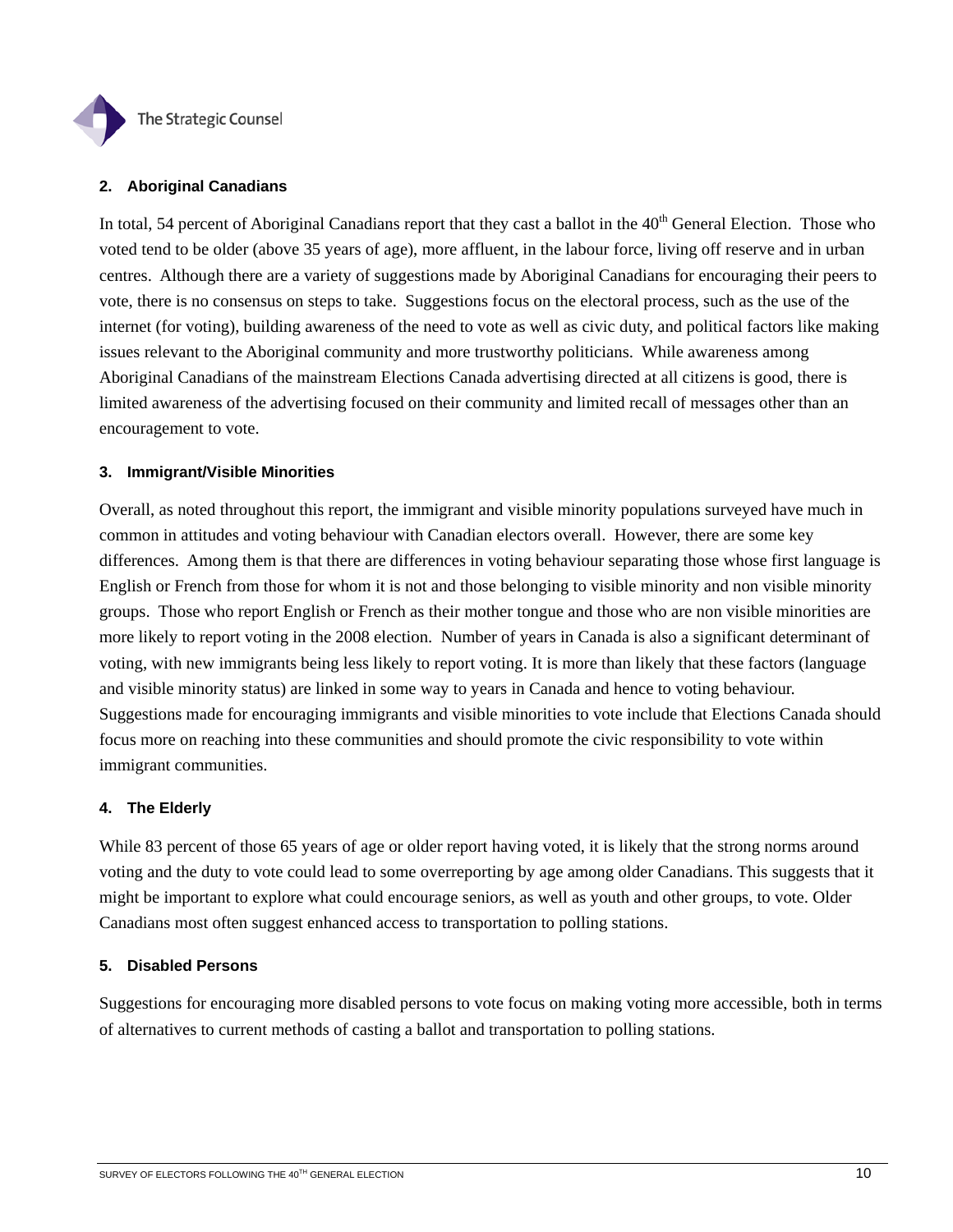

### **2. Aboriginal Canadians**

In total, 54 percent of Aboriginal Canadians report that they cast a ballot in the 40<sup>th</sup> General Election. Those who voted tend to be older (above 35 years of age), more affluent, in the labour force, living off reserve and in urban centres. Although there are a variety of suggestions made by Aboriginal Canadians for encouraging their peers to vote, there is no consensus on steps to take. Suggestions focus on the electoral process, such as the use of the internet (for voting), building awareness of the need to vote as well as civic duty, and political factors like making issues relevant to the Aboriginal community and more trustworthy politicians. While awareness among Aboriginal Canadians of the mainstream Elections Canada advertising directed at all citizens is good, there is limited awareness of the advertising focused on their community and limited recall of messages other than an encouragement to vote.

### **3. Immigrant/Visible Minorities**

Overall, as noted throughout this report, the immigrant and visible minority populations surveyed have much in common in attitudes and voting behaviour with Canadian electors overall. However, there are some key differences. Among them is that there are differences in voting behaviour separating those whose first language is English or French from those for whom it is not and those belonging to visible minority and non visible minority groups. Those who report English or French as their mother tongue and those who are non visible minorities are more likely to report voting in the 2008 election. Number of years in Canada is also a significant determinant of voting, with new immigrants being less likely to report voting. It is more than likely that these factors (language and visible minority status) are linked in some way to years in Canada and hence to voting behaviour. Suggestions made for encouraging immigrants and visible minorities to vote include that Elections Canada should focus more on reaching into these communities and should promote the civic responsibility to vote within immigrant communities.

## **4. The Elderly**

While 83 percent of those 65 years of age or older report having voted, it is likely that the strong norms around voting and the duty to vote could lead to some overreporting by age among older Canadians. This suggests that it might be important to explore what could encourage seniors, as well as youth and other groups, to vote. Older Canadians most often suggest enhanced access to transportation to polling stations.

### **5. Disabled Persons**

Suggestions for encouraging more disabled persons to vote focus on making voting more accessible, both in terms of alternatives to current methods of casting a ballot and transportation to polling stations.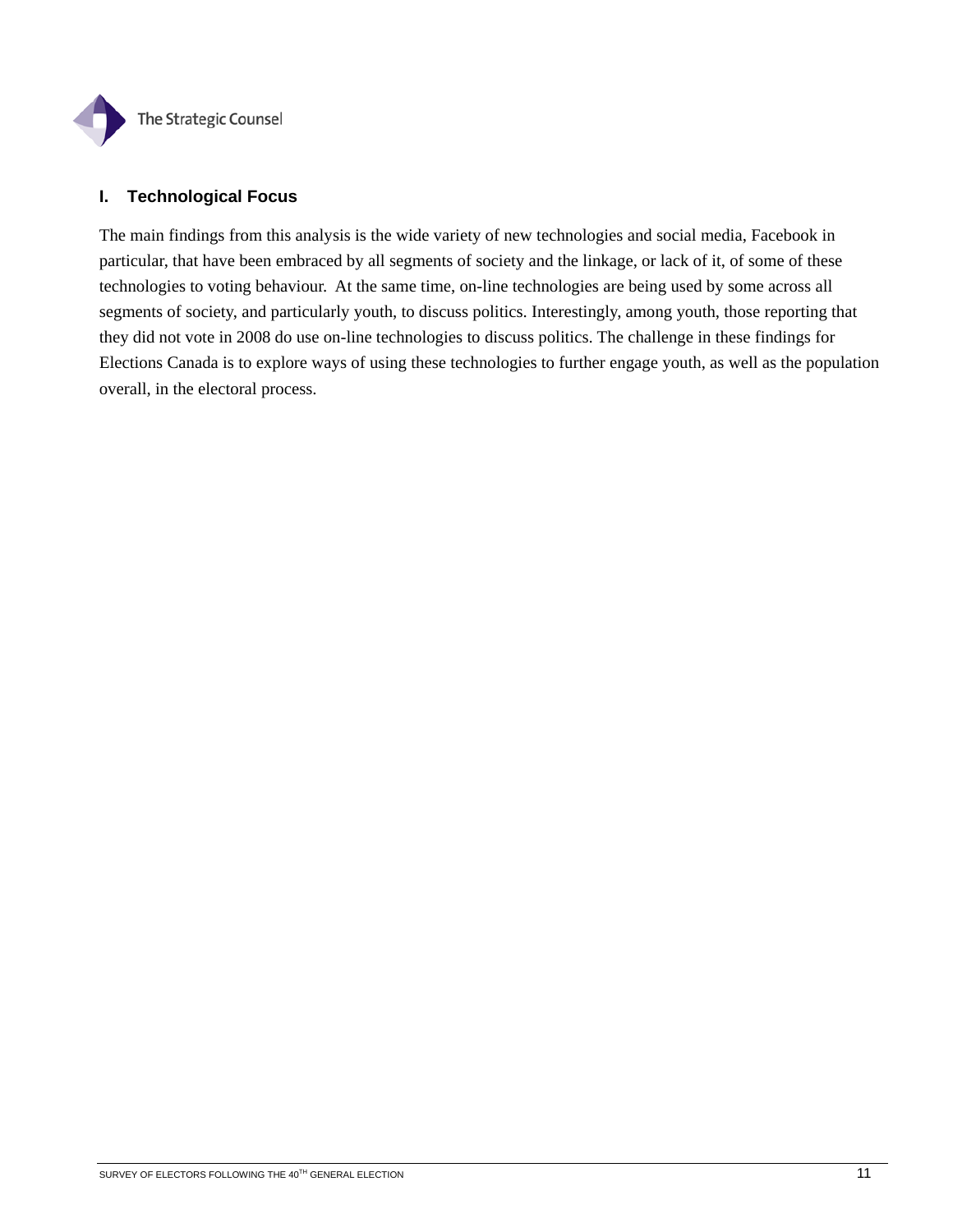

## **I. Technological Focus**

The main findings from this analysis is the wide variety of new technologies and social media, Facebook in particular, that have been embraced by all segments of society and the linkage, or lack of it, of some of these technologies to voting behaviour. At the same time, on-line technologies are being used by some across all segments of society, and particularly youth, to discuss politics. Interestingly, among youth, those reporting that they did not vote in 2008 do use on-line technologies to discuss politics. The challenge in these findings for Elections Canada is to explore ways of using these technologies to further engage youth, as well as the population overall, in the electoral process.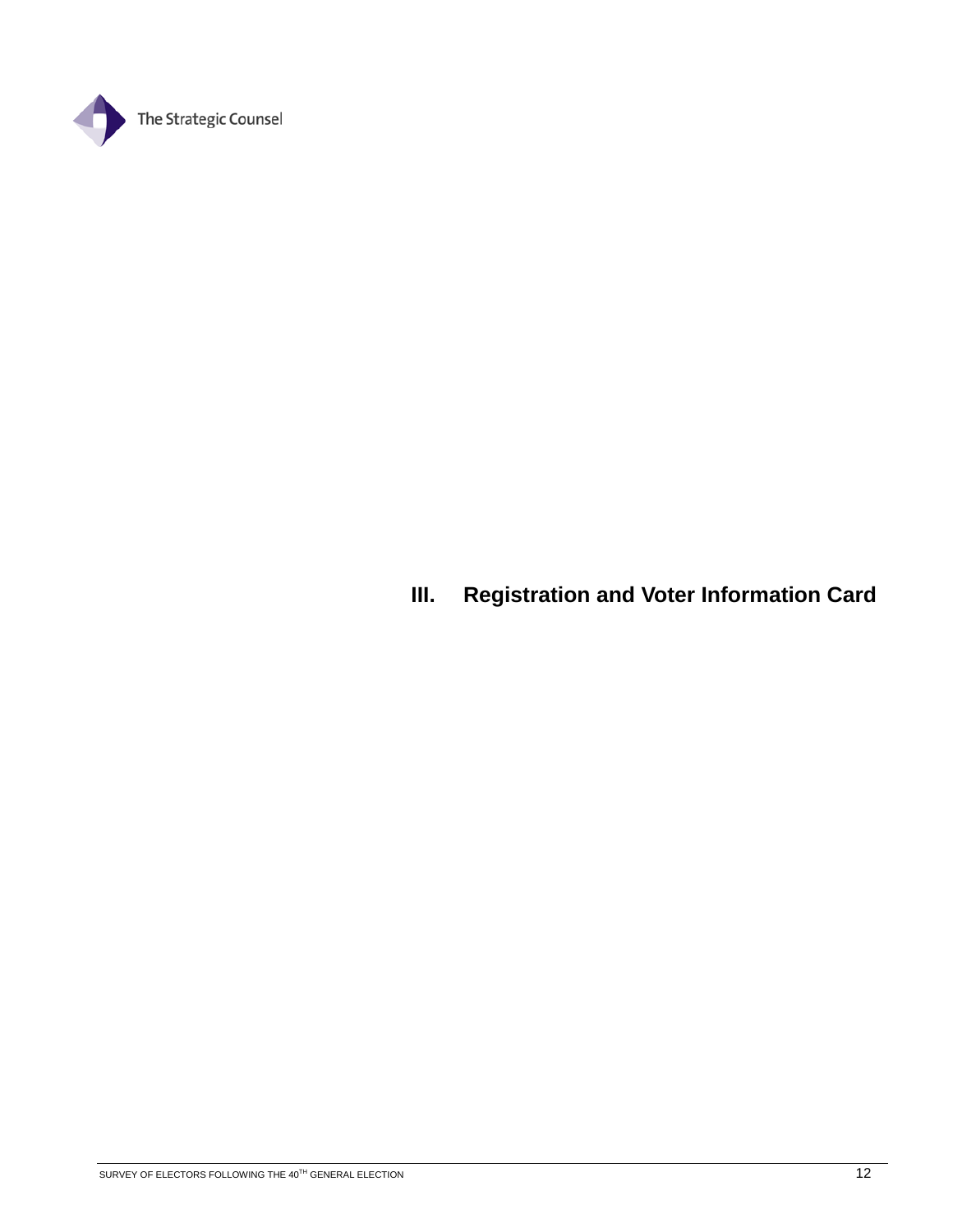

# **III. Registration and Voter Information Card**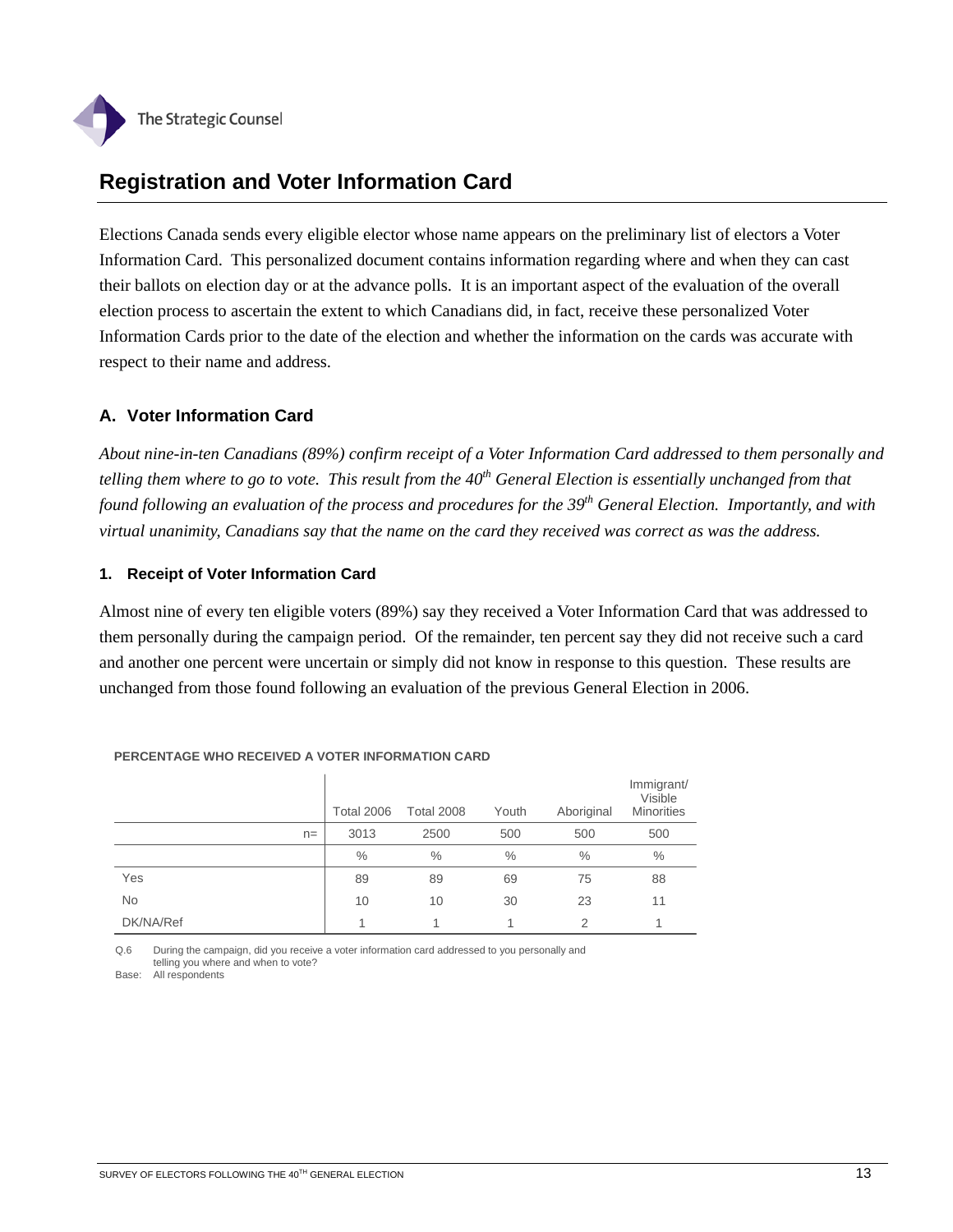

# **Registration and Voter Information Card**

Elections Canada sends every eligible elector whose name appears on the preliminary list of electors a Voter Information Card. This personalized document contains information regarding where and when they can cast their ballots on election day or at the advance polls. It is an important aspect of the evaluation of the overall election process to ascertain the extent to which Canadians did, in fact, receive these personalized Voter Information Cards prior to the date of the election and whether the information on the cards was accurate with respect to their name and address.

# **A. Voter Information Card**

*About nine-in-ten Canadians (89%) confirm receipt of a Voter Information Card addressed to them personally and telling them where to go to vote. This result from the 40th General Election is essentially unchanged from that found following an evaluation of the process and procedures for the 39th General Election. Importantly, and with virtual unanimity, Canadians say that the name on the card they received was correct as was the address.* 

### **1. Receipt of Voter Information Card**

Almost nine of every ten eligible voters (89%) say they received a Voter Information Card that was addressed to them personally during the campaign period. Of the remainder, ten percent say they did not receive such a card and another one percent were uncertain or simply did not know in response to this question. These results are unchanged from those found following an evaluation of the previous General Election in 2006.

|           | <b>Total 2006</b> | <b>Total 2008</b> | Youth         | Aboriginal    | Immigrant/<br>Visible<br><b>Minorities</b> |
|-----------|-------------------|-------------------|---------------|---------------|--------------------------------------------|
| $n =$     | 3013              | 2500              | 500           | 500           | 500                                        |
|           | $\frac{0}{0}$     | $\frac{0}{0}$     | $\frac{0}{0}$ | $\frac{0}{0}$ | $\frac{0}{0}$                              |
| Yes       | 89                | 89                | 69            | 75            | 88                                         |
| <b>No</b> | 10                | 10                | 30            | 23            | 11                                         |
| DK/NA/Ref | 1                 |                   |               | 2             | 1                                          |

#### **PERCENTAGE WHO RECEIVED A VOTER INFORMATION CARD**

Q.6 During the campaign, did you receive a voter information card addressed to you personally and telling you where and when to vote?

Base: All respondents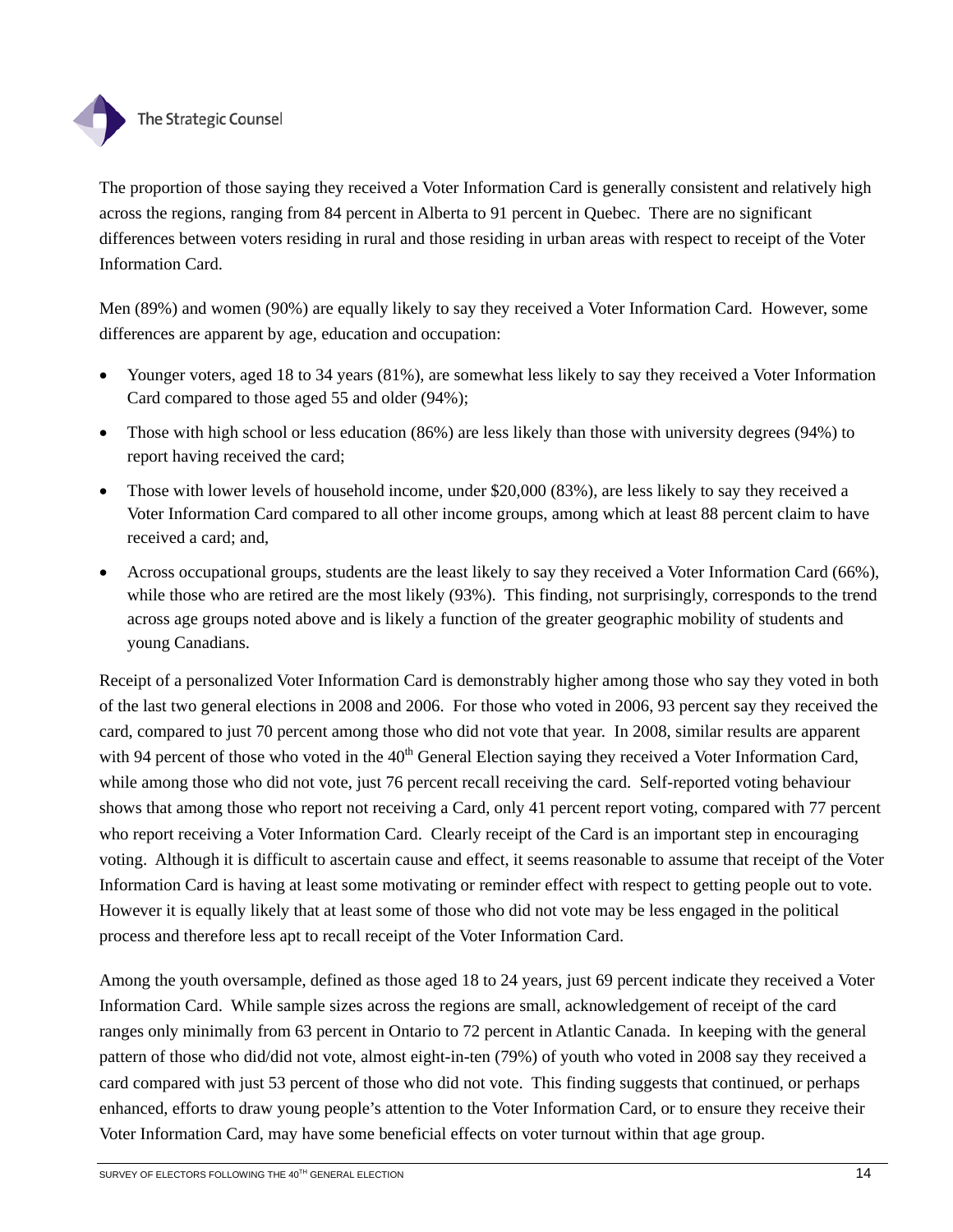

The proportion of those saying they received a Voter Information Card is generally consistent and relatively high across the regions, ranging from 84 percent in Alberta to 91 percent in Quebec. There are no significant differences between voters residing in rural and those residing in urban areas with respect to receipt of the Voter Information Card.

Men (89%) and women (90%) are equally likely to say they received a Voter Information Card. However, some differences are apparent by age, education and occupation:

- Younger voters, aged 18 to 34 years (81%), are somewhat less likely to say they received a Voter Information Card compared to those aged 55 and older (94%);
- Those with high school or less education (86%) are less likely than those with university degrees (94%) to report having received the card;
- Those with lower levels of household income, under \$20,000 (83%), are less likely to say they received a Voter Information Card compared to all other income groups, among which at least 88 percent claim to have received a card; and,
- Across occupational groups, students are the least likely to say they received a Voter Information Card (66%), while those who are retired are the most likely (93%). This finding, not surprisingly, corresponds to the trend across age groups noted above and is likely a function of the greater geographic mobility of students and young Canadians.

Receipt of a personalized Voter Information Card is demonstrably higher among those who say they voted in both of the last two general elections in 2008 and 2006. For those who voted in 2006, 93 percent say they received the card, compared to just 70 percent among those who did not vote that year. In 2008, similar results are apparent with 94 percent of those who voted in the 40<sup>th</sup> General Election saying they received a Voter Information Card, while among those who did not vote, just 76 percent recall receiving the card. Self-reported voting behaviour shows that among those who report not receiving a Card, only 41 percent report voting, compared with 77 percent who report receiving a Voter Information Card. Clearly receipt of the Card is an important step in encouraging voting. Although it is difficult to ascertain cause and effect, it seems reasonable to assume that receipt of the Voter Information Card is having at least some motivating or reminder effect with respect to getting people out to vote. However it is equally likely that at least some of those who did not vote may be less engaged in the political process and therefore less apt to recall receipt of the Voter Information Card.

Among the youth oversample, defined as those aged 18 to 24 years, just 69 percent indicate they received a Voter Information Card. While sample sizes across the regions are small, acknowledgement of receipt of the card ranges only minimally from 63 percent in Ontario to 72 percent in Atlantic Canada. In keeping with the general pattern of those who did/did not vote, almost eight-in-ten (79%) of youth who voted in 2008 say they received a card compared with just 53 percent of those who did not vote. This finding suggests that continued, or perhaps enhanced, efforts to draw young people's attention to the Voter Information Card, or to ensure they receive their Voter Information Card, may have some beneficial effects on voter turnout within that age group.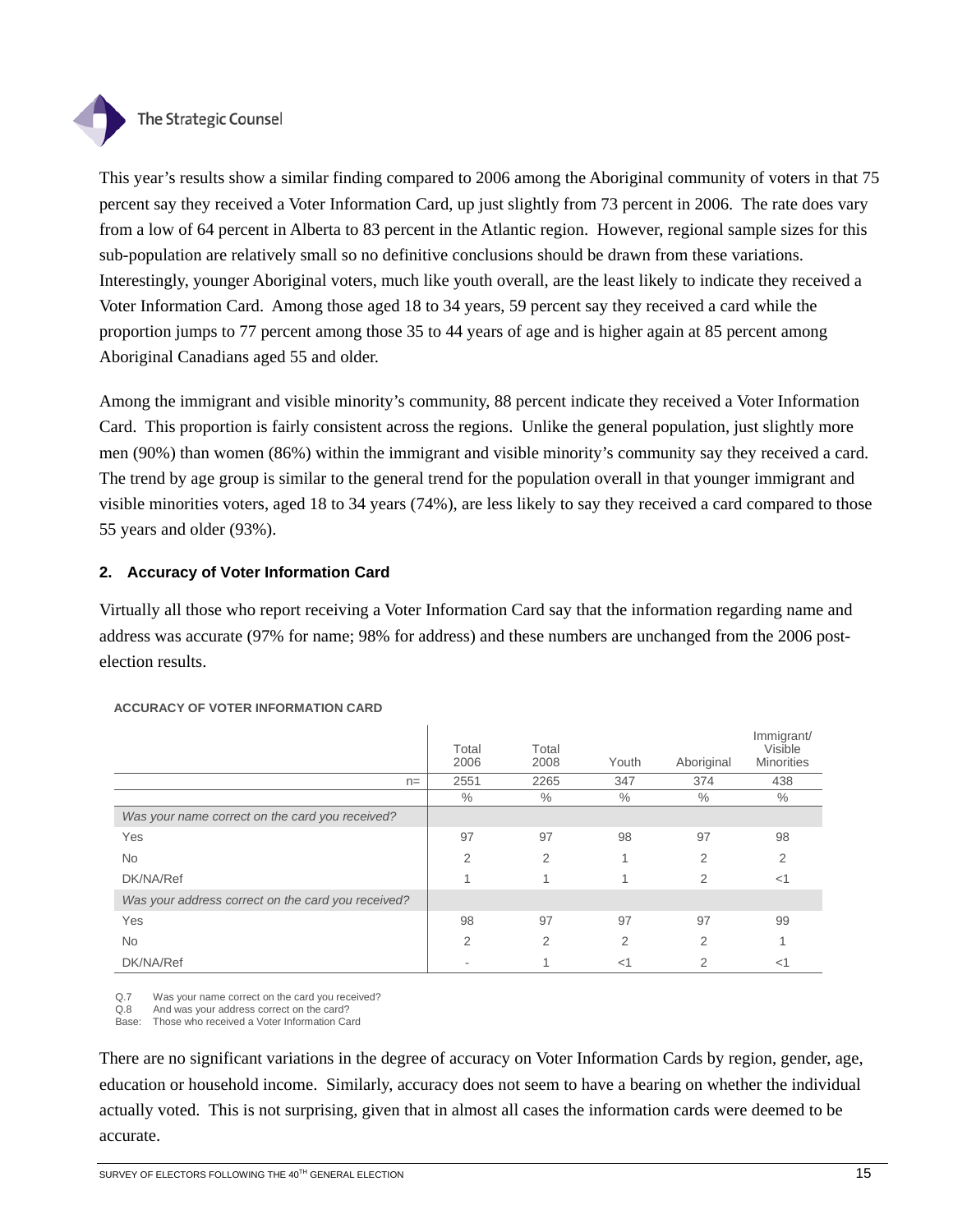

### The Strategic Counsel

This year's results show a similar finding compared to 2006 among the Aboriginal community of voters in that 75 percent say they received a Voter Information Card, up just slightly from 73 percent in 2006. The rate does vary from a low of 64 percent in Alberta to 83 percent in the Atlantic region. However, regional sample sizes for this sub-population are relatively small so no definitive conclusions should be drawn from these variations. Interestingly, younger Aboriginal voters, much like youth overall, are the least likely to indicate they received a Voter Information Card. Among those aged 18 to 34 years, 59 percent say they received a card while the proportion jumps to 77 percent among those 35 to 44 years of age and is higher again at 85 percent among Aboriginal Canadians aged 55 and older.

Among the immigrant and visible minority's community, 88 percent indicate they received a Voter Information Card. This proportion is fairly consistent across the regions. Unlike the general population, just slightly more men (90%) than women (86%) within the immigrant and visible minority's community say they received a card. The trend by age group is similar to the general trend for the population overall in that younger immigrant and visible minorities voters, aged 18 to 34 years (74%), are less likely to say they received a card compared to those 55 years and older (93%).

#### **2. Accuracy of Voter Information Card**

Virtually all those who report receiving a Voter Information Card say that the information regarding name and address was accurate (97% for name; 98% for address) and these numbers are unchanged from the 2006 postelection results.

|                                                    | Total<br>2006  | Total<br>2008 | Youth          | Aboriginal     | Immigrant/<br>Visible<br><b>Minorities</b> |
|----------------------------------------------------|----------------|---------------|----------------|----------------|--------------------------------------------|
| $n =$                                              | 2551           | 2265          | 347            | 374            | 438                                        |
|                                                    | $\%$           | $\%$          | $\%$           | $\%$           | $\%$                                       |
| Was your name correct on the card you received?    |                |               |                |                |                                            |
| Yes                                                | 97             | 97            | 98             | 97             | 98                                         |
| <b>No</b>                                          | $\overline{2}$ | 2             | $\overline{A}$ | $\overline{2}$ | 2                                          |
| DK/NA/Ref                                          |                | 1             |                | $\overline{2}$ | $<$ 1                                      |
| Was your address correct on the card you received? |                |               |                |                |                                            |
| Yes                                                | 98             | 97            | 97             | 97             | 99                                         |
| <b>No</b>                                          | $\overline{2}$ | 2             | 2              | $\overline{2}$ | и                                          |
| DK/NA/Ref                                          |                |               | $<$ 1          | $\overline{2}$ | $<$ 1                                      |

#### **ACCURACY OF VOTER INFORMATION CARD**

Q.7 Was your name correct on the card you received?

Q.8 And was your address correct on the card?

Base: Those who received a Voter Information Card

There are no significant variations in the degree of accuracy on Voter Information Cards by region, gender, age, education or household income. Similarly, accuracy does not seem to have a bearing on whether the individual actually voted. This is not surprising, given that in almost all cases the information cards were deemed to be accurate.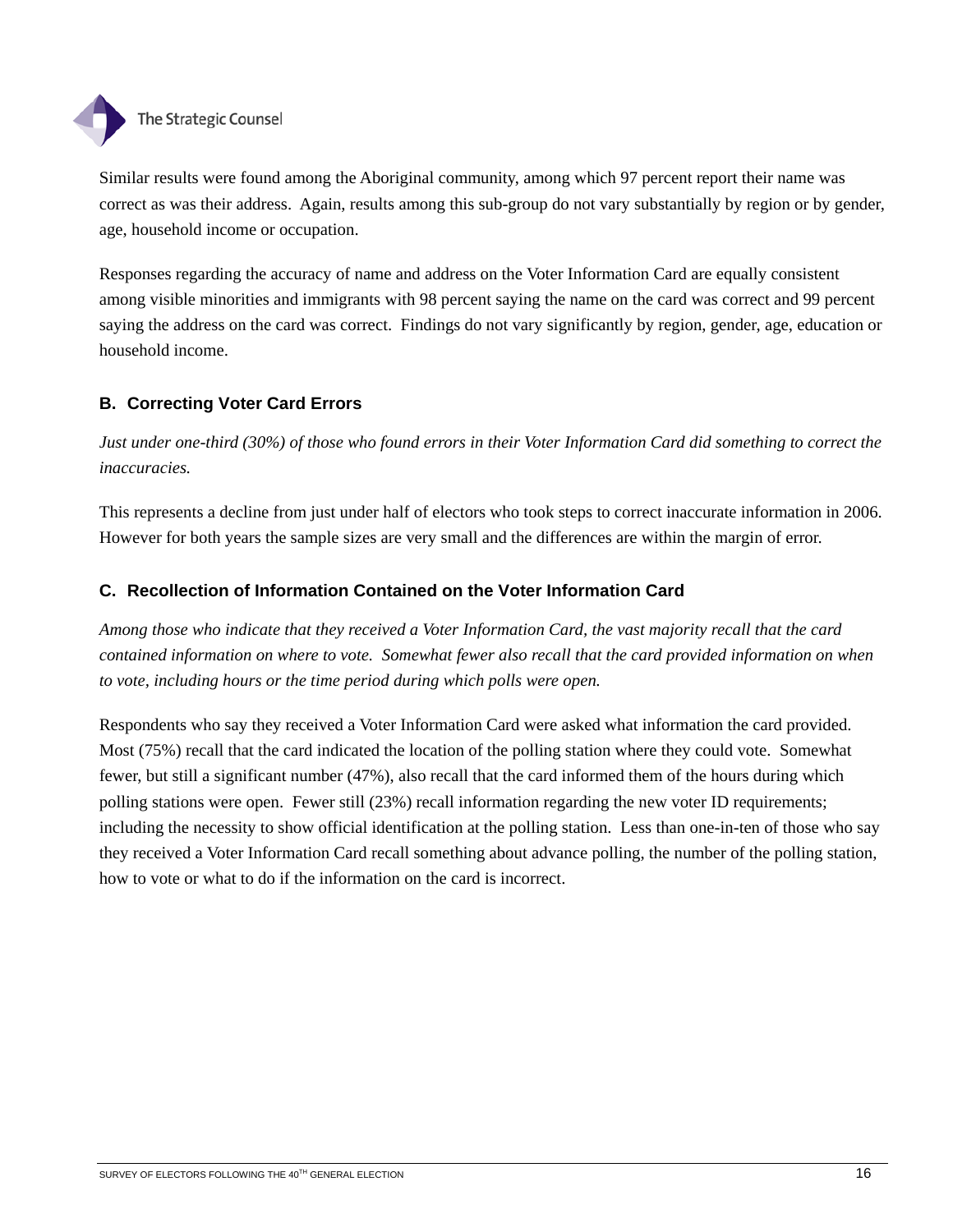

Similar results were found among the Aboriginal community, among which 97 percent report their name was correct as was their address. Again, results among this sub-group do not vary substantially by region or by gender, age, household income or occupation.

Responses regarding the accuracy of name and address on the Voter Information Card are equally consistent among visible minorities and immigrants with 98 percent saying the name on the card was correct and 99 percent saying the address on the card was correct. Findings do not vary significantly by region, gender, age, education or household income.

## **B. Correcting Voter Card Errors**

*Just under one-third (30%) of those who found errors in their Voter Information Card did something to correct the inaccuracies.* 

This represents a decline from just under half of electors who took steps to correct inaccurate information in 2006. However for both years the sample sizes are very small and the differences are within the margin of error.

# **C. Recollection of Information Contained on the Voter Information Card**

*Among those who indicate that they received a Voter Information Card, the vast majority recall that the card contained information on where to vote. Somewhat fewer also recall that the card provided information on when to vote, including hours or the time period during which polls were open.* 

Respondents who say they received a Voter Information Card were asked what information the card provided. Most (75%) recall that the card indicated the location of the polling station where they could vote. Somewhat fewer, but still a significant number (47%), also recall that the card informed them of the hours during which polling stations were open. Fewer still (23%) recall information regarding the new voter ID requirements; including the necessity to show official identification at the polling station. Less than one-in-ten of those who say they received a Voter Information Card recall something about advance polling, the number of the polling station, how to vote or what to do if the information on the card is incorrect.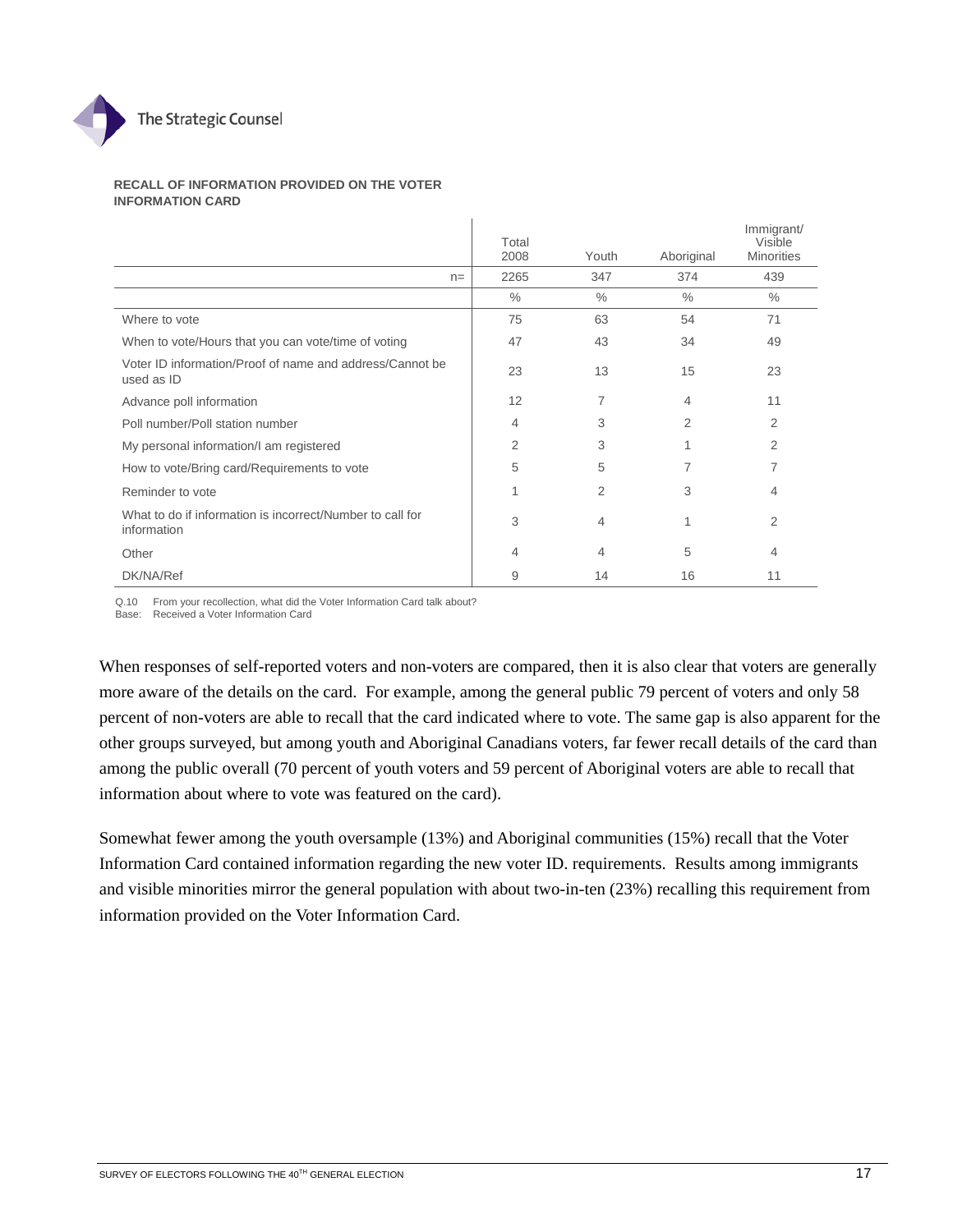

#### **RECALL OF INFORMATION PROVIDED ON THE VOTER INFORMATION CARD**

|                                                                          | Total<br>2008 | Youth         | Aboriginal | Immigrant/<br>Visible<br><b>Minorities</b> |
|--------------------------------------------------------------------------|---------------|---------------|------------|--------------------------------------------|
| $n =$                                                                    | 2265          | 347           | 374        | 439                                        |
|                                                                          | $\frac{0}{0}$ | $\frac{0}{0}$ | $\%$       | $\%$                                       |
| Where to vote                                                            | 75            | 63            | 54         | 71                                         |
| When to vote/Hours that you can vote/time of voting                      | 47            | 43            | 34         | 49                                         |
| Voter ID information/Proof of name and address/Cannot be<br>used as ID   | 23            | 13            | 15         | 23                                         |
| Advance poll information                                                 | 12            | 7             | 4          | 11                                         |
| Poll number/Poll station number                                          | 4             | 3             | 2          | 2                                          |
| My personal information/I am registered                                  | 2             | 3             |            | 2                                          |
| How to vote/Bring card/Requirements to vote                              | 5             | 5             | 7          | 7                                          |
| Reminder to vote                                                         | 1             | 2             | 3          | 4                                          |
| What to do if information is incorrect/Number to call for<br>information | 3             | 4             |            | 2                                          |
| Other                                                                    | 4             | 4             | 5          | 4                                          |
| DK/NA/Ref                                                                | 9             | 14            | 16         | 11                                         |

Q.10 From your recollection, what did the Voter Information Card talk about? Base: Received a Voter Information Card

When responses of self-reported voters and non-voters are compared, then it is also clear that voters are generally more aware of the details on the card. For example, among the general public 79 percent of voters and only 58 percent of non-voters are able to recall that the card indicated where to vote. The same gap is also apparent for the other groups surveyed, but among youth and Aboriginal Canadians voters, far fewer recall details of the card than among the public overall (70 percent of youth voters and 59 percent of Aboriginal voters are able to recall that information about where to vote was featured on the card).

Somewhat fewer among the youth oversample (13%) and Aboriginal communities (15%) recall that the Voter Information Card contained information regarding the new voter ID. requirements. Results among immigrants and visible minorities mirror the general population with about two-in-ten (23%) recalling this requirement from information provided on the Voter Information Card.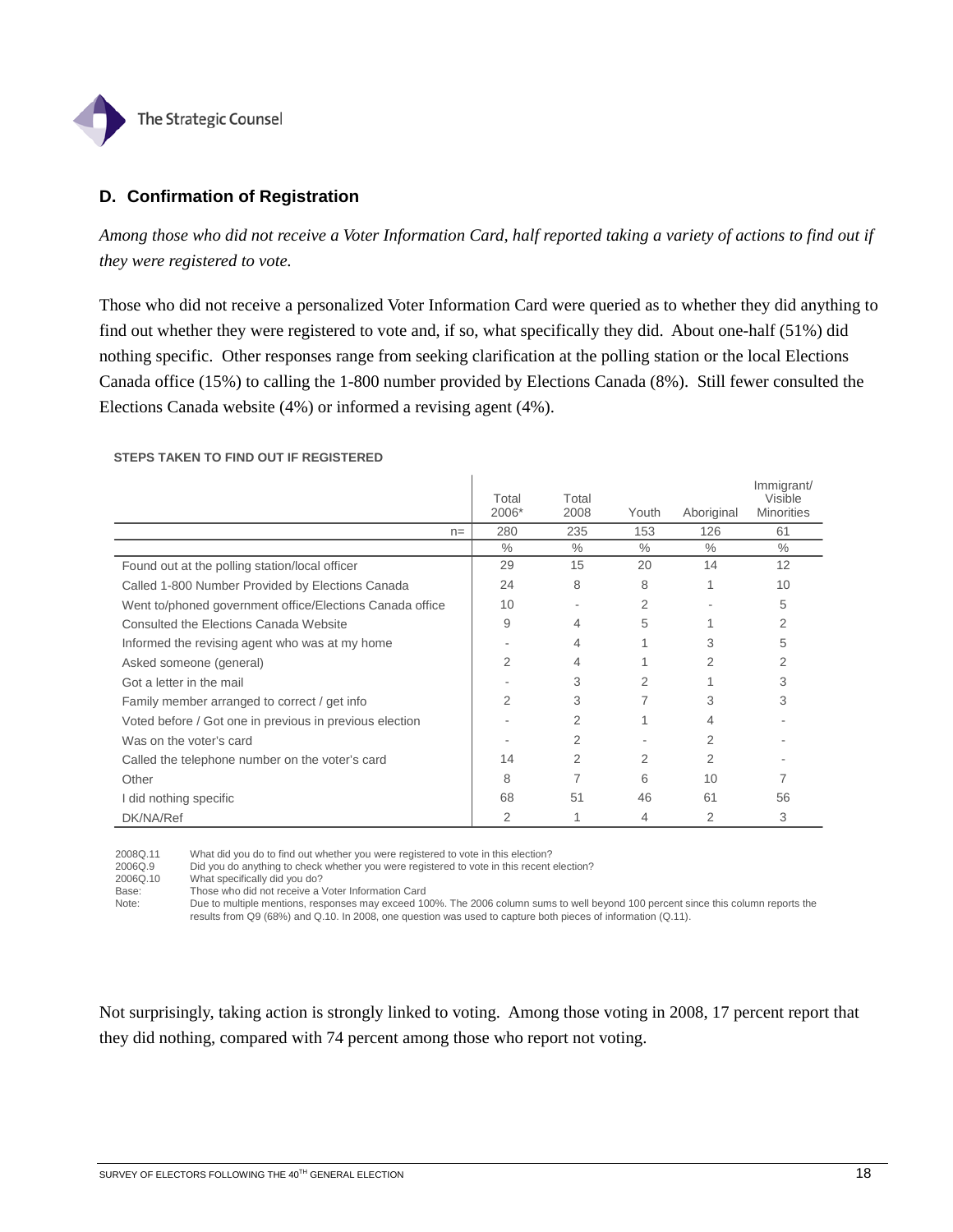

## **D. Confirmation of Registration**

*Among those who did not receive a Voter Information Card, half reported taking a variety of actions to find out if they were registered to vote.* 

Those who did not receive a personalized Voter Information Card were queried as to whether they did anything to find out whether they were registered to vote and, if so, what specifically they did. About one-half (51%) did nothing specific. Other responses range from seeking clarification at the polling station or the local Elections Canada office (15%) to calling the 1-800 number provided by Elections Canada (8%). Still fewer consulted the Elections Canada website (4%) or informed a revising agent (4%).

#### **STEPS TAKEN TO FIND OUT IF REGISTERED**

|                                                          | Total<br>2006* | Total<br>2008 | Youth          | Aboriginal | Immigrant/<br>Visible<br><b>Minorities</b> |
|----------------------------------------------------------|----------------|---------------|----------------|------------|--------------------------------------------|
| $n =$                                                    | 280            | 235           | 153            | 126        | 61                                         |
|                                                          | $\frac{0}{0}$  | $\frac{0}{0}$ | $\%$           | $\%$       | $\frac{0}{0}$                              |
| Found out at the polling station/local officer           | 29             | 15            | 20             | 14         | 12                                         |
| Called 1-800 Number Provided by Elections Canada         | 24             | 8             | 8              |            | 10                                         |
| Went to/phoned government office/Elections Canada office | 10             | ۰             | 2              |            | 5                                          |
| Consulted the Elections Canada Website                   | 9              | 4             | 5              |            | 2                                          |
| Informed the revising agent who was at my home           |                | 4             | 1              | 3          | 5                                          |
| Asked someone (general)                                  | 2              | 4             |                | 2          | 2                                          |
| Got a letter in the mail                                 |                | 3             | $\mathfrak{p}$ |            | 3                                          |
| Family member arranged to correct / get info             | 2              | 3             | 7              | 3          | 3                                          |
| Voted before / Got one in previous in previous election  |                | 2             |                | 4          |                                            |
| Was on the voter's card                                  |                | 2             |                | 2          |                                            |
| Called the telephone number on the voter's card          | 14             | 2             | 2              | 2          |                                            |
| Other                                                    | 8              |               | 6              | 10         |                                            |
| I did nothing specific                                   | 68             | 51            | 46             | 61         | 56                                         |
| DK/NA/Ref                                                | 2              |               | 4              | 2          | 3                                          |

 $\mathbf{I}$ 

2008Q.11 What did you do to find out whether you were registered to vote in this election?

2006Q.9 Did you do anything to check whether you were registered to vote in this recent election?<br>2006Q.10 What specifically did you do?

2006Q.10 What specifically did you do?<br>Base: Those who did not receive a Those who did not receive a Voter Information Card

Note: Due to multiple mentions, responses may exceed 100%. The 2006 column sums to well beyond 100 percent since this column reports the results from Q9 (68%) and Q.10. In 2008, one question was used to capture both pieces of information (Q.11).

Not surprisingly, taking action is strongly linked to voting. Among those voting in 2008, 17 percent report that they did nothing, compared with 74 percent among those who report not voting.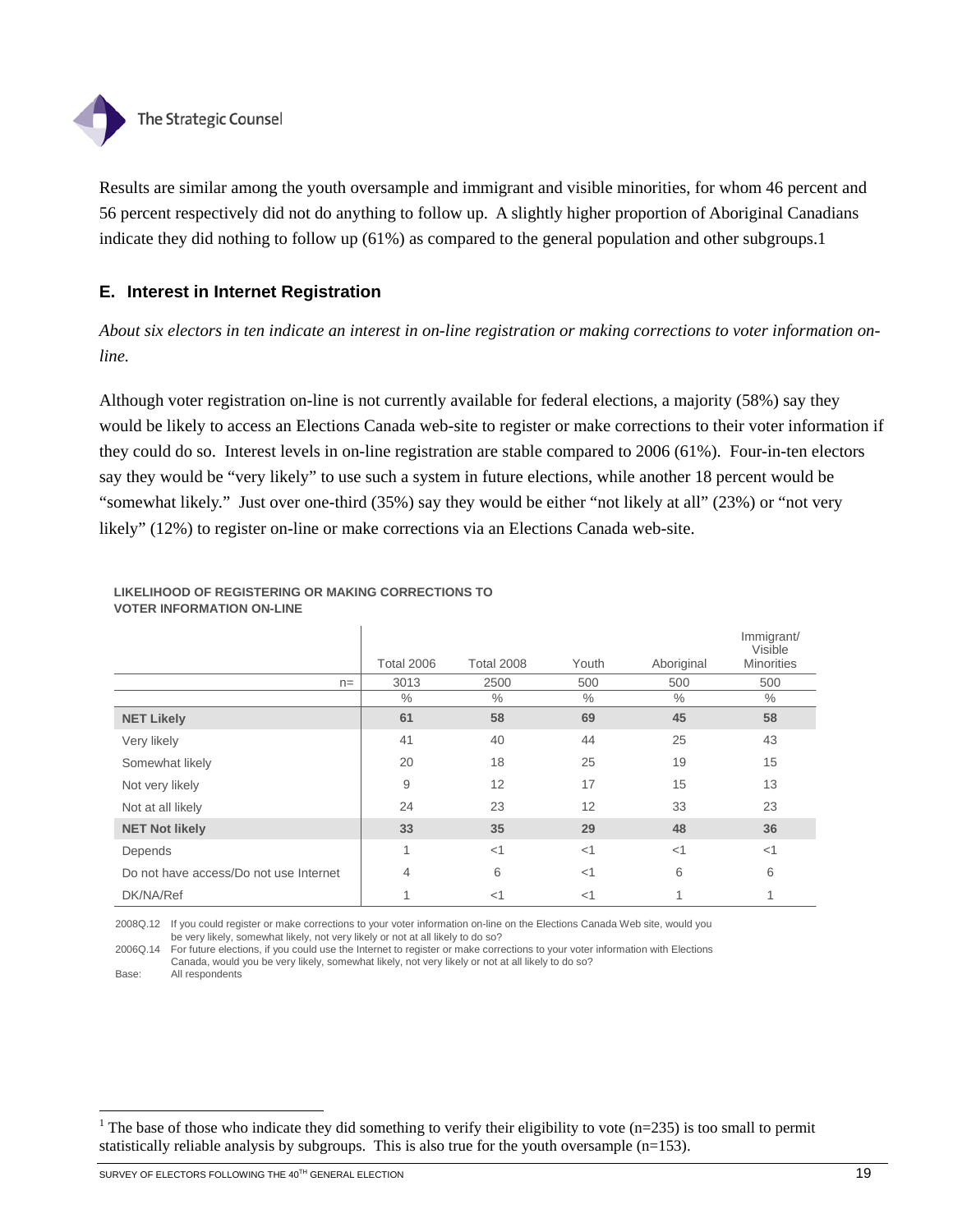

Results are similar among the youth oversample and immigrant and visible minorities, for whom 46 percent and 56 percent respectively did not do anything to follow up. A slightly higher proportion of Aboriginal Canadians indicate they did nothing to follow up (61%) as compared to the general population and other subgroups.1

## **E. Interest in Internet Registration**

*About six electors in ten indicate an interest in on-line registration or making corrections to voter information online.* 

Although voter registration on-line is not currently available for federal elections, a majority (58%) say they would be likely to access an Elections Canada web-site to register or make corrections to their voter information if they could do so. Interest levels in on-line registration are stable compared to 2006 (61%). Four-in-ten electors say they would be "very likely" to use such a system in future elections, while another 18 percent would be "somewhat likely." Just over one-third (35%) say they would be either "not likely at all" (23%) or "not very likely" (12%) to register on-line or make corrections via an Elections Canada web-site.

|                                        | <b>Total 2006</b> | <b>Total 2008</b> | Youth         | Aboriginal    | Immigrant/<br>Visible<br><b>Minorities</b> |
|----------------------------------------|-------------------|-------------------|---------------|---------------|--------------------------------------------|
| $n =$                                  | 3013              | 2500              | 500           | 500           | 500                                        |
|                                        | $\%$              | $\%$              | $\frac{0}{0}$ | $\frac{0}{0}$ | $\%$                                       |
| <b>NET Likely</b>                      | 61                | 58                | 69            | 45            | 58                                         |
| Very likely                            | 41                | 40                | 44            | 25            | 43                                         |
| Somewhat likely                        | 20                | 18                | 25            | 19            | 15                                         |
| Not very likely                        | 9                 | 12                | 17            | 15            | 13                                         |
| Not at all likely                      | 24                | 23                | 12            | 33            | 23                                         |
| <b>NET Not likely</b>                  | 33                | 35                | 29            | 48            | 36                                         |
| Depends                                | 4                 | <1                | <1            | $<$ 1         | $<$ 1                                      |
| Do not have access/Do not use Internet | 4                 | 6                 | <1            | 6             | 6                                          |
| DK/NA/Ref                              |                   | $<$ 1             | $<$ 1         |               |                                            |

#### **LIKELIHOOD OF REGISTERING OR MAKING CORRECTIONS TO VOTER INFORMATION ON-LINE**

2008Q.12 If you could register or make corrections to your voter information on-line on the Elections Canada Web site, would you be very likely, somewhat likely, not very likely or not at all likely to do so?

2006Q.14 For future elections, if you could use the Internet to register or make corrections to your voter information with Elections Canada, would you be very likely, somewhat likely, not very likely or not at all likely to do so? Base: All respondents

l

<sup>&</sup>lt;sup>1</sup> The base of those who indicate they did something to verify their eligibility to vote (n=235) is too small to permit statistically reliable analysis by subgroups. This is also true for the youth oversample (n=153).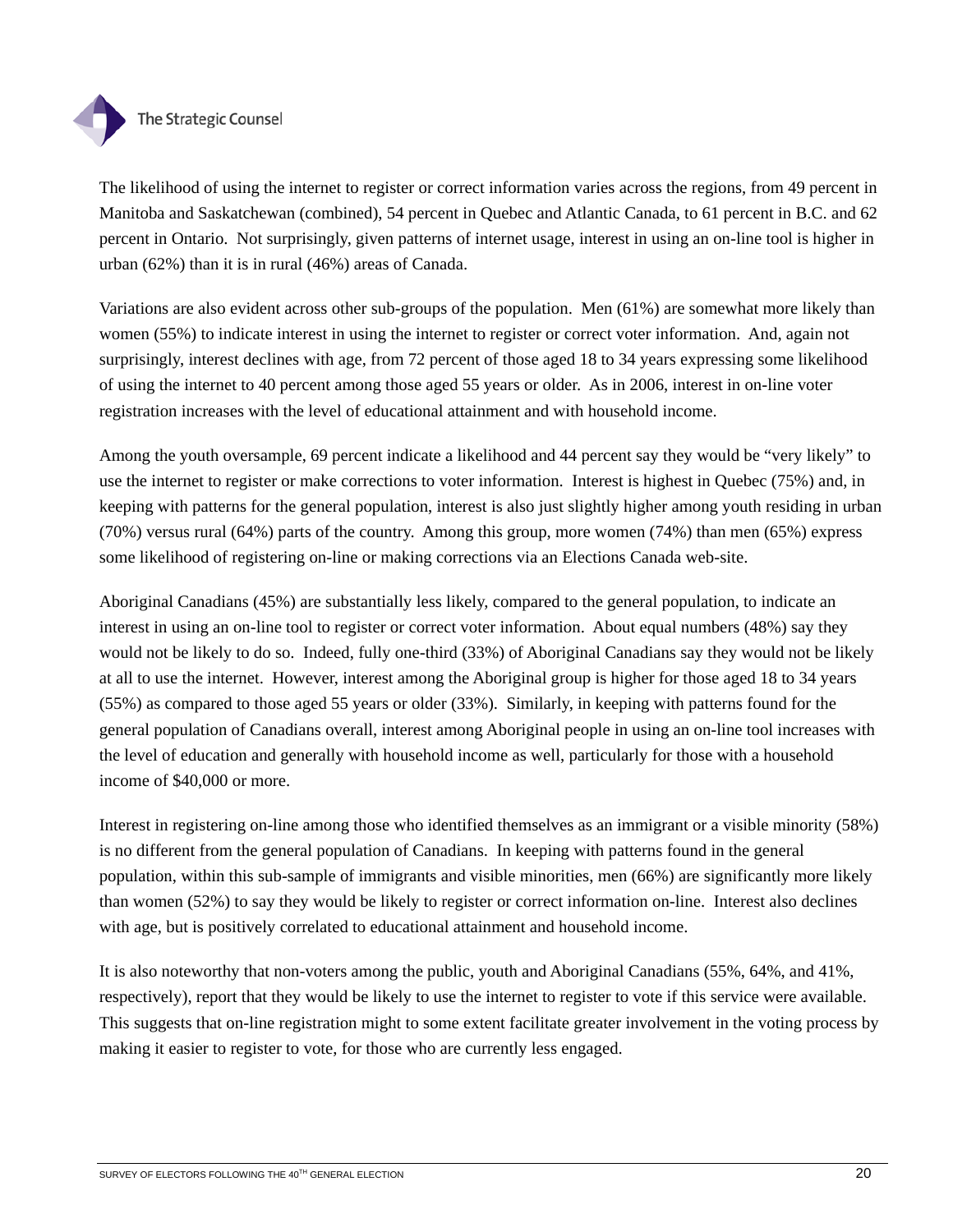

The likelihood of using the internet to register or correct information varies across the regions, from 49 percent in Manitoba and Saskatchewan (combined), 54 percent in Quebec and Atlantic Canada, to 61 percent in B.C. and 62 percent in Ontario. Not surprisingly, given patterns of internet usage, interest in using an on-line tool is higher in urban (62%) than it is in rural (46%) areas of Canada.

Variations are also evident across other sub-groups of the population. Men (61%) are somewhat more likely than women (55%) to indicate interest in using the internet to register or correct voter information. And, again not surprisingly, interest declines with age, from 72 percent of those aged 18 to 34 years expressing some likelihood of using the internet to 40 percent among those aged 55 years or older. As in 2006, interest in on-line voter registration increases with the level of educational attainment and with household income.

Among the youth oversample, 69 percent indicate a likelihood and 44 percent say they would be "very likely" to use the internet to register or make corrections to voter information. Interest is highest in Quebec (75%) and, in keeping with patterns for the general population, interest is also just slightly higher among youth residing in urban (70%) versus rural (64%) parts of the country. Among this group, more women (74%) than men (65%) express some likelihood of registering on-line or making corrections via an Elections Canada web-site.

Aboriginal Canadians (45%) are substantially less likely, compared to the general population, to indicate an interest in using an on-line tool to register or correct voter information. About equal numbers (48%) say they would not be likely to do so. Indeed, fully one-third (33%) of Aboriginal Canadians say they would not be likely at all to use the internet. However, interest among the Aboriginal group is higher for those aged 18 to 34 years (55%) as compared to those aged 55 years or older (33%). Similarly, in keeping with patterns found for the general population of Canadians overall, interest among Aboriginal people in using an on-line tool increases with the level of education and generally with household income as well, particularly for those with a household income of \$40,000 or more.

Interest in registering on-line among those who identified themselves as an immigrant or a visible minority (58%) is no different from the general population of Canadians. In keeping with patterns found in the general population, within this sub-sample of immigrants and visible minorities, men (66%) are significantly more likely than women (52%) to say they would be likely to register or correct information on-line. Interest also declines with age, but is positively correlated to educational attainment and household income.

It is also noteworthy that non-voters among the public, youth and Aboriginal Canadians (55%, 64%, and 41%, respectively), report that they would be likely to use the internet to register to vote if this service were available. This suggests that on-line registration might to some extent facilitate greater involvement in the voting process by making it easier to register to vote, for those who are currently less engaged.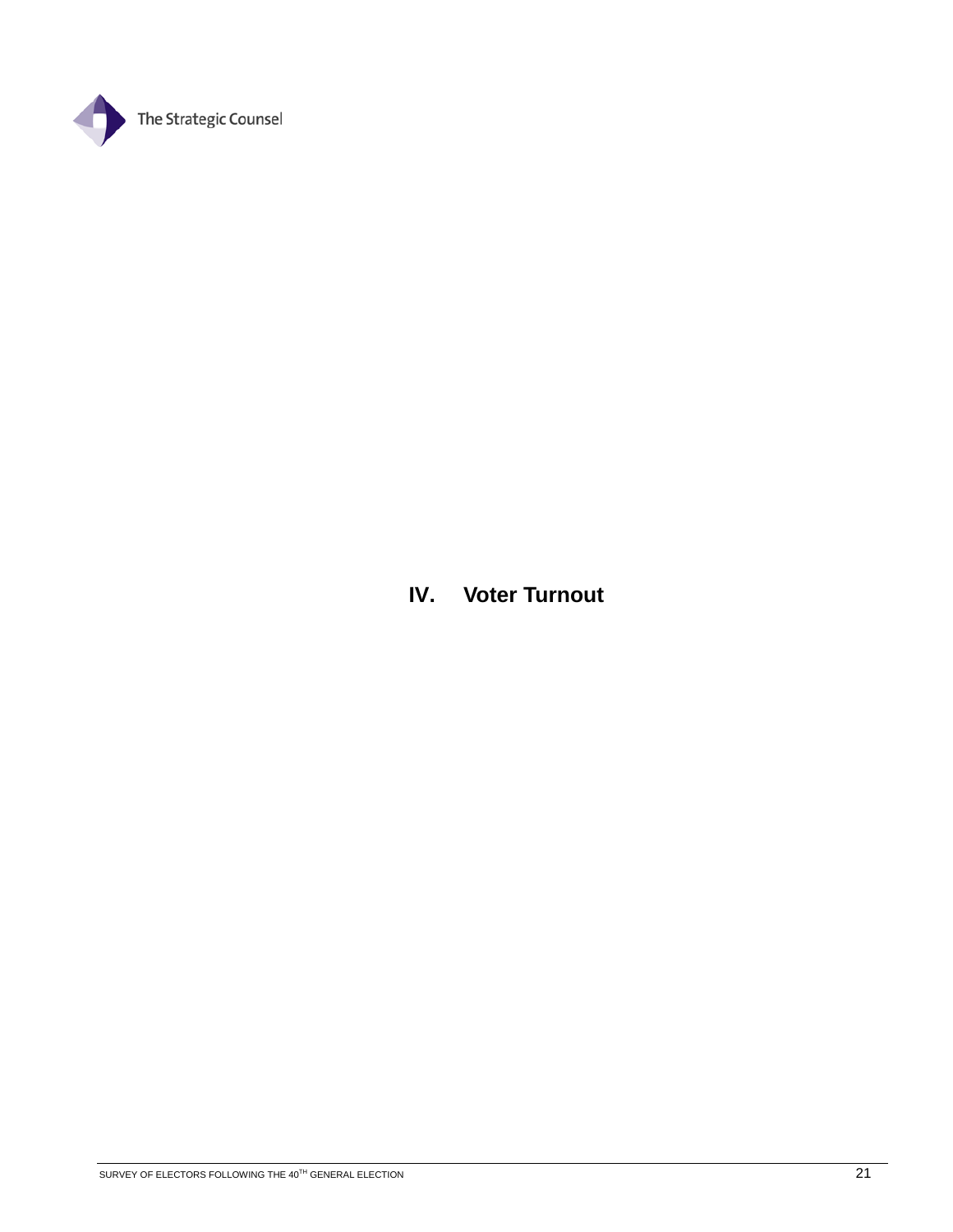

**IV. Voter Turnout**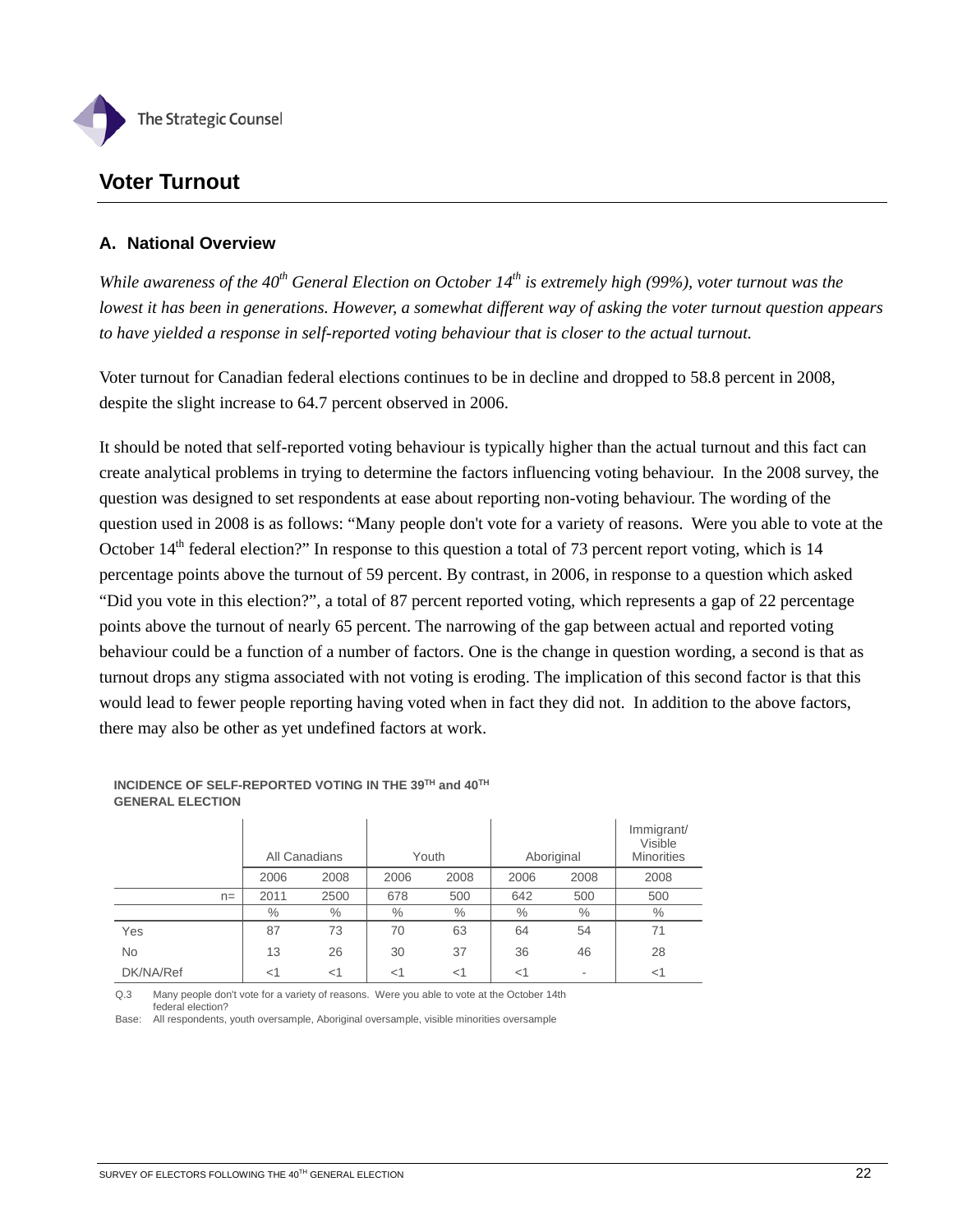

# **Voter Turnout**

## **A. National Overview**

*While awareness of the 40th General Election on October 14th is extremely high (99%), voter turnout was the lowest it has been in generations. However, a somewhat different way of asking the voter turnout question appears to have yielded a response in self-reported voting behaviour that is closer to the actual turnout.* 

Voter turnout for Canadian federal elections continues to be in decline and dropped to 58.8 percent in 2008, despite the slight increase to 64.7 percent observed in 2006.

It should be noted that self-reported voting behaviour is typically higher than the actual turnout and this fact can create analytical problems in trying to determine the factors influencing voting behaviour. In the 2008 survey, the question was designed to set respondents at ease about reporting non-voting behaviour. The wording of the question used in 2008 is as follows: "Many people don't vote for a variety of reasons. Were you able to vote at the October 14<sup>th</sup> federal election?" In response to this question a total of 73 percent report voting, which is 14 percentage points above the turnout of 59 percent. By contrast, in 2006, in response to a question which asked "Did you vote in this election?", a total of 87 percent reported voting, which represents a gap of 22 percentage points above the turnout of nearly 65 percent. The narrowing of the gap between actual and reported voting behaviour could be a function of a number of factors. One is the change in question wording, a second is that as turnout drops any stigma associated with not voting is eroding. The implication of this second factor is that this would lead to fewer people reporting having voted when in fact they did not. In addition to the above factors, there may also be other as yet undefined factors at work.

|           |       | All Canadians |       | Youth |       | Aboriginal |      | Immigrant/<br>Visible<br><b>Minorities</b> |
|-----------|-------|---------------|-------|-------|-------|------------|------|--------------------------------------------|
|           |       | 2006          | 2008  | 2006  | 2008  | 2006       | 2008 | 2008                                       |
|           | $n =$ | 2011          | 2500  | 678   | 500   | 642        | 500  | 500                                        |
|           |       | $\%$          | $\%$  | $\%$  | $\%$  | $\%$       | $\%$ | $\%$                                       |
| Yes       |       | 87            | 73    | 70    | 63    | 64         | 54   | 71                                         |
| <b>No</b> |       | 13            | 26    | 30    | 37    | 36         | 46   | 28                                         |
| DK/NA/Ref |       | $<$ 1         | $<$ 1 | $<$ 1 | $<$ 1 | $<$ 1      |      | $<$ 1                                      |

**INCIDENCE OF SELF-REPORTED VOTING IN THE 39TH and 40TH GENERAL ELECTION**

Q.3 Many people don't vote for a variety of reasons. Were you able to vote at the October 14th federal election?

Base: All respondents, youth oversample, Aboriginal oversample, visible minorities oversample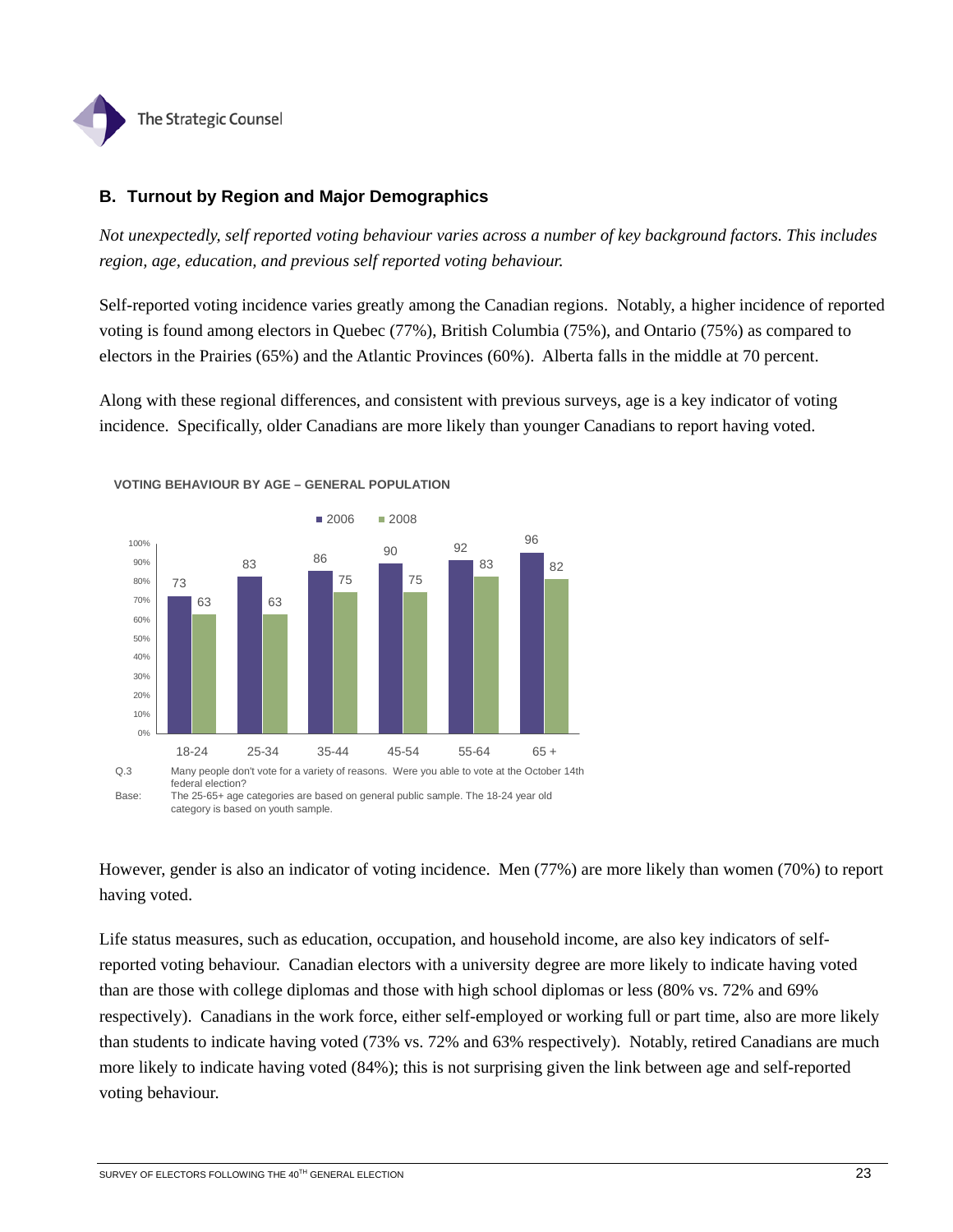

## **B. Turnout by Region and Major Demographics**

*Not unexpectedly, self reported voting behaviour varies across a number of key background factors. This includes region, age, education, and previous self reported voting behaviour.* 

Self-reported voting incidence varies greatly among the Canadian regions. Notably, a higher incidence of reported voting is found among electors in Quebec (77%), British Columbia (75%), and Ontario (75%) as compared to electors in the Prairies (65%) and the Atlantic Provinces (60%). Alberta falls in the middle at 70 percent.

Along with these regional differences, and consistent with previous surveys, age is a key indicator of voting incidence. Specifically, older Canadians are more likely than younger Canadians to report having voted.



**VOTING BEHAVIOUR BY AGE – GENERAL POPULATION**

However, gender is also an indicator of voting incidence. Men (77%) are more likely than women (70%) to report

Life status measures, such as education, occupation, and household income, are also key indicators of selfreported voting behaviour. Canadian electors with a university degree are more likely to indicate having voted than are those with college diplomas and those with high school diplomas or less (80% vs. 72% and 69% respectively). Canadians in the work force, either self-employed or working full or part time, also are more likely than students to indicate having voted (73% vs. 72% and 63% respectively). Notably, retired Canadians are much more likely to indicate having voted (84%); this is not surprising given the link between age and self-reported voting behaviour.

category is based on youth sample.

having voted.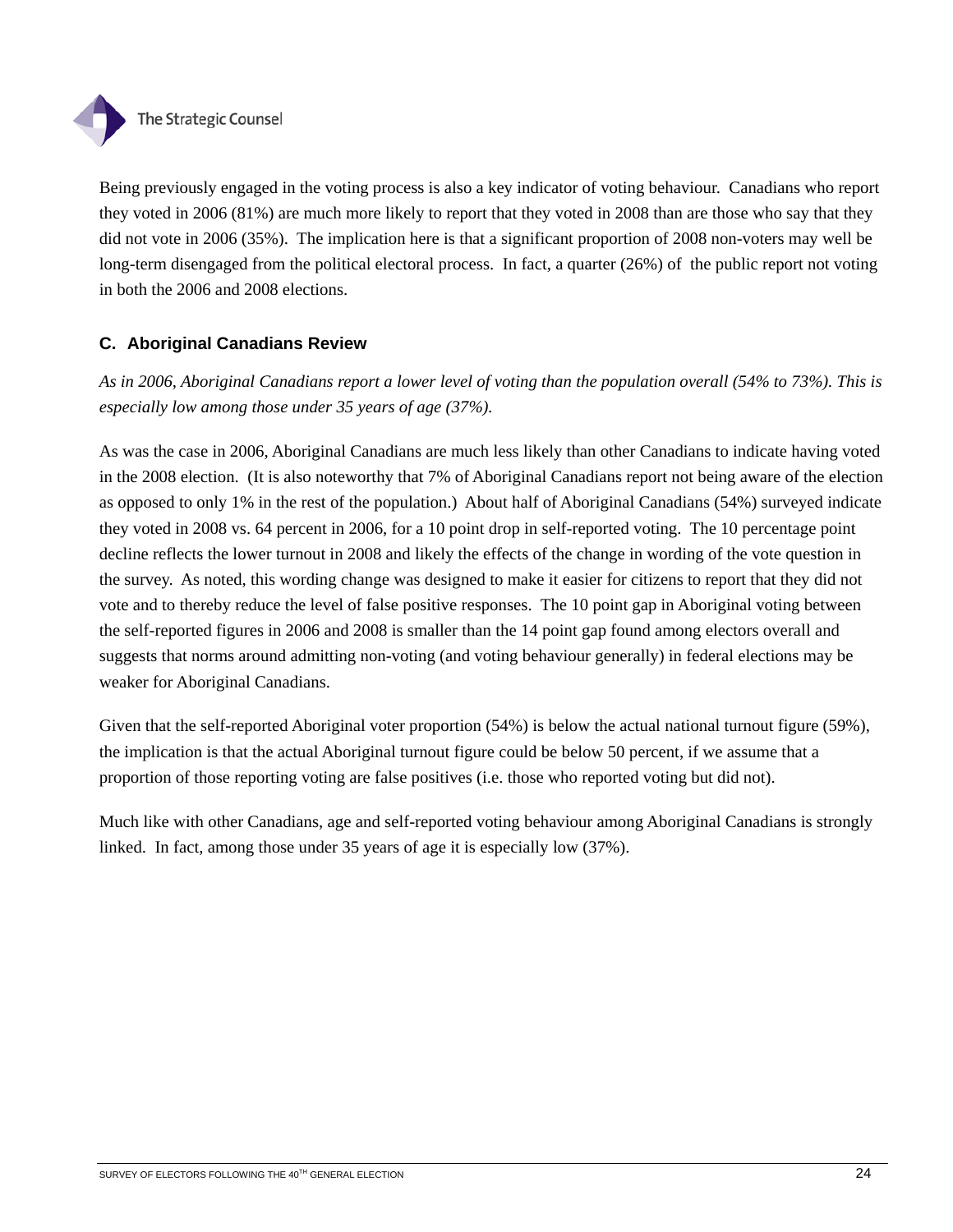

Being previously engaged in the voting process is also a key indicator of voting behaviour. Canadians who report they voted in 2006 (81%) are much more likely to report that they voted in 2008 than are those who say that they did not vote in 2006 (35%). The implication here is that a significant proportion of 2008 non-voters may well be long-term disengaged from the political electoral process. In fact, a quarter (26%) of the public report not voting in both the 2006 and 2008 elections.

# **C. Aboriginal Canadians Review**

*As in 2006, Aboriginal Canadians report a lower level of voting than the population overall (54% to 73%). This is especially low among those under 35 years of age (37%).* 

As was the case in 2006, Aboriginal Canadians are much less likely than other Canadians to indicate having voted in the 2008 election. (It is also noteworthy that 7% of Aboriginal Canadians report not being aware of the election as opposed to only 1% in the rest of the population.) About half of Aboriginal Canadians (54%) surveyed indicate they voted in 2008 vs. 64 percent in 2006, for a 10 point drop in self-reported voting. The 10 percentage point decline reflects the lower turnout in 2008 and likely the effects of the change in wording of the vote question in the survey. As noted, this wording change was designed to make it easier for citizens to report that they did not vote and to thereby reduce the level of false positive responses. The 10 point gap in Aboriginal voting between the self-reported figures in 2006 and 2008 is smaller than the 14 point gap found among electors overall and suggests that norms around admitting non-voting (and voting behaviour generally) in federal elections may be weaker for Aboriginal Canadians.

Given that the self-reported Aboriginal voter proportion (54%) is below the actual national turnout figure (59%), the implication is that the actual Aboriginal turnout figure could be below 50 percent, if we assume that a proportion of those reporting voting are false positives (i.e. those who reported voting but did not).

Much like with other Canadians, age and self-reported voting behaviour among Aboriginal Canadians is strongly linked. In fact, among those under 35 years of age it is especially low (37%).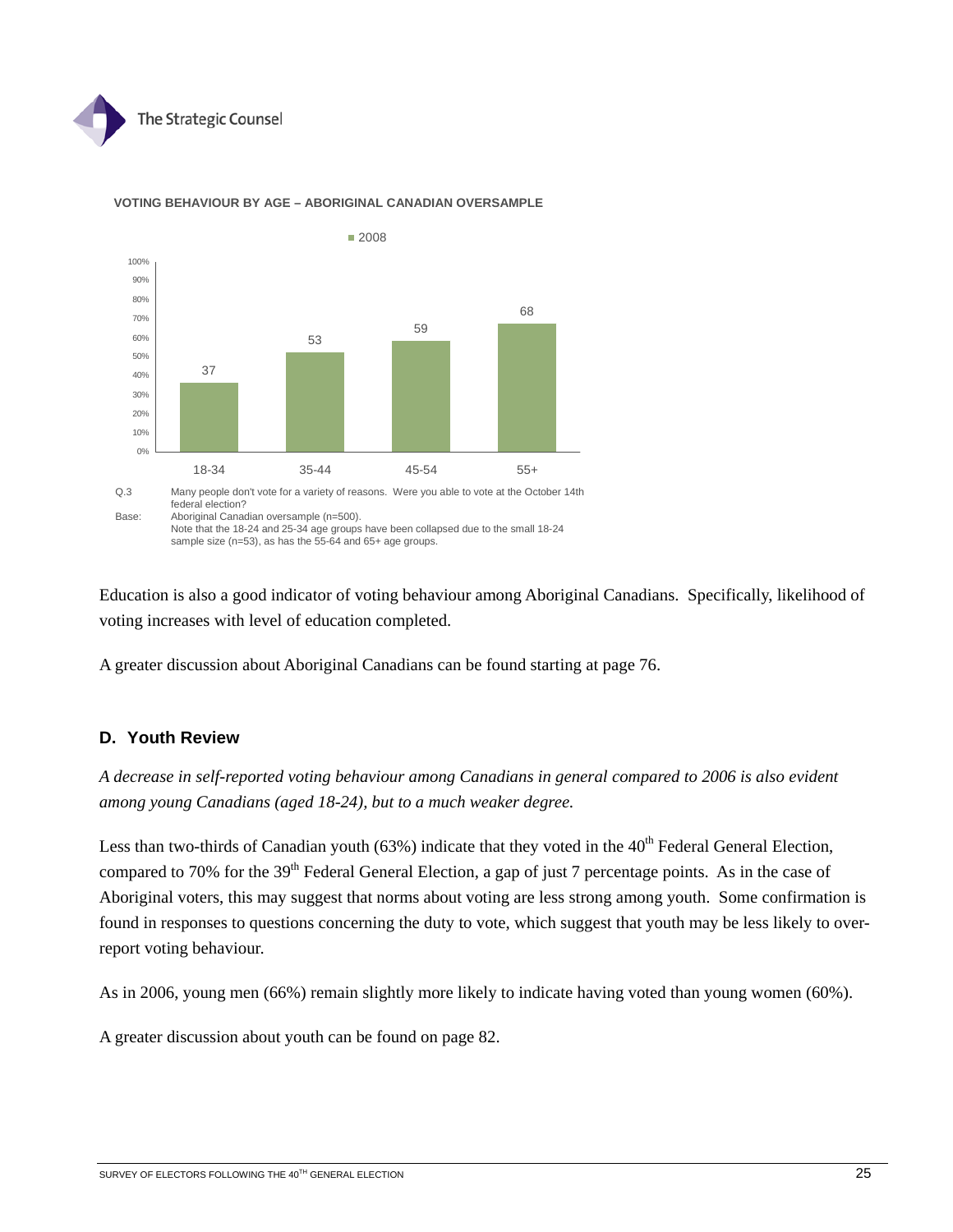



#### **VOTING BEHAVIOUR BY AGE – ABORIGINAL CANADIAN OVERSAMPLE**

Education is also a good indicator of voting behaviour among Aboriginal Canadians. Specifically, likelihood of

voting increases with level of education completed.

sample size (n=53), as has the 55-64 and 65+ age groups.

A greater discussion about Aboriginal Canadians can be found starting at page 76.

## **D. Youth Review**

*A decrease in self-reported voting behaviour among Canadians in general compared to 2006 is also evident among young Canadians (aged 18-24), but to a much weaker degree.* 

Less than two-thirds of Canadian youth (63%) indicate that they voted in the  $40<sup>th</sup>$  Federal General Election, compared to 70% for the 39<sup>th</sup> Federal General Election, a gap of just 7 percentage points. As in the case of Aboriginal voters, this may suggest that norms about voting are less strong among youth. Some confirmation is found in responses to questions concerning the duty to vote, which suggest that youth may be less likely to overreport voting behaviour.

As in 2006, young men (66%) remain slightly more likely to indicate having voted than young women (60%).

A greater discussion about youth can be found on page 82.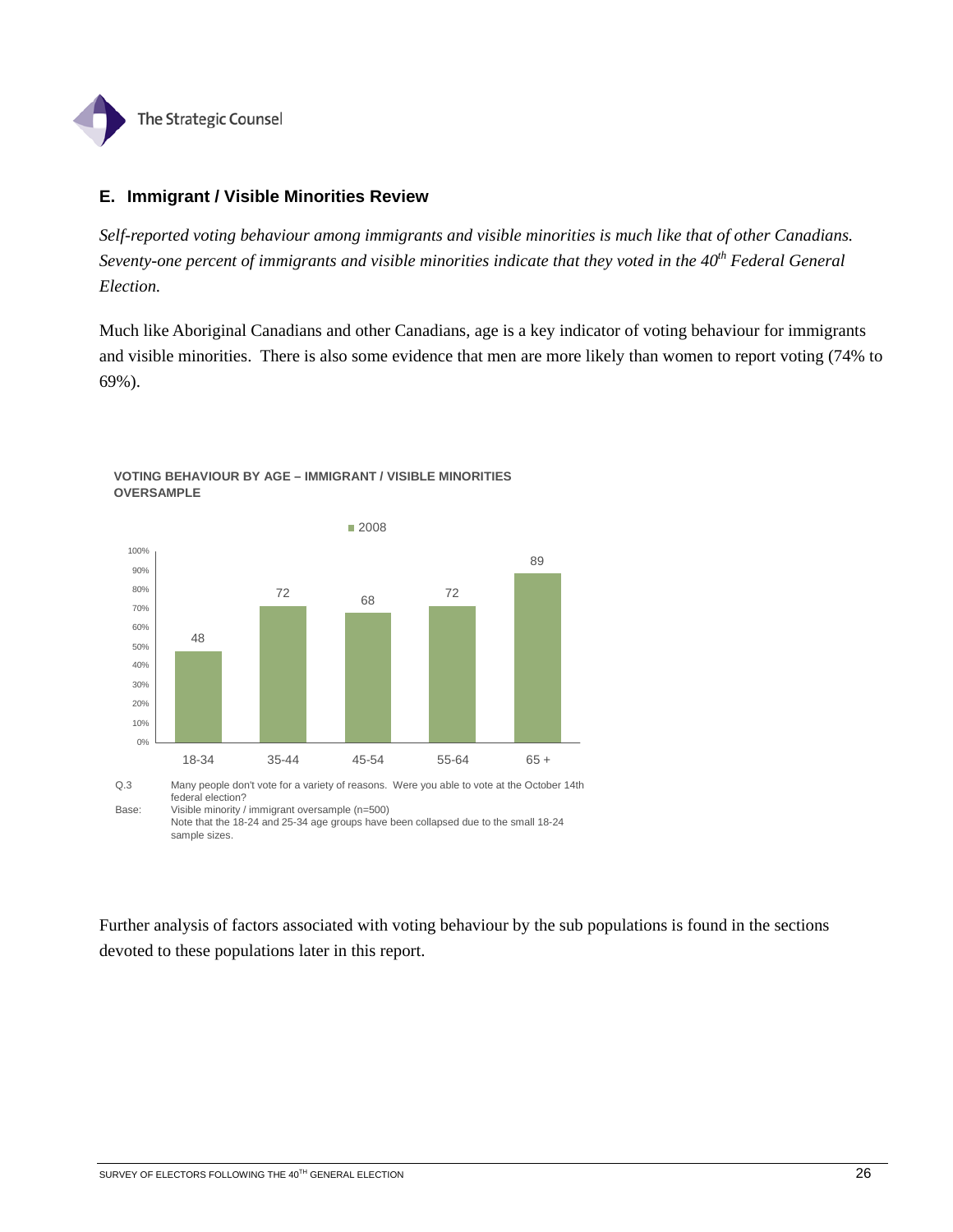

## **E. Immigrant / Visible Minorities Review**

*Self-reported voting behaviour among immigrants and visible minorities is much like that of other Canadians. Seventy-one percent of immigrants and visible minorities indicate that they voted in the 40<sup>th</sup> Federal General Election.* 

Much like Aboriginal Canadians and other Canadians, age is a key indicator of voting behaviour for immigrants and visible minorities. There is also some evidence that men are more likely than women to report voting (74% to 69%).



#### **VOTING BEHAVIOUR BY AGE – IMMIGRANT / VISIBLE MINORITIES OVERSAMPLE**

Q.3 Many people don't vote for a variety of reasons. Were you able to vote at the October 14th federal election? Base: Visible minority / immigrant oversample (n=500)

Further analysis of factors associated with voting behaviour by the sub populations is found in the sections devoted to these populations later in this report.

Note that the 18-24 and 25-34 age groups have been collapsed due to the small 18-24 sample sizes.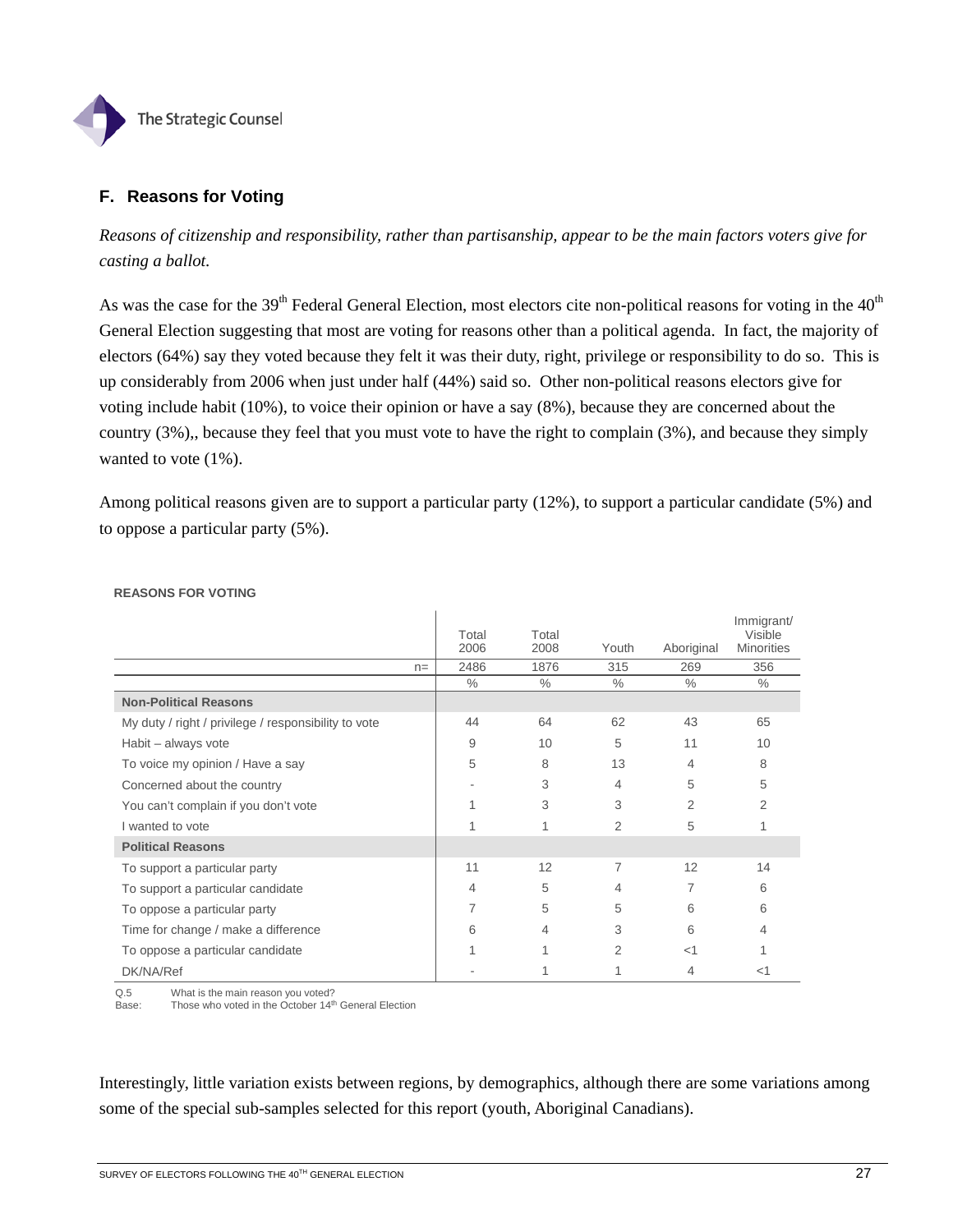

## **F. Reasons for Voting**

*Reasons of citizenship and responsibility, rather than partisanship, appear to be the main factors voters give for casting a ballot.* 

As was the case for the 39<sup>th</sup> Federal General Election, most electors cite non-political reasons for voting in the  $40<sup>th</sup>$ General Election suggesting that most are voting for reasons other than a political agenda. In fact, the majority of electors (64%) say they voted because they felt it was their duty, right, privilege or responsibility to do so. This is up considerably from 2006 when just under half (44%) said so. Other non-political reasons electors give for voting include habit (10%), to voice their opinion or have a say (8%), because they are concerned about the country (3%),, because they feel that you must vote to have the right to complain (3%), and because they simply wanted to vote (1%).

Among political reasons given are to support a particular party (12%), to support a particular candidate (5%) and to oppose a particular party (5%).

|                                                      | Total<br>2006 | Total<br>2008 | Youth | Aboriginal | Immigrant/<br><b>Visible</b><br><b>Minorities</b> |
|------------------------------------------------------|---------------|---------------|-------|------------|---------------------------------------------------|
| $n =$                                                | 2486          | 1876          | 315   | 269        | 356                                               |
|                                                      | $\%$          | $\%$          | $\%$  | $\%$       | $\%$                                              |
| <b>Non-Political Reasons</b>                         |               |               |       |            |                                                   |
| My duty / right / privilege / responsibility to vote | 44            | 64            | 62    | 43         | 65                                                |
| Habit – always vote                                  | 9             | 10            | 5     | 11         | 10                                                |
| To voice my opinion / Have a say                     | 5             | 8             | 13    | 4          | 8                                                 |
| Concerned about the country                          |               | 3             | 4     | 5          | 5                                                 |
| You can't complain if you don't vote                 |               | 3             | 3     | 2          | $\mathcal{P}$                                     |
| I wanted to vote                                     |               |               | 2     | 5          |                                                   |
| <b>Political Reasons</b>                             |               |               |       |            |                                                   |
| To support a particular party                        | 11            | 12            | 7     | 12         | 14                                                |
| To support a particular candidate                    | 4             | 5             | 4     | 7          | 6                                                 |
| To oppose a particular party                         | 7             | 5             | 5     | 6          | 6                                                 |
| Time for change / make a difference                  | 6             | 4             | 3     | 6          | 4                                                 |
| To oppose a particular candidate                     | 1             | 1             | 2     | $\leq$ 1   |                                                   |
| DK/NA/Ref                                            |               |               |       | 4          | $<$ 1                                             |

#### **REASONS FOR VOTING**

Q.5 What is the main reason you voted?

Base: Those who voted in the October 14<sup>th</sup> General Election

Interestingly, little variation exists between regions, by demographics, although there are some variations among some of the special sub-samples selected for this report (youth, Aboriginal Canadians).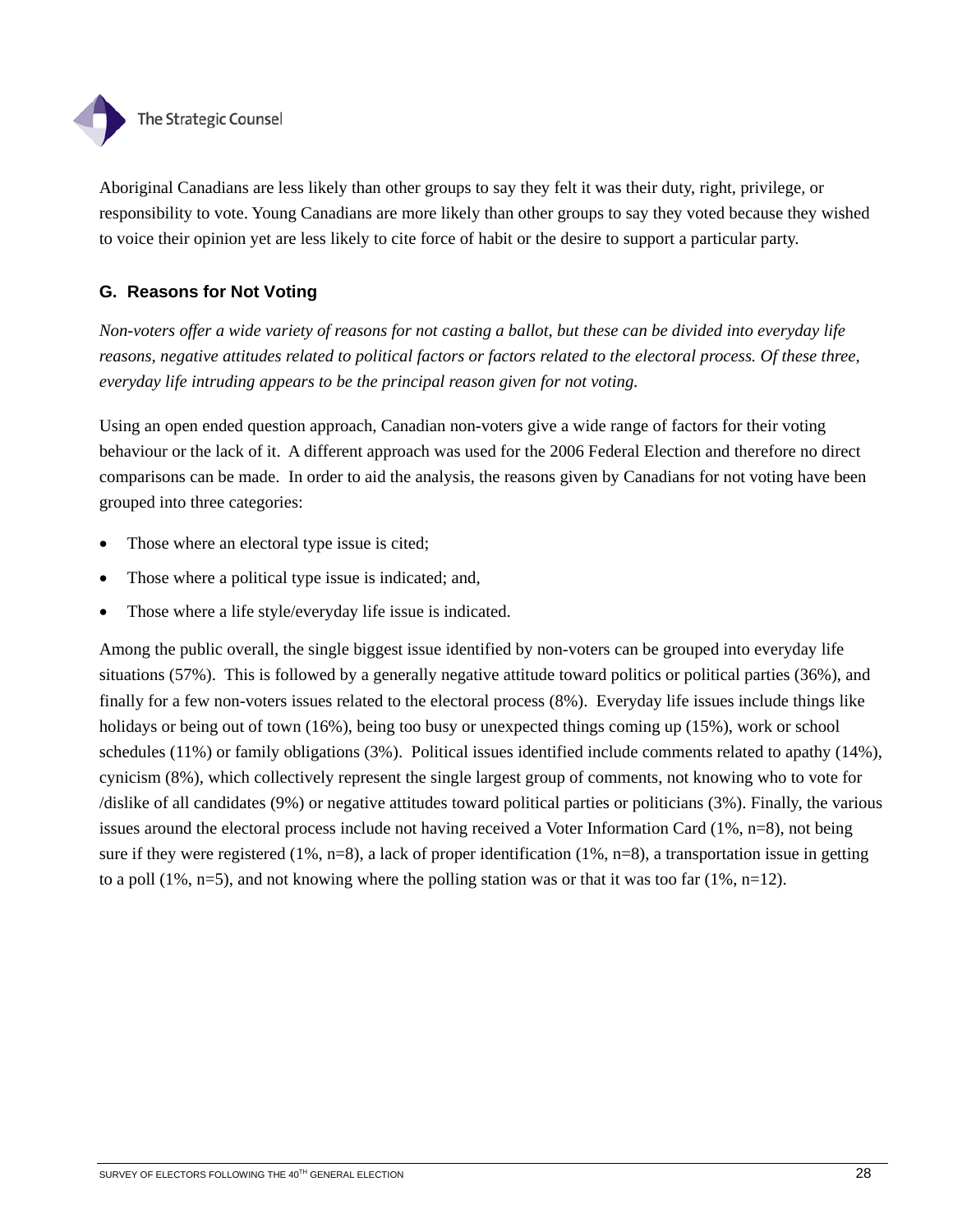

Aboriginal Canadians are less likely than other groups to say they felt it was their duty, right, privilege, or responsibility to vote. Young Canadians are more likely than other groups to say they voted because they wished to voice their opinion yet are less likely to cite force of habit or the desire to support a particular party.

# **G. Reasons for Not Voting**

*Non-voters offer a wide variety of reasons for not casting a ballot, but these can be divided into everyday life reasons, negative attitudes related to political factors or factors related to the electoral process. Of these three, everyday life intruding appears to be the principal reason given for not voting.* 

Using an open ended question approach, Canadian non-voters give a wide range of factors for their voting behaviour or the lack of it. A different approach was used for the 2006 Federal Election and therefore no direct comparisons can be made. In order to aid the analysis, the reasons given by Canadians for not voting have been grouped into three categories:

- Those where an electoral type issue is cited;
- Those where a political type issue is indicated; and,
- Those where a life style/everyday life issue is indicated.

Among the public overall, the single biggest issue identified by non-voters can be grouped into everyday life situations (57%). This is followed by a generally negative attitude toward politics or political parties (36%), and finally for a few non-voters issues related to the electoral process (8%). Everyday life issues include things like holidays or being out of town (16%), being too busy or unexpected things coming up (15%), work or school schedules (11%) or family obligations (3%). Political issues identified include comments related to apathy (14%), cynicism (8%), which collectively represent the single largest group of comments, not knowing who to vote for /dislike of all candidates (9%) or negative attitudes toward political parties or politicians (3%). Finally, the various issues around the electoral process include not having received a Voter Information Card (1%, n=8), not being sure if they were registered (1%, n=8), a lack of proper identification (1%, n=8), a transportation issue in getting to a poll  $(1\%$ , n=5), and not knowing where the polling station was or that it was too far  $(1\%$ , n=12).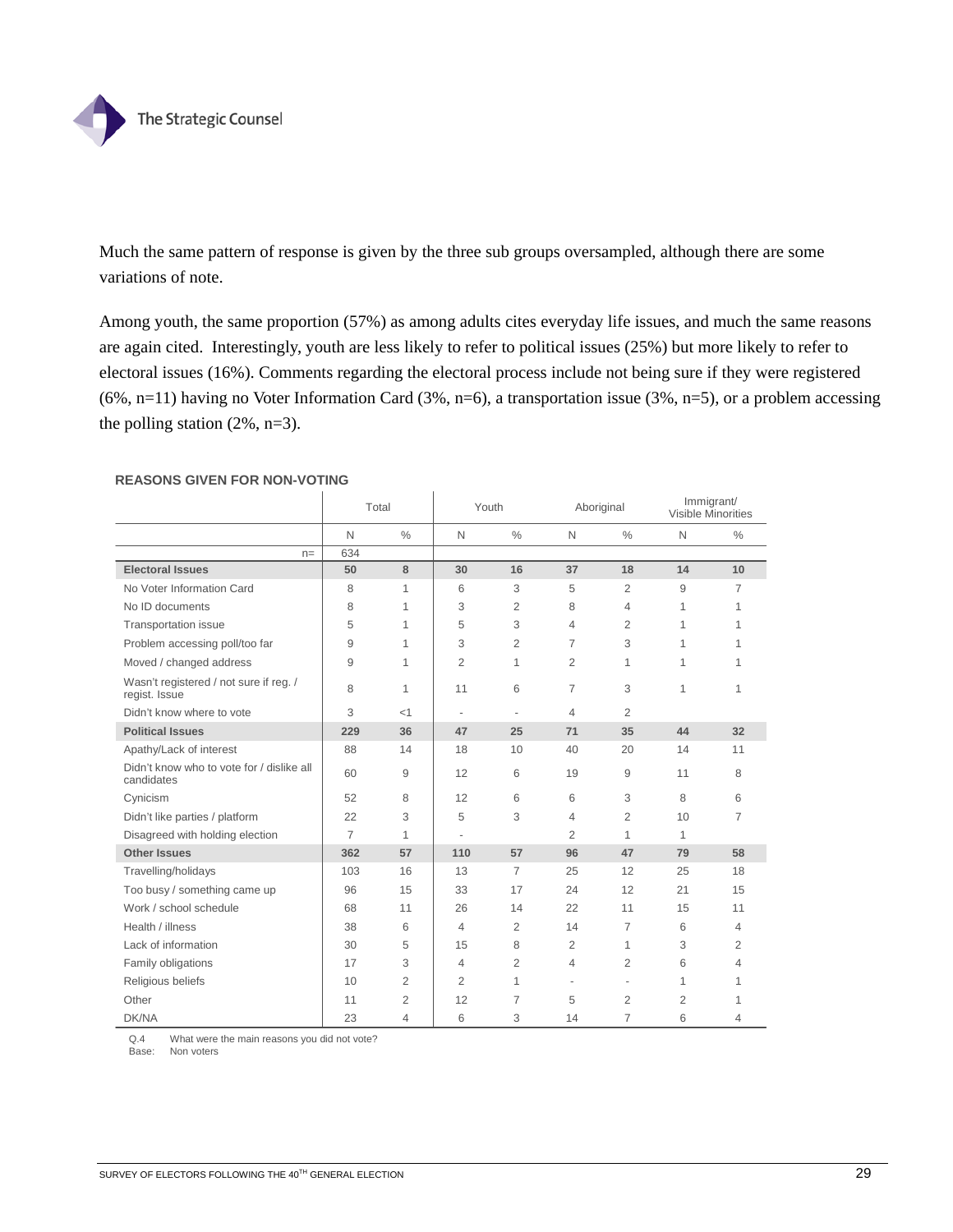

Much the same pattern of response is given by the three sub groups oversampled, although there are some variations of note.

Among youth, the same proportion (57%) as among adults cites everyday life issues, and much the same reasons are again cited. Interestingly, youth are less likely to refer to political issues (25%) but more likely to refer to electoral issues (16%). Comments regarding the electoral process include not being sure if they were registered (6%, n=11) having no Voter Information Card (3%, n=6), a transportation issue (3%, n=5), or a problem accessing the polling station (2%, n=3).

|                                                         | Total          |                | Youth                    |                          | Aboriginal               |                          | Immigrant/<br>Visible Minorities |                |
|---------------------------------------------------------|----------------|----------------|--------------------------|--------------------------|--------------------------|--------------------------|----------------------------------|----------------|
|                                                         | N              | $\frac{0}{0}$  | $\mathsf{N}$             | $\frac{0}{0}$            | $\mathsf{N}$             | $\frac{0}{0}$            | $\mathsf{N}$                     | $\frac{0}{0}$  |
| $n =$                                                   | 634            |                |                          |                          |                          |                          |                                  |                |
| <b>Electoral Issues</b>                                 | 50             | 8              | 30                       | 16                       | 37                       | 18                       | 14                               | 10             |
| No Voter Information Card                               | 8              | 1              | 6                        | 3                        | 5                        | 2                        | 9                                | 7              |
| No ID documents                                         | 8              | 1              | 3                        | 2                        | 8                        | 4                        | $\mathbf{1}$                     | 1              |
| Transportation issue                                    | 5              | 1              | 5                        | 3                        | 4                        | 2                        | 1                                | 1              |
| Problem accessing poll/too far                          | 9              | 1              | 3                        | $\overline{2}$           | 7                        | 3                        | $\mathbf{1}$                     |                |
| Moved / changed address                                 | 9              | 1              | $\overline{2}$           | 1                        | 2                        | 1                        | $\mathbf{1}$                     |                |
| Wasn't registered / not sure if reg. /<br>regist. Issue | 8              | 1              | 11                       | 6                        | 7                        | 3                        | $\mathbf{1}$                     | 1              |
| Didn't know where to vote                               | 3              | <1             | $\overline{\phantom{a}}$ | $\overline{\phantom{0}}$ | 4                        | 2                        |                                  |                |
| <b>Political Issues</b>                                 | 229            | 36             | 47                       | 25                       | 71                       | 35                       | 44                               | 32             |
| Apathy/Lack of interest                                 | 88             | 14             | 18                       | 10                       | 40                       | 20                       | 14                               | 11             |
| Didn't know who to vote for / dislike all<br>candidates | 60             | 9              | 12                       | 6                        | 19                       | 9                        | 11                               | 8              |
| Cynicism                                                | 52             | 8              | 12                       | 6                        | 6                        | 3                        | 8                                | 6              |
| Didn't like parties / platform                          | 22             | 3              | 5                        | 3                        | 4                        | 2                        | 10                               | 7              |
| Disagreed with holding election                         | $\overline{7}$ | 1              | $\overline{\phantom{a}}$ |                          | $\overline{2}$           | 1                        | $\mathbf{1}$                     |                |
| <b>Other Issues</b>                                     | 362            | 57             | 110                      | 57                       | 96                       | 47                       | 79                               | 58             |
| Travelling/holidays                                     | 103            | 16             | 13                       | $\overline{7}$           | 25                       | 12                       | 25                               | 18             |
| Too busy / something came up                            | 96             | 15             | 33                       | 17                       | 24                       | 12                       | 21                               | 15             |
| Work / school schedule                                  | 68             | 11             | 26                       | 14                       | 22                       | 11                       | 15                               | 11             |
| Health / illness                                        | 38             | 6              | $\overline{4}$           | $\overline{2}$           | 14                       | $\overline{7}$           | 6                                | $\overline{4}$ |
| Lack of information                                     | 30             | 5              | 15                       | 8                        | 2                        | 1                        | 3                                | $\overline{2}$ |
| Family obligations                                      | 17             | 3              | 4                        | $\overline{2}$           | 4                        | $\overline{2}$           | 6                                | 4              |
| Religious beliefs                                       | 10             | $\overline{2}$ | $\overline{2}$           | 1                        | $\overline{\phantom{a}}$ | $\overline{\phantom{a}}$ | 1                                | 1              |
| Other                                                   | 11             | $\overline{2}$ | 12                       | $\overline{7}$           | 5                        | 2                        | $\overline{2}$                   |                |
| DK/NA                                                   | 23             | $\overline{4}$ | 6                        | 3                        | 14                       | 7                        | 6                                | 4              |

#### **REASONS GIVEN FOR NON-VOTING**

Q.4 What were the main reasons you did not vote?

Base: Non voters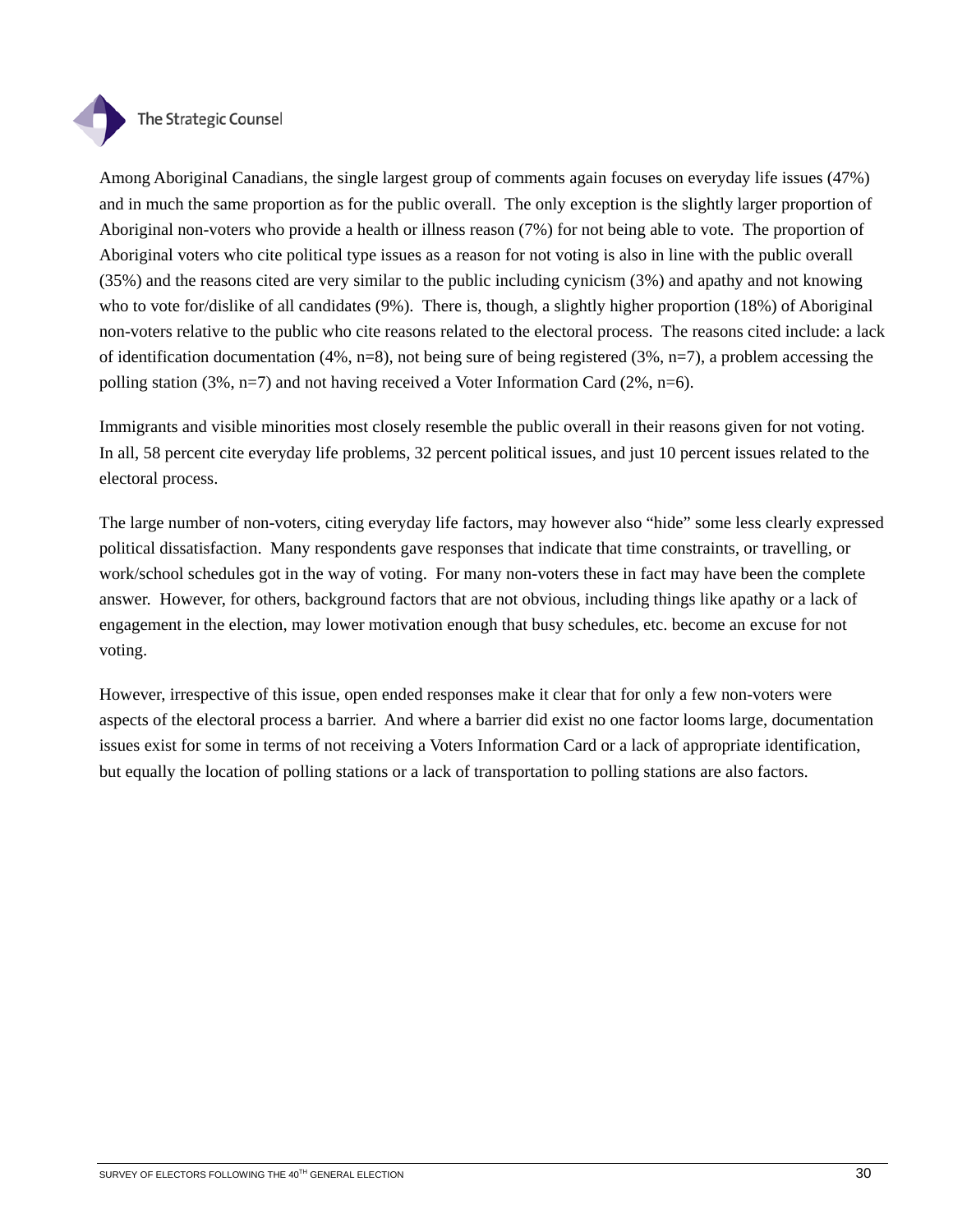

## The Strategic Counsel

Among Aboriginal Canadians, the single largest group of comments again focuses on everyday life issues (47%) and in much the same proportion as for the public overall. The only exception is the slightly larger proportion of Aboriginal non-voters who provide a health or illness reason (7%) for not being able to vote. The proportion of Aboriginal voters who cite political type issues as a reason for not voting is also in line with the public overall (35%) and the reasons cited are very similar to the public including cynicism (3%) and apathy and not knowing who to vote for/dislike of all candidates (9%). There is, though, a slightly higher proportion (18%) of Aboriginal non-voters relative to the public who cite reasons related to the electoral process. The reasons cited include: a lack of identification documentation (4%,  $n=8$ ), not being sure of being registered (3%,  $n=7$ ), a problem accessing the polling station  $(3\%, n=7)$  and not having received a Voter Information Card  $(2\%, n=6)$ .

Immigrants and visible minorities most closely resemble the public overall in their reasons given for not voting. In all, 58 percent cite everyday life problems, 32 percent political issues, and just 10 percent issues related to the electoral process.

The large number of non-voters, citing everyday life factors, may however also "hide" some less clearly expressed political dissatisfaction. Many respondents gave responses that indicate that time constraints, or travelling, or work/school schedules got in the way of voting. For many non-voters these in fact may have been the complete answer. However, for others, background factors that are not obvious, including things like apathy or a lack of engagement in the election, may lower motivation enough that busy schedules, etc. become an excuse for not voting.

However, irrespective of this issue, open ended responses make it clear that for only a few non-voters were aspects of the electoral process a barrier. And where a barrier did exist no one factor looms large, documentation issues exist for some in terms of not receiving a Voters Information Card or a lack of appropriate identification, but equally the location of polling stations or a lack of transportation to polling stations are also factors.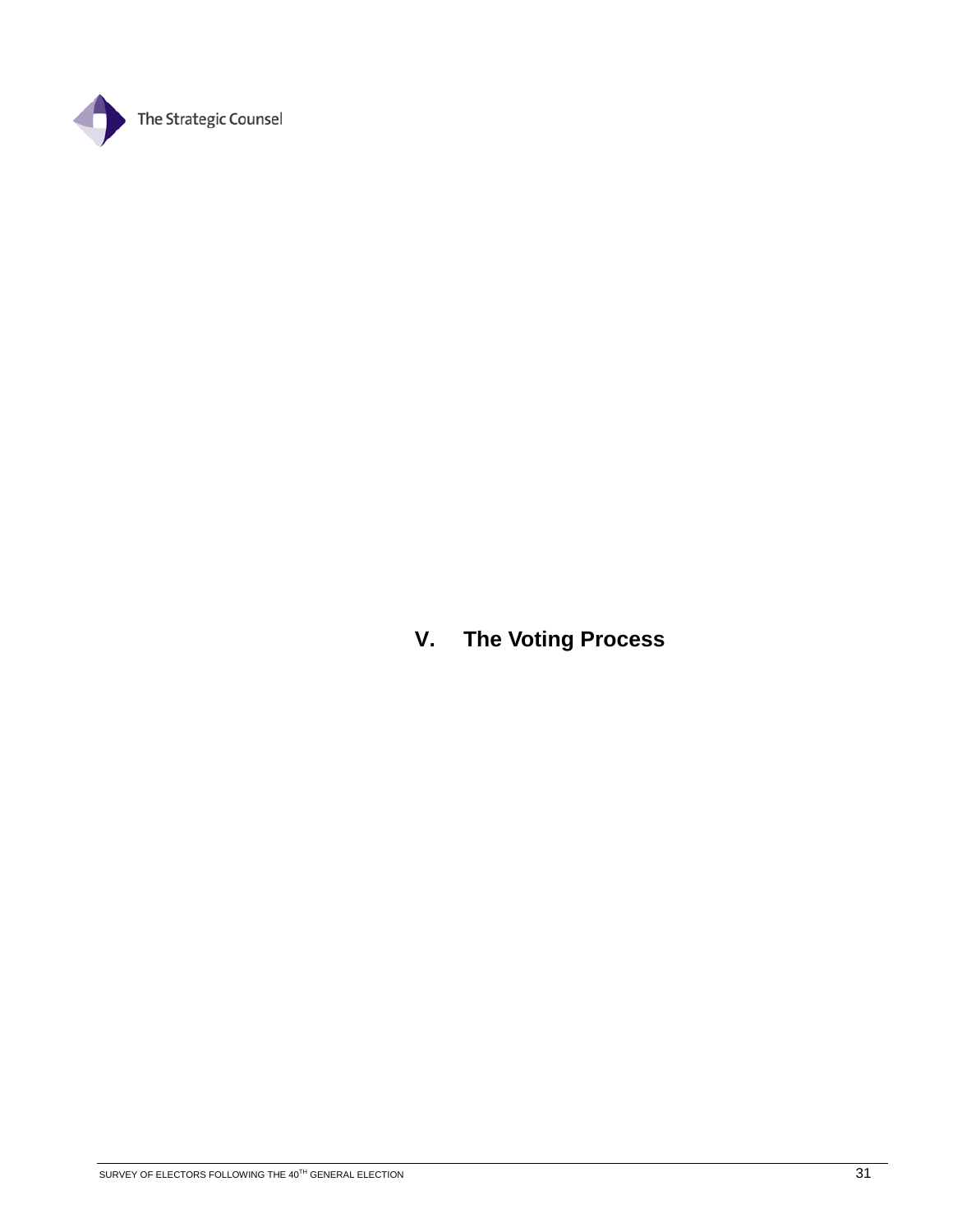

**V. The Voting Process**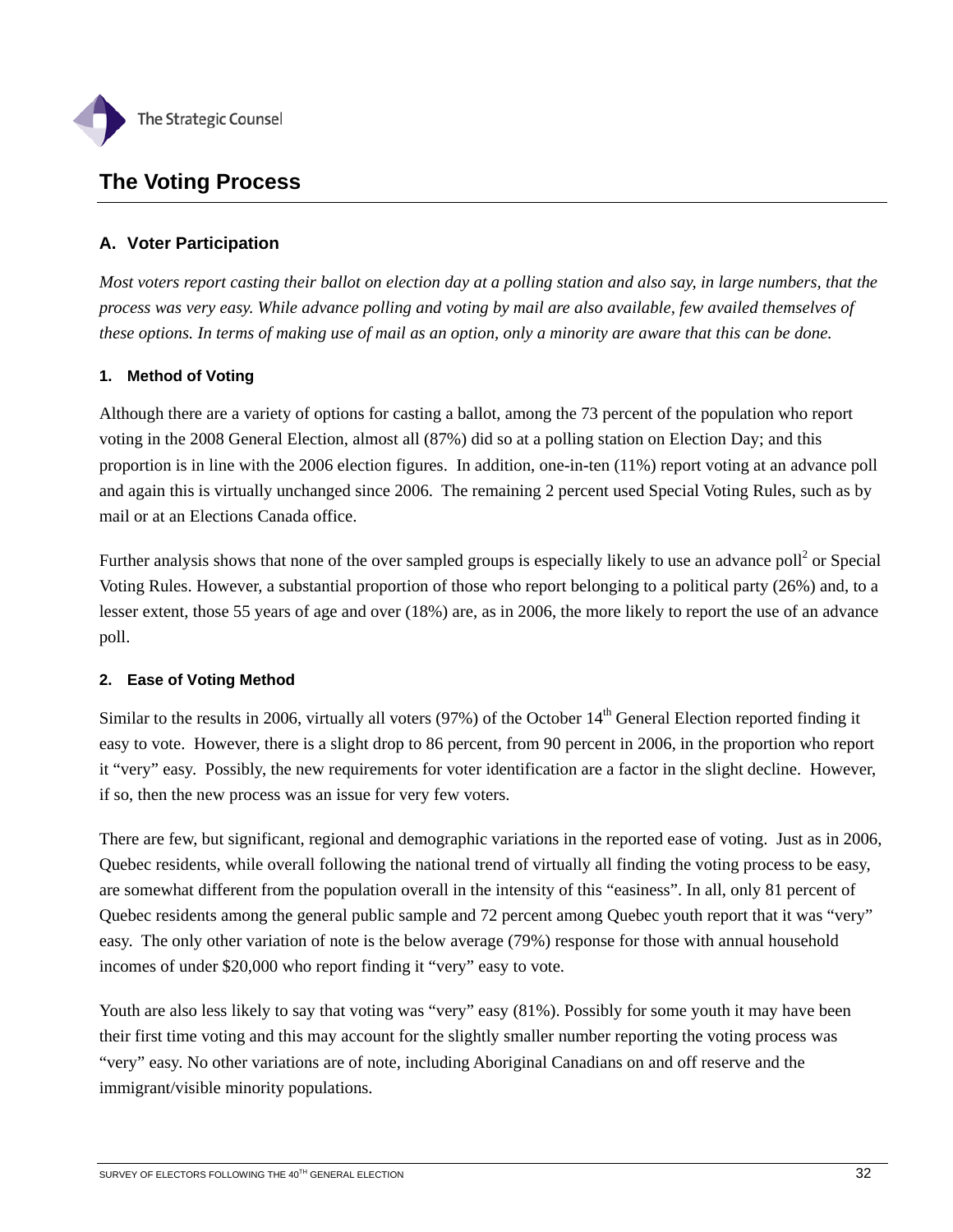

# **The Voting Process**

# **A. Voter Participation**

*Most voters report casting their ballot on election day at a polling station and also say, in large numbers, that the process was very easy. While advance polling and voting by mail are also available, few availed themselves of these options. In terms of making use of mail as an option, only a minority are aware that this can be done.* 

## **1. Method of Voting**

Although there are a variety of options for casting a ballot, among the 73 percent of the population who report voting in the 2008 General Election, almost all (87%) did so at a polling station on Election Day; and this proportion is in line with the 2006 election figures. In addition, one-in-ten (11%) report voting at an advance poll and again this is virtually unchanged since 2006. The remaining 2 percent used Special Voting Rules, such as by mail or at an Elections Canada office.

Further analysis shows that none of the over sampled groups is especially likely to use an advance poll<sup>2</sup> or Special Voting Rules. However, a substantial proportion of those who report belonging to a political party (26%) and, to a lesser extent, those 55 years of age and over (18%) are, as in 2006, the more likely to report the use of an advance poll.

## **2. Ease of Voting Method**

Similar to the results in 2006, virtually all voters (97%) of the October 14<sup>th</sup> General Election reported finding it easy to vote. However, there is a slight drop to 86 percent, from 90 percent in 2006, in the proportion who report it "very" easy. Possibly, the new requirements for voter identification are a factor in the slight decline. However, if so, then the new process was an issue for very few voters.

There are few, but significant, regional and demographic variations in the reported ease of voting. Just as in 2006, Quebec residents, while overall following the national trend of virtually all finding the voting process to be easy, are somewhat different from the population overall in the intensity of this "easiness". In all, only 81 percent of Quebec residents among the general public sample and 72 percent among Quebec youth report that it was "very" easy. The only other variation of note is the below average (79%) response for those with annual household incomes of under \$20,000 who report finding it "very" easy to vote.

Youth are also less likely to say that voting was "very" easy  $(81\%)$ . Possibly for some youth it may have been their first time voting and this may account for the slightly smaller number reporting the voting process was "very" easy. No other variations are of note, including Aboriginal Canadians on and off reserve and the immigrant/visible minority populations.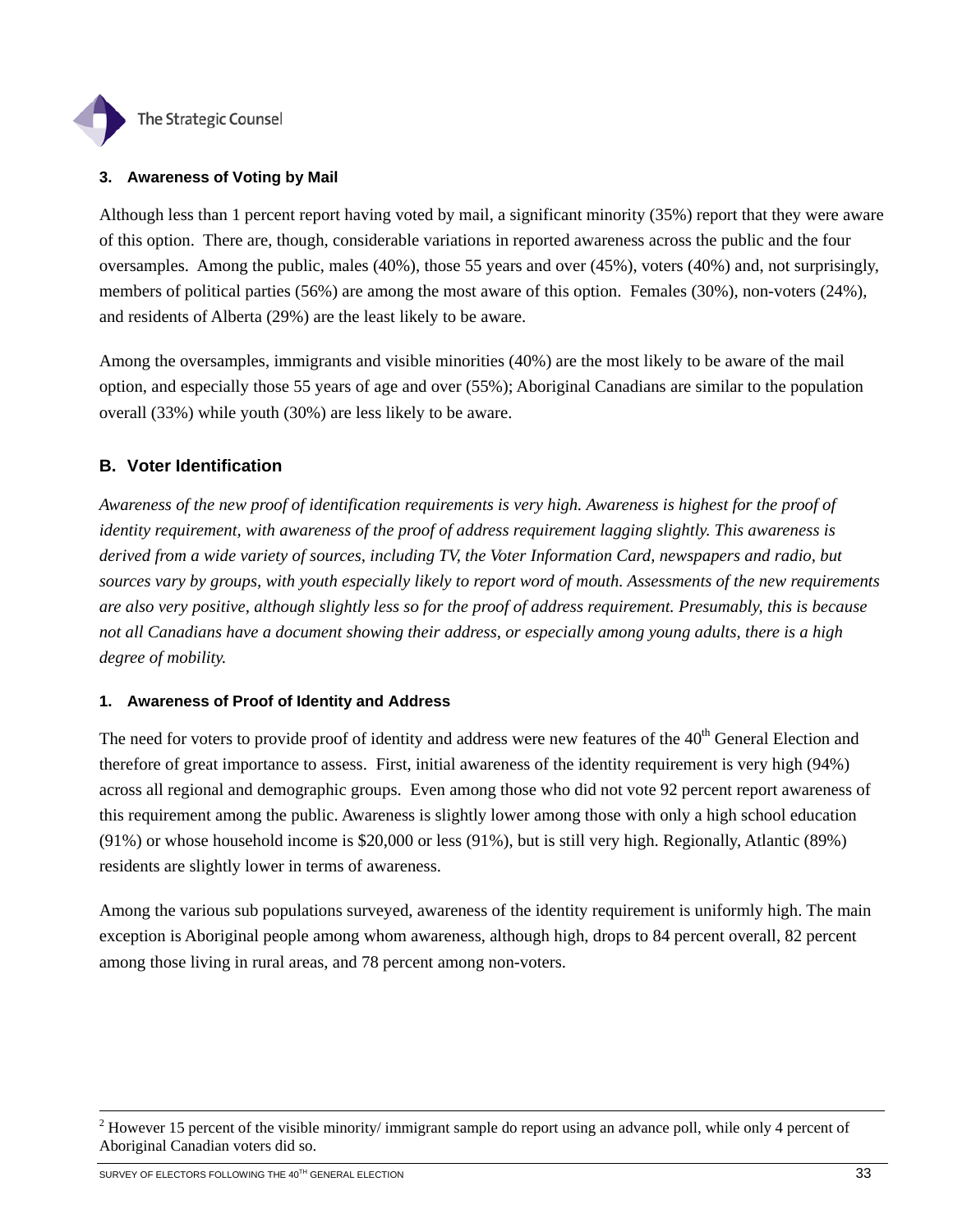

# **3. Awareness of Voting by Mail**

Although less than 1 percent report having voted by mail, a significant minority (35%) report that they were aware of this option. There are, though, considerable variations in reported awareness across the public and the four oversamples. Among the public, males (40%), those 55 years and over (45%), voters (40%) and, not surprisingly, members of political parties (56%) are among the most aware of this option. Females (30%), non-voters (24%), and residents of Alberta (29%) are the least likely to be aware.

Among the oversamples, immigrants and visible minorities (40%) are the most likely to be aware of the mail option, and especially those 55 years of age and over (55%); Aboriginal Canadians are similar to the population overall (33%) while youth (30%) are less likely to be aware.

# **B. Voter Identification**

*Awareness of the new proof of identification requirements is very high. Awareness is highest for the proof of identity requirement, with awareness of the proof of address requirement lagging slightly. This awareness is derived from a wide variety of sources, including TV, the Voter Information Card, newspapers and radio, but sources vary by groups, with youth especially likely to report word of mouth. Assessments of the new requirements are also very positive, although slightly less so for the proof of address requirement. Presumably, this is because not all Canadians have a document showing their address, or especially among young adults, there is a high degree of mobility.* 

# **1. Awareness of Proof of Identity and Address**

The need for voters to provide proof of identity and address were new features of the  $40<sup>th</sup>$  General Election and therefore of great importance to assess. First, initial awareness of the identity requirement is very high (94%) across all regional and demographic groups. Even among those who did not vote 92 percent report awareness of this requirement among the public. Awareness is slightly lower among those with only a high school education (91%) or whose household income is \$20,000 or less (91%), but is still very high. Regionally, Atlantic (89%) residents are slightly lower in terms of awareness.

Among the various sub populations surveyed, awareness of the identity requirement is uniformly high. The main exception is Aboriginal people among whom awareness, although high, drops to 84 percent overall, 82 percent among those living in rural areas, and 78 percent among non-voters.

 $\frac{1}{2}$ <sup>2</sup> However 15 percent of the visible minority/ immigrant sample do report using an advance poll, while only 4 percent of Aboriginal Canadian voters did so.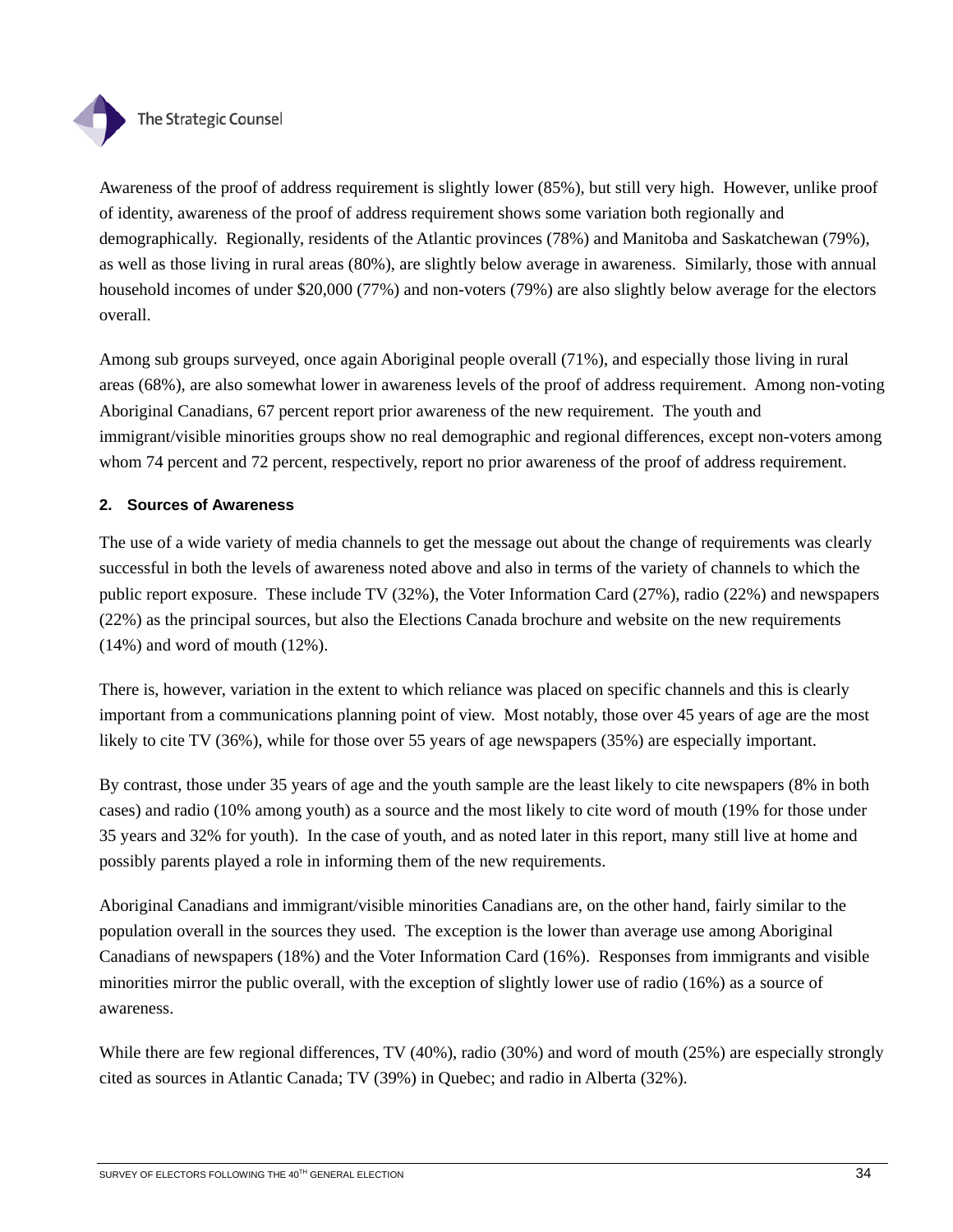

Awareness of the proof of address requirement is slightly lower (85%), but still very high. However, unlike proof of identity, awareness of the proof of address requirement shows some variation both regionally and demographically. Regionally, residents of the Atlantic provinces (78%) and Manitoba and Saskatchewan (79%), as well as those living in rural areas (80%), are slightly below average in awareness. Similarly, those with annual household incomes of under \$20,000 (77%) and non-voters (79%) are also slightly below average for the electors overall.

Among sub groups surveyed, once again Aboriginal people overall (71%), and especially those living in rural areas (68%), are also somewhat lower in awareness levels of the proof of address requirement. Among non-voting Aboriginal Canadians, 67 percent report prior awareness of the new requirement. The youth and immigrant/visible minorities groups show no real demographic and regional differences, except non-voters among whom 74 percent and 72 percent, respectively, report no prior awareness of the proof of address requirement.

# **2. Sources of Awareness**

The use of a wide variety of media channels to get the message out about the change of requirements was clearly successful in both the levels of awareness noted above and also in terms of the variety of channels to which the public report exposure. These include TV (32%), the Voter Information Card (27%), radio (22%) and newspapers (22%) as the principal sources, but also the Elections Canada brochure and website on the new requirements (14%) and word of mouth (12%).

There is, however, variation in the extent to which reliance was placed on specific channels and this is clearly important from a communications planning point of view. Most notably, those over 45 years of age are the most likely to cite TV (36%), while for those over 55 years of age newspapers (35%) are especially important.

By contrast, those under 35 years of age and the youth sample are the least likely to cite newspapers (8% in both cases) and radio (10% among youth) as a source and the most likely to cite word of mouth (19% for those under 35 years and 32% for youth). In the case of youth, and as noted later in this report, many still live at home and possibly parents played a role in informing them of the new requirements.

Aboriginal Canadians and immigrant/visible minorities Canadians are, on the other hand, fairly similar to the population overall in the sources they used. The exception is the lower than average use among Aboriginal Canadians of newspapers (18%) and the Voter Information Card (16%). Responses from immigrants and visible minorities mirror the public overall, with the exception of slightly lower use of radio (16%) as a source of awareness.

While there are few regional differences, TV (40%), radio (30%) and word of mouth (25%) are especially strongly cited as sources in Atlantic Canada; TV (39%) in Quebec; and radio in Alberta (32%).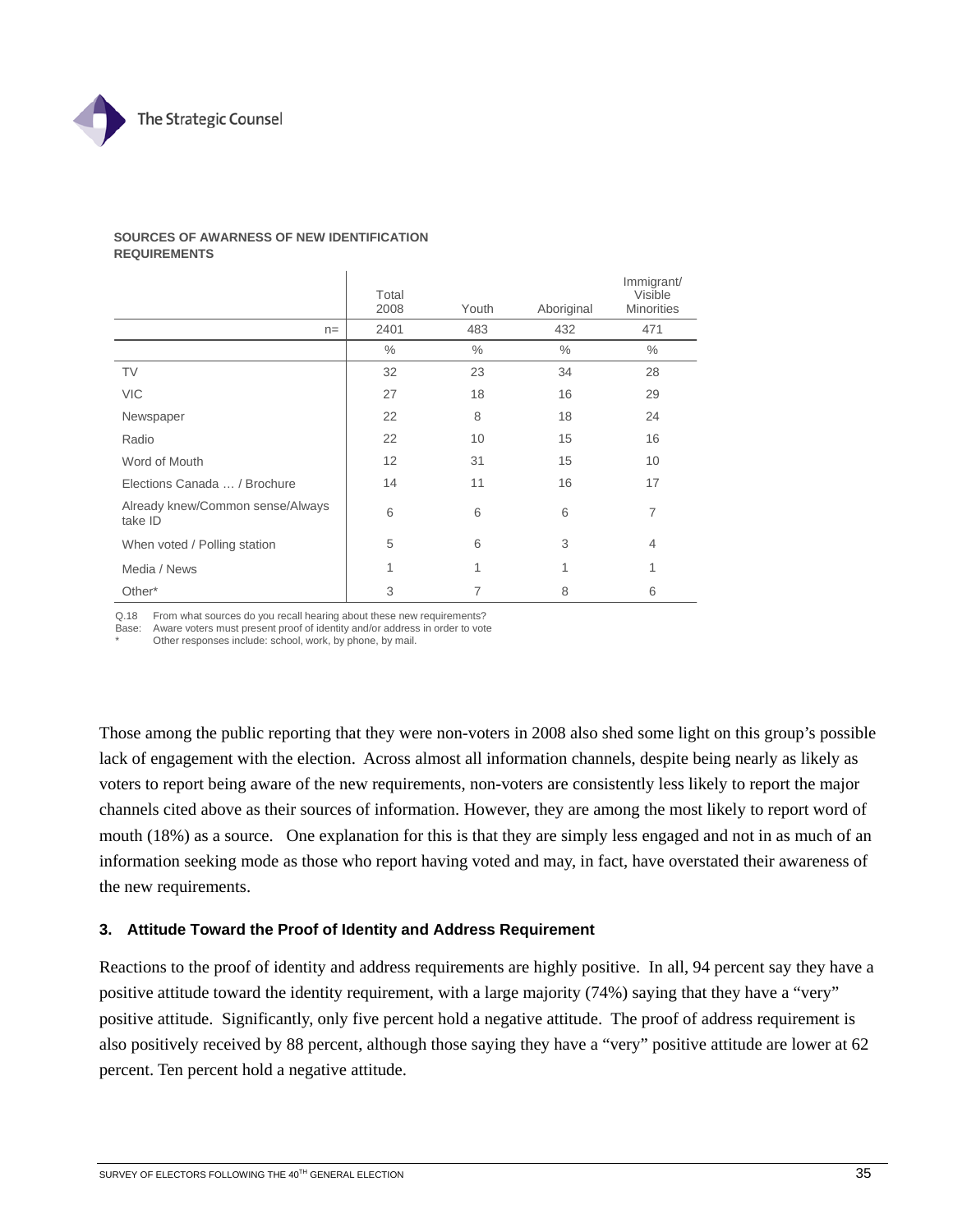

#### **SOURCES OF AWARNESS OF NEW IDENTIFICATION REQUIREMENTS**

|                                             | Total<br>2008 | Youth | Aboriginal | Immigrant/<br>Visible<br><b>Minorities</b> |
|---------------------------------------------|---------------|-------|------------|--------------------------------------------|
| $n =$                                       | 2401          | 483   | 432        | 471                                        |
|                                             | $\%$          | $\%$  | $\%$       | $\%$                                       |
| <b>TV</b>                                   | 32            | 23    | 34         | 28                                         |
| <b>VIC</b>                                  | 27            | 18    | 16         | 29                                         |
| Newspaper                                   | 22            | 8     | 18         | 24                                         |
| Radio                                       | 22            | 10    | 15         | 16                                         |
| Word of Mouth                               | 12            | 31    | 15         | 10                                         |
| Elections Canada  / Brochure                | 14            | 11    | 16         | 17                                         |
| Already knew/Common sense/Always<br>take ID | 6             | 6     | 6          | 7                                          |
| When voted / Polling station                | 5             | 6     | 3          | $\overline{4}$                             |
| Media / News                                | 1             | 1     | 1          | 1                                          |
| Other*                                      | 3             | 7     | 8          | 6                                          |

Q.18 From what sources do you recall hearing about these new requirements?

Base: Aware voters must present proof of identity and/or address in order to vote

Other responses include: school, work, by phone, by mail.

Those among the public reporting that they were non-voters in 2008 also shed some light on this group's possible lack of engagement with the election. Across almost all information channels, despite being nearly as likely as voters to report being aware of the new requirements, non-voters are consistently less likely to report the major channels cited above as their sources of information. However, they are among the most likely to report word of mouth (18%) as a source. One explanation for this is that they are simply less engaged and not in as much of an information seeking mode as those who report having voted and may, in fact, have overstated their awareness of the new requirements.

# **3. Attitude Toward the Proof of Identity and Address Requirement**

Reactions to the proof of identity and address requirements are highly positive. In all, 94 percent say they have a positive attitude toward the identity requirement, with a large majority (74%) saying that they have a "very" positive attitude. Significantly, only five percent hold a negative attitude. The proof of address requirement is also positively received by 88 percent, although those saying they have a "very" positive attitude are lower at 62 percent. Ten percent hold a negative attitude.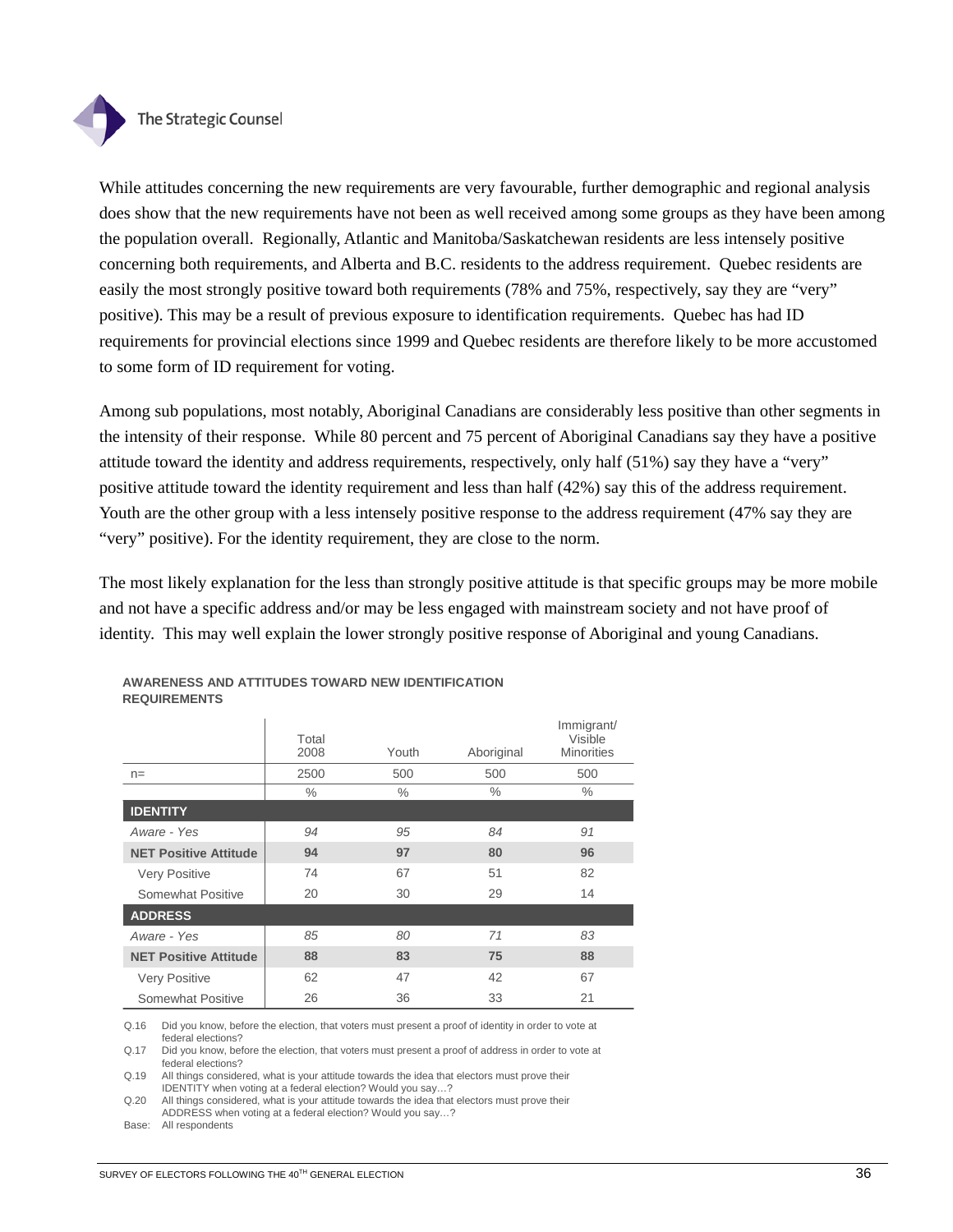

While attitudes concerning the new requirements are very favourable, further demographic and regional analysis does show that the new requirements have not been as well received among some groups as they have been among the population overall. Regionally, Atlantic and Manitoba/Saskatchewan residents are less intensely positive concerning both requirements, and Alberta and B.C. residents to the address requirement. Quebec residents are easily the most strongly positive toward both requirements (78% and 75%, respectively, say they are "very" positive). This may be a result of previous exposure to identification requirements. Quebec has had ID requirements for provincial elections since 1999 and Quebec residents are therefore likely to be more accustomed to some form of ID requirement for voting.

Among sub populations, most notably, Aboriginal Canadians are considerably less positive than other segments in the intensity of their response. While 80 percent and 75 percent of Aboriginal Canadians say they have a positive attitude toward the identity and address requirements, respectively, only half (51%) say they have a "very" positive attitude toward the identity requirement and less than half (42%) say this of the address requirement. Youth are the other group with a less intensely positive response to the address requirement (47% say they are "very" positive). For the identity requirement, they are close to the norm.

The most likely explanation for the less than strongly positive attitude is that specific groups may be more mobile and not have a specific address and/or may be less engaged with mainstream society and not have proof of identity. This may well explain the lower strongly positive response of Aboriginal and young Canadians.

|                              | Total<br>2008 | Youth | Aboriginal    | Immigrant/<br>Visible<br><b>Minorities</b> |
|------------------------------|---------------|-------|---------------|--------------------------------------------|
| $n =$                        | 2500          | 500   | 500           | 500                                        |
|                              | $\frac{0}{0}$ | $\%$  | $\frac{0}{0}$ | $\%$                                       |
| <b>IDENTITY</b>              |               |       |               |                                            |
| Aware - Yes                  | 94            | 95    | 84            | 91                                         |
| <b>NET Positive Attitude</b> | 94            | 97    | 80            | 96                                         |
| <b>Very Positive</b>         | 74            | 67    | 51            | 82                                         |
| Somewhat Positive            | 20            | 30    | 29            | 14                                         |
| <b>ADDRESS</b>               |               |       |               |                                            |
| Aware - Yes                  | 85            | 80    | 71            | 83                                         |
| <b>NET Positive Attitude</b> | 88            | 83    | 75            | 88                                         |
| <b>Very Positive</b>         | 62            | 47    | 42            | 67                                         |
| Somewhat Positive            | 26            | 36    | 33            | 21                                         |

### **AWARENESS AND ATTITUDES TOWARD NEW IDENTIFICATION REQUIREMENTS**

Q.16 Did you know, before the election, that voters must present a proof of identity in order to vote at federal elections?

Q.17 Did you know, before the election, that voters must present a proof of address in order to vote at federal elections?

Q.19 All things considered, what is your attitude towards the idea that electors must prove their IDENTITY when voting at a federal election? Would you say…?

Q.20 All things considered, what is your attitude towards the idea that electors must prove their ADDRESS when voting at a federal election? Would you say…?

Base: All respondents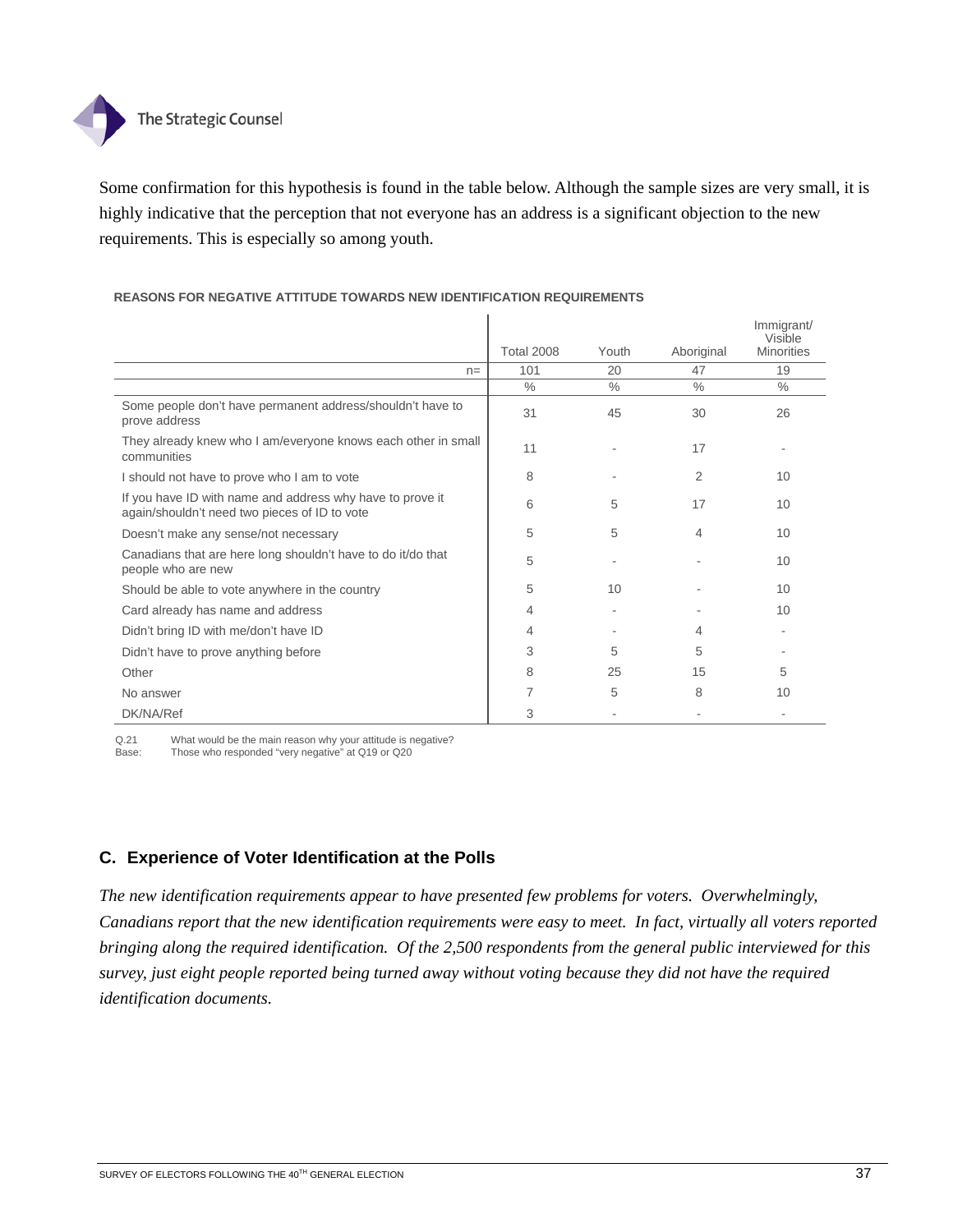

Some confirmation for this hypothesis is found in the table below. Although the sample sizes are very small, it is highly indicative that the perception that not everyone has an address is a significant objection to the new requirements. This is especially so among youth.

## **REASONS FOR NEGATIVE ATTITUDE TOWARDS NEW IDENTIFICATION REQUIREMENTS**

|                                                                                                            | <b>Total 2008</b> | Youth | Aboriginal    | Immigrant/<br>Visible<br><b>Minorities</b> |
|------------------------------------------------------------------------------------------------------------|-------------------|-------|---------------|--------------------------------------------|
| $n =$                                                                                                      | 101               | 20    | 47            | 19                                         |
|                                                                                                            | $\frac{0}{0}$     | $\%$  | $\frac{0}{0}$ | $\frac{0}{0}$                              |
| Some people don't have permanent address/shouldn't have to<br>prove address                                | 31                | 45    | 30            | 26                                         |
| They already knew who I am/everyone knows each other in small<br>communities                               | 11                |       | 17            |                                            |
| I should not have to prove who I am to vote                                                                | 8                 |       | 2             | 10                                         |
| If you have ID with name and address why have to prove it<br>again/shouldn't need two pieces of ID to vote | 6                 | 5     | 17            | 10                                         |
| Doesn't make any sense/not necessary                                                                       | 5                 | 5     | 4             | 10                                         |
| Canadians that are here long shouldn't have to do it/do that<br>people who are new                         | 5                 |       |               | 10                                         |
| Should be able to vote anywhere in the country                                                             | 5                 | 10    |               | 10                                         |
| Card already has name and address                                                                          | 4                 |       |               | 10                                         |
| Didn't bring ID with me/don't have ID                                                                      | 4                 |       | 4             |                                            |
| Didn't have to prove anything before                                                                       | 3                 | 5     | 5             |                                            |
| Other                                                                                                      | 8                 | 25    | 15            | 5                                          |
| No answer                                                                                                  | 7                 | 5     | 8             | 10                                         |
| DK/NA/Ref                                                                                                  | 3                 |       |               |                                            |

Q.21 What would be the main reason why your attitude is negative?<br>Base: Those who responded "very negative" at Q19 or Q20

Those who responded "very negative" at Q19 or Q20

# **C. Experience of Voter Identification at the Polls**

*The new identification requirements appear to have presented few problems for voters. Overwhelmingly, Canadians report that the new identification requirements were easy to meet. In fact, virtually all voters reported bringing along the required identification. Of the 2,500 respondents from the general public interviewed for this survey, just eight people reported being turned away without voting because they did not have the required identification documents.*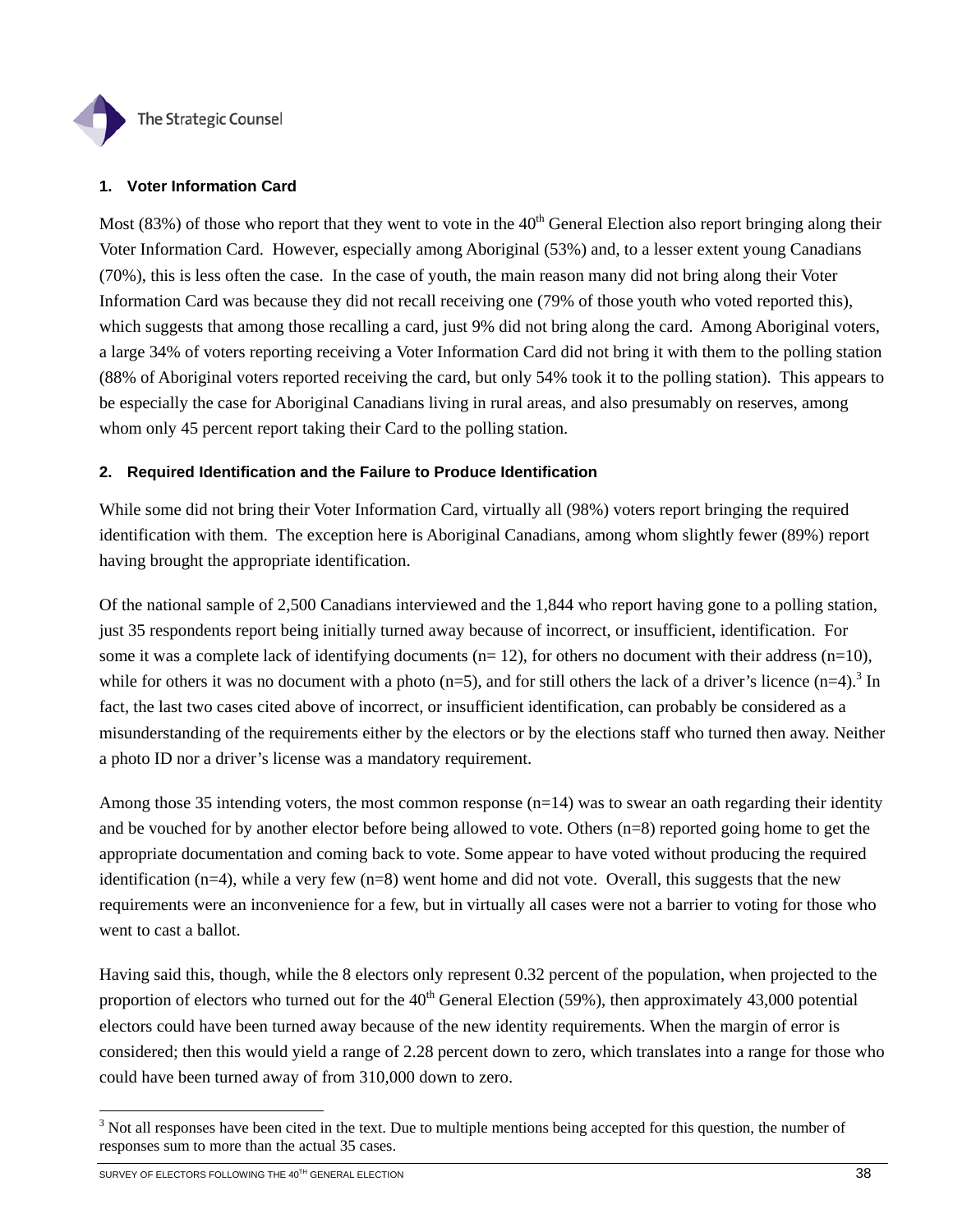

## **1. Voter Information Card**

Most (83%) of those who report that they went to vote in the  $40<sup>th</sup>$  General Election also report bringing along their Voter Information Card. However, especially among Aboriginal (53%) and, to a lesser extent young Canadians (70%), this is less often the case. In the case of youth, the main reason many did not bring along their Voter Information Card was because they did not recall receiving one (79% of those youth who voted reported this), which suggests that among those recalling a card, just 9% did not bring along the card. Among Aboriginal voters, a large 34% of voters reporting receiving a Voter Information Card did not bring it with them to the polling station (88% of Aboriginal voters reported receiving the card, but only 54% took it to the polling station). This appears to be especially the case for Aboriginal Canadians living in rural areas, and also presumably on reserves, among whom only 45 percent report taking their Card to the polling station.

## **2. Required Identification and the Failure to Produce Identification**

While some did not bring their Voter Information Card, virtually all (98%) voters report bringing the required identification with them. The exception here is Aboriginal Canadians, among whom slightly fewer (89%) report having brought the appropriate identification.

Of the national sample of 2,500 Canadians interviewed and the 1,844 who report having gone to a polling station, just 35 respondents report being initially turned away because of incorrect, or insufficient, identification. For some it was a complete lack of identifying documents ( $n= 12$ ), for others no document with their address  $(n=10)$ , while for others it was no document with a photo  $(n=5)$ , and for still others the lack of a driver's licence  $(n=4)$ .<sup>3</sup> In fact, the last two cases cited above of incorrect, or insufficient identification, can probably be considered as a misunderstanding of the requirements either by the electors or by the elections staff who turned then away. Neither a photo ID nor a driver's license was a mandatory requirement.

Among those 35 intending voters, the most common response (n=14) was to swear an oath regarding their identity and be vouched for by another elector before being allowed to vote. Others (n=8) reported going home to get the appropriate documentation and coming back to vote. Some appear to have voted without producing the required identification  $(n=4)$ , while a very few  $(n=8)$  went home and did not vote. Overall, this suggests that the new requirements were an inconvenience for a few, but in virtually all cases were not a barrier to voting for those who went to cast a ballot.

Having said this, though, while the 8 electors only represent 0.32 percent of the population, when projected to the proportion of electors who turned out for the  $40<sup>th</sup>$  General Election (59%), then approximately 43,000 potential electors could have been turned away because of the new identity requirements. When the margin of error is considered; then this would yield a range of 2.28 percent down to zero, which translates into a range for those who could have been turned away of from 310,000 down to zero.

l

 $3$  Not all responses have been cited in the text. Due to multiple mentions being accepted for this question, the number of responses sum to more than the actual 35 cases.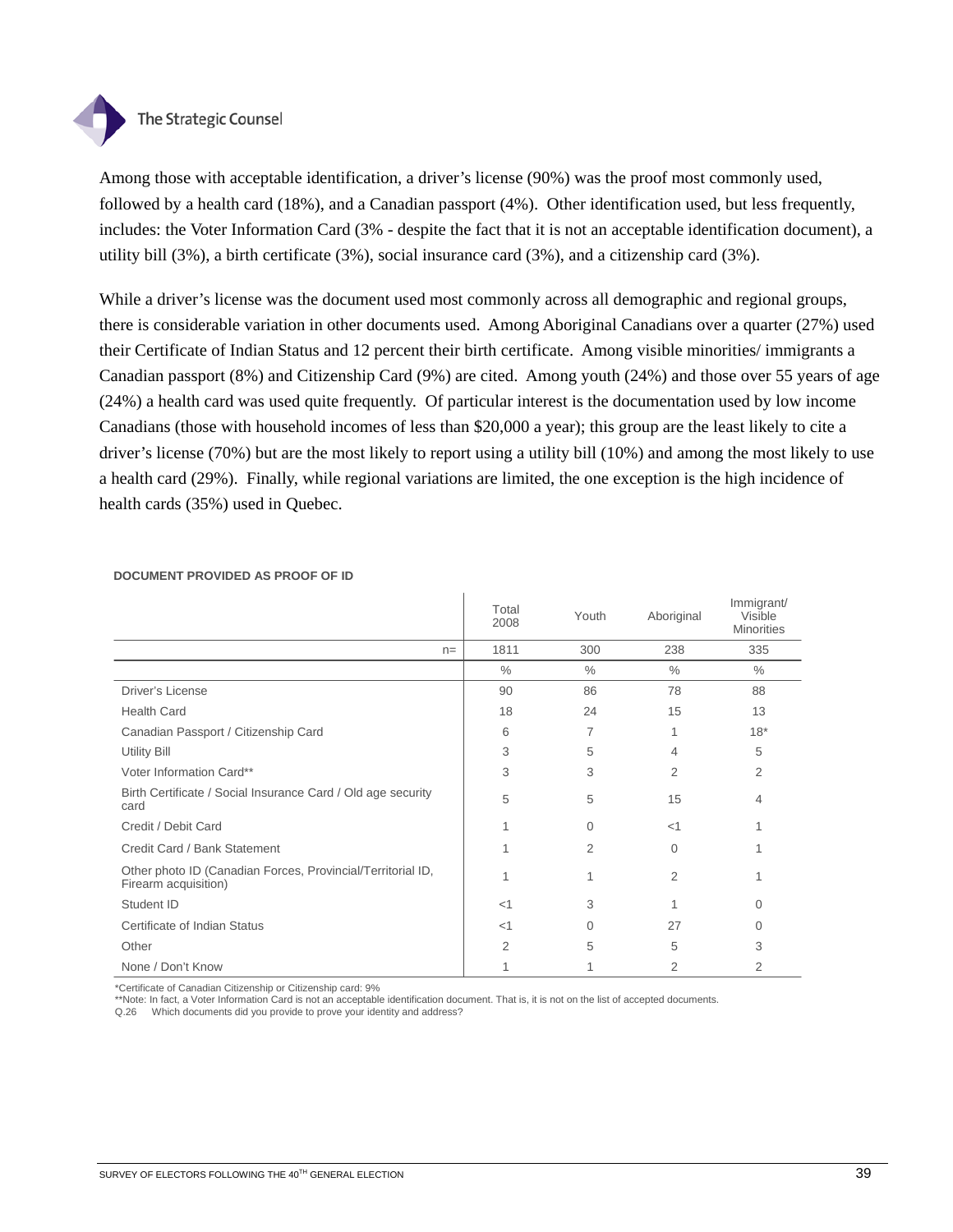

Among those with acceptable identification, a driver's license (90%) was the proof most commonly used, followed by a health card (18%), and a Canadian passport (4%). Other identification used, but less frequently, includes: the Voter Information Card (3% - despite the fact that it is not an acceptable identification document), a utility bill (3%), a birth certificate (3%), social insurance card (3%), and a citizenship card (3%).

While a driver's license was the document used most commonly across all demographic and regional groups, there is considerable variation in other documents used. Among Aboriginal Canadians over a quarter (27%) used their Certificate of Indian Status and 12 percent their birth certificate. Among visible minorities/ immigrants a Canadian passport (8%) and Citizenship Card (9%) are cited. Among youth (24%) and those over 55 years of age (24%) a health card was used quite frequently. Of particular interest is the documentation used by low income Canadians (those with household incomes of less than \$20,000 a year); this group are the least likely to cite a driver's license (70%) but are the most likely to report using a utility bill (10%) and among the most likely to use a health card (29%). Finally, while regional variations are limited, the one exception is the high incidence of health cards (35%) used in Quebec.

|                                                                                     | Total<br>2008 | Youth         | Aboriginal     | Immigrant/<br>Visible<br><b>Minorities</b> |
|-------------------------------------------------------------------------------------|---------------|---------------|----------------|--------------------------------------------|
| $n =$                                                                               | 1811          | 300           | 238            | 335                                        |
|                                                                                     | $\frac{0}{0}$ | $\frac{0}{0}$ | $\frac{0}{0}$  | $\frac{0}{0}$                              |
| Driver's License                                                                    | 90            | 86            | 78             | 88                                         |
| <b>Health Card</b>                                                                  | 18            | 24            | 15             | 13                                         |
| Canadian Passport / Citizenship Card                                                | 6             | 7             |                | $18*$                                      |
| <b>Utility Bill</b>                                                                 | 3             | 5             | 4              | 5                                          |
| Voter Information Card**                                                            | 3             | 3             | 2              | $\overline{2}$                             |
| Birth Certificate / Social Insurance Card / Old age security<br>card                | 5             | 5             | 15             | 4                                          |
| Credit / Debit Card                                                                 |               | $\Omega$      | <1             |                                            |
| Credit Card / Bank Statement                                                        |               | 2             | $\Omega$       |                                            |
| Other photo ID (Canadian Forces, Provincial/Territorial ID,<br>Firearm acquisition) |               | 1             | $\overline{2}$ |                                            |
| Student ID                                                                          | $<$ 1         | 3             |                | 0                                          |
| Certificate of Indian Status                                                        | $<$ 1         | $\Omega$      | 27             | 0                                          |
| Other                                                                               | 2             | 5             | 5              | 3                                          |
| None / Don't Know                                                                   |               |               | 2              | 2                                          |

#### **DOCUMENT PROVIDED AS PROOF OF ID**

\*Certificate of Canadian Citizenship or Citizenship card: 9%

\*\*Note: In fact, a Voter Information Card is not an acceptable identification document. That is, it is not on the list of accepted documents.

Q.26 Which documents did you provide to prove your identity and address?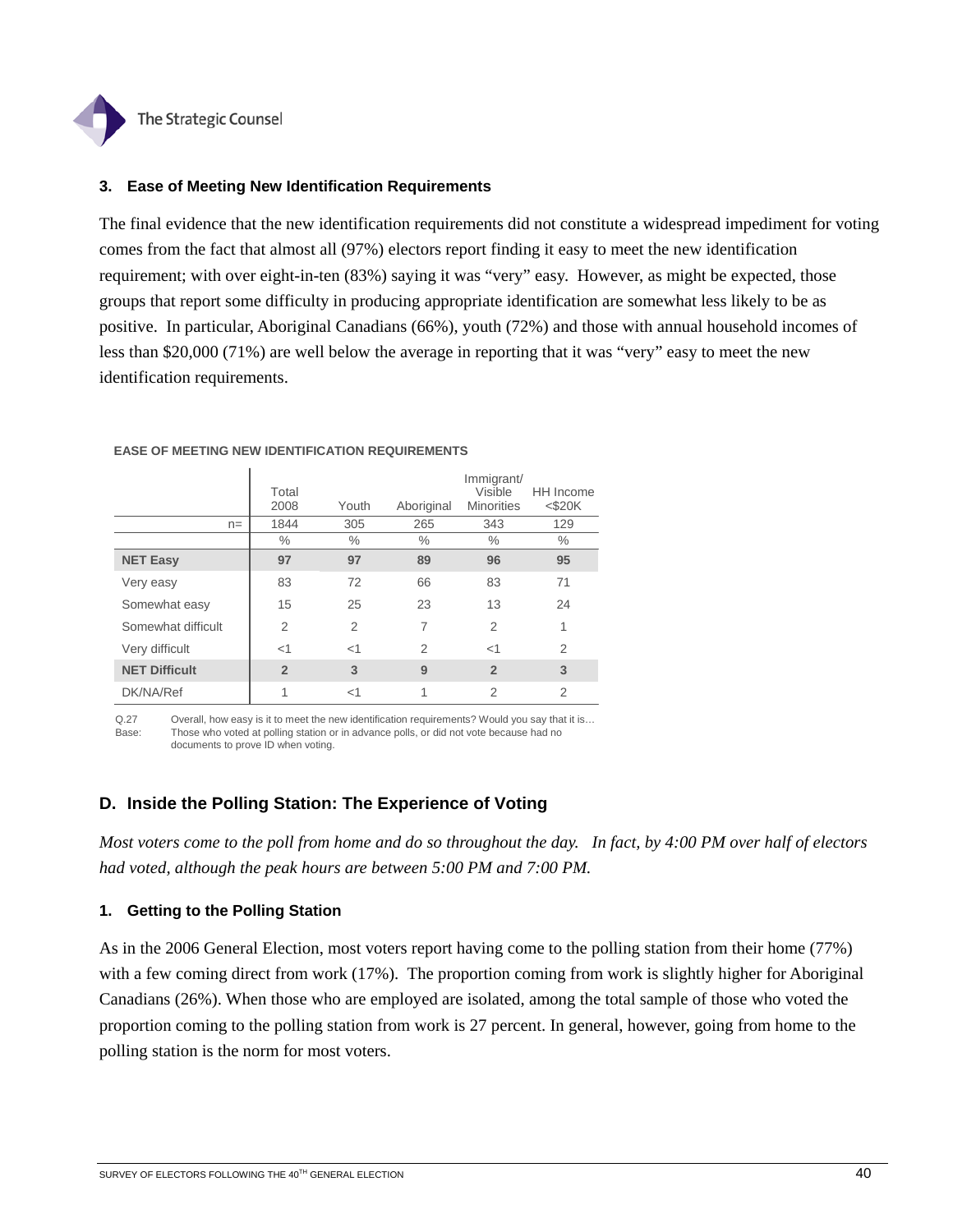

## **3. Ease of Meeting New Identification Requirements**

The final evidence that the new identification requirements did not constitute a widespread impediment for voting comes from the fact that almost all (97%) electors report finding it easy to meet the new identification requirement; with over eight-in-ten (83%) saying it was "very" easy. However, as might be expected, those groups that report some difficulty in producing appropriate identification are somewhat less likely to be as positive. In particular, Aboriginal Canadians (66%), youth (72%) and those with annual household incomes of less than \$20,000 (71%) are well below the average in reporting that it was "very" easy to meet the new identification requirements.

|                      | Total<br>2008  | Youth          | Aboriginal | Immigrant/<br>Visible<br><b>Minorities</b> | HH Income<br>$<$ \$20K |
|----------------------|----------------|----------------|------------|--------------------------------------------|------------------------|
| $n =$                | 1844           | 305            | 265        | 343                                        | 129                    |
|                      | $\%$           | $\%$           | $\%$       | $\%$                                       | $\%$                   |
| <b>NET Easy</b>      | 97             | 97             | 89         | 96                                         | 95                     |
| Very easy            | 83             | 72             | 66         | 83                                         | 71                     |
| Somewhat easy        | 15             | 25             | 23         | 13                                         | 24                     |
| Somewhat difficult   | 2              | $\overline{2}$ | 7          | $\overline{2}$                             | 1                      |
| Very difficult       | $<$ 1          | $<$ 1          | 2          | $<$ 1                                      | $\overline{2}$         |
| <b>NET Difficult</b> | $\overline{2}$ | 3              | 9          | $\overline{2}$                             | 3                      |
| DK/NA/Ref            | 1              | $<$ 1          | 1          | $\overline{2}$                             | 2                      |

#### **EASE OF MEETING NEW IDENTIFICATION REQUIREMENTS**

Q.27 Overall, how easy is it to meet the new identification requirements? Would you say that it is... Base: Those who voted at polling station or in advance polls, or did not vote because had no documents to prove ID when voting.

## **D. Inside the Polling Station: The Experience of Voting**

*Most voters come to the poll from home and do so throughout the day. In fact, by 4:00 PM over half of electors had voted, although the peak hours are between 5:00 PM and 7:00 PM.* 

## **1. Getting to the Polling Station**

As in the 2006 General Election, most voters report having come to the polling station from their home (77%) with a few coming direct from work (17%). The proportion coming from work is slightly higher for Aboriginal Canadians (26%). When those who are employed are isolated, among the total sample of those who voted the proportion coming to the polling station from work is 27 percent. In general, however, going from home to the polling station is the norm for most voters.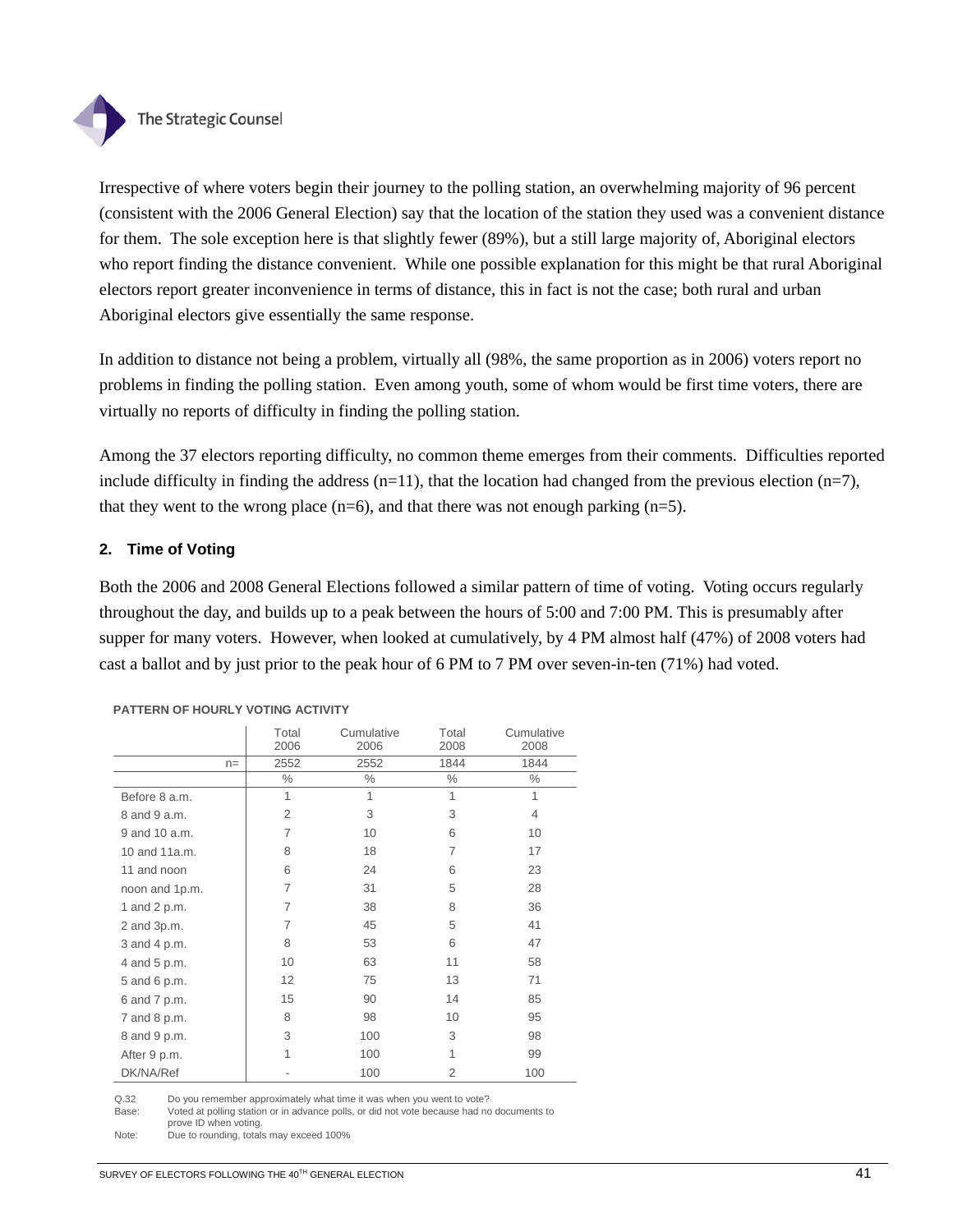

Irrespective of where voters begin their journey to the polling station, an overwhelming majority of 96 percent (consistent with the 2006 General Election) say that the location of the station they used was a convenient distance for them. The sole exception here is that slightly fewer (89%), but a still large majority of, Aboriginal electors who report finding the distance convenient. While one possible explanation for this might be that rural Aboriginal electors report greater inconvenience in terms of distance, this in fact is not the case; both rural and urban Aboriginal electors give essentially the same response.

In addition to distance not being a problem, virtually all (98%, the same proportion as in 2006) voters report no problems in finding the polling station. Even among youth, some of whom would be first time voters, there are virtually no reports of difficulty in finding the polling station.

Among the 37 electors reporting difficulty, no common theme emerges from their comments. Difficulties reported include difficulty in finding the address  $(n=11)$ , that the location had changed from the previous election  $(n=7)$ , that they went to the wrong place  $(n=6)$ , and that there was not enough parking  $(n=5)$ .

## **2. Time of Voting**

Both the 2006 and 2008 General Elections followed a similar pattern of time of voting. Voting occurs regularly throughout the day, and builds up to a peak between the hours of 5:00 and 7:00 PM. This is presumably after supper for many voters. However, when looked at cumulatively, by 4 PM almost half (47%) of 2008 voters had cast a ballot and by just prior to the peak hour of 6 PM to 7 PM over seven-in-ten (71%) had voted.

|                |       | Total<br>2006  | Cumulative<br>2006 | Total<br>2008  | Cumulative<br>2008 |
|----------------|-------|----------------|--------------------|----------------|--------------------|
|                | $n =$ | 2552           | 2552               | 1844           | 1844               |
|                |       | $\%$           | $\%$               | $\%$           | $\%$               |
| Before 8 a.m.  |       | 1              | 1                  | 1              | 1                  |
| 8 and 9 a.m.   |       | $\overline{2}$ | 3                  | 3              | $\overline{4}$     |
| 9 and 10 a.m.  |       | 7              | 10                 | 6              | 10                 |
| 10 and 11a.m.  |       | 8              | 18                 | 7              | 17                 |
| 11 and noon    |       | 6              | 24                 | 6              | 23                 |
| noon and 1p.m. |       | 7              | 31                 | 5              | 28                 |
| 1 and 2 p.m.   |       | 7              | 38                 | 8              | 36                 |
| 2 and 3p.m.    |       | 7              | 45                 | 5              | 41                 |
| 3 and 4 p.m.   |       | 8              | 53                 | 6              | 47                 |
| 4 and 5 p.m.   |       | 10             | 63                 | 11             | 58                 |
| 5 and 6 p.m.   |       | 12             | 75                 | 13             | 71                 |
| 6 and 7 p.m.   |       | 15             | 90                 | 14             | 85                 |
| 7 and 8 p.m.   |       | 8              | 98                 | 10             | 95                 |
| 8 and 9 p.m.   |       | 3              | 100                | 3              | 98                 |
| After 9 p.m.   |       | 1              | 100                | 1              | 99                 |
| DK/NA/Ref      |       |                | 100                | $\overline{2}$ | 100                |

#### **PATTERN OF HOURLY VOTING ACTIVITY**

Q.32 Do you remember approximately what time it was when you went to vote?

Base: Voted at polling station or in advance polls, or did not vote because had no documents to prove ID when voting.

Note: Due to rounding, totals may exceed 100%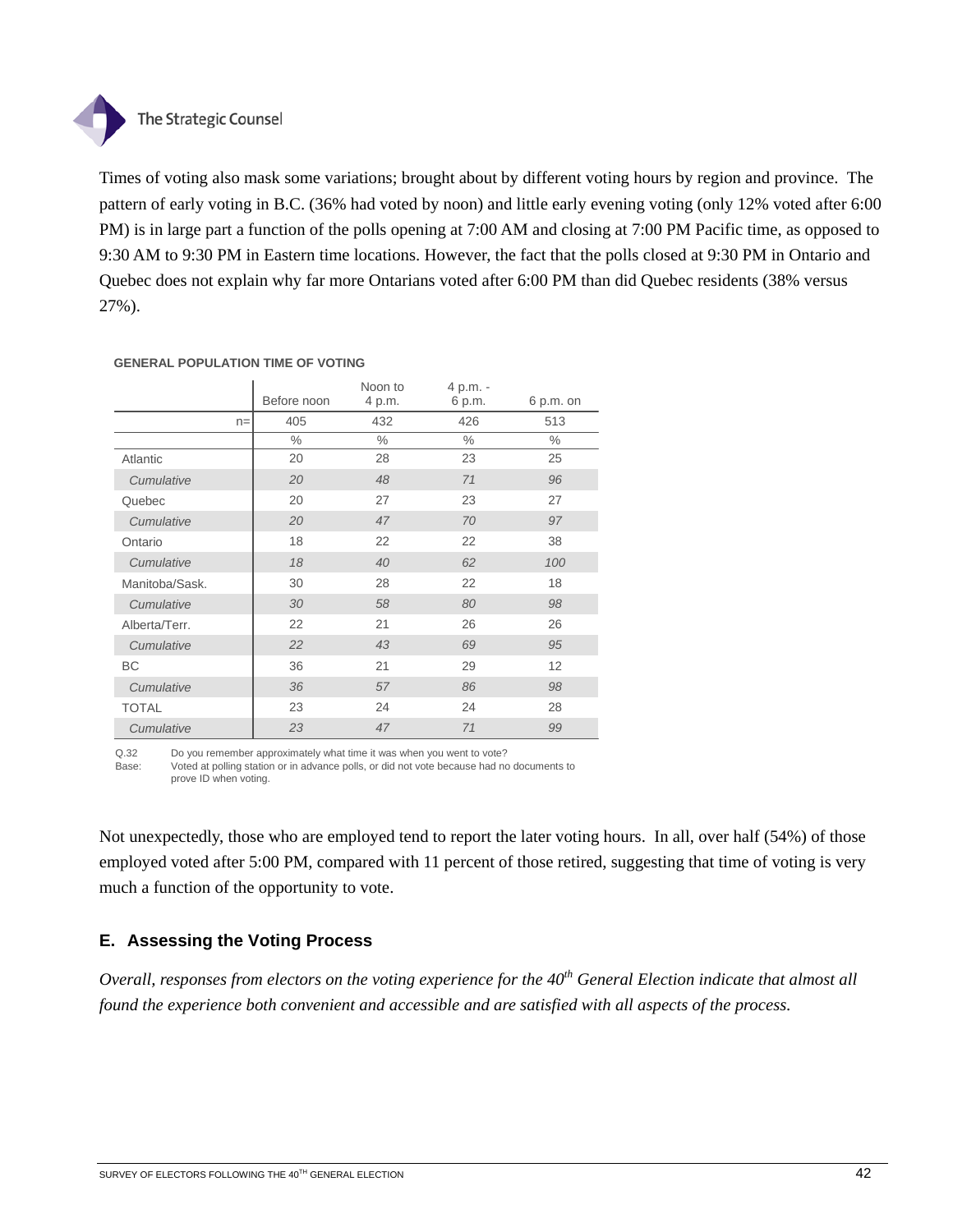# The Strategic Counsel

Times of voting also mask some variations; brought about by different voting hours by region and province. The pattern of early voting in B.C. (36% had voted by noon) and little early evening voting (only 12% voted after 6:00 PM) is in large part a function of the polls opening at 7:00 AM and closing at 7:00 PM Pacific time, as opposed to 9:30 AM to 9:30 PM in Eastern time locations. However, the fact that the polls closed at 9:30 PM in Ontario and Quebec does not explain why far more Ontarians voted after 6:00 PM than did Quebec residents (38% versus 27%).

|                | Before noon | Noon to<br>4 p.m. | 4 p.m. -<br>6 p.m. | $6 p.m.$ on |
|----------------|-------------|-------------------|--------------------|-------------|
| $n =$          | 405         | 432               | 426                | 513         |
|                | $\%$        | $\%$              | $\%$               | $\%$        |
| Atlantic       | 20          | 28                | 23                 | 25          |
| Cumulative     | 20          | 48                | 71                 | 96          |
| Quebec         | 20          | 27                | 23                 | 27          |
| Cumulative     | 20          | 47                | 70                 | 97          |
| Ontario        | 18          | 22                | 22                 | 38          |
| Cumulative     | 18          | 40                | 62                 | 100         |
| Manitoba/Sask. | 30          | 28                | 22                 | 18          |
| Cumulative     | 30          | 58                | 80                 | 98          |
| Alberta/Terr.  | 22          | 21                | 26                 | 26          |
| Cumulative     | 22          | 43                | 69                 | 95          |
| BC             | 36          | 21                | 29                 | 12          |
| Cumulative     | 36          | 57                | 86                 | 98          |
| <b>TOTAL</b>   | 23          | 24                | 24                 | 28          |
| Cumulative     | 23          | 47                | 71                 | 99          |

#### **GENERAL POPULATION TIME OF VOTING**

Q.32 Do you remember approximately what time it was when you went to vote? Base: Voted at polling station or in advance polls, or did not vote because had no documents to prove ID when voting.

Not unexpectedly, those who are employed tend to report the later voting hours. In all, over half (54%) of those employed voted after 5:00 PM, compared with 11 percent of those retired, suggesting that time of voting is very much a function of the opportunity to vote.

# **E. Assessing the Voting Process**

*Overall, responses from electors on the voting experience for the 40th General Election indicate that almost all found the experience both convenient and accessible and are satisfied with all aspects of the process.*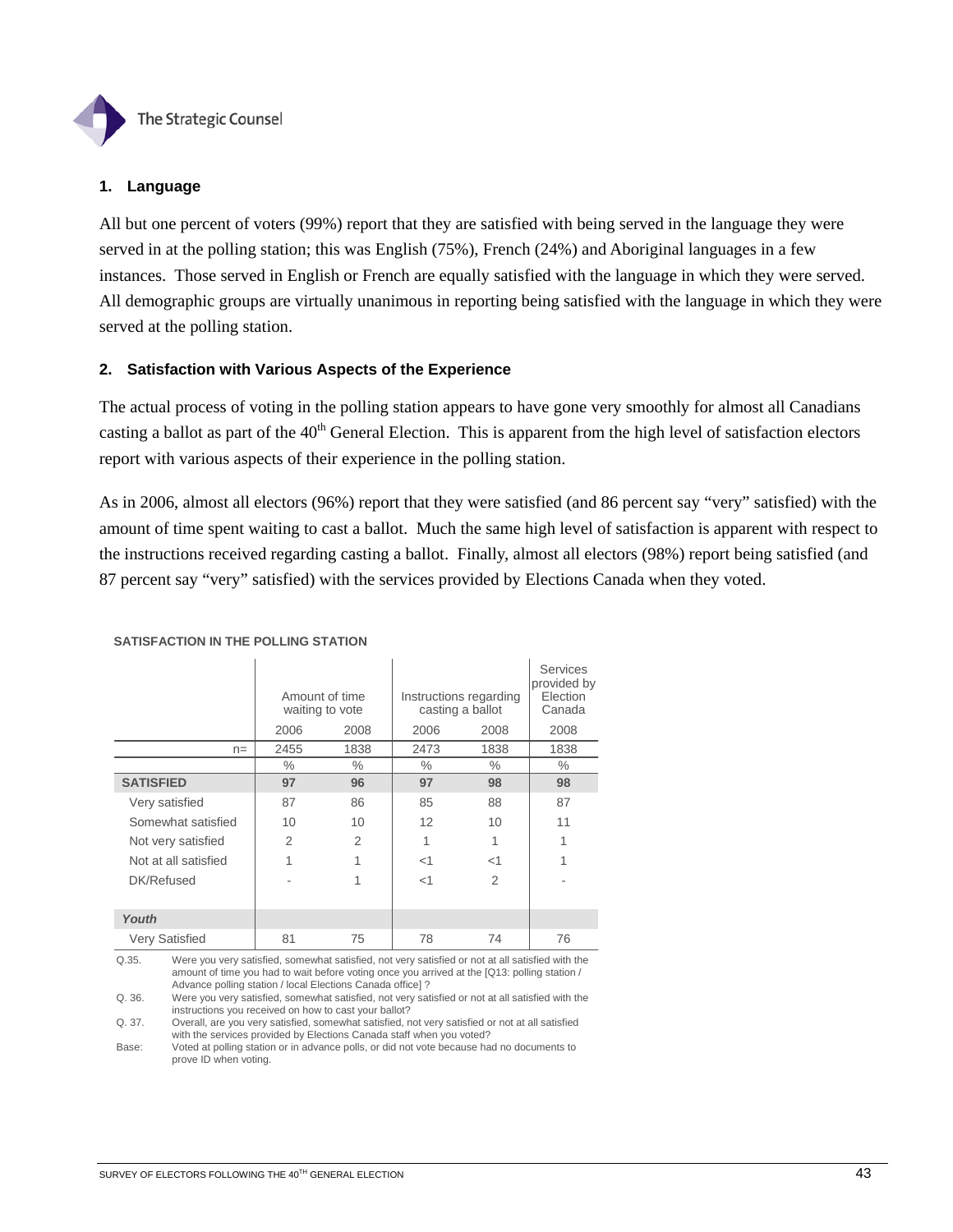

## **1. Language**

All but one percent of voters (99%) report that they are satisfied with being served in the language they were served in at the polling station; this was English (75%), French (24%) and Aboriginal languages in a few instances. Those served in English or French are equally satisfied with the language in which they were served. All demographic groups are virtually unanimous in reporting being satisfied with the language in which they were served at the polling station.

## **2. Satisfaction with Various Aspects of the Experience**

The actual process of voting in the polling station appears to have gone very smoothly for almost all Canadians casting a ballot as part of the  $40<sup>th</sup>$  General Election. This is apparent from the high level of satisfaction electors report with various aspects of their experience in the polling station.

As in 2006, almost all electors (96%) report that they were satisfied (and 86 percent say "very" satisfied) with the amount of time spent waiting to cast a ballot. Much the same high level of satisfaction is apparent with respect to the instructions received regarding casting a ballot. Finally, almost all electors (98%) report being satisfied (and 87 percent say "very" satisfied) with the services provided by Elections Canada when they voted.

|                       | Amount of time<br>waiting to vote |               | Instructions regarding<br>casting a ballot | Services<br>provided by<br>Election<br>Canada |      |
|-----------------------|-----------------------------------|---------------|--------------------------------------------|-----------------------------------------------|------|
|                       | 2006                              | 2008          | 2006                                       | 2008                                          | 2008 |
| $n =$                 | 2455                              | 1838          | 2473                                       | 1838                                          | 1838 |
|                       | $\%$                              | $\%$          | $\%$                                       | $\%$                                          | $\%$ |
| <b>SATISFIED</b>      | 97                                | 96            | 97                                         | 98                                            | 98   |
| Very satisfied        | 87                                | 86            | 85                                         | 88                                            | 87   |
| Somewhat satisfied    | 10                                | 10            | 12                                         | 10                                            | 11   |
| Not very satisfied    | 2                                 | $\mathcal{P}$ | 1                                          | 1                                             | 1    |
| Not at all satisfied  | 1                                 | 1             | $<$ 1                                      | $<$ 1                                         | 1    |
| DK/Refused            |                                   | 1             | $<$ 1                                      | $\mathcal{P}$                                 |      |
| Youth                 |                                   |               |                                            |                                               |      |
| <b>Very Satisfied</b> | 81                                | 75            | 78                                         | 74                                            | 76   |

#### **SATISFACTION IN THE POLLING STATION**

Q.35. Were you very satisfied, somewhat satisfied, not very satisfied or not at all satisfied with the amount of time you had to wait before voting once you arrived at the [Q13: polling station / Advance polling station / local Elections Canada office] ?

Q. 36. Were you very satisfied, somewhat satisfied, not very satisfied or not at all satisfied with the instructions you received on how to cast your ballot?

Q. 37. Overall, are you very satisfied, somewhat satisfied, not very satisfied or not at all satisfied with the services provided by Elections Canada staff when you voted?

Base: Voted at polling station or in advance polls, or did not vote because had no documents to prove ID when voting.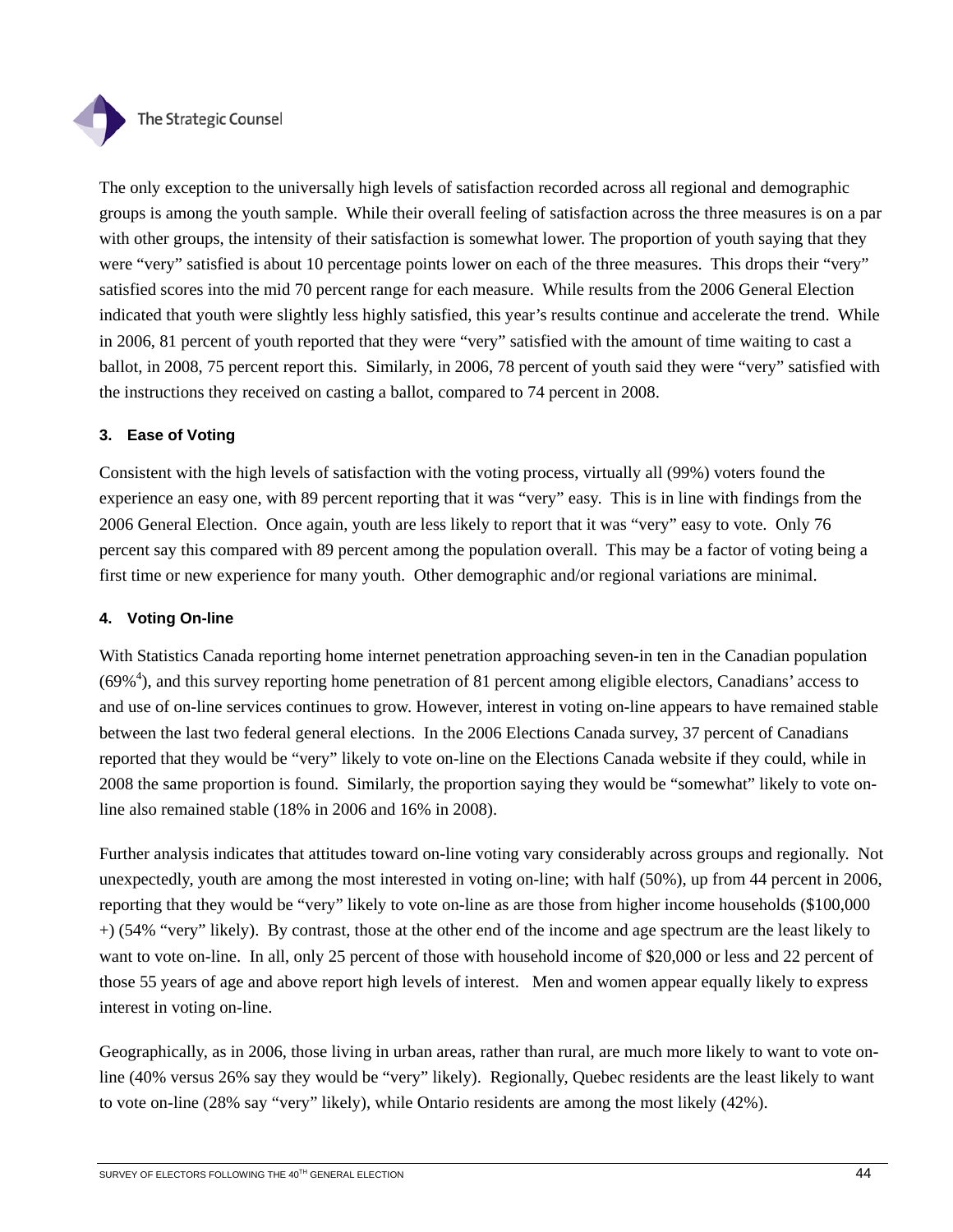

The only exception to the universally high levels of satisfaction recorded across all regional and demographic groups is among the youth sample. While their overall feeling of satisfaction across the three measures is on a par with other groups, the intensity of their satisfaction is somewhat lower. The proportion of youth saying that they were "very" satisfied is about 10 percentage points lower on each of the three measures. This drops their "very" satisfied scores into the mid 70 percent range for each measure. While results from the 2006 General Election indicated that youth were slightly less highly satisfied, this year's results continue and accelerate the trend. While in 2006, 81 percent of youth reported that they were "very" satisfied with the amount of time waiting to cast a ballot, in 2008, 75 percent report this. Similarly, in 2006, 78 percent of youth said they were "very" satisfied with the instructions they received on casting a ballot, compared to 74 percent in 2008.

# **3. Ease of Voting**

Consistent with the high levels of satisfaction with the voting process, virtually all (99%) voters found the experience an easy one, with 89 percent reporting that it was "very" easy. This is in line with findings from the 2006 General Election. Once again, youth are less likely to report that it was "very" easy to vote. Only 76 percent say this compared with 89 percent among the population overall. This may be a factor of voting being a first time or new experience for many youth. Other demographic and/or regional variations are minimal.

## **4. Voting On-line**

With Statistics Canada reporting home internet penetration approaching seven-in ten in the Canadian population  $(69\%)$ , and this survey reporting home penetration of 81 percent among eligible electors, Canadians' access to and use of on-line services continues to grow. However, interest in voting on-line appears to have remained stable between the last two federal general elections. In the 2006 Elections Canada survey, 37 percent of Canadians reported that they would be "very" likely to vote on-line on the Elections Canada website if they could, while in 2008 the same proportion is found. Similarly, the proportion saying they would be "somewhat" likely to vote online also remained stable (18% in 2006 and 16% in 2008).

Further analysis indicates that attitudes toward on-line voting vary considerably across groups and regionally. Not unexpectedly, youth are among the most interested in voting on-line; with half (50%), up from 44 percent in 2006, reporting that they would be "very" likely to vote on-line as are those from higher income households (\$100,000 +) (54% "very" likely). By contrast, those at the other end of the income and age spectrum are the least likely to want to vote on-line. In all, only 25 percent of those with household income of \$20,000 or less and 22 percent of those 55 years of age and above report high levels of interest. Men and women appear equally likely to express interest in voting on-line.

Geographically, as in 2006, those living in urban areas, rather than rural, are much more likely to want to vote online (40% versus 26% say they would be "very" likely). Regionally, Quebec residents are the least likely to want to vote on-line (28% say "very" likely), while Ontario residents are among the most likely (42%).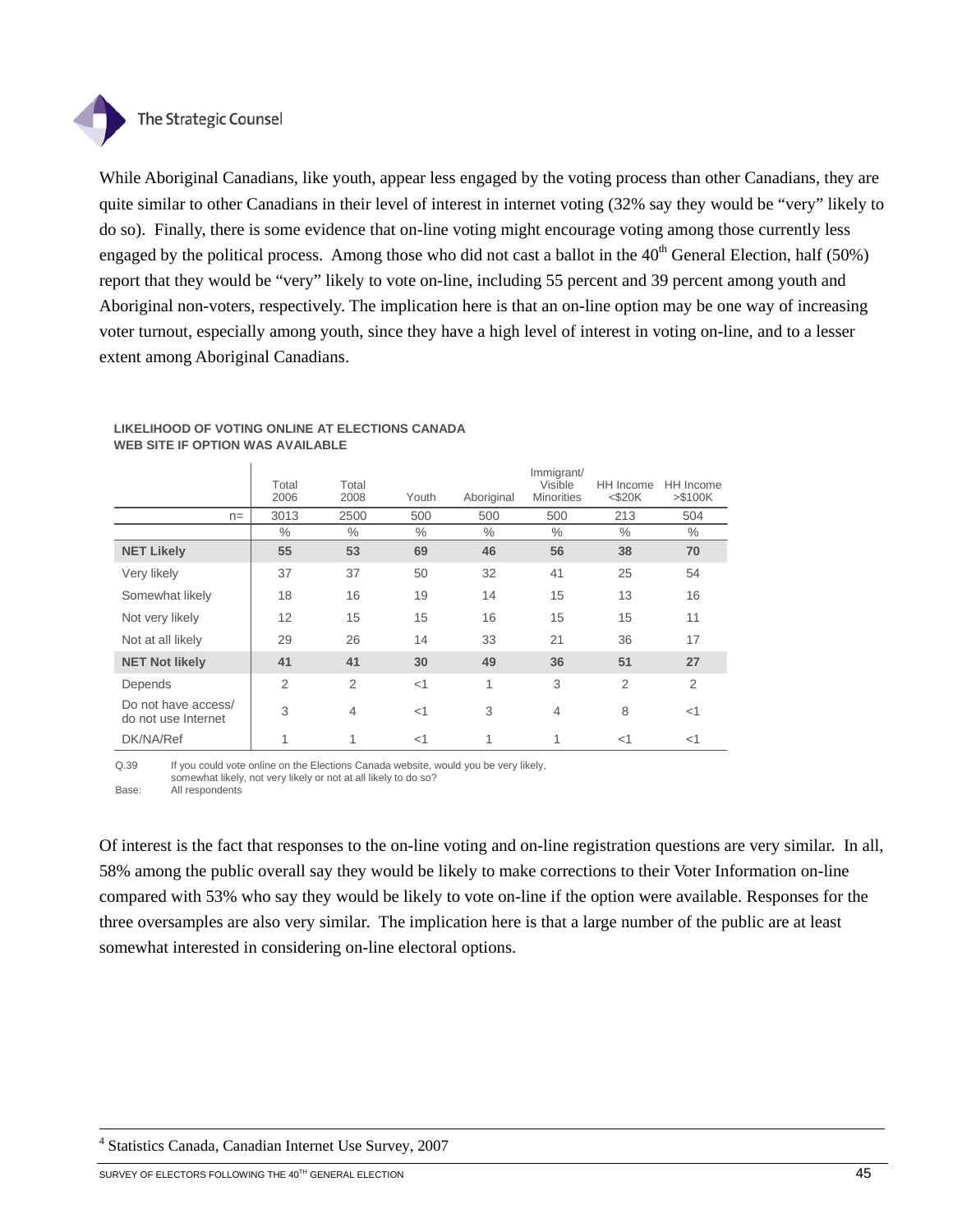

While Aboriginal Canadians, like youth, appear less engaged by the voting process than other Canadians, they are quite similar to other Canadians in their level of interest in internet voting (32% say they would be "very" likely to do so). Finally, there is some evidence that on-line voting might encourage voting among those currently less engaged by the political process. Among those who did not cast a ballot in the  $40<sup>th</sup>$  General Election, half (50%) report that they would be "very" likely to vote on-line, including 55 percent and 39 percent among youth and Aboriginal non-voters, respectively. The implication here is that an on-line option may be one way of increasing voter turnout, especially among youth, since they have a high level of interest in voting on-line, and to a lesser extent among Aboriginal Canadians.

|                                            | Total<br>2006  | Total<br>2008  | Youth         | Aboriginal | Immigrant/<br>Visible<br><b>Minorities</b> | HH Income<br>$<$ \$20 $K$ | HH Income<br>$> $100K$ |
|--------------------------------------------|----------------|----------------|---------------|------------|--------------------------------------------|---------------------------|------------------------|
| $n =$                                      | 3013           | 2500           | 500           | 500        | 500                                        | 213                       | 504                    |
|                                            | $\%$           | $\frac{0}{0}$  | $\frac{0}{0}$ | $\%$       | $\frac{0}{0}$                              | $\%$                      | $\%$                   |
| <b>NET Likely</b>                          | 55             | 53             | 69            | 46         | 56                                         | 38                        | 70                     |
| Very likely                                | 37             | 37             | 50            | 32         | 41                                         | 25                        | 54                     |
| Somewhat likely                            | 18             | 16             | 19            | 14         | 15                                         | 13                        | 16                     |
| Not very likely                            | 12             | 15             | 15            | 16         | 15                                         | 15                        | 11                     |
| Not at all likely                          | 29             | 26             | 14            | 33         | 21                                         | 36                        | 17                     |
| <b>NET Not likely</b>                      | 41             | 41             | 30            | 49         | 36                                         | 51                        | 27                     |
| Depends                                    | $\overline{2}$ | $\overline{2}$ | <1            | 1          | 3                                          | $\overline{2}$            | $\overline{2}$         |
| Do not have access/<br>do not use Internet | 3              | $\overline{4}$ | <1            | 3          | $\overline{4}$                             | 8                         | $<$ 1                  |
| DK/NA/Ref                                  |                | 1              | $<$ 1         | 1          | 1                                          | $<$ 1                     | $<$ 1                  |

#### **LIKELIHOOD OF VOTING ONLINE AT ELECTIONS CANADA WEB SITE IF OPTION WAS AVAILABLE**

Q.39 If you could vote online on the Elections Canada website, would you be very likely, somewhat likely, not very likely or not at all likely to do so? Base: All respondents

Of interest is the fact that responses to the on-line voting and on-line registration questions are very similar. In all, 58% among the public overall say they would be likely to make corrections to their Voter Information on-line compared with 53% who say they would be likely to vote on-line if the option were available. Responses for the three oversamples are also very similar. The implication here is that a large number of the public are at least somewhat interested in considering on-line electoral options.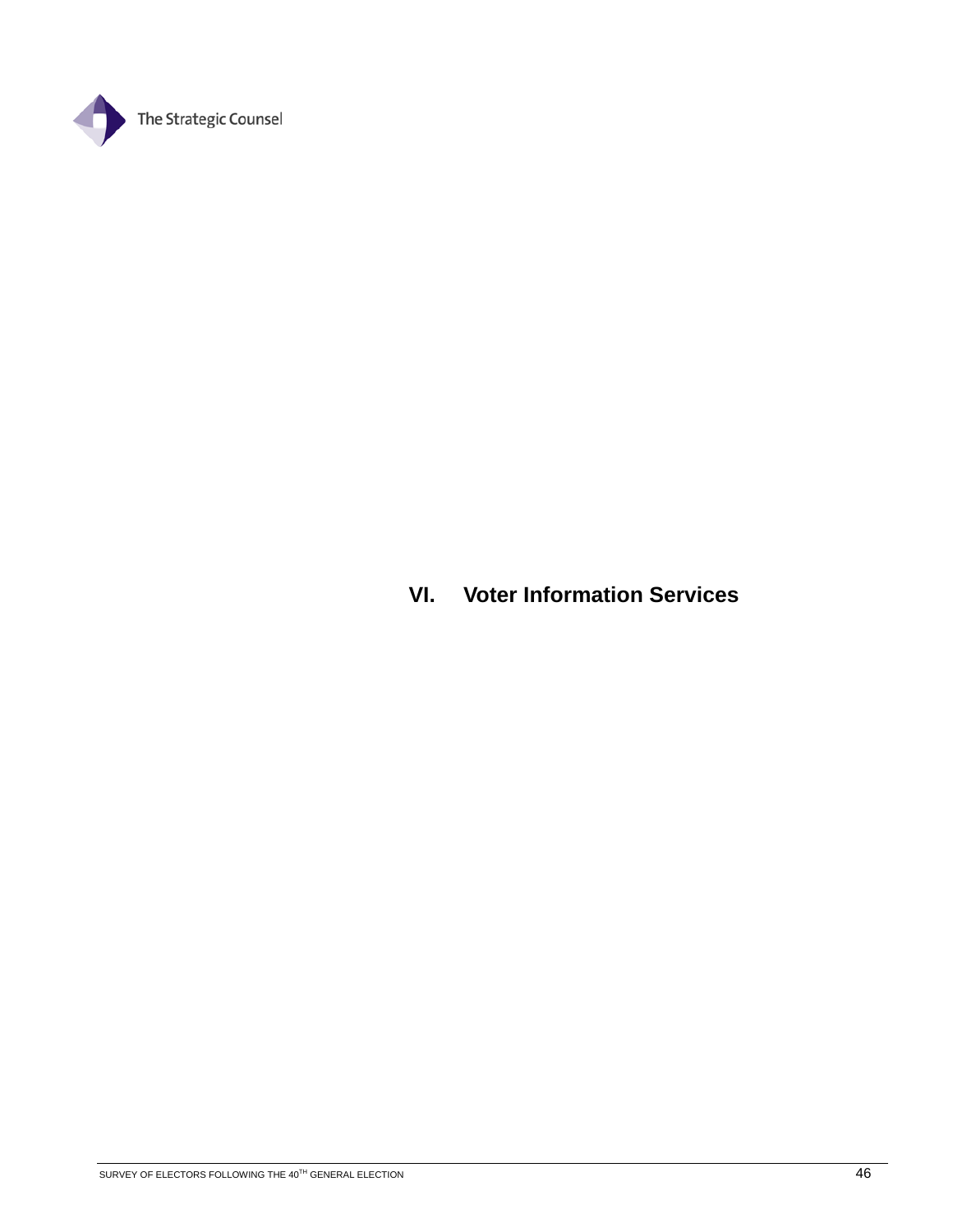

# **VI. Voter Information Services**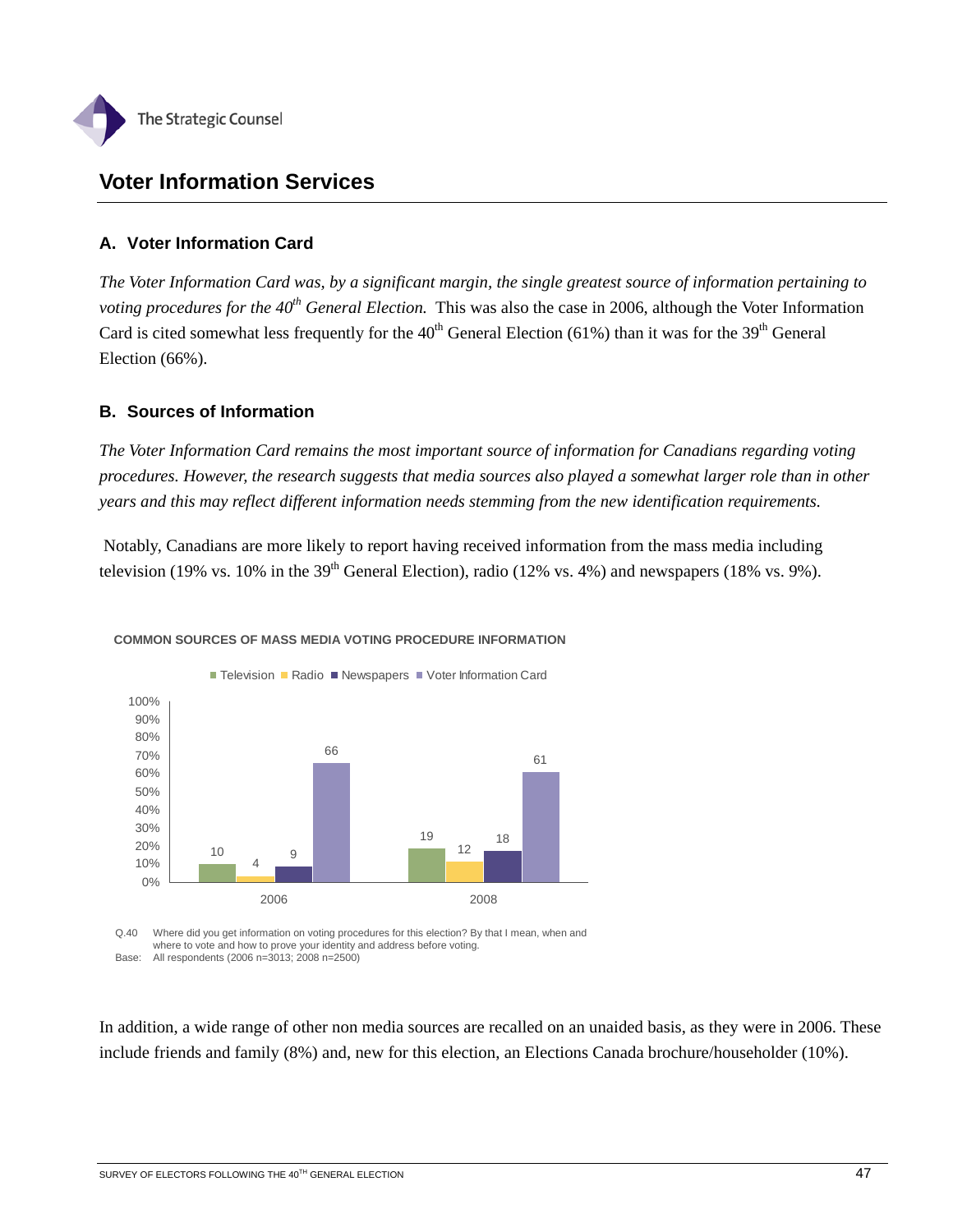

# **Voter Information Services**

# **A. Voter Information Card**

*The Voter Information Card was, by a significant margin, the single greatest source of information pertaining to voting procedures for the 40<sup>th</sup> General Election.* This was also the case in 2006, although the Voter Information Card is cited somewhat less frequently for the  $40^{th}$  General Election (61%) than it was for the 39<sup>th</sup> General Election (66%).

# **B. Sources of Information**

*The Voter Information Card remains the most important source of information for Canadians regarding voting procedures. However, the research suggests that media sources also played a somewhat larger role than in other years and this may reflect different information needs stemming from the new identification requirements.* 

 Notably, Canadians are more likely to report having received information from the mass media including television (19% vs. 10% in the 39<sup>th</sup> General Election), radio (12% vs. 4%) and newspapers (18% vs. 9%).



## **COMMON SOURCES OF MASS MEDIA VOTING PROCEDURE INFORMATION**

Q.40 Where did you get information on voting procedures for this election? By that I mean, when and where to vote and how to prove your identity and address before voting. Base: All respondents (2006 n=3013; 2008 n=2500)

In addition, a wide range of other non media sources are recalled on an unaided basis, as they were in 2006. These include friends and family (8%) and, new for this election, an Elections Canada brochure/householder (10%).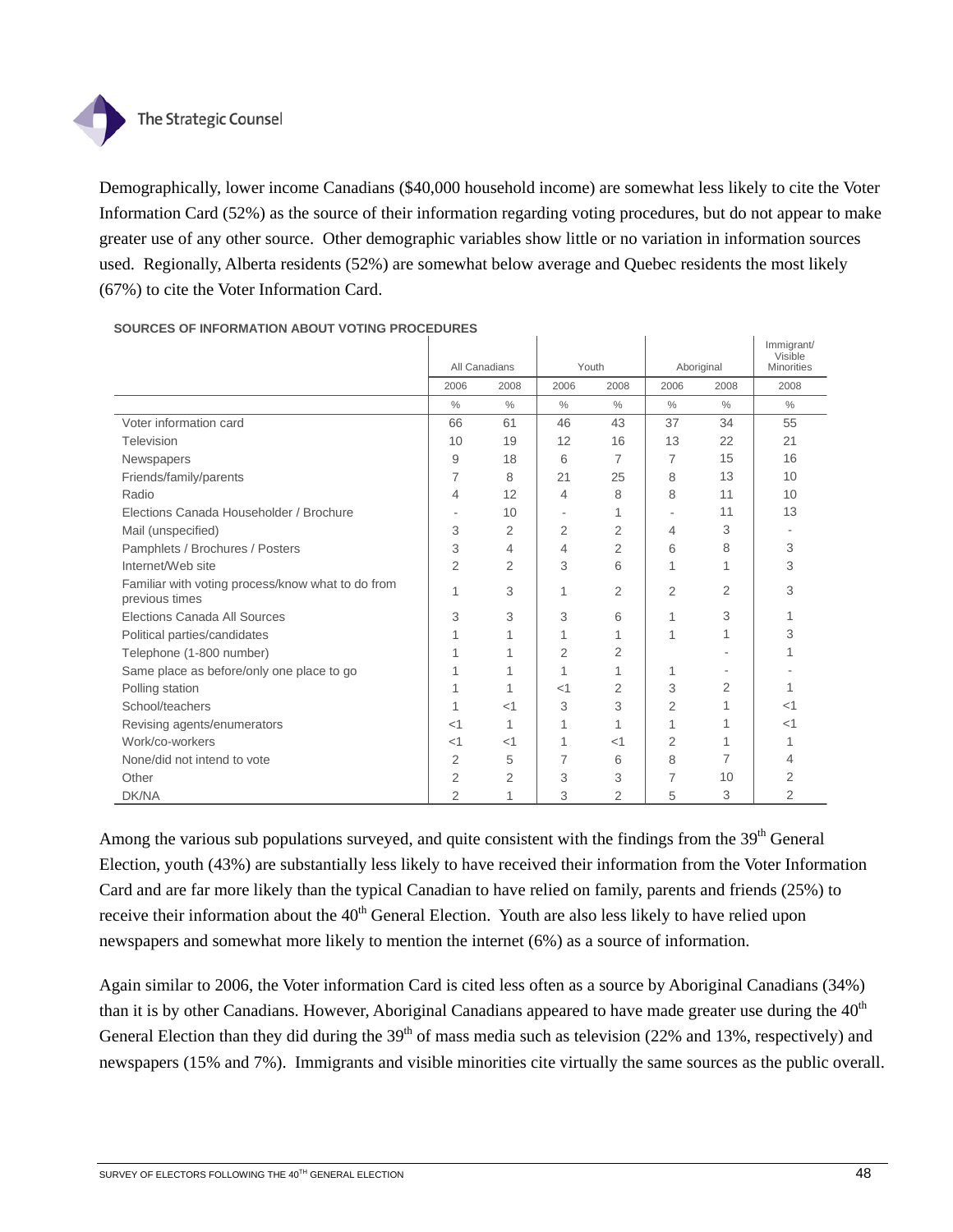

Demographically, lower income Canadians (\$40,000 household income) are somewhat less likely to cite the Voter Information Card (52%) as the source of their information regarding voting procedures, but do not appear to make greater use of any other source. Other demographic variables show little or no variation in information sources used. Regionally, Alberta residents (52%) are somewhat below average and Quebec residents the most likely (67%) to cite the Voter Information Card.

|                                                   |                |                |                |               |               |      | Immigrant/<br>Visible |
|---------------------------------------------------|----------------|----------------|----------------|---------------|---------------|------|-----------------------|
|                                                   |                | All Canadians  |                | Youth         | Aboriginal    |      | <b>Minorities</b>     |
|                                                   | 2006           | 2008           | 2006           | 2008          | 2006          | 2008 | 2008                  |
|                                                   | $\frac{0}{0}$  | $\frac{0}{0}$  | $\frac{0}{0}$  | $\frac{0}{0}$ | $\frac{0}{0}$ | $\%$ | $\frac{0}{0}$         |
| Voter information card                            | 66             | 61             | 46             | 43            | 37            | 34   | 55                    |
| Television                                        | 10             | 19             | 12             | 16            | 13            | 22   | 21                    |
| Newspapers                                        | 9              | 18             | 6              | 7             | 7             | 15   | 16                    |
| Friends/family/parents                            | 7              | 8              | 21             | 25            | 8             | 13   | 10                    |
| Radio                                             | 4              | 12             | 4              | 8             | 8             | 11   | 10                    |
| Elections Canada Householder / Brochure           |                | 10             | ٠              | 1             |               | 11   | 13                    |
| Mail (unspecified)                                | 3              | $\overline{2}$ | 2              | 2             | 4             | 3    |                       |
| Pamphlets / Brochures / Posters                   | 3              | 4              | 4              | 2             | 6             | 8    | 3                     |
| Internet/Web site                                 | $\overline{2}$ | 2              | 3              | 6             | 1             |      | 3                     |
| Familiar with voting process/know what to do from | 1              | 3              | 1              | 2             | 2             | 2    | 3                     |
| previous times                                    |                |                |                |               |               |      |                       |
| Elections Canada All Sources                      | 3              | 3              | 3              | 6             | 1             | 3    |                       |
| Political parties/candidates                      |                |                | 1              |               | 1             | 1    | 3                     |
| Telephone (1-800 number)                          |                |                | $\overline{2}$ | 2             |               |      |                       |
| Same place as before/only one place to go         |                |                | 1              |               | 1             |      |                       |
| Polling station                                   |                |                | $<$ 1          | 2             | 3             | 2    | 1                     |
| School/teachers                                   |                | $<$ 1          | 3              | 3             | 2             |      | $<$ 1                 |
| Revising agents/enumerators                       | $<$ 1          | 1              | 1              | 1             |               |      | $<$ 1                 |
| Work/co-workers                                   | $<$ 1          | $<$ 1          | 1              | $<$ 1         | 2             |      |                       |
| None/did not intend to vote                       | 2              | 5              | 7              | 6             | 8             | 7    | 4                     |
| Other                                             | 2              | 2              | 3              | 3             | 7             | 10   | 2                     |
| DK/NA                                             | 2              | 1              | 3              | 2             | 5             | 3    | 2                     |

**SOURCES OF INFORMATION ABOUT VOTING PROCEDURES**

Among the various sub populations surveyed, and quite consistent with the findings from the  $39<sup>th</sup>$  General Election, youth (43%) are substantially less likely to have received their information from the Voter Information Card and are far more likely than the typical Canadian to have relied on family, parents and friends (25%) to receive their information about the 40<sup>th</sup> General Election. Youth are also less likely to have relied upon newspapers and somewhat more likely to mention the internet (6%) as a source of information.

Again similar to 2006, the Voter information Card is cited less often as a source by Aboriginal Canadians (34%) than it is by other Canadians. However, Aboriginal Canadians appeared to have made greater use during the  $40<sup>th</sup>$ General Election than they did during the  $39<sup>th</sup>$  of mass media such as television (22% and 13%, respectively) and newspapers (15% and 7%). Immigrants and visible minorities cite virtually the same sources as the public overall.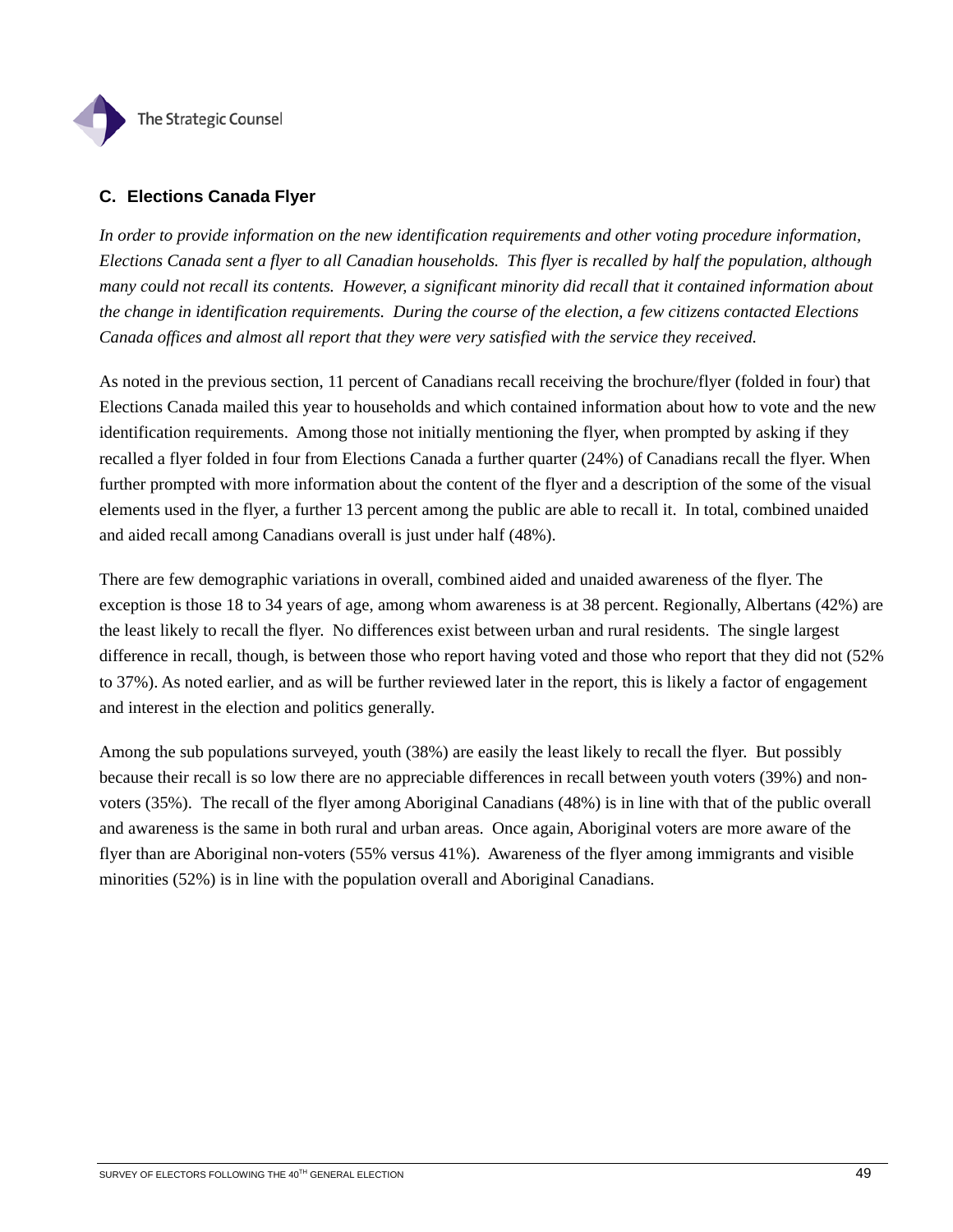

# **C. Elections Canada Flyer**

*In order to provide information on the new identification requirements and other voting procedure information, Elections Canada sent a flyer to all Canadian households. This flyer is recalled by half the population, although many could not recall its contents. However, a significant minority did recall that it contained information about the change in identification requirements. During the course of the election, a few citizens contacted Elections Canada offices and almost all report that they were very satisfied with the service they received.* 

As noted in the previous section, 11 percent of Canadians recall receiving the brochure/flyer (folded in four) that Elections Canada mailed this year to households and which contained information about how to vote and the new identification requirements. Among those not initially mentioning the flyer, when prompted by asking if they recalled a flyer folded in four from Elections Canada a further quarter (24%) of Canadians recall the flyer. When further prompted with more information about the content of the flyer and a description of the some of the visual elements used in the flyer, a further 13 percent among the public are able to recall it. In total, combined unaided and aided recall among Canadians overall is just under half (48%).

There are few demographic variations in overall, combined aided and unaided awareness of the flyer. The exception is those 18 to 34 years of age, among whom awareness is at 38 percent. Regionally, Albertans (42%) are the least likely to recall the flyer. No differences exist between urban and rural residents. The single largest difference in recall, though, is between those who report having voted and those who report that they did not (52% to 37%). As noted earlier, and as will be further reviewed later in the report, this is likely a factor of engagement and interest in the election and politics generally.

Among the sub populations surveyed, youth (38%) are easily the least likely to recall the flyer. But possibly because their recall is so low there are no appreciable differences in recall between youth voters (39%) and nonvoters (35%). The recall of the flyer among Aboriginal Canadians (48%) is in line with that of the public overall and awareness is the same in both rural and urban areas. Once again, Aboriginal voters are more aware of the flyer than are Aboriginal non-voters (55% versus 41%). Awareness of the flyer among immigrants and visible minorities (52%) is in line with the population overall and Aboriginal Canadians.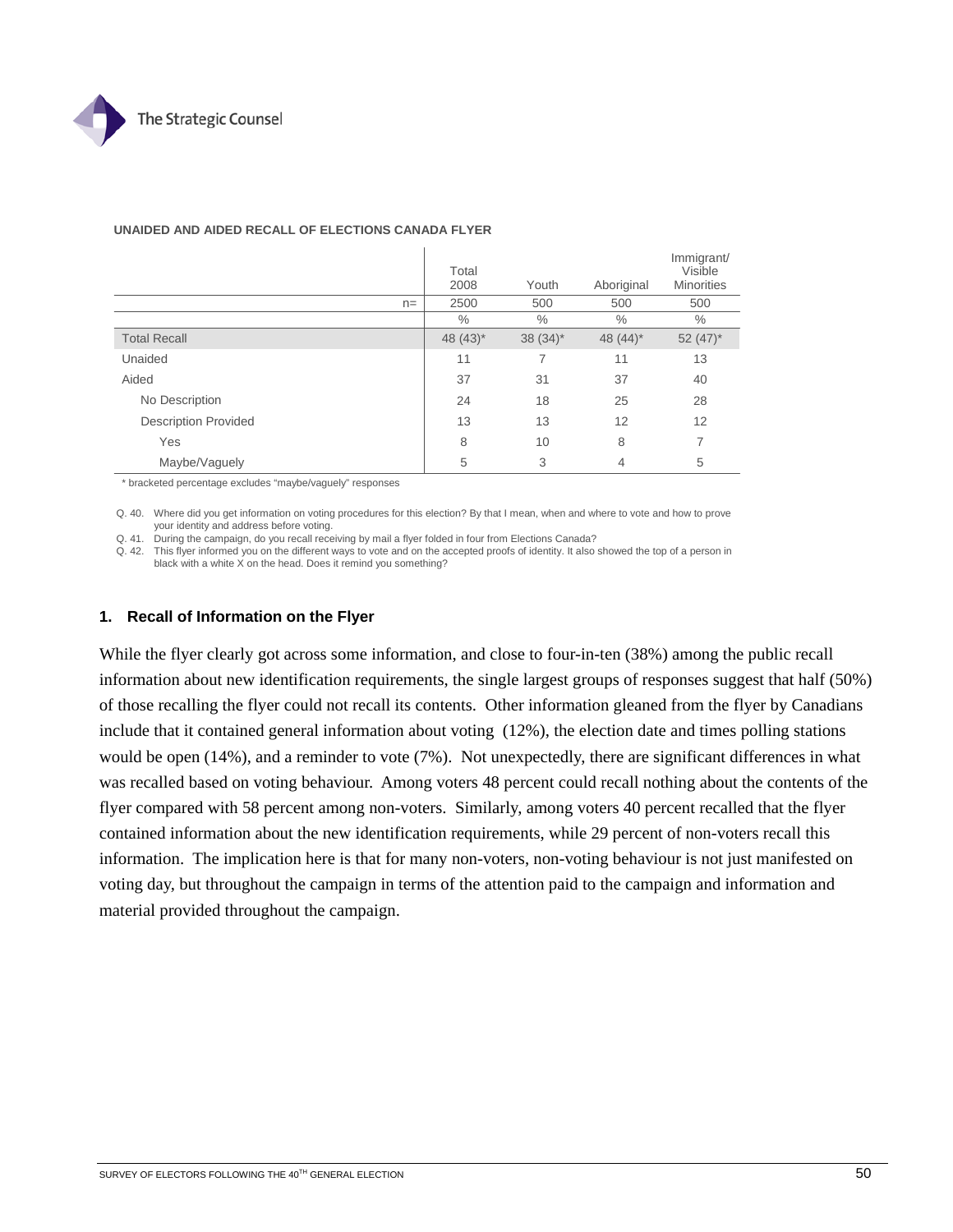

|       | Total<br>2008          | Youth        | Aboriginal     | Immigrant/<br>Visible<br><b>Minorities</b> |
|-------|------------------------|--------------|----------------|--------------------------------------------|
| $n =$ | 2500                   | 500          | 500            | 500                                        |
|       | $\%$                   | $\%$         | $\%$           | $\frac{0}{0}$                              |
|       | 48 $(43)$ <sup>*</sup> | $38(34)^{*}$ | 48 $(44)^*$    | 52 $(47)^*$                                |
|       | 11                     | 7            | 11             | 13                                         |
|       | 37                     | 31           | 37             | 40                                         |
|       | 24                     | 18           | 25             | 28                                         |
|       | 13                     | 13           | 12             | 12                                         |
|       | 8                      | 10           | 8              | 7                                          |
|       | 5                      | 3            | $\overline{4}$ | 5                                          |
|       |                        |              |                |                                            |

#### **UNAIDED AND AIDED RECALL OF ELECTIONS CANADA FLYER**

\* bracketed percentage excludes "maybe/vaguely" responses

Q. 40. Where did you get information on voting procedures for this election? By that I mean, when and where to vote and how to prove your identity and address before voting.

Q. 41. During the campaign, do you recall receiving by mail a flyer folded in four from Elections Canada?

Q. 42. This flyer informed you on the different ways to vote and on the accepted proofs of identity. It also showed the top of a person in black with a white X on the head. Does it remind you something?

### **1. Recall of Information on the Flyer**

While the flyer clearly got across some information, and close to four-in-ten (38%) among the public recall information about new identification requirements, the single largest groups of responses suggest that half (50%) of those recalling the flyer could not recall its contents. Other information gleaned from the flyer by Canadians include that it contained general information about voting (12%), the election date and times polling stations would be open (14%), and a reminder to vote (7%). Not unexpectedly, there are significant differences in what was recalled based on voting behaviour. Among voters 48 percent could recall nothing about the contents of the flyer compared with 58 percent among non-voters. Similarly, among voters 40 percent recalled that the flyer contained information about the new identification requirements, while 29 percent of non-voters recall this information. The implication here is that for many non-voters, non-voting behaviour is not just manifested on voting day, but throughout the campaign in terms of the attention paid to the campaign and information and material provided throughout the campaign.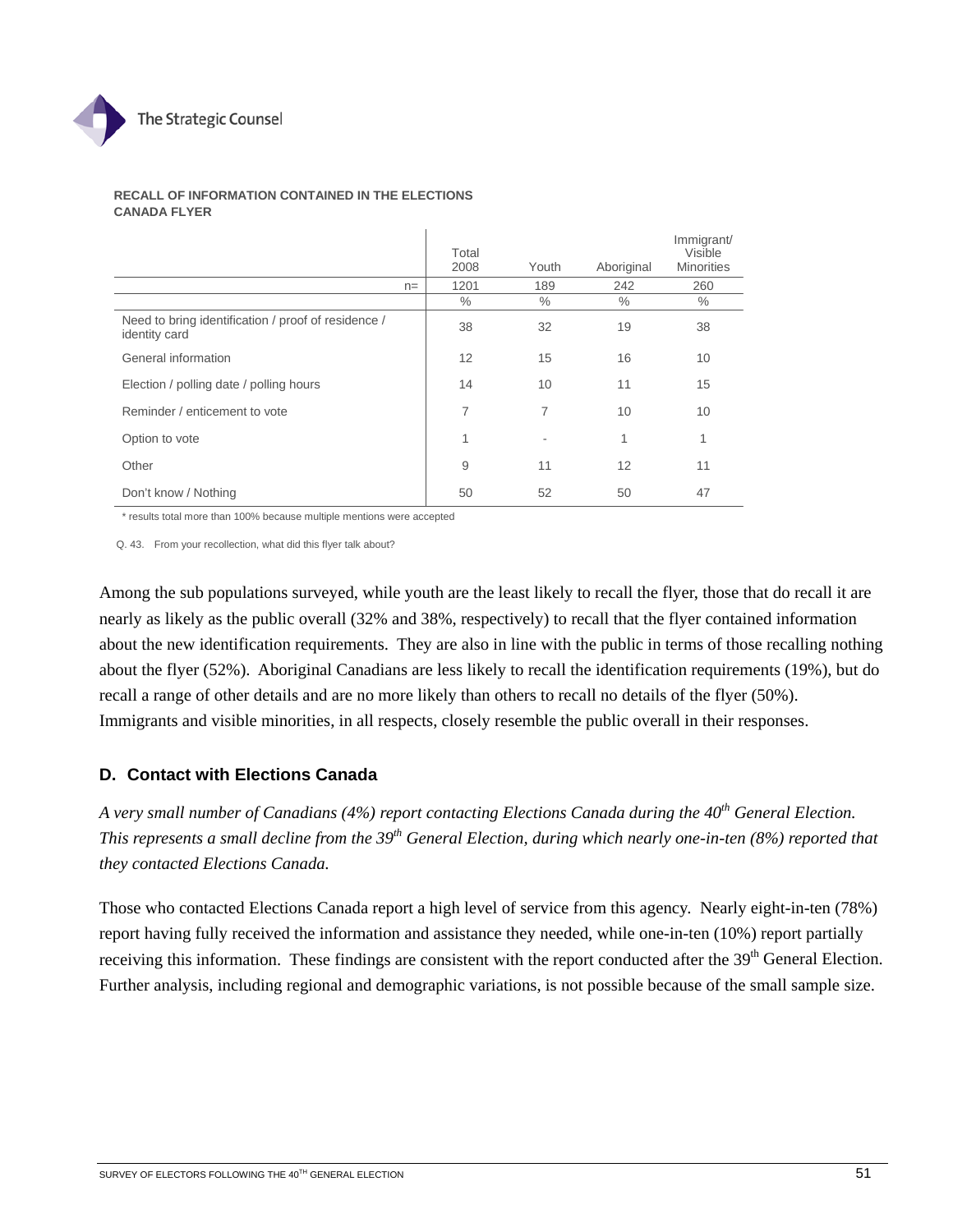

#### **RECALL OF INFORMATION CONTAINED IN THE ELECTIONS CANADA FLYER**

|                                                                      |       | Total<br>2008 | Youth | Aboriginal      | Immigrant/<br>Visible<br><b>Minorities</b> |
|----------------------------------------------------------------------|-------|---------------|-------|-----------------|--------------------------------------------|
|                                                                      | $n =$ | 1201          | 189   | 242             | 260                                        |
|                                                                      |       | $\frac{0}{0}$ | $\%$  | $\frac{0}{0}$   | $\%$                                       |
| Need to bring identification / proof of residence /<br>identity card |       | 38            | 32    | 19              | 38                                         |
| General information                                                  |       | 12            | 15    | 16              | 10                                         |
| Election / polling date / polling hours                              |       | 14            | 10    | 11              | 15                                         |
| Reminder / enticement to vote                                        |       | 7             | 7     | 10 <sup>1</sup> | 10                                         |
| Option to vote                                                       |       | 1             | ٠     | 1               | 1                                          |
| Other                                                                |       | 9             | 11    | 12              | 11                                         |
| Don't know / Nothing                                                 |       | 50            | 52    | 50              | 47                                         |

\* results total more than 100% because multiple mentions were accepted

Q. 43. From your recollection, what did this flyer talk about?

Among the sub populations surveyed, while youth are the least likely to recall the flyer, those that do recall it are nearly as likely as the public overall (32% and 38%, respectively) to recall that the flyer contained information about the new identification requirements. They are also in line with the public in terms of those recalling nothing about the flyer (52%). Aboriginal Canadians are less likely to recall the identification requirements (19%), but do recall a range of other details and are no more likely than others to recall no details of the flyer (50%). Immigrants and visible minorities, in all respects, closely resemble the public overall in their responses.

# **D. Contact with Elections Canada**

*A very small number of Canadians (4%) report contacting Elections Canada during the 40th General Election. This represents a small decline from the 39th General Election, during which nearly one-in-ten (8%) reported that they contacted Elections Canada.* 

Those who contacted Elections Canada report a high level of service from this agency. Nearly eight-in-ten (78%) report having fully received the information and assistance they needed, while one-in-ten (10%) report partially receiving this information. These findings are consistent with the report conducted after the 39<sup>th</sup> General Election. Further analysis, including regional and demographic variations, is not possible because of the small sample size.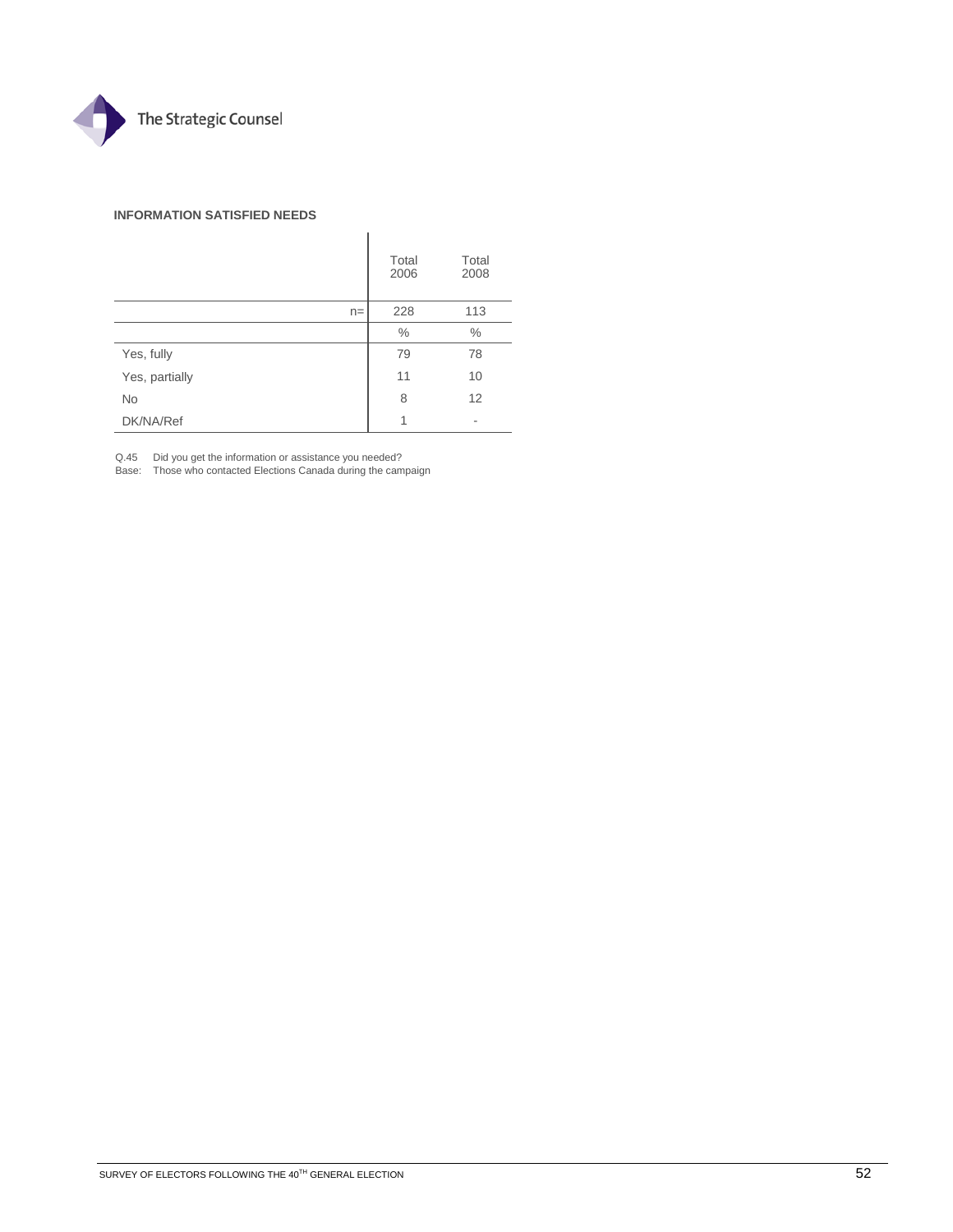

#### **INFORMATION SATISFIED NEEDS**

|                | Total<br>2006 | Total<br>2008 |
|----------------|---------------|---------------|
| $n =$          | 228           | 113           |
|                | $\%$          | $\%$          |
| Yes, fully     | 79            | 78            |
| Yes, partially | 11            | 10            |
| No             | 8             | 12            |
| DK/NA/Ref      | 1             | ۰             |

Q.45 Did you get the information or assistance you needed?

Base: Those who contacted Elections Canada during the campaign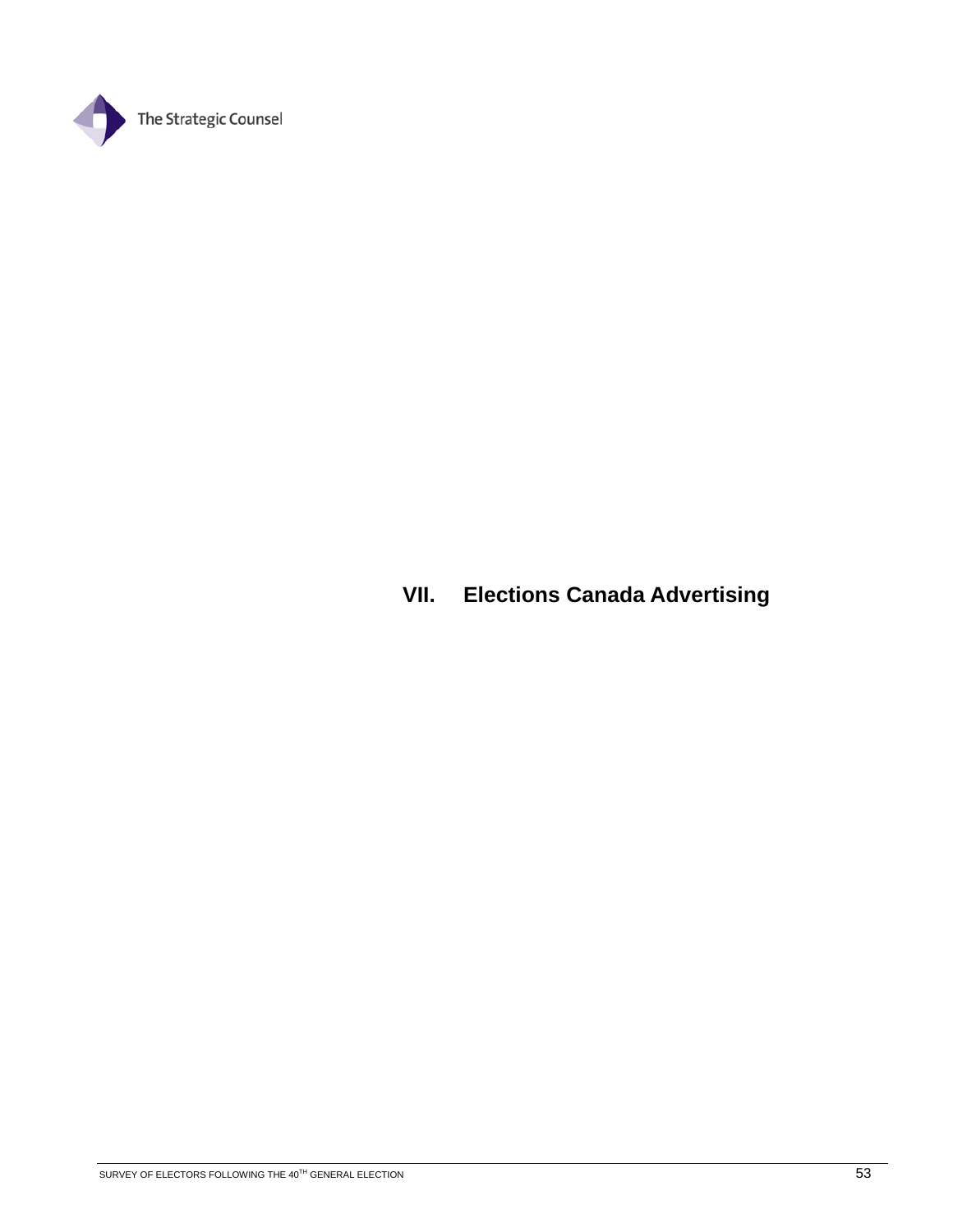

# **VII. Elections Canada Advertising**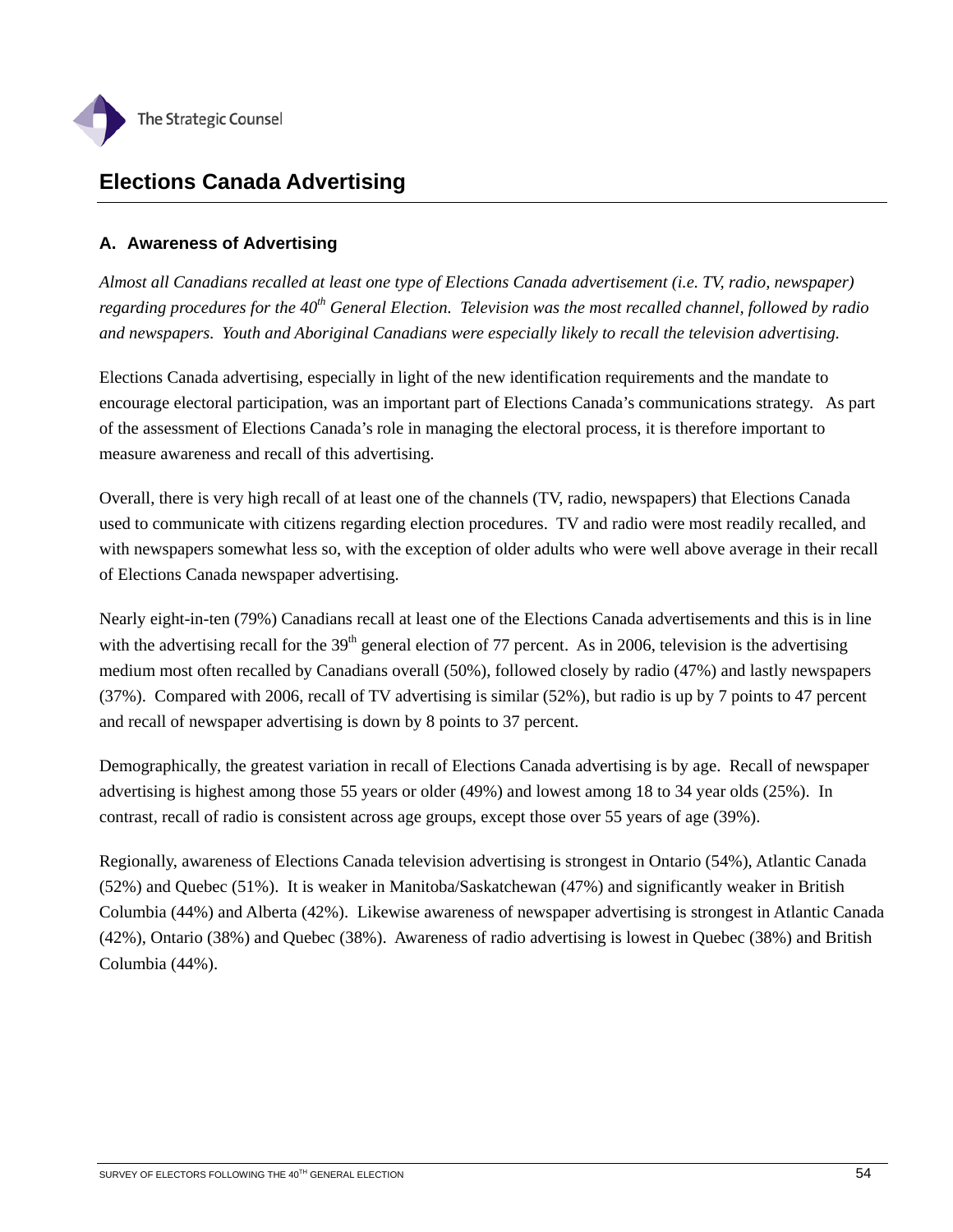

# **Elections Canada Advertising**

# **A. Awareness of Advertising**

*Almost all Canadians recalled at least one type of Elections Canada advertisement (i.e. TV, radio, newspaper) regarding procedures for the 40th General Election. Television was the most recalled channel, followed by radio and newspapers. Youth and Aboriginal Canadians were especially likely to recall the television advertising.* 

Elections Canada advertising, especially in light of the new identification requirements and the mandate to encourage electoral participation, was an important part of Elections Canada's communications strategy. As part of the assessment of Elections Canada's role in managing the electoral process, it is therefore important to measure awareness and recall of this advertising.

Overall, there is very high recall of at least one of the channels (TV, radio, newspapers) that Elections Canada used to communicate with citizens regarding election procedures. TV and radio were most readily recalled, and with newspapers somewhat less so, with the exception of older adults who were well above average in their recall of Elections Canada newspaper advertising.

Nearly eight-in-ten (79%) Canadians recall at least one of the Elections Canada advertisements and this is in line with the advertising recall for the  $39<sup>th</sup>$  general election of 77 percent. As in 2006, television is the advertising medium most often recalled by Canadians overall (50%), followed closely by radio (47%) and lastly newspapers (37%). Compared with 2006, recall of TV advertising is similar (52%), but radio is up by 7 points to 47 percent and recall of newspaper advertising is down by 8 points to 37 percent.

Demographically, the greatest variation in recall of Elections Canada advertising is by age. Recall of newspaper advertising is highest among those 55 years or older (49%) and lowest among 18 to 34 year olds (25%). In contrast, recall of radio is consistent across age groups, except those over 55 years of age (39%).

Regionally, awareness of Elections Canada television advertising is strongest in Ontario (54%), Atlantic Canada (52%) and Quebec (51%). It is weaker in Manitoba/Saskatchewan (47%) and significantly weaker in British Columbia (44%) and Alberta (42%). Likewise awareness of newspaper advertising is strongest in Atlantic Canada (42%), Ontario (38%) and Quebec (38%). Awareness of radio advertising is lowest in Quebec (38%) and British Columbia (44%).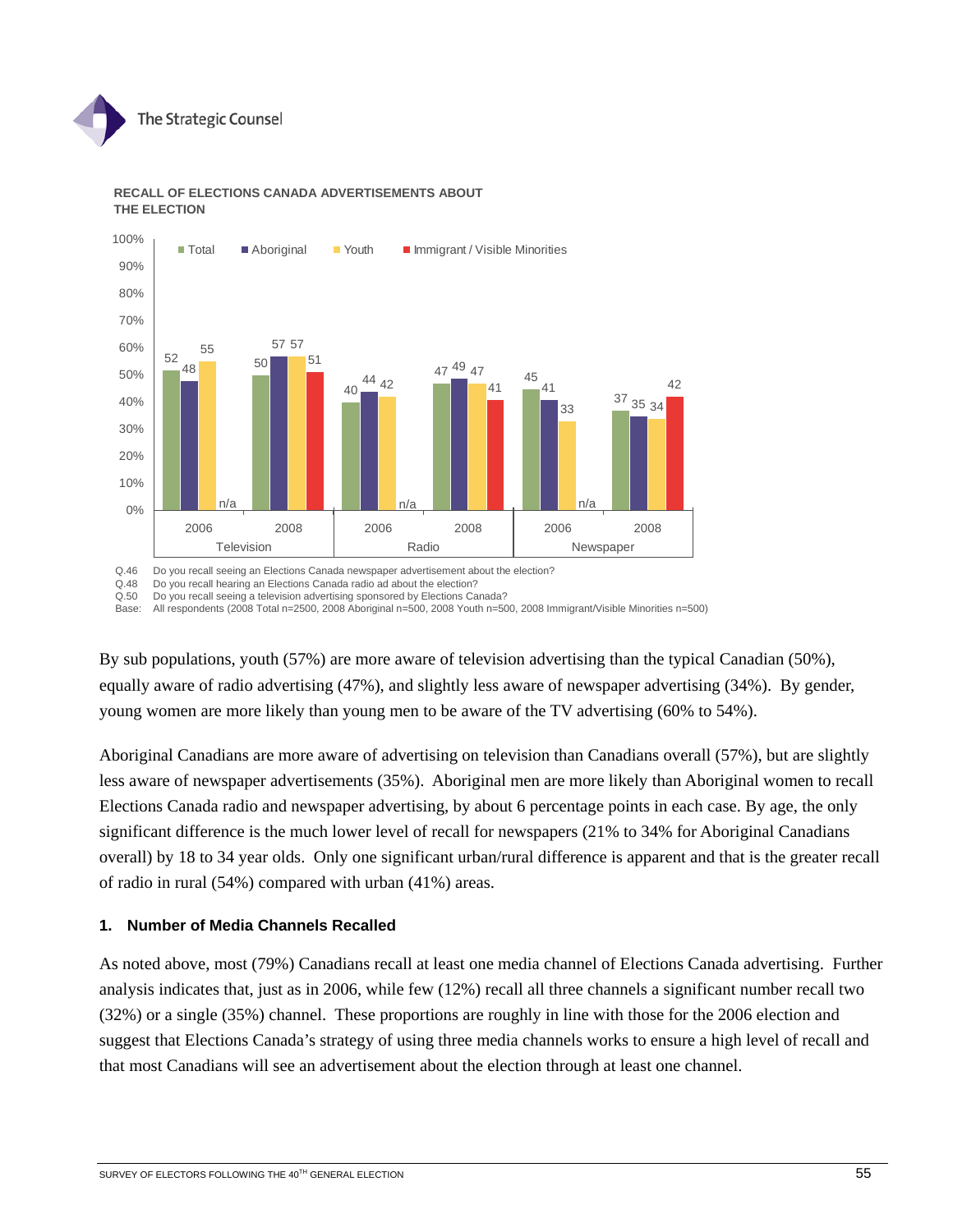



## **RECALL OF ELECTIONS CANADA ADVERTISEMENTS ABOUT THE ELECTION**

Q.46 Do you recall seeing an Elections Canada newspaper advertisement about the election?<br>Q.48 Do you recall hearing an Elections Canada radio ad about the election?

Q.48 Do you recall hearing an Elections Canada radio ad about the election?<br>Q.50 Do you recall seeing a television advertising sponsored by Elections Ca

Do you recall seeing a television advertising sponsored by Elections Canada?

Base: All respondents (2008 Total n=2500, 2008 Aboriginal n=500, 2008 Youth n=500, 2008 Immigrant/Visible Minorities n=500)

By sub populations, youth (57%) are more aware of television advertising than the typical Canadian (50%), equally aware of radio advertising (47%), and slightly less aware of newspaper advertising (34%). By gender, young women are more likely than young men to be aware of the TV advertising (60% to 54%).

Aboriginal Canadians are more aware of advertising on television than Canadians overall (57%), but are slightly less aware of newspaper advertisements (35%). Aboriginal men are more likely than Aboriginal women to recall Elections Canada radio and newspaper advertising, by about 6 percentage points in each case. By age, the only significant difference is the much lower level of recall for newspapers (21% to 34% for Aboriginal Canadians overall) by 18 to 34 year olds. Only one significant urban/rural difference is apparent and that is the greater recall of radio in rural (54%) compared with urban (41%) areas.

## **1. Number of Media Channels Recalled**

As noted above, most (79%) Canadians recall at least one media channel of Elections Canada advertising. Further analysis indicates that, just as in 2006, while few (12%) recall all three channels a significant number recall two (32%) or a single (35%) channel. These proportions are roughly in line with those for the 2006 election and suggest that Elections Canada's strategy of using three media channels works to ensure a high level of recall and that most Canadians will see an advertisement about the election through at least one channel.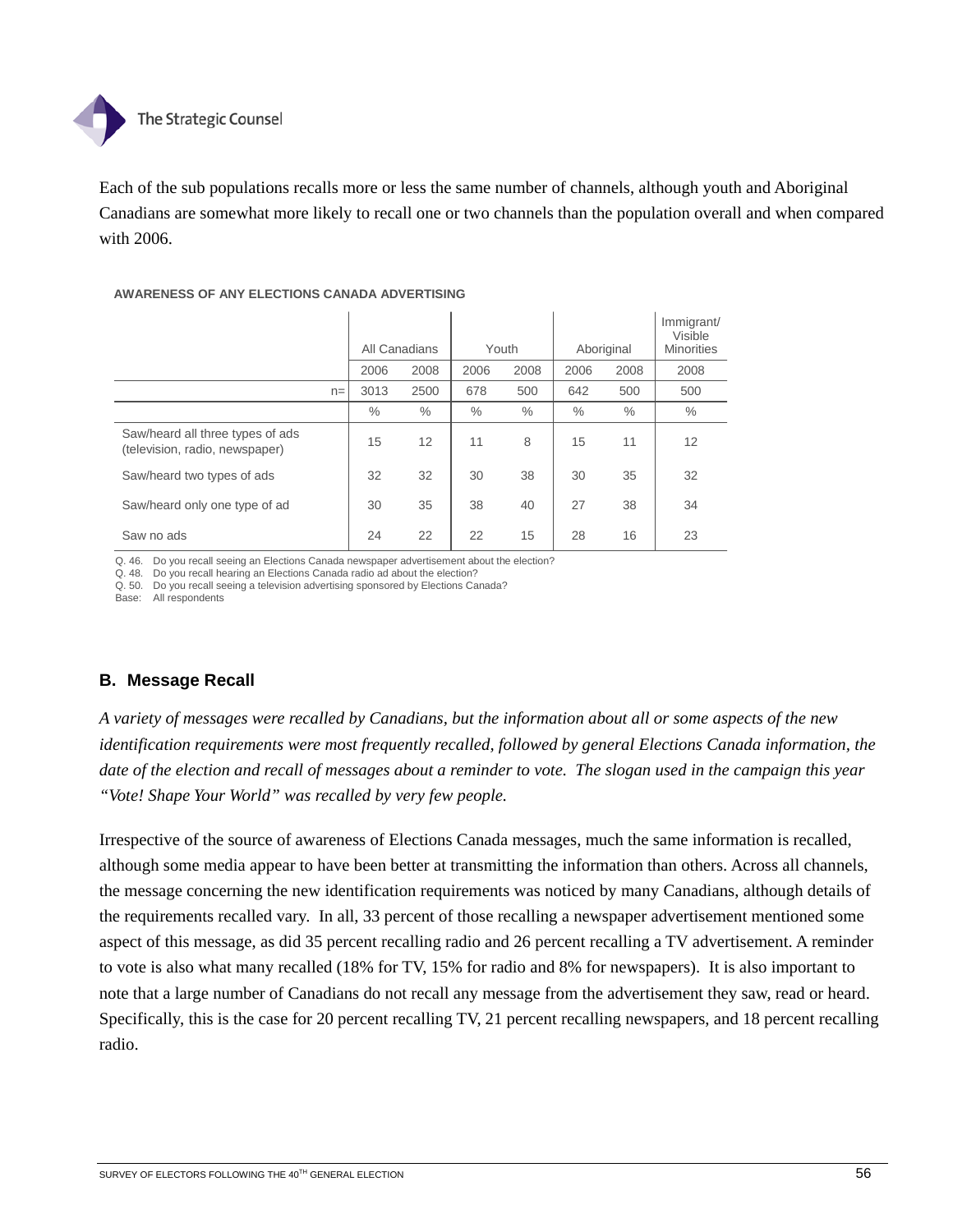

Each of the sub populations recalls more or less the same number of channels, although youth and Aboriginal Canadians are somewhat more likely to recall one or two channels than the population overall and when compared with 2006.

### **AWARENESS OF ANY ELECTIONS CANADA ADVERTISING**

|                                                                    | All Canadians |      |      | Youth         |               | Aboriginal | Immigrant/<br>Visible<br><b>Minorities</b> |
|--------------------------------------------------------------------|---------------|------|------|---------------|---------------|------------|--------------------------------------------|
|                                                                    | 2006          | 2008 |      | 2008          | 2006          | 2008       | 2008                                       |
| $n =$                                                              | 3013          | 2500 | 678  | 500           | 642           | 500        | 500                                        |
|                                                                    | $\%$          | $\%$ | $\%$ | $\frac{0}{0}$ | $\frac{0}{0}$ | $\%$       | $\%$                                       |
| Saw/heard all three types of ads<br>(television, radio, newspaper) | 15            | 12   | 11   | 8             | 15            | 11         | 12                                         |
| Saw/heard two types of ads                                         | 32            | 32   | 30   | 38            | 30            | 35         | 32                                         |
| Saw/heard only one type of ad                                      | 30            | 35   | 38   | 40            | 27            | 38         | 34                                         |
| Saw no ads                                                         | 24            | 22   | 22   | 15            | 28            | 16         | 23                                         |

Q. 46. Do you recall seeing an Elections Canada newspaper advertisement about the election?

Q. 48. Do you recall hearing an Elections Canada radio ad about the election?

Q. 50. Do you recall seeing a television advertising sponsored by Elections Canada?

Base: All respondents

# **B. Message Recall**

*A variety of messages were recalled by Canadians, but the information about all or some aspects of the new identification requirements were most frequently recalled, followed by general Elections Canada information, the date of the election and recall of messages about a reminder to vote. The slogan used in the campaign this year "Vote! Shape Your World" was recalled by very few people.* 

Irrespective of the source of awareness of Elections Canada messages, much the same information is recalled, although some media appear to have been better at transmitting the information than others. Across all channels, the message concerning the new identification requirements was noticed by many Canadians, although details of the requirements recalled vary. In all, 33 percent of those recalling a newspaper advertisement mentioned some aspect of this message, as did 35 percent recalling radio and 26 percent recalling a TV advertisement. A reminder to vote is also what many recalled (18% for TV, 15% for radio and 8% for newspapers). It is also important to note that a large number of Canadians do not recall any message from the advertisement they saw, read or heard. Specifically, this is the case for 20 percent recalling TV, 21 percent recalling newspapers, and 18 percent recalling radio.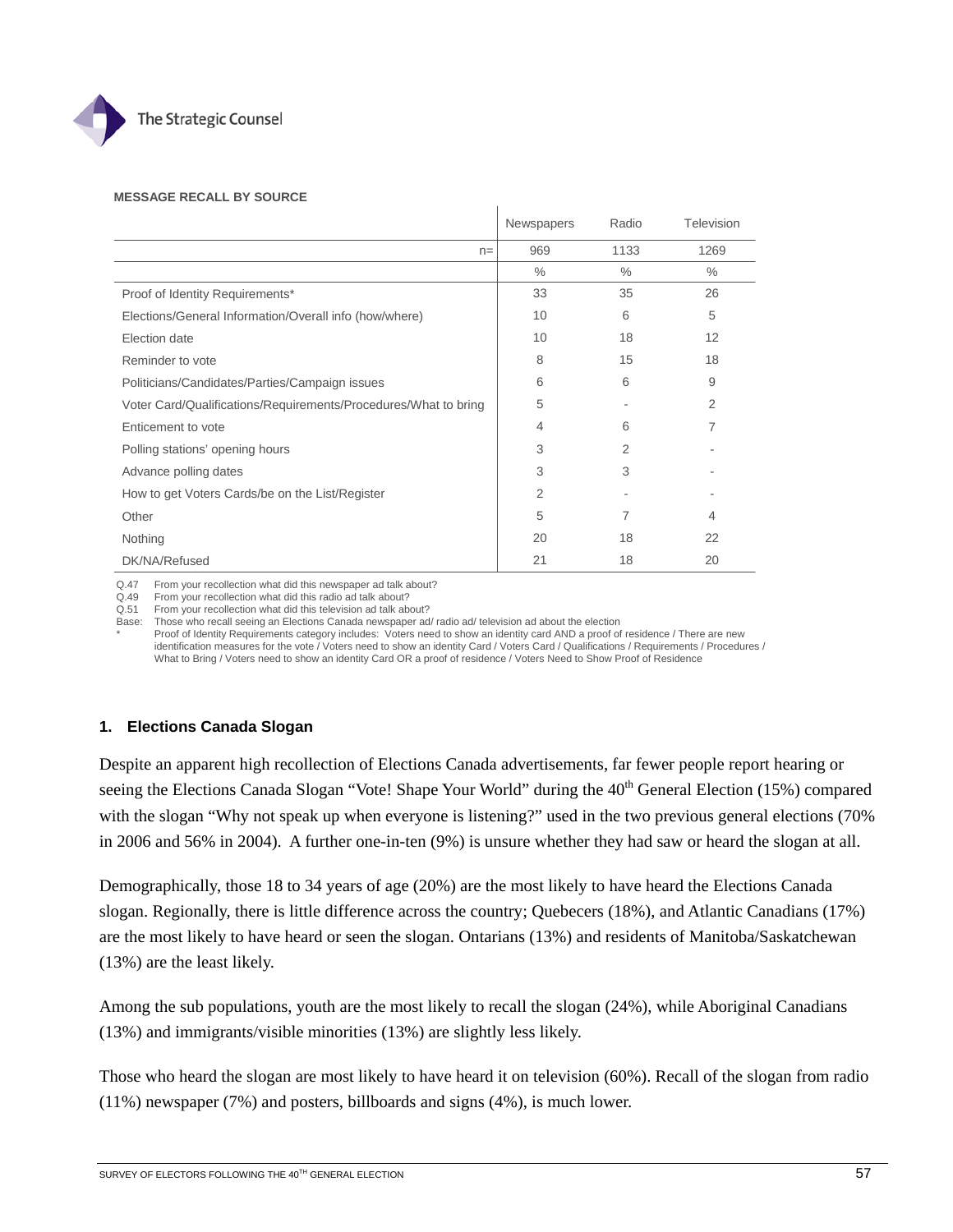

#### **MESSAGE RECALL BY SOURCE**

|                                                                 | Newspapers     | Radio | Television     |
|-----------------------------------------------------------------|----------------|-------|----------------|
| $n =$                                                           | 969            | 1133  | 1269           |
|                                                                 | $\%$           | $\%$  | $\%$           |
| Proof of Identity Requirements*                                 | 33             | 35    | 26             |
| Elections/General Information/Overall info (how/where)          | 10             | 6     | 5              |
| Election date                                                   | 10             | 18    | 12             |
| Reminder to vote                                                | 8              | 15    | 18             |
| Politicians/Candidates/Parties/Campaign issues                  | 6              | 6     | 9              |
| Voter Card/Qualifications/Requirements/Procedures/What to bring | 5              |       | $\overline{2}$ |
| Enticement to vote                                              | 4              | 6     | 7              |
| Polling stations' opening hours                                 | 3              | 2     |                |
| Advance polling dates                                           | 3              | 3     |                |
| How to get Voters Cards/be on the List/Register                 | $\overline{2}$ |       |                |
| Other                                                           | 5              | 7     | 4              |
| Nothing                                                         | 20             | 18    | 22             |
| DK/NA/Refused                                                   | 21             | 18    | 20             |

Q.47 From your recollection what did this newspaper ad talk about?

Q.49 From your recollection what did this radio ad talk about?

Q.51 From your recollection what did this television ad talk about?

Base: Those who recall seeing an Elections Canada newspaper ad/ radio ad/ television ad about the election

Proof of Identity Requirements category includes: Voters need to show an identity card AND a proof of residence / There are new identification measures for the vote / Voters need to show an identity Card / Voters Card / Qualifications / Requirements / Procedures / What to Bring / Voters need to show an identity Card OR a proof of residence / Voters Need to Show Proof of Residence

# **1. Elections Canada Slogan**

Despite an apparent high recollection of Elections Canada advertisements, far fewer people report hearing or seeing the Elections Canada Slogan "Vote! Shape Your World" during the 40<sup>th</sup> General Election (15%) compared with the slogan "Why not speak up when everyone is listening?" used in the two previous general elections (70%) in 2006 and 56% in 2004). A further one-in-ten (9%) is unsure whether they had saw or heard the slogan at all.

Demographically, those 18 to 34 years of age (20%) are the most likely to have heard the Elections Canada slogan. Regionally, there is little difference across the country; Quebecers (18%), and Atlantic Canadians (17%) are the most likely to have heard or seen the slogan. Ontarians (13%) and residents of Manitoba/Saskatchewan (13%) are the least likely.

Among the sub populations, youth are the most likely to recall the slogan (24%), while Aboriginal Canadians (13%) and immigrants/visible minorities (13%) are slightly less likely.

Those who heard the slogan are most likely to have heard it on television (60%). Recall of the slogan from radio (11%) newspaper (7%) and posters, billboards and signs (4%), is much lower.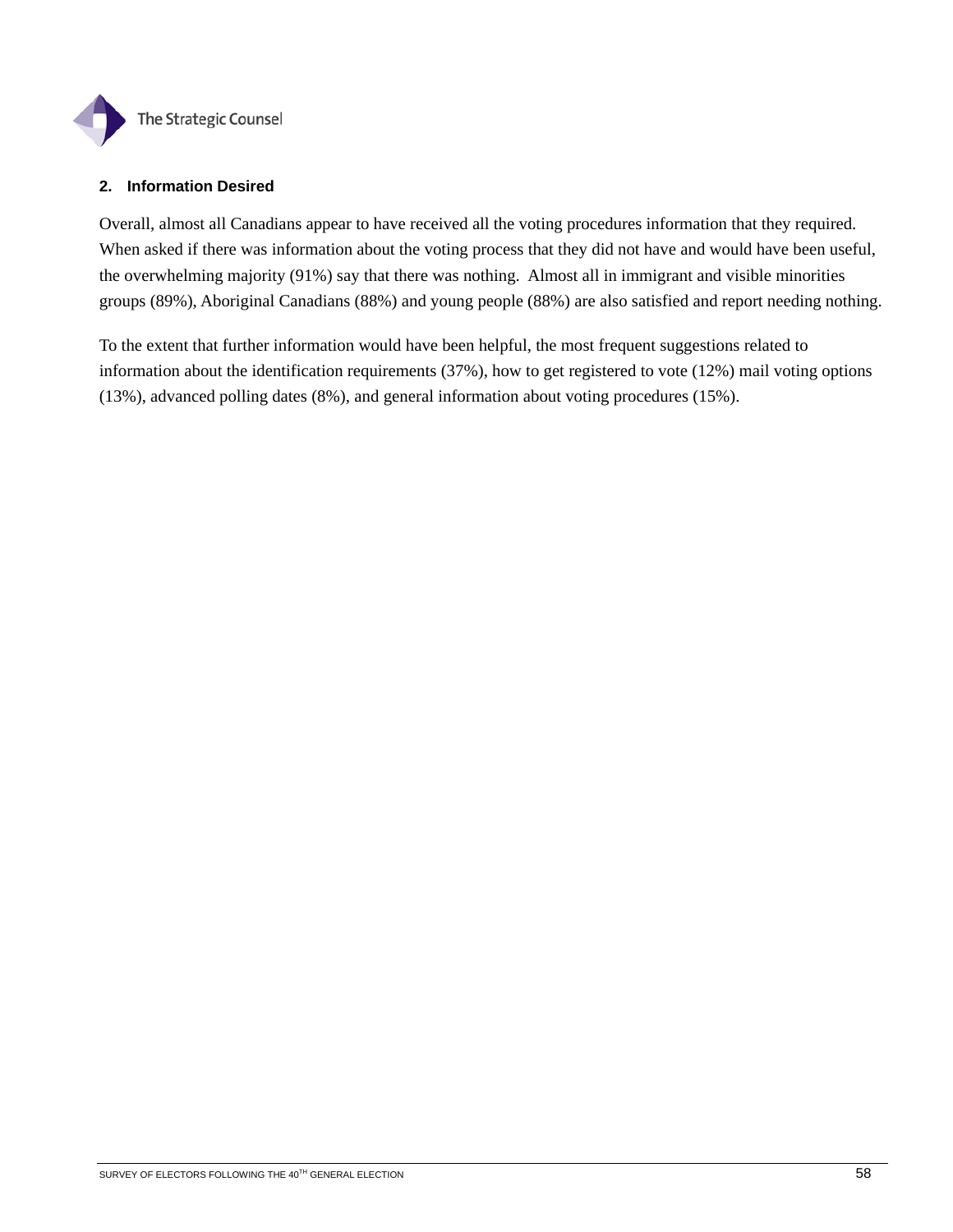

## **2. Information Desired**

Overall, almost all Canadians appear to have received all the voting procedures information that they required. When asked if there was information about the voting process that they did not have and would have been useful, the overwhelming majority (91%) say that there was nothing. Almost all in immigrant and visible minorities groups (89%), Aboriginal Canadians (88%) and young people (88%) are also satisfied and report needing nothing.

To the extent that further information would have been helpful, the most frequent suggestions related to information about the identification requirements (37%), how to get registered to vote (12%) mail voting options (13%), advanced polling dates (8%), and general information about voting procedures (15%).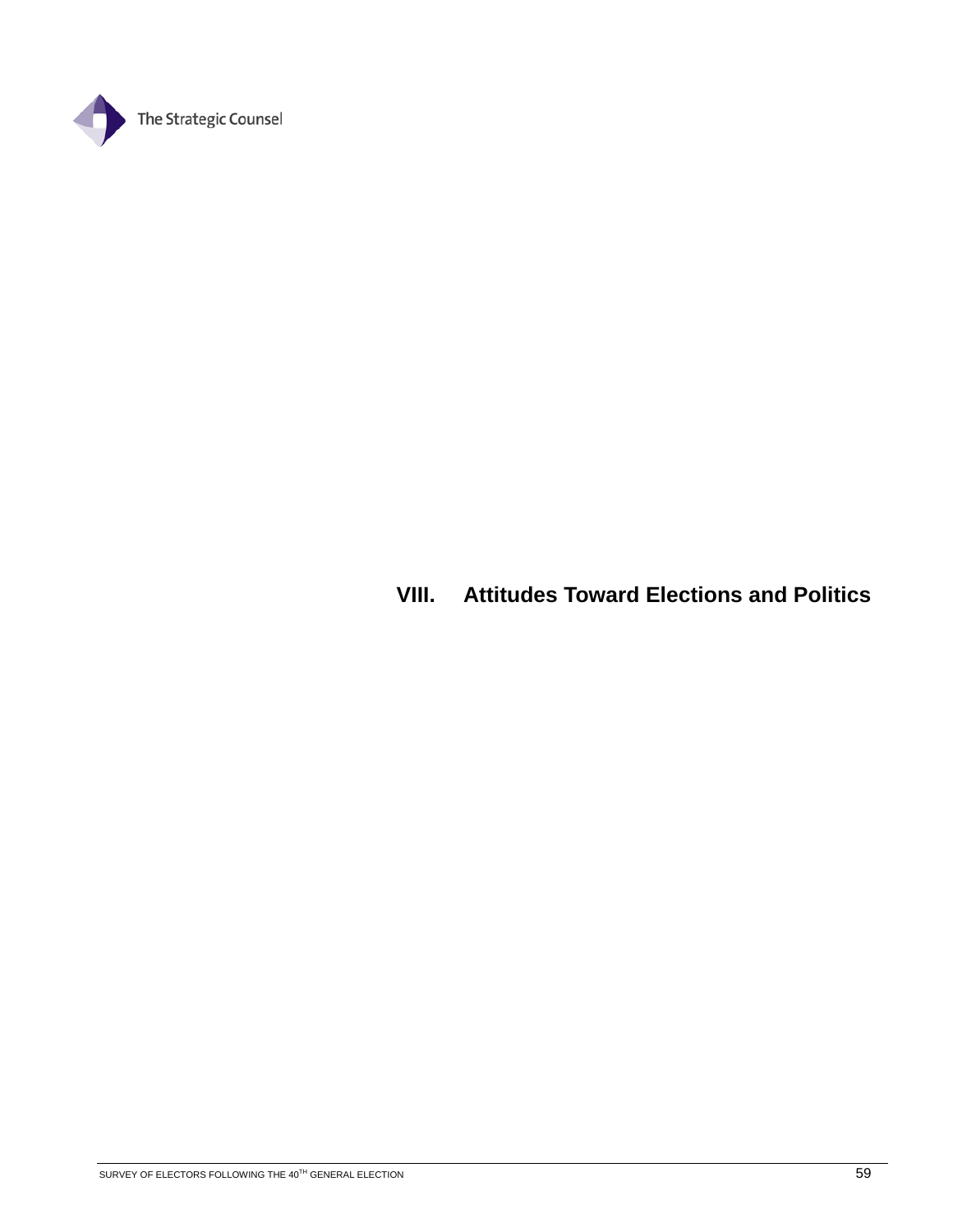

# **VIII. Attitudes Toward Elections and Politics**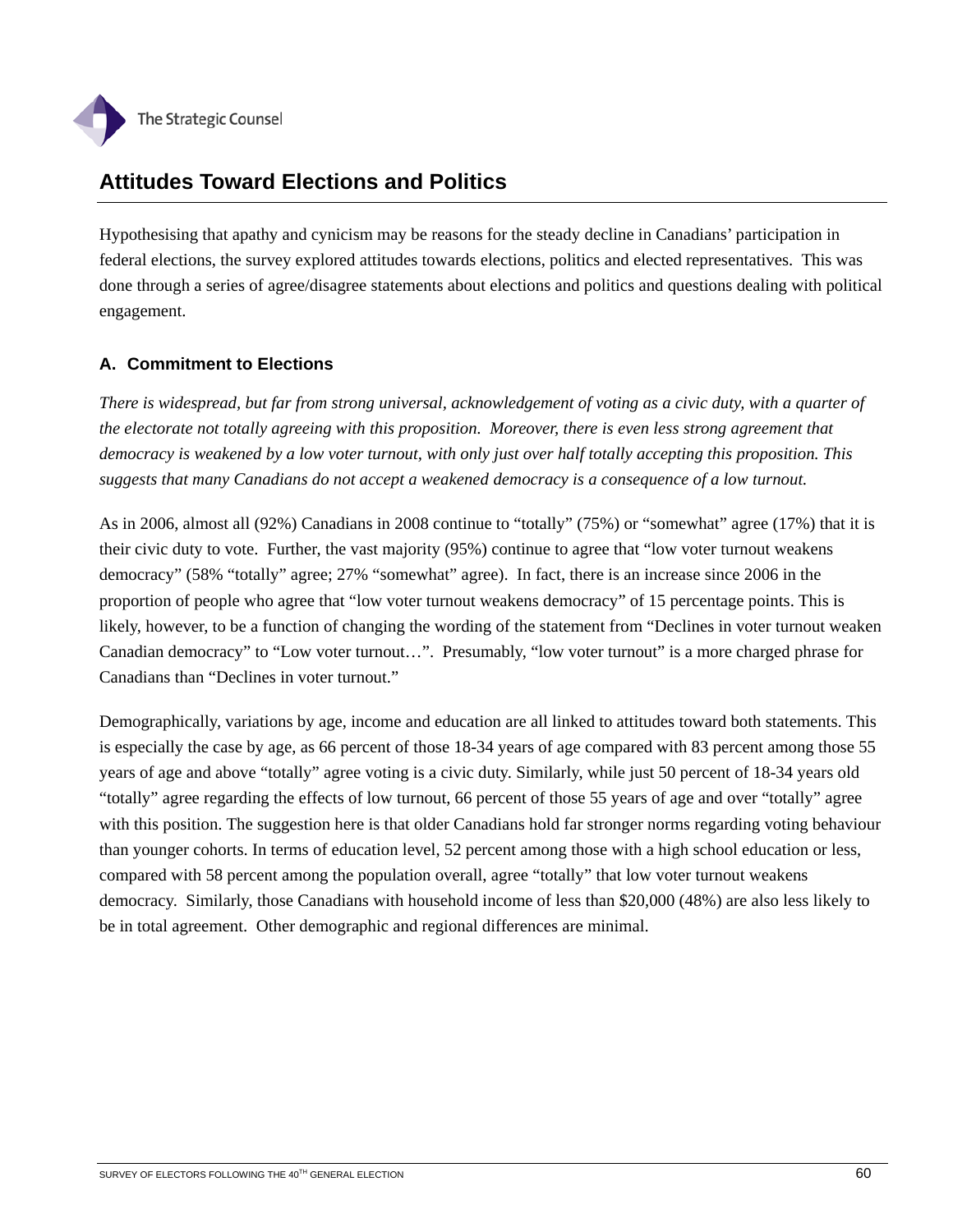

# **Attitudes Toward Elections and Politics**

Hypothesising that apathy and cynicism may be reasons for the steady decline in Canadians' participation in federal elections, the survey explored attitudes towards elections, politics and elected representatives. This was done through a series of agree/disagree statements about elections and politics and questions dealing with political engagement.

# **A. Commitment to Elections**

*There is widespread, but far from strong universal, acknowledgement of voting as a civic duty, with a quarter of the electorate not totally agreeing with this proposition. Moreover, there is even less strong agreement that democracy is weakened by a low voter turnout, with only just over half totally accepting this proposition. This suggests that many Canadians do not accept a weakened democracy is a consequence of a low turnout.* 

As in 2006, almost all (92%) Canadians in 2008 continue to "totally" (75%) or "somewhat" agree (17%) that it is their civic duty to vote. Further, the vast majority (95%) continue to agree that "low voter turnout weakens democracy" (58% "totally" agree; 27% "somewhat" agree). In fact, there is an increase since 2006 in the proportion of people who agree that "low voter turnout weakens democracy" of 15 percentage points. This is likely, however, to be a function of changing the wording of the statement from "Declines in voter turnout weaken Canadian democracy" to "Low voter turnout…". Presumably, "low voter turnout" is a more charged phrase for Canadians than "Declines in voter turnout."

Demographically, variations by age, income and education are all linked to attitudes toward both statements. This is especially the case by age, as 66 percent of those 18-34 years of age compared with 83 percent among those 55 years of age and above "totally" agree voting is a civic duty. Similarly, while just 50 percent of 18-34 years old "totally" agree regarding the effects of low turnout, 66 percent of those 55 years of age and over "totally" agree with this position. The suggestion here is that older Canadians hold far stronger norms regarding voting behaviour than younger cohorts. In terms of education level, 52 percent among those with a high school education or less, compared with 58 percent among the population overall, agree "totally" that low voter turnout weakens democracy. Similarly, those Canadians with household income of less than \$20,000 (48%) are also less likely to be in total agreement. Other demographic and regional differences are minimal.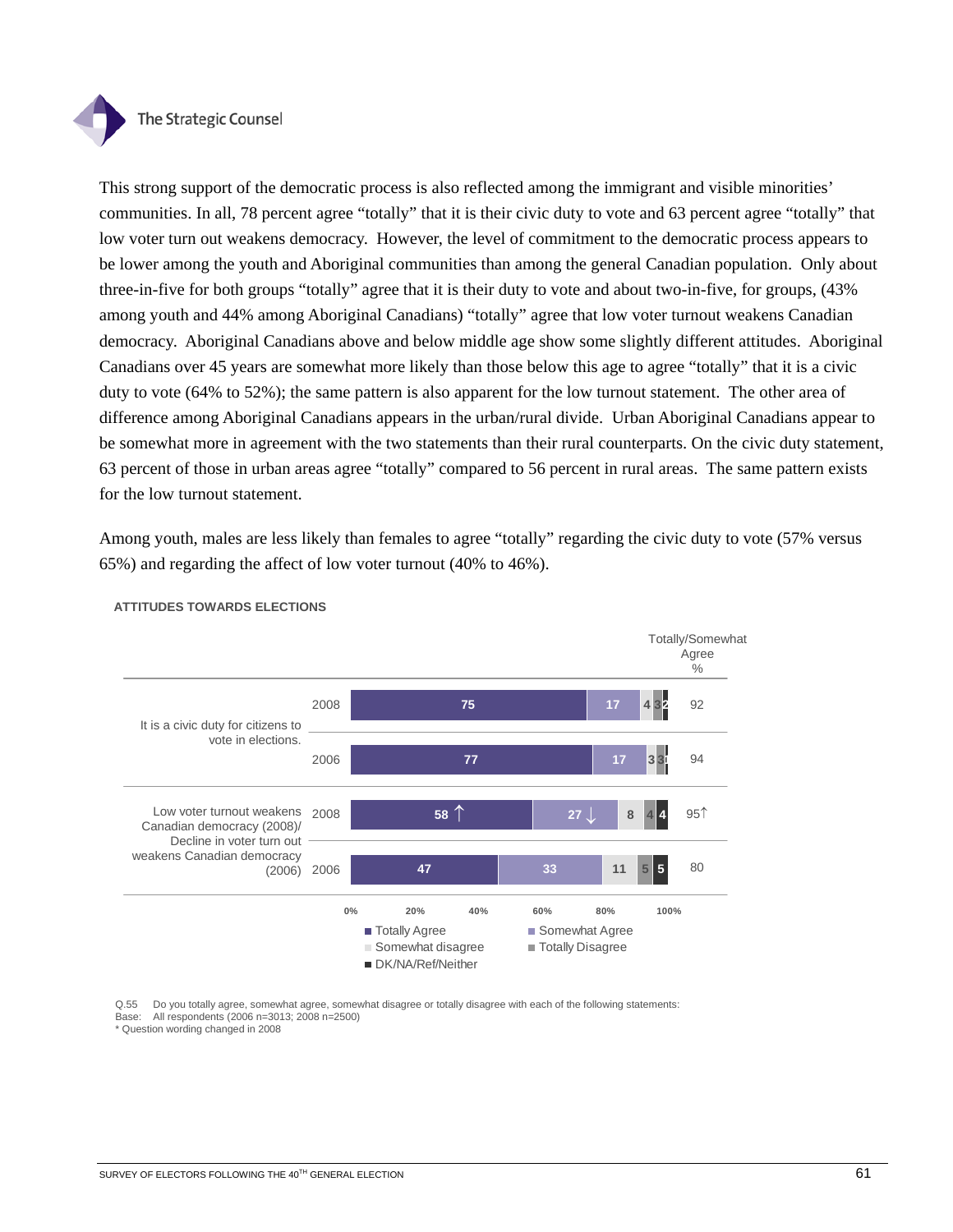

This strong support of the democratic process is also reflected among the immigrant and visible minorities' communities. In all, 78 percent agree "totally" that it is their civic duty to vote and 63 percent agree "totally" that low voter turn out weakens democracy. However, the level of commitment to the democratic process appears to be lower among the youth and Aboriginal communities than among the general Canadian population. Only about three-in-five for both groups "totally" agree that it is their duty to vote and about two-in-five, for groups, (43% among youth and 44% among Aboriginal Canadians) "totally" agree that low voter turnout weakens Canadian democracy. Aboriginal Canadians above and below middle age show some slightly different attitudes. Aboriginal Canadians over 45 years are somewhat more likely than those below this age to agree "totally" that it is a civic duty to vote (64% to 52%); the same pattern is also apparent for the low turnout statement. The other area of difference among Aboriginal Canadians appears in the urban/rural divide. Urban Aboriginal Canadians appear to be somewhat more in agreement with the two statements than their rural counterparts. On the civic duty statement, 63 percent of those in urban areas agree "totally" compared to 56 percent in rural areas. The same pattern exists for the low turnout statement.

Among youth, males are less likely than females to agree "totally" regarding the civic duty to vote (57% versus 65%) and regarding the affect of low voter turnout (40% to 46%).



#### **ATTITUDES TOWARDS ELECTIONS**

Q.55 Do you totally agree, somewhat agree, somewhat disagree or totally disagree with each of the following statements: Base: All respondents (2006 n=3013; 2008 n=2500)

\* Question wording changed in 2008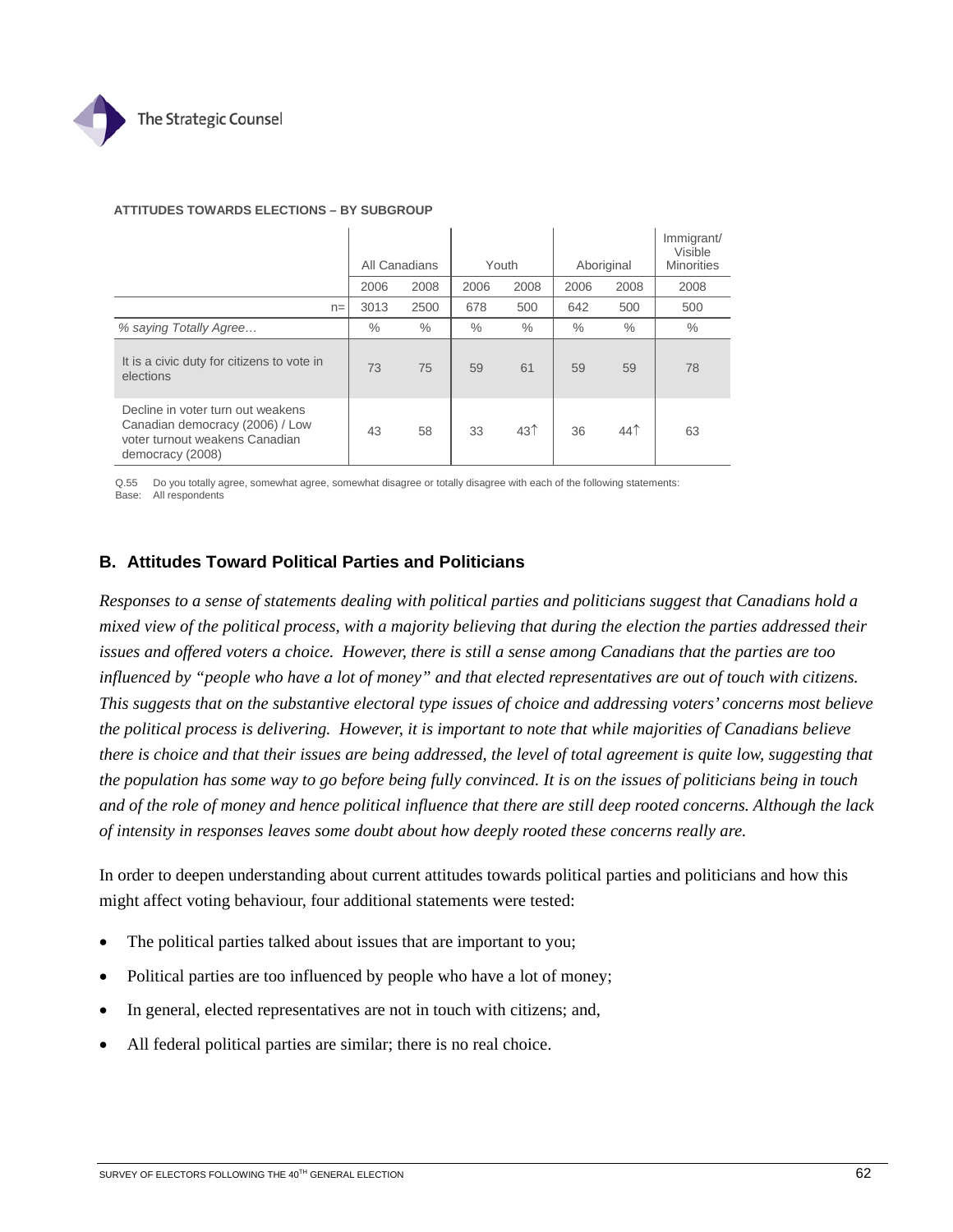

|                                                                                                                            | All Canadians |      |      | Youth           |      | Aboriginal      | Immigrant/<br>Visible<br><b>Minorities</b> |  |  |
|----------------------------------------------------------------------------------------------------------------------------|---------------|------|------|-----------------|------|-----------------|--------------------------------------------|--|--|
|                                                                                                                            | 2006          | 2008 | 2006 | 2008            | 2006 | 2008            | 2008                                       |  |  |
| $n =$                                                                                                                      | 3013          | 2500 | 678  | 500             | 642  | 500             | 500                                        |  |  |
| % saying Totally Agree                                                                                                     | $\%$          | $\%$ | $\%$ | $\%$            | $\%$ | $\%$            | $\%$                                       |  |  |
| It is a civic duty for citizens to vote in<br>elections                                                                    | 73            | 75   | 59   | 61              | 59   | 59              | 78                                         |  |  |
| Decline in voter turn out weakens<br>Canadian democracy (2006) / Low<br>voter turnout weakens Canadian<br>democracy (2008) | 43            | 58   | 33   | 43 <sup>†</sup> | 36   | 44 <sup>†</sup> | 63                                         |  |  |

#### **ATTITUDES TOWARDS ELECTIONS – BY SUBGROUP**

Q.55 Do you totally agree, somewhat agree, somewhat disagree or totally disagree with each of the following statements: Base: All respondents

## **B. Attitudes Toward Political Parties and Politicians**

*Responses to a sense of statements dealing with political parties and politicians suggest that Canadians hold a mixed view of the political process, with a majority believing that during the election the parties addressed their issues and offered voters a choice. However, there is still a sense among Canadians that the parties are too influenced by "people who have a lot of money" and that elected representatives are out of touch with citizens. This suggests that on the substantive electoral type issues of choice and addressing voters' concerns most believe the political process is delivering. However, it is important to note that while majorities of Canadians believe there is choice and that their issues are being addressed, the level of total agreement is quite low, suggesting that the population has some way to go before being fully convinced. It is on the issues of politicians being in touch and of the role of money and hence political influence that there are still deep rooted concerns. Although the lack of intensity in responses leaves some doubt about how deeply rooted these concerns really are.* 

In order to deepen understanding about current attitudes towards political parties and politicians and how this might affect voting behaviour, four additional statements were tested:

- The political parties talked about issues that are important to you;
- Political parties are too influenced by people who have a lot of money;
- In general, elected representatives are not in touch with citizens; and,
- All federal political parties are similar; there is no real choice.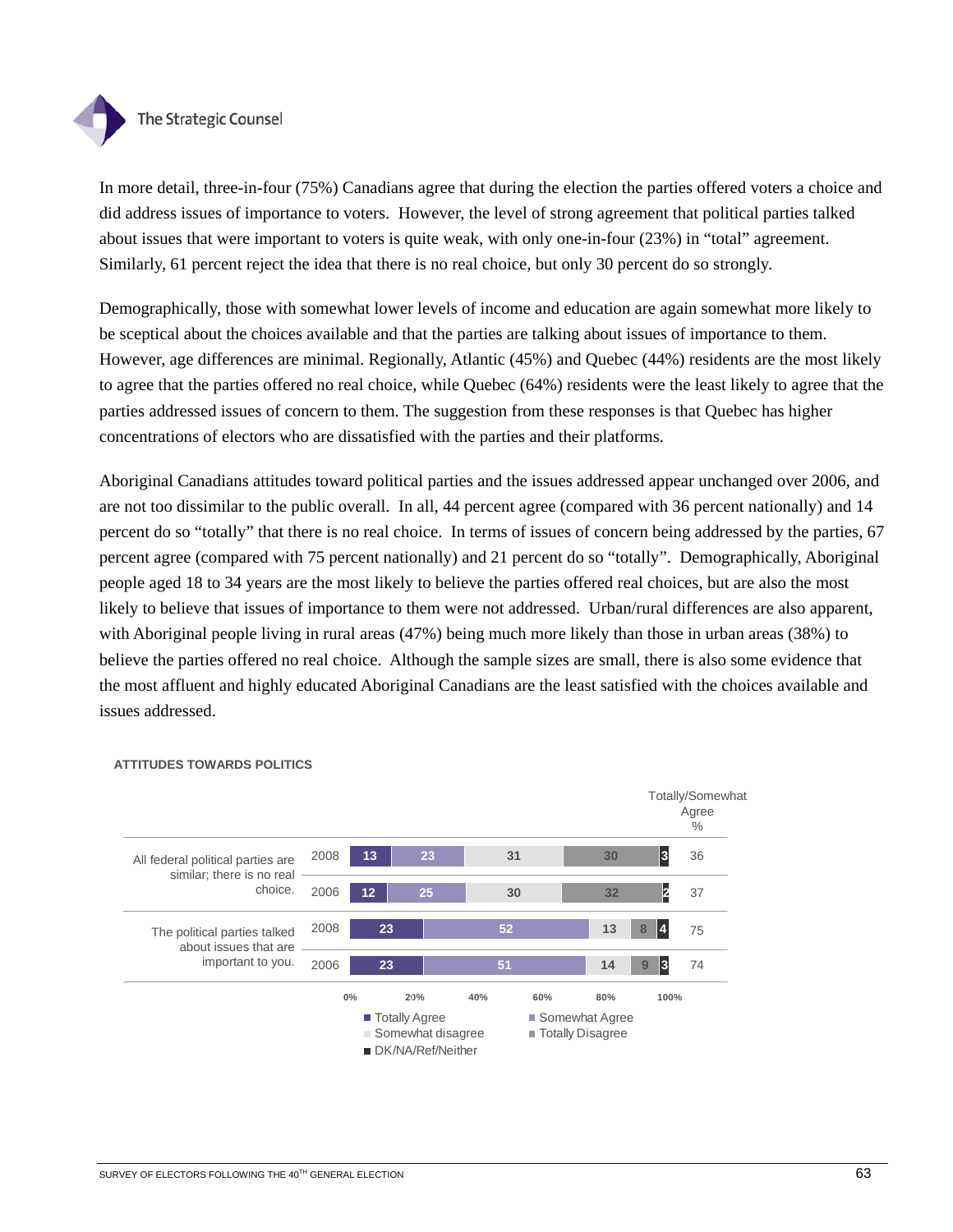

In more detail, three-in-four (75%) Canadians agree that during the election the parties offered voters a choice and did address issues of importance to voters. However, the level of strong agreement that political parties talked about issues that were important to voters is quite weak, with only one-in-four (23%) in "total" agreement. Similarly, 61 percent reject the idea that there is no real choice, but only 30 percent do so strongly.

Demographically, those with somewhat lower levels of income and education are again somewhat more likely to be sceptical about the choices available and that the parties are talking about issues of importance to them. However, age differences are minimal. Regionally, Atlantic (45%) and Quebec (44%) residents are the most likely to agree that the parties offered no real choice, while Quebec (64%) residents were the least likely to agree that the parties addressed issues of concern to them. The suggestion from these responses is that Quebec has higher concentrations of electors who are dissatisfied with the parties and their platforms.

Aboriginal Canadians attitudes toward political parties and the issues addressed appear unchanged over 2006, and are not too dissimilar to the public overall. In all, 44 percent agree (compared with 36 percent nationally) and 14 percent do so "totally" that there is no real choice. In terms of issues of concern being addressed by the parties, 67 percent agree (compared with 75 percent nationally) and 21 percent do so "totally". Demographically, Aboriginal people aged 18 to 34 years are the most likely to believe the parties offered real choices, but are also the most likely to believe that issues of importance to them were not addressed. Urban/rural differences are also apparent, with Aboriginal people living in rural areas (47%) being much more likely than those in urban areas (38%) to believe the parties offered no real choice. Although the sample sizes are small, there is also some evidence that the most affluent and highly educated Aboriginal Canadians are the least satisfied with the choices available and issues addressed.



### **ATTITUDES TOWARDS POLITICS**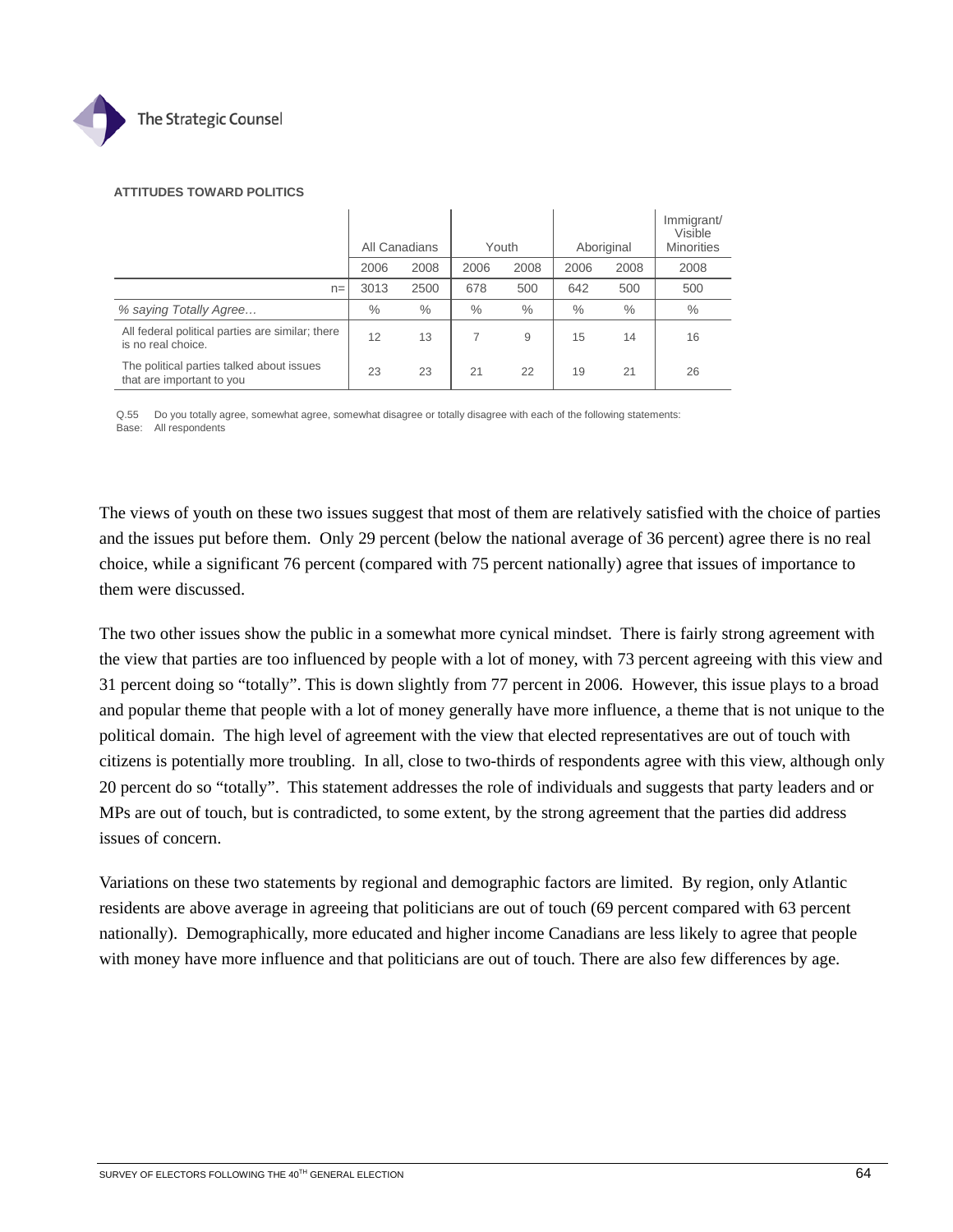

#### **ATTITUDES TOWARD POLITICS**

|                                                                        | All Canadians |      |      | Youth |               | Aboriginal | Immigrant/<br>Visible<br><b>Minorities</b> |
|------------------------------------------------------------------------|---------------|------|------|-------|---------------|------------|--------------------------------------------|
|                                                                        | 2006          | 2008 | 2006 | 2008  | 2006          | 2008       | 2008                                       |
| $n =$                                                                  | 3013          | 2500 | 678  | 500   | 642           | 500        | 500                                        |
| % saying Totally Agree                                                 | $\%$          | $\%$ | $\%$ | $\%$  | $\frac{0}{0}$ | $\%$       | $\%$                                       |
| All federal political parties are similar; there<br>is no real choice. | 12            | 13   |      | 9     | 15            | 14         | 16                                         |
| The political parties talked about issues<br>that are important to you | 23            | 23   | 21   | 22    | 19            | 21         | 26                                         |

Q.55 Do you totally agree, somewhat agree, somewhat disagree or totally disagree with each of the following statements: Base: All respondents

The views of youth on these two issues suggest that most of them are relatively satisfied with the choice of parties and the issues put before them. Only 29 percent (below the national average of 36 percent) agree there is no real choice, while a significant 76 percent (compared with 75 percent nationally) agree that issues of importance to them were discussed.

The two other issues show the public in a somewhat more cynical mindset. There is fairly strong agreement with the view that parties are too influenced by people with a lot of money, with 73 percent agreeing with this view and 31 percent doing so "totally". This is down slightly from 77 percent in 2006. However, this issue plays to a broad and popular theme that people with a lot of money generally have more influence, a theme that is not unique to the political domain. The high level of agreement with the view that elected representatives are out of touch with citizens is potentially more troubling. In all, close to two-thirds of respondents agree with this view, although only 20 percent do so "totally". This statement addresses the role of individuals and suggests that party leaders and or MPs are out of touch, but is contradicted, to some extent, by the strong agreement that the parties did address issues of concern.

Variations on these two statements by regional and demographic factors are limited. By region, only Atlantic residents are above average in agreeing that politicians are out of touch (69 percent compared with 63 percent nationally). Demographically, more educated and higher income Canadians are less likely to agree that people with money have more influence and that politicians are out of touch. There are also few differences by age.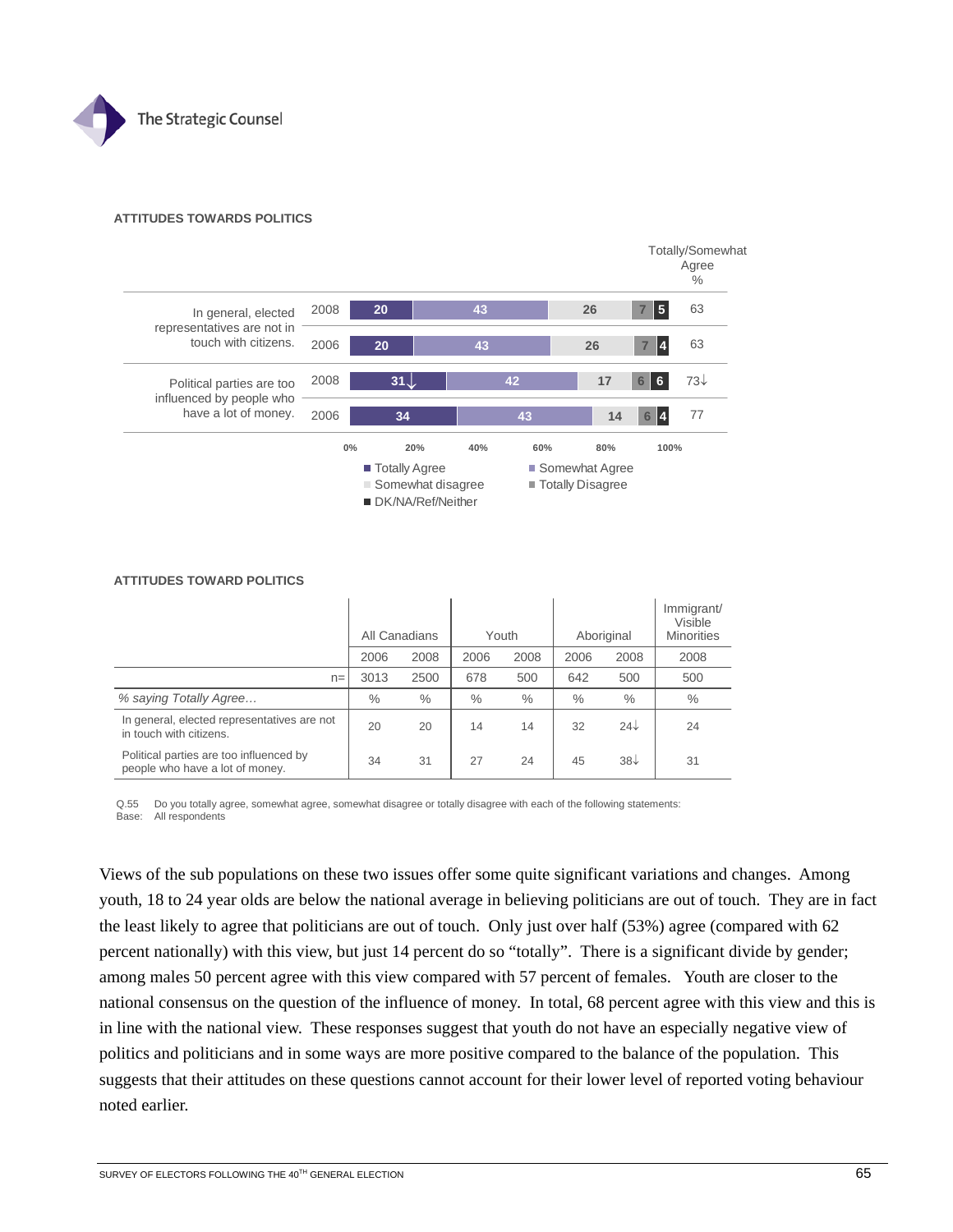

#### **ATTITUDES TOWARDS POLITICS**



| AT THUDES TOWARD PULITIUS                                                  |      |               |      |       |      |              |                                            |  |  |  |  |  |  |
|----------------------------------------------------------------------------|------|---------------|------|-------|------|--------------|--------------------------------------------|--|--|--|--|--|--|
|                                                                            |      | All Canadians |      | Youth |      | Aboriginal   | Immigrant/<br>Visible<br><b>Minorities</b> |  |  |  |  |  |  |
|                                                                            | 2006 | 2008          | 2006 | 2008  | 2006 | 2008         | 2008                                       |  |  |  |  |  |  |
| $n =$                                                                      | 3013 | 2500          | 678  | 500   | 642  | 500          | 500                                        |  |  |  |  |  |  |
| % saying Totally Agree                                                     | $\%$ | $\%$          | $\%$ | $\%$  | $\%$ | $\%$         | $\%$                                       |  |  |  |  |  |  |
| In general, elected representatives are not<br>in touch with citizens.     | 20   | 20            | 14   | 14    | 32   | $24\sqrt{ }$ | 24                                         |  |  |  |  |  |  |
| Political parties are too influenced by<br>people who have a lot of money. | 34   | 31            | 27   | 24    | 45   | $38\sqrt{ }$ | 31                                         |  |  |  |  |  |  |

### **ATTITUDES TOWARD POLITICS**

Q.55 Do you totally agree, somewhat agree, somewhat disagree or totally disagree with each of the following statements: Base: All respondents

Views of the sub populations on these two issues offer some quite significant variations and changes. Among youth, 18 to 24 year olds are below the national average in believing politicians are out of touch. They are in fact the least likely to agree that politicians are out of touch. Only just over half (53%) agree (compared with 62 percent nationally) with this view, but just 14 percent do so "totally". There is a significant divide by gender; among males 50 percent agree with this view compared with 57 percent of females. Youth are closer to the national consensus on the question of the influence of money. In total, 68 percent agree with this view and this is in line with the national view. These responses suggest that youth do not have an especially negative view of politics and politicians and in some ways are more positive compared to the balance of the population. This suggests that their attitudes on these questions cannot account for their lower level of reported voting behaviour noted earlier.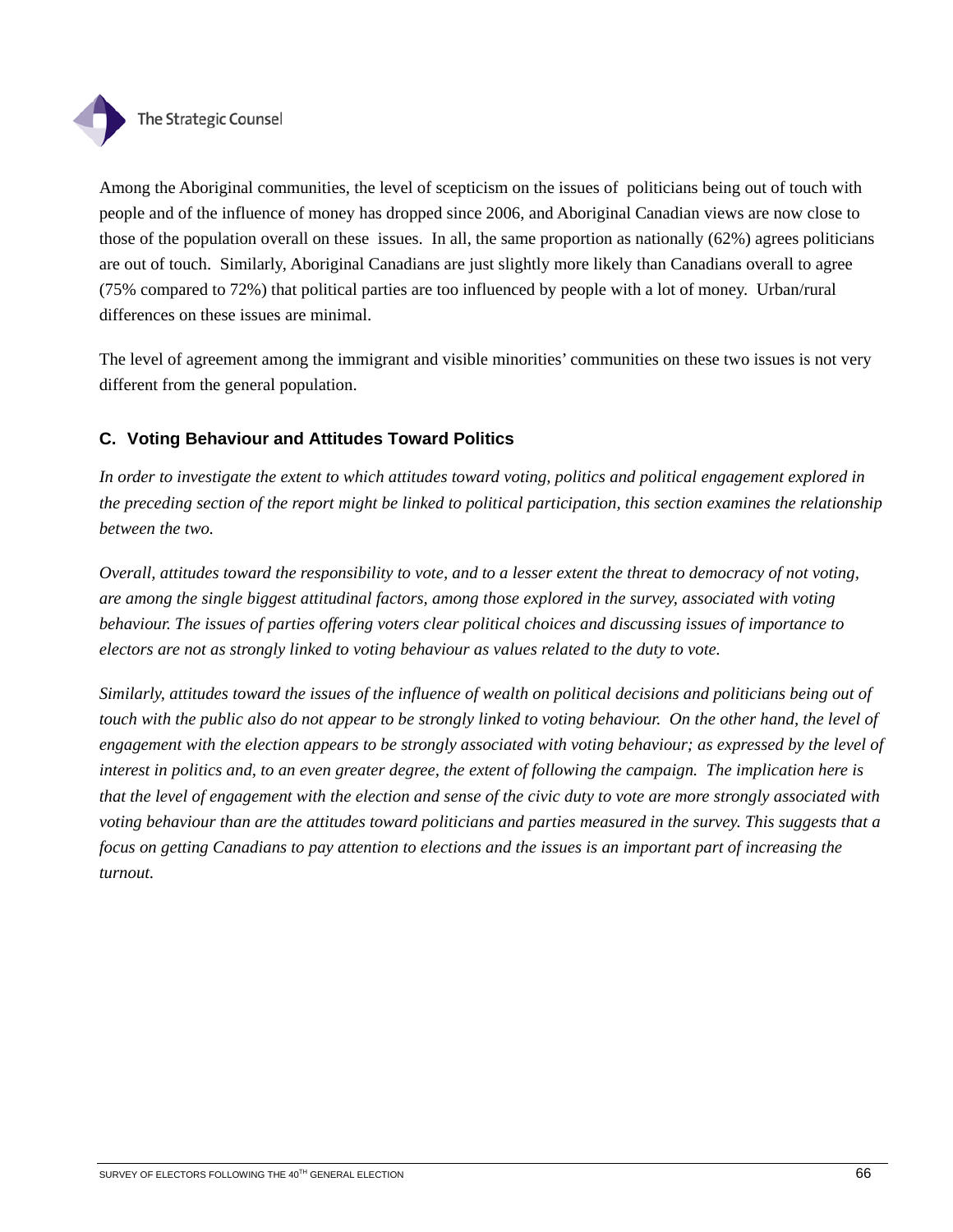

Among the Aboriginal communities, the level of scepticism on the issues of politicians being out of touch with people and of the influence of money has dropped since 2006, and Aboriginal Canadian views are now close to those of the population overall on these issues. In all, the same proportion as nationally (62%) agrees politicians are out of touch. Similarly, Aboriginal Canadians are just slightly more likely than Canadians overall to agree (75% compared to 72%) that political parties are too influenced by people with a lot of money. Urban/rural differences on these issues are minimal.

The level of agreement among the immigrant and visible minorities' communities on these two issues is not very different from the general population.

# **C. Voting Behaviour and Attitudes Toward Politics**

*In order to investigate the extent to which attitudes toward voting, politics and political engagement explored in the preceding section of the report might be linked to political participation, this section examines the relationship between the two.* 

*Overall, attitudes toward the responsibility to vote, and to a lesser extent the threat to democracy of not voting, are among the single biggest attitudinal factors, among those explored in the survey, associated with voting behaviour. The issues of parties offering voters clear political choices and discussing issues of importance to electors are not as strongly linked to voting behaviour as values related to the duty to vote.* 

*Similarly, attitudes toward the issues of the influence of wealth on political decisions and politicians being out of touch with the public also do not appear to be strongly linked to voting behaviour. On the other hand, the level of engagement with the election appears to be strongly associated with voting behaviour; as expressed by the level of interest in politics and, to an even greater degree, the extent of following the campaign. The implication here is that the level of engagement with the election and sense of the civic duty to vote are more strongly associated with voting behaviour than are the attitudes toward politicians and parties measured in the survey. This suggests that a focus on getting Canadians to pay attention to elections and the issues is an important part of increasing the turnout.*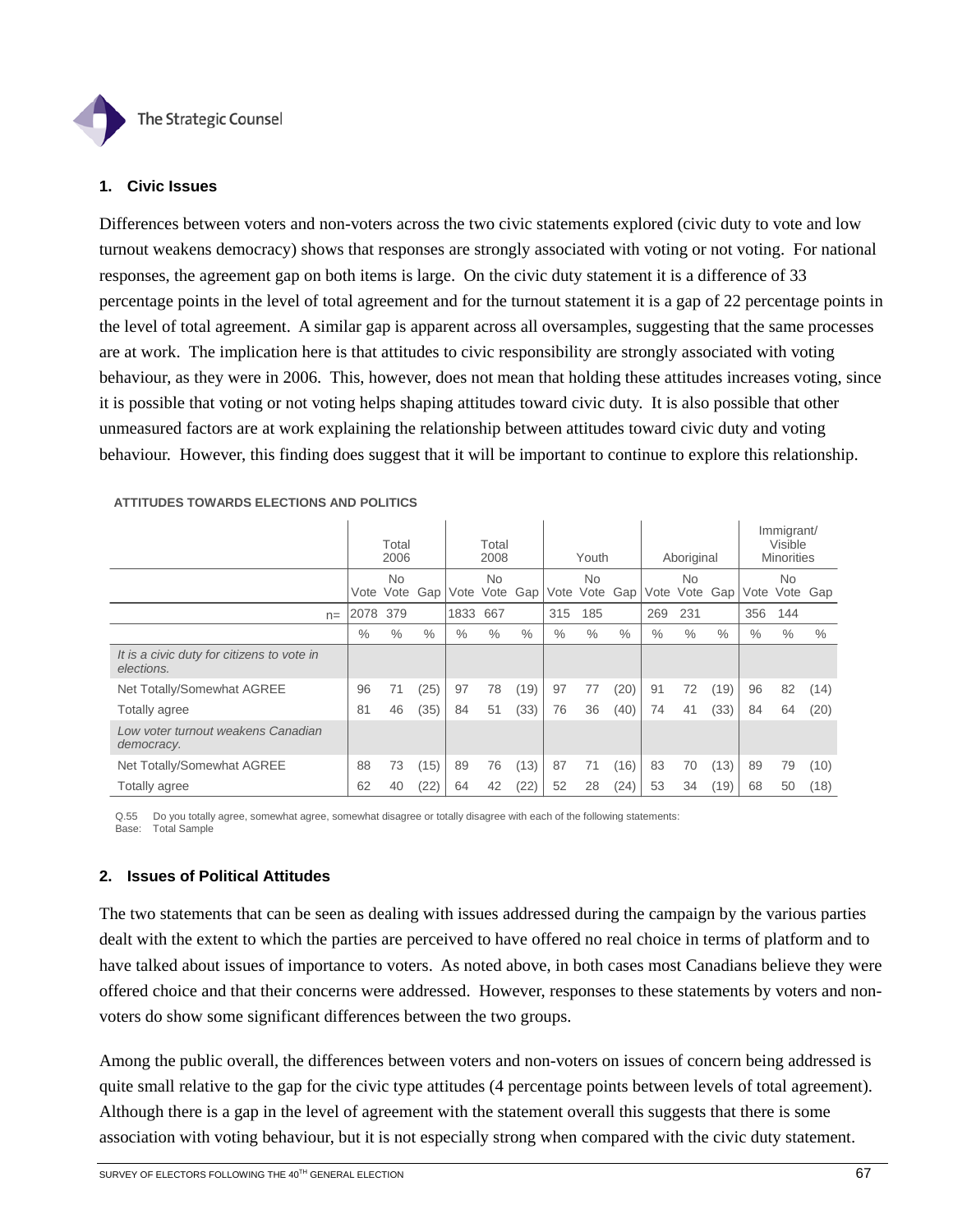

## **1. Civic Issues**

Differences between voters and non-voters across the two civic statements explored (civic duty to vote and low turnout weakens democracy) shows that responses are strongly associated with voting or not voting. For national responses, the agreement gap on both items is large. On the civic duty statement it is a difference of 33 percentage points in the level of total agreement and for the turnout statement it is a gap of 22 percentage points in the level of total agreement. A similar gap is apparent across all oversamples, suggesting that the same processes are at work. The implication here is that attitudes to civic responsibility are strongly associated with voting behaviour, as they were in 2006. This, however, does not mean that holding these attitudes increases voting, since it is possible that voting or not voting helps shaping attitudes toward civic duty. It is also possible that other unmeasured factors are at work explaining the relationship between attitudes toward civic duty and voting behaviour. However, this finding does suggest that it will be important to continue to explore this relationship.

|                                                          | Total<br>2006 |           |      | Total<br>2008 |           |      | Youth |           |               | Aboriginal |           |      |      | Immigrant/<br>Visible<br><b>Minorities</b> |      |
|----------------------------------------------------------|---------------|-----------|------|---------------|-----------|------|-------|-----------|---------------|------------|-----------|------|------|--------------------------------------------|------|
|                                                          |               | <b>No</b> |      |               | <b>No</b> |      |       | <b>No</b> |               |            | <b>No</b> |      |      | <b>No</b>                                  |      |
|                                                          | Vote          | Vote      | Gap  | Vote          | Vote      | Gap  | Vote  | Vote      | Gap           | Vote       | Vote      | Gap  | Vote | Vote                                       | Gap  |
| $n =$                                                    | 2078          | 379       |      | 1833          | 667       |      | 315   | 185       |               | 269        | 231       |      | 356  | 144                                        |      |
|                                                          | $\%$          | $\%$      | $\%$ | $\%$          | $\%$      | $\%$ | $\%$  | $\%$      | $\frac{0}{0}$ | $\%$       | $\%$      | $\%$ | $\%$ | $\frac{0}{0}$                              | $\%$ |
| It is a civic duty for citizens to vote in<br>elections. |               |           |      |               |           |      |       |           |               |            |           |      |      |                                            |      |
| Net Totally/Somewhat AGREE                               | 96            | 71        | (25) | 97            | 78        | (19) | 97    | 77        | (20)          | 91         | 72        | (19) | 96   | 82                                         | (14) |
| Totally agree                                            | 81            | 46        | (35) | 84            | 51        | (33) | 76    | 36        | (40)          | 74         | 41        | (33) | 84   | 64                                         | (20) |
| Low voter turnout weakens Canadian<br>democracy.         |               |           |      |               |           |      |       |           |               |            |           |      |      |                                            |      |
| Net Totally/Somewhat AGREE                               | 88            | 73        | (15) | 89            | 76        | (13) | 87    | 71        | (16)          | 83         | 70        | (13) | 89   | 79                                         | (10) |
| Totally agree                                            | 62            | 40        | (22) | 64            | 42        | (22) | 52    | 28        | (24)          | 53         | 34        | (19) | 68   | 50                                         | (18) |

#### **ATTITUDES TOWARDS ELECTIONS AND POLITICS**

Q.55 Do you totally agree, somewhat agree, somewhat disagree or totally disagree with each of the following statements: Base: Total Sample

## **2. Issues of Political Attitudes**

The two statements that can be seen as dealing with issues addressed during the campaign by the various parties dealt with the extent to which the parties are perceived to have offered no real choice in terms of platform and to have talked about issues of importance to voters. As noted above, in both cases most Canadians believe they were offered choice and that their concerns were addressed. However, responses to these statements by voters and nonvoters do show some significant differences between the two groups.

Among the public overall, the differences between voters and non-voters on issues of concern being addressed is quite small relative to the gap for the civic type attitudes (4 percentage points between levels of total agreement). Although there is a gap in the level of agreement with the statement overall this suggests that there is some association with voting behaviour, but it is not especially strong when compared with the civic duty statement.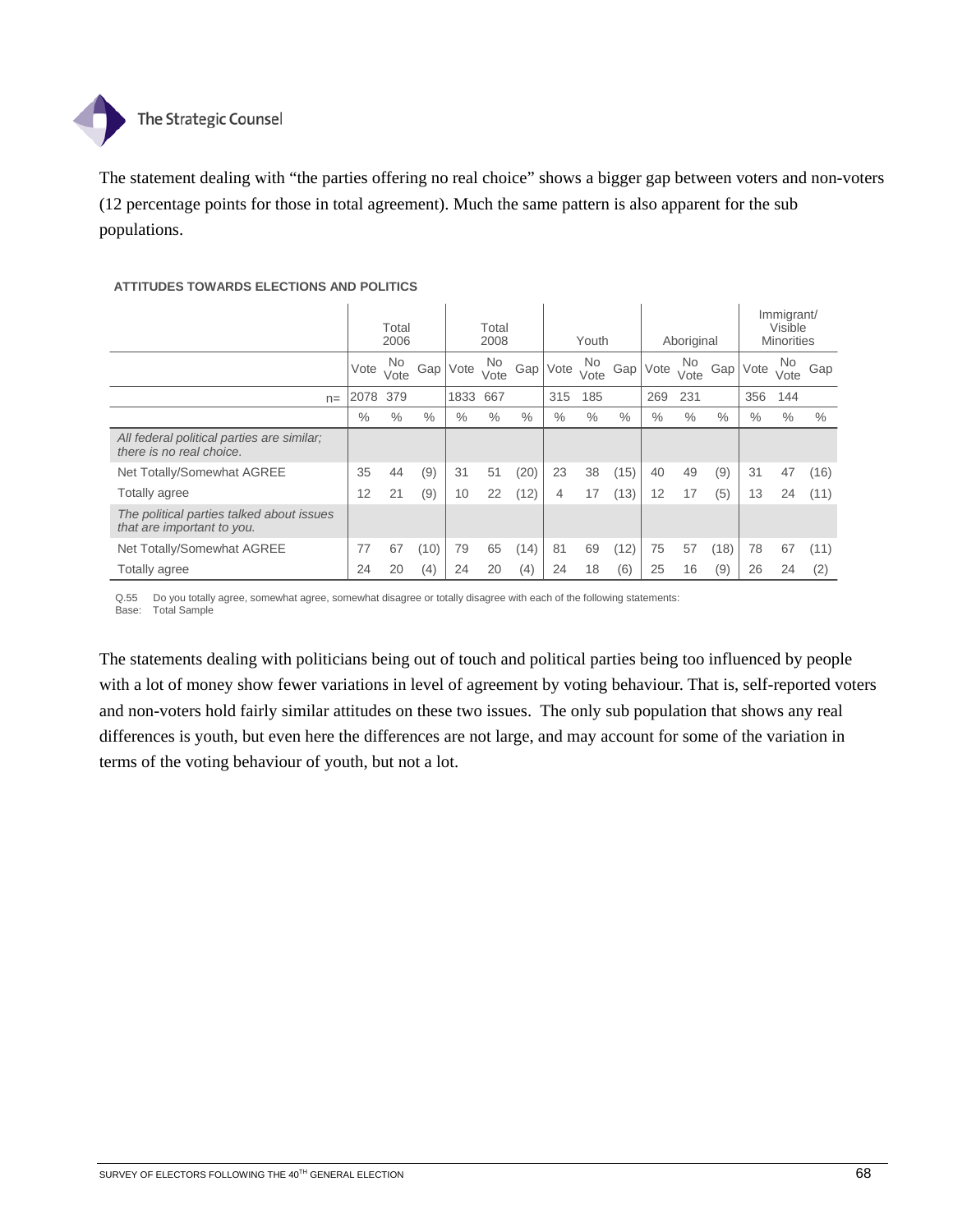

The statement dealing with "the parties offering no real choice" shows a bigger gap between voters and non-voters (12 percentage points for those in total agreement). Much the same pattern is also apparent for the sub populations.

### **ATTITUDES TOWARDS ELECTIONS AND POLITICS**

|                                                                         |      | Total<br>2006 |      | Total<br>2008 |             | Youth |      |            | Aboriginal |      |             | Immigrant/<br>Visible | <b>Minorities</b> |             |      |
|-------------------------------------------------------------------------|------|---------------|------|---------------|-------------|-------|------|------------|------------|------|-------------|-----------------------|-------------------|-------------|------|
|                                                                         | Vote | No.<br>Vote   | Gap' | Vote          | No.<br>Vote | Gap'  | Vote | No<br>Vote | Gap        | Vote | No.<br>Vote | Gap                   | Vote              | No.<br>Vote | Gap  |
| $n =$                                                                   | 2078 | 379           |      | 1833          | 667         |       | 315  | 185        |            | 269  | 231         |                       | 356               | 144         |      |
|                                                                         | $\%$ | $\%$          | $\%$ | $\%$          | $\%$        | $\%$  | $\%$ | $\%$       | $\%$       | $\%$ | $\%$        | $\%$                  | $\%$              | $\%$        | $\%$ |
| All federal political parties are similar;<br>there is no real choice.  |      |               |      |               |             |       |      |            |            |      |             |                       |                   |             |      |
| Net Totally/Somewhat AGREE                                              | 35   | 44            | (9)  | 31            | 51          | (20)  | 23   | 38         | (15)       | 40   | 49          | (9)                   | 31                | 47          | (16) |
| Totally agree                                                           | 12   | 21            | (9)  | 10            | 22          | (12)  | 4    | 17         | (13)       | 12   | 17          | (5)                   | 13                | 24          | (11) |
| The political parties talked about issues<br>that are important to you. |      |               |      |               |             |       |      |            |            |      |             |                       |                   |             |      |
| Net Totally/Somewhat AGREE                                              | 77   | 67            | (10) | 79            | 65          | (14)  | 81   | 69         | (12)       | 75   | 57          | (18)                  | 78                | 67          | (11) |
| Totally agree                                                           | 24   | 20            | (4)  | 24            | 20          | (4)   | 24   | 18         | (6)        | 25   | 16          | (9)                   | 26                | 24          | (2)  |

Q.55 Do you totally agree, somewhat agree, somewhat disagree or totally disagree with each of the following statements: Base: Total Sample

The statements dealing with politicians being out of touch and political parties being too influenced by people with a lot of money show fewer variations in level of agreement by voting behaviour. That is, self-reported voters and non-voters hold fairly similar attitudes on these two issues. The only sub population that shows any real differences is youth, but even here the differences are not large, and may account for some of the variation in terms of the voting behaviour of youth, but not a lot.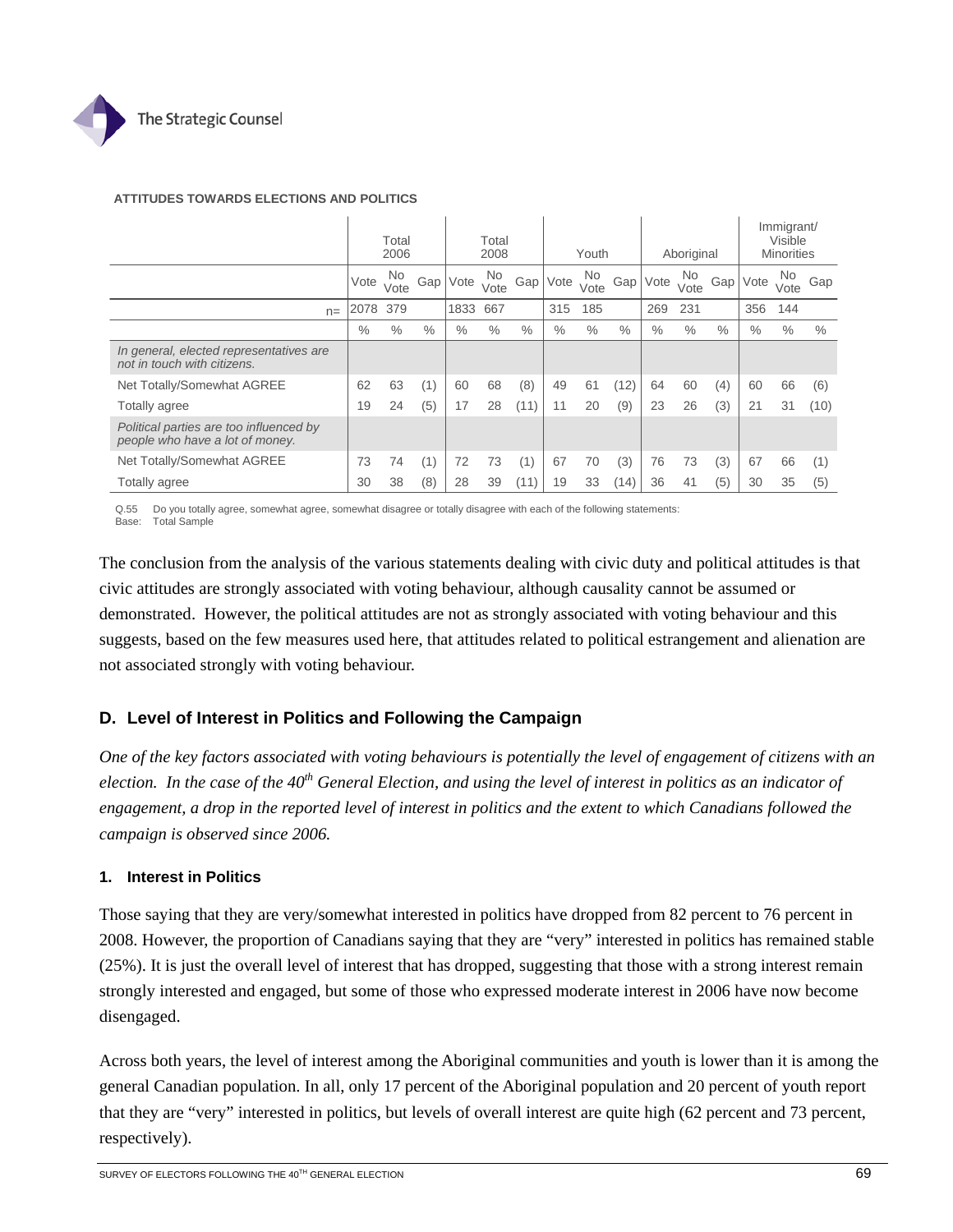

### **ATTITUDES TOWARDS ELECTIONS AND POLITICS**

|                                                                            |      | Total<br>2006 |      |      | Total<br>2008 |                  |      | Youth       |      |      | Aboriginal  |                  |      | Immigrant/<br>Visible<br><b>Minorities</b> |      |
|----------------------------------------------------------------------------|------|---------------|------|------|---------------|------------------|------|-------------|------|------|-------------|------------------|------|--------------------------------------------|------|
|                                                                            | Vote | No.<br>Vote   | Gap' | Vote | No.<br>Vote   | Gap <sup>1</sup> | Vote | No.<br>Vote | Gap  | Vote | No.<br>Vote | Gap <sup>'</sup> | Vote | No<br>Vote                                 | Gap  |
| $n =$                                                                      | 2078 | 379           |      | 1833 | 667           |                  | 315  | 185         |      | 269  | 231         |                  | 356  | 144                                        |      |
|                                                                            | $\%$ | $\%$          | $\%$ | $\%$ | $\%$          | $\%$             | $\%$ | $\%$        | $\%$ | $\%$ | $\%$        | $\%$             | $\%$ | $\frac{0}{0}$                              | $\%$ |
| In general, elected representatives are<br>not in touch with citizens.     |      |               |      |      |               |                  |      |             |      |      |             |                  |      |                                            |      |
| Net Totally/Somewhat AGREE                                                 | 62   | 63            | (1)  | 60   | 68            | (8)              | 49   | 61          | (12) | 64   | 60          | (4)              | 60   | 66                                         | (6)  |
| Totally agree                                                              | 19   | 24            | (5)  | 17   | 28            | (11)             | 11   | 20          | (9)  | 23   | 26          | (3)              | 21   | 31                                         | (10) |
| Political parties are too influenced by<br>people who have a lot of money. |      |               |      |      |               |                  |      |             |      |      |             |                  |      |                                            |      |
| Net Totally/Somewhat AGREE                                                 | 73   | 74            | (1)  | 72   | 73            | (1)              | 67   | 70          | (3)  | 76   | 73          | (3)              | 67   | 66                                         | (1)  |
| Totally agree                                                              | 30   | 38            | (8)  | 28   | 39            | (11)             | 19   | 33          | (14) | 36   | 41          | (5)              | 30   | 35                                         | (5)  |

Q.55 Do you totally agree, somewhat agree, somewhat disagree or totally disagree with each of the following statements: Base: Total Sample

The conclusion from the analysis of the various statements dealing with civic duty and political attitudes is that civic attitudes are strongly associated with voting behaviour, although causality cannot be assumed or demonstrated. However, the political attitudes are not as strongly associated with voting behaviour and this suggests, based on the few measures used here, that attitudes related to political estrangement and alienation are not associated strongly with voting behaviour.

## **D. Level of Interest in Politics and Following the Campaign**

*One of the key factors associated with voting behaviours is potentially the level of engagement of citizens with an election. In the case of the 40<sup>th</sup> General Election, and using the level of interest in politics as an indicator of engagement, a drop in the reported level of interest in politics and the extent to which Canadians followed the campaign is observed since 2006.*

### **1. Interest in Politics**

Those saying that they are very/somewhat interested in politics have dropped from 82 percent to 76 percent in 2008. However, the proportion of Canadians saying that they are "very" interested in politics has remained stable (25%). It is just the overall level of interest that has dropped, suggesting that those with a strong interest remain strongly interested and engaged, but some of those who expressed moderate interest in 2006 have now become disengaged.

Across both years, the level of interest among the Aboriginal communities and youth is lower than it is among the general Canadian population. In all, only 17 percent of the Aboriginal population and 20 percent of youth report that they are "very" interested in politics, but levels of overall interest are quite high (62 percent and 73 percent, respectively).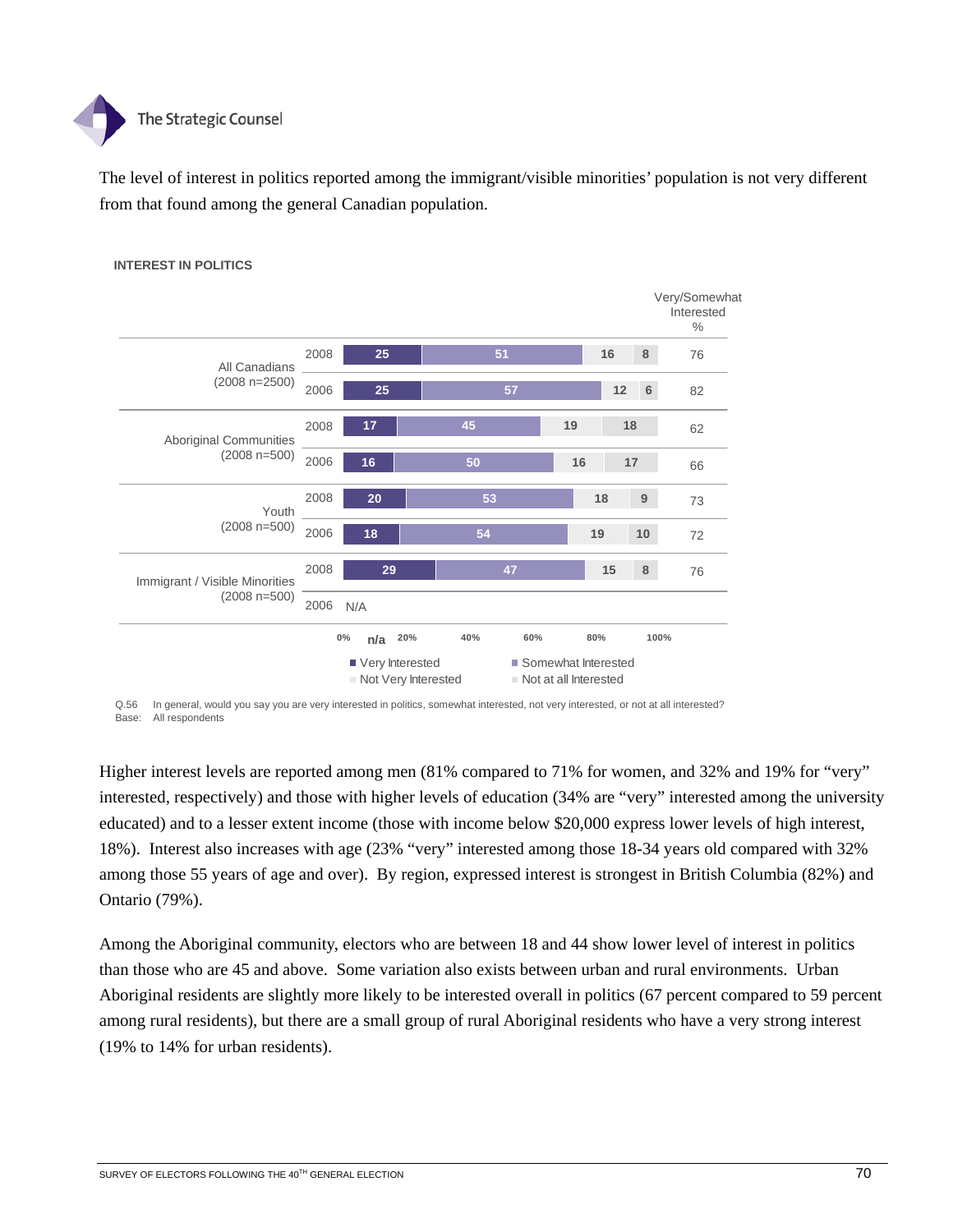

The level of interest in politics reported among the immigrant/visible minorities' population is not very different from that found among the general Canadian population.



### **INTEREST IN POLITICS**

Q.56 In general, would you say you are very interested in politics, somewhat interested, not very interested, or not at all interested? Base: All respondents

Higher interest levels are reported among men (81% compared to 71% for women, and 32% and 19% for "very" interested, respectively) and those with higher levels of education (34% are "very" interested among the university educated) and to a lesser extent income (those with income below \$20,000 express lower levels of high interest, 18%). Interest also increases with age (23% "very" interested among those 18-34 years old compared with 32% among those 55 years of age and over). By region, expressed interest is strongest in British Columbia (82%) and Ontario (79%).

Among the Aboriginal community, electors who are between 18 and 44 show lower level of interest in politics than those who are 45 and above. Some variation also exists between urban and rural environments. Urban Aboriginal residents are slightly more likely to be interested overall in politics (67 percent compared to 59 percent among rural residents), but there are a small group of rural Aboriginal residents who have a very strong interest (19% to 14% for urban residents).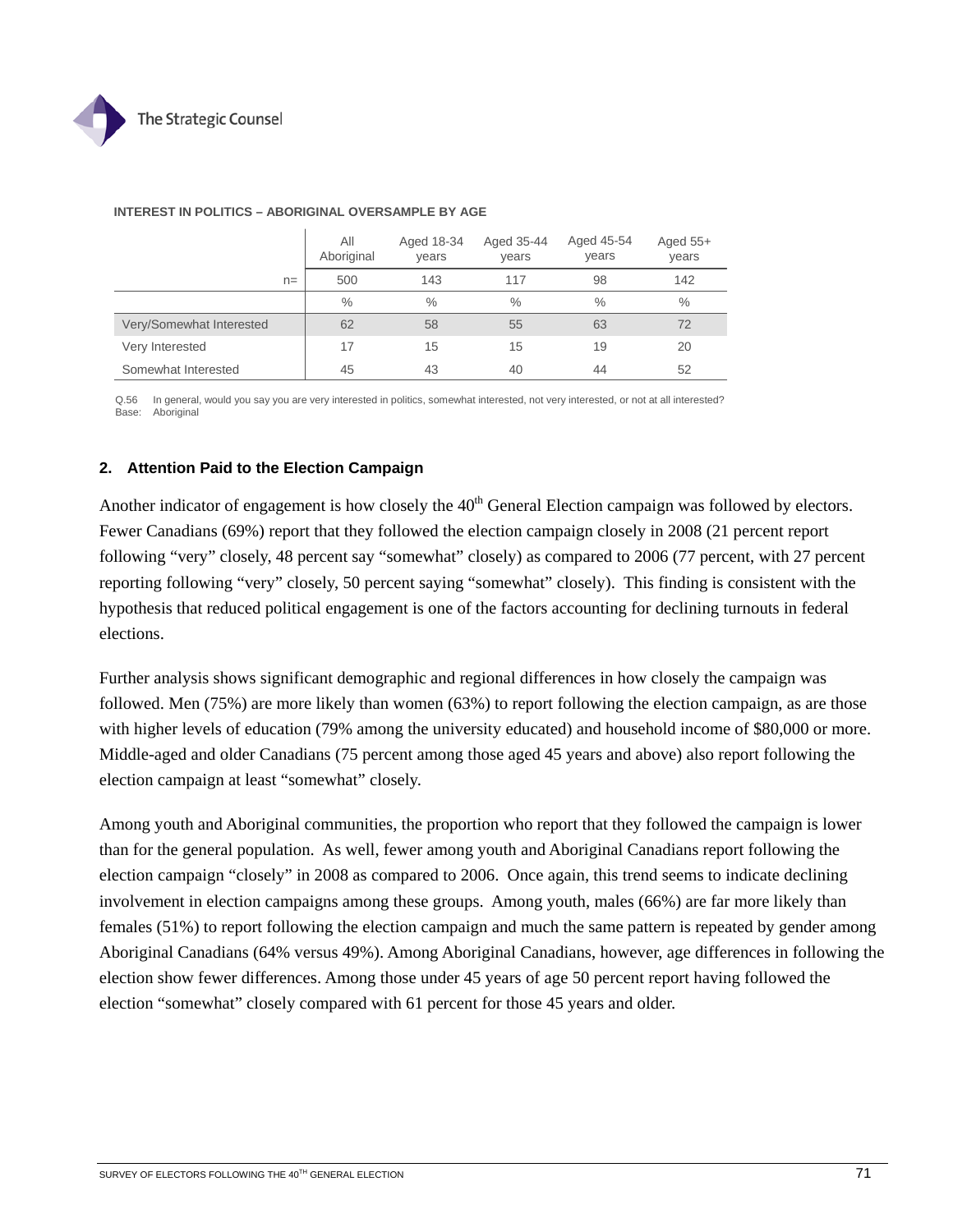

|                          | All<br>Aboriginal | Aged 18-34<br>years | Aged 35-44<br>years | Aged 45-54<br>years | Aged $55+$<br>years |
|--------------------------|-------------------|---------------------|---------------------|---------------------|---------------------|
| $n =$                    | 500               | 143                 | 117                 | 98                  | 142                 |
|                          | $\%$              | $\%$                | $\%$                | $\frac{0}{0}$       | $\frac{0}{0}$       |
| Very/Somewhat Interested | 62                | 58                  | 55                  | 63                  | 72                  |
| Very Interested          | 17                | 15                  | 15                  | 19                  | 20                  |
| Somewhat Interested      | 45                | 43                  | 40                  | 44                  | 52                  |

### **INTEREST IN POLITICS – ABORIGINAL OVERSAMPLE BY AGE**  $\mathbf{I}$

Q.56 In general, would you say you are very interested in politics, somewhat interested, not very interested, or not at all interested? Base: Aboriginal

### **2. Attention Paid to the Election Campaign**

Another indicator of engagement is how closely the 40<sup>th</sup> General Election campaign was followed by electors. Fewer Canadians (69%) report that they followed the election campaign closely in 2008 (21 percent report following "very" closely, 48 percent say "somewhat" closely) as compared to 2006 (77 percent, with 27 percent reporting following "very" closely, 50 percent saying "somewhat" closely). This finding is consistent with the hypothesis that reduced political engagement is one of the factors accounting for declining turnouts in federal elections.

Further analysis shows significant demographic and regional differences in how closely the campaign was followed. Men (75%) are more likely than women (63%) to report following the election campaign, as are those with higher levels of education (79% among the university educated) and household income of \$80,000 or more. Middle-aged and older Canadians (75 percent among those aged 45 years and above) also report following the election campaign at least "somewhat" closely.

Among youth and Aboriginal communities, the proportion who report that they followed the campaign is lower than for the general population. As well, fewer among youth and Aboriginal Canadians report following the election campaign "closely" in 2008 as compared to 2006. Once again, this trend seems to indicate declining involvement in election campaigns among these groups. Among youth, males (66%) are far more likely than females (51%) to report following the election campaign and much the same pattern is repeated by gender among Aboriginal Canadians (64% versus 49%). Among Aboriginal Canadians, however, age differences in following the election show fewer differences. Among those under 45 years of age 50 percent report having followed the election "somewhat" closely compared with 61 percent for those 45 years and older.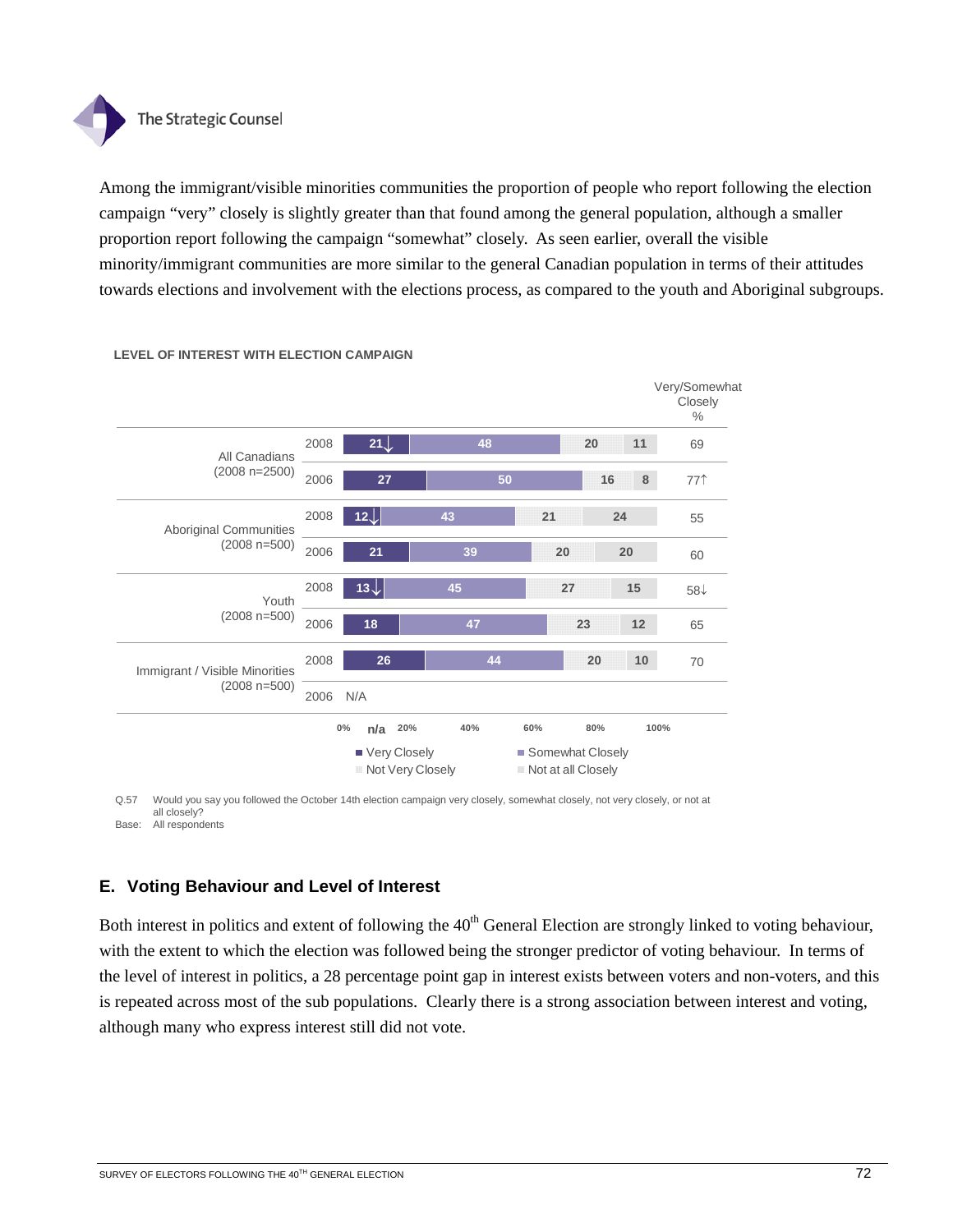

Among the immigrant/visible minorities communities the proportion of people who report following the election campaign "very" closely is slightly greater than that found among the general population, although a smaller proportion report following the campaign "somewhat" closely. As seen earlier, overall the visible minority/immigrant communities are more similar to the general Canadian population in terms of their attitudes towards elections and involvement with the elections process, as compared to the youth and Aboriginal subgroups.



### **LEVEL OF INTEREST WITH ELECTION CAMPAIGN**

Q.57 Would you say you followed the October 14th election campaign very closely, somewhat closely, not very closely, or not at all closely? Base: All respondents

## **E. Voting Behaviour and Level of Interest**

Both interest in politics and extent of following the  $40<sup>th</sup>$  General Election are strongly linked to voting behaviour, with the extent to which the election was followed being the stronger predictor of voting behaviour. In terms of the level of interest in politics, a 28 percentage point gap in interest exists between voters and non-voters, and this is repeated across most of the sub populations. Clearly there is a strong association between interest and voting, although many who express interest still did not vote.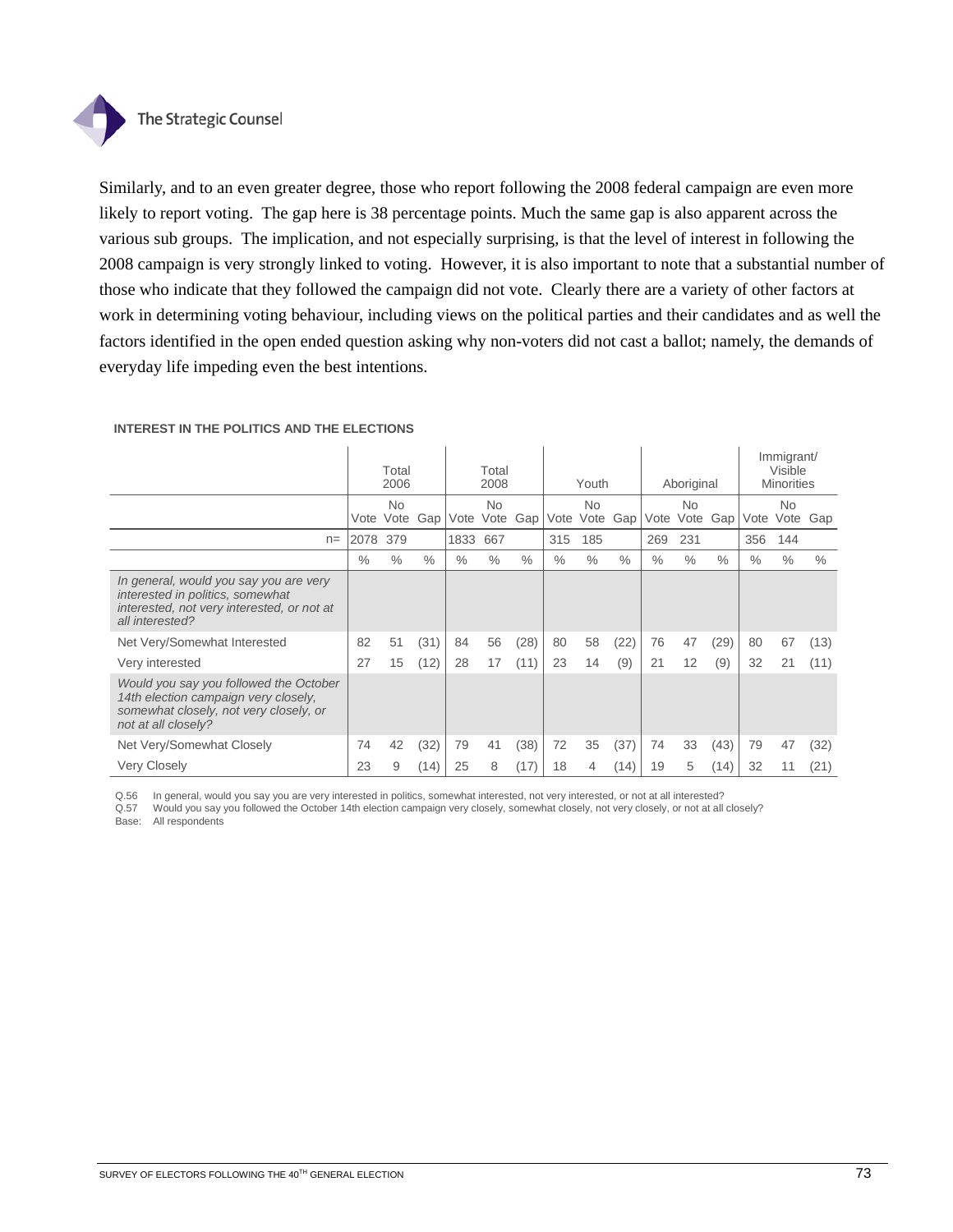

Similarly, and to an even greater degree, those who report following the 2008 federal campaign are even more likely to report voting. The gap here is 38 percentage points. Much the same gap is also apparent across the various sub groups. The implication, and not especially surprising, is that the level of interest in following the 2008 campaign is very strongly linked to voting. However, it is also important to note that a substantial number of those who indicate that they followed the campaign did not vote. Clearly there are a variety of other factors at work in determining voting behaviour, including views on the political parties and their candidates and as well the factors identified in the open ended question asking why non-voters did not cast a ballot; namely, the demands of everyday life impeding even the best intentions.

|                                                                                                                                                 |      | Total<br>2006     |      |               | Total<br>2008     |      |      | Youth             |               |               | Aboriginal        |      |               | Immigrant/<br>Visible<br><b>Minorities</b> |      |
|-------------------------------------------------------------------------------------------------------------------------------------------------|------|-------------------|------|---------------|-------------------|------|------|-------------------|---------------|---------------|-------------------|------|---------------|--------------------------------------------|------|
|                                                                                                                                                 | Vote | <b>No</b><br>Vote | Gap  | Vote          | <b>No</b><br>Vote | Gap  | Vote | <b>No</b><br>Vote | Gap           | Vote          | <b>No</b><br>Vote | Gap  | Vote          | <b>No</b><br>Vote Gap                      |      |
| $n=$                                                                                                                                            | 2078 | 379               |      | 1833          | 667               |      | 315  | 185               |               | 269           | 231               |      | 356           | 144                                        |      |
|                                                                                                                                                 | $\%$ | $\%$              | $\%$ | $\frac{0}{0}$ | $\%$              | $\%$ | $\%$ | $\%$              | $\frac{0}{0}$ | $\frac{0}{0}$ | $\frac{0}{0}$     | $\%$ | $\frac{0}{0}$ | $\%$                                       | $\%$ |
| In general, would you say you are very<br>interested in politics, somewhat<br>interested, not very interested, or not at<br>all interested?     |      |                   |      |               |                   |      |      |                   |               |               |                   |      |               |                                            |      |
| Net Very/Somewhat Interested                                                                                                                    | 82   | 51                | (31) | 84            | 56                | (28) | 80   | 58                | (22)          | 76            | 47                | (29) | 80            | 67                                         | (13) |
| Very interested                                                                                                                                 | 27   | 15                | (12) | 28            | 17                | (11) | 23   | 14                | (9)           | 21            | 12                | (9)  | 32            | 21                                         | (11) |
| Would you say you followed the October<br>14th election campaign very closely,<br>somewhat closely, not very closely, or<br>not at all closely? |      |                   |      |               |                   |      |      |                   |               |               |                   |      |               |                                            |      |
| Net Very/Somewhat Closely                                                                                                                       | 74   | 42                | (32) | 79            | 41                | (38) | 72   | 35                | (37)          | 74            | 33                | (43) | 79            | 47                                         | (32) |
| <b>Very Closely</b>                                                                                                                             | 23   | 9                 | (14) | 25            | 8                 | (17) | 18   | 4                 | (14)          | 19            | 5                 | (14) | 32            | 11                                         | (21) |

### **INTEREST IN THE POLITICS AND THE ELECTIONS**

Q.56 In general, would you say you are very interested in politics, somewhat interested, not very interested, or not at all interested?

Q.57 Would you say you followed the October 14th election campaign very closely, somewhat closely, not very closely, or not at all closely? Base: All respondents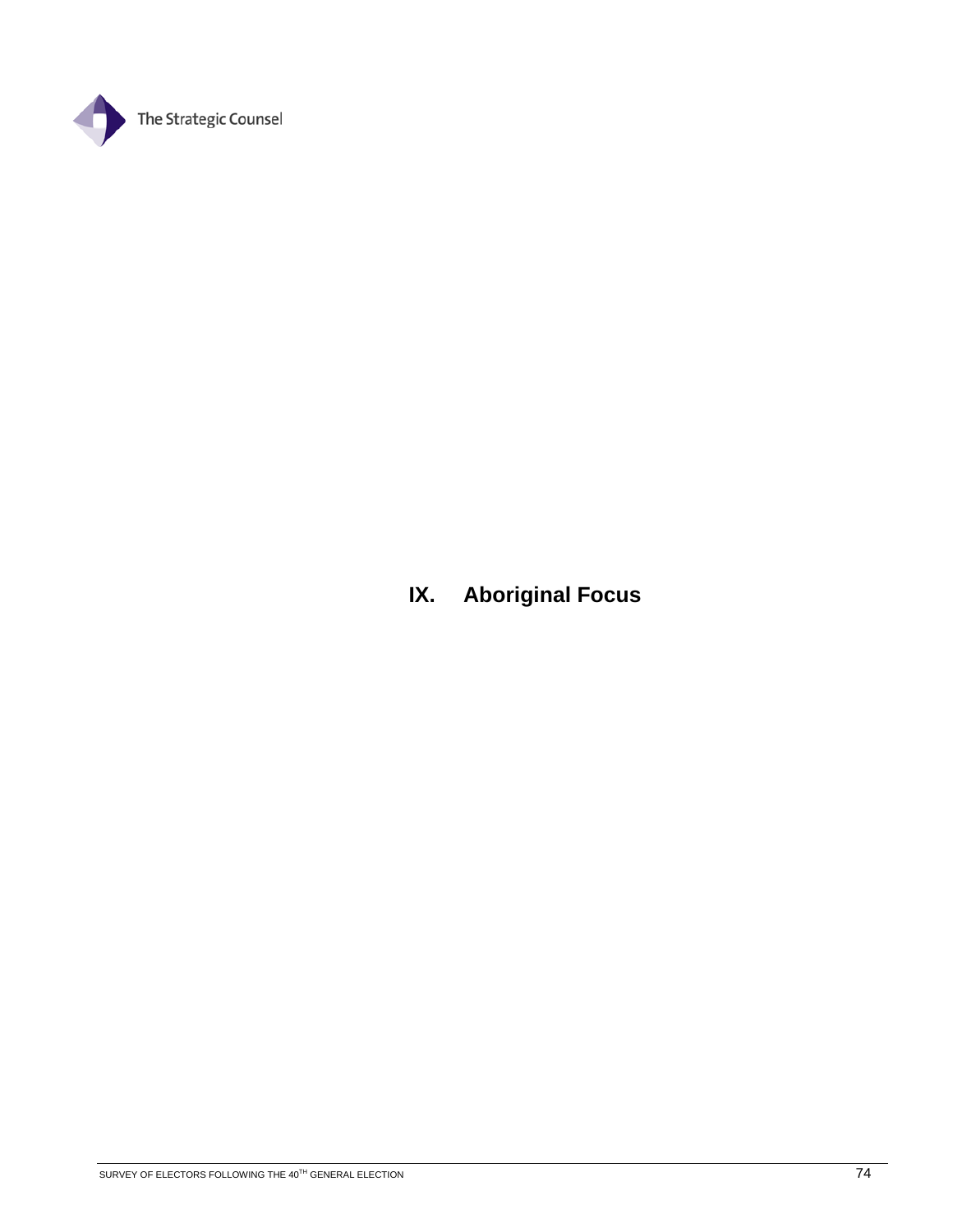

**IX. Aboriginal Focus**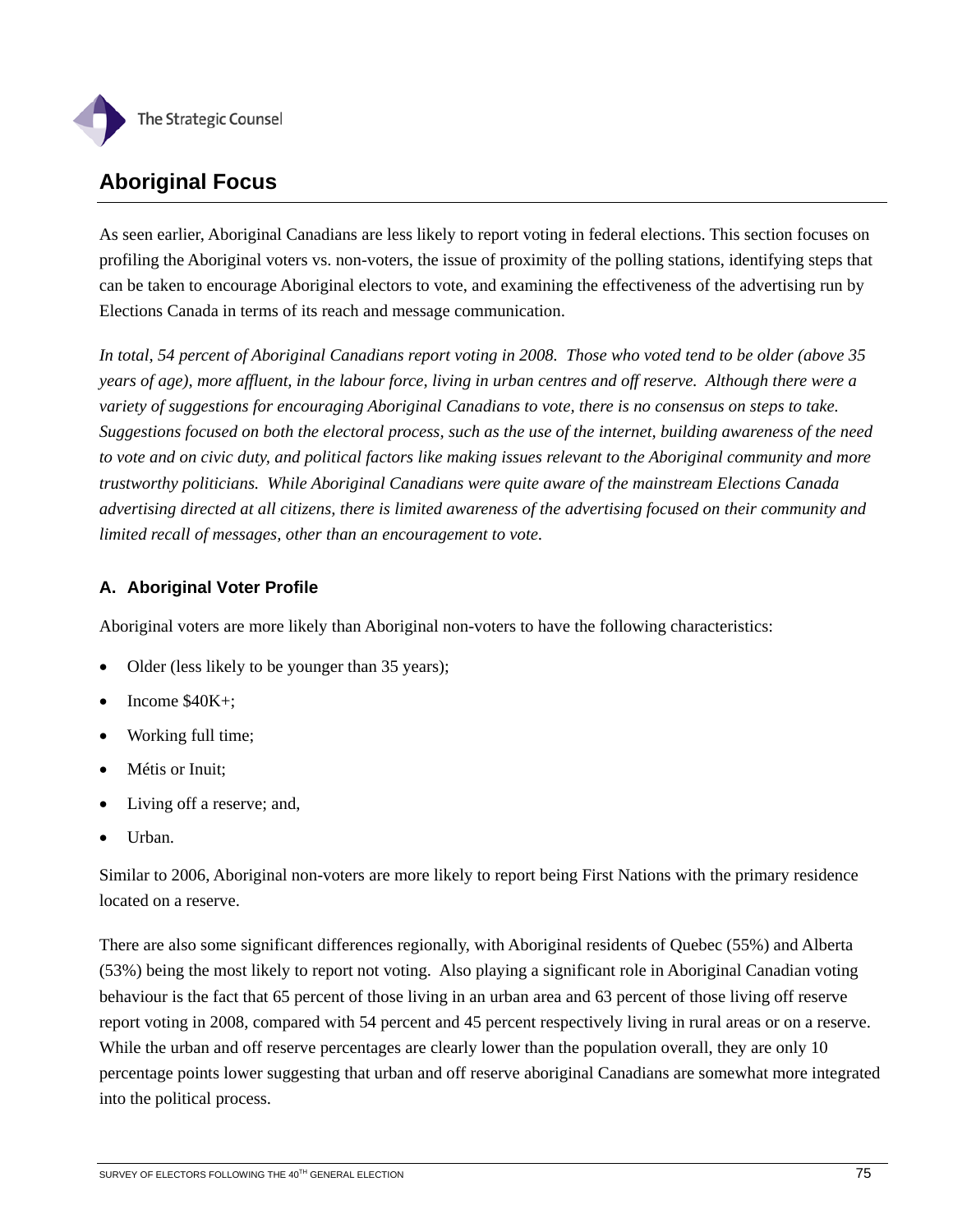

## **Aboriginal Focus**

As seen earlier, Aboriginal Canadians are less likely to report voting in federal elections. This section focuses on profiling the Aboriginal voters vs. non-voters, the issue of proximity of the polling stations, identifying steps that can be taken to encourage Aboriginal electors to vote, and examining the effectiveness of the advertising run by Elections Canada in terms of its reach and message communication.

*In total, 54 percent of Aboriginal Canadians report voting in 2008. Those who voted tend to be older (above 35 years of age), more affluent, in the labour force, living in urban centres and off reserve. Although there were a variety of suggestions for encouraging Aboriginal Canadians to vote, there is no consensus on steps to take. Suggestions focused on both the electoral process, such as the use of the internet, building awareness of the need to vote and on civic duty, and political factors like making issues relevant to the Aboriginal community and more trustworthy politicians. While Aboriginal Canadians were quite aware of the mainstream Elections Canada advertising directed at all citizens, there is limited awareness of the advertising focused on their community and limited recall of messages, other than an encouragement to vote*.

## **A. Aboriginal Voter Profile**

Aboriginal voters are more likely than Aboriginal non-voters to have the following characteristics:

- Older (less likely to be younger than 35 years);
- Income \$40K+;
- Working full time;
- Métis or Inuit;
- Living off a reserve; and,
- Urban.

Similar to 2006, Aboriginal non-voters are more likely to report being First Nations with the primary residence located on a reserve.

There are also some significant differences regionally, with Aboriginal residents of Quebec (55%) and Alberta (53%) being the most likely to report not voting. Also playing a significant role in Aboriginal Canadian voting behaviour is the fact that 65 percent of those living in an urban area and 63 percent of those living off reserve report voting in 2008, compared with 54 percent and 45 percent respectively living in rural areas or on a reserve. While the urban and off reserve percentages are clearly lower than the population overall, they are only 10 percentage points lower suggesting that urban and off reserve aboriginal Canadians are somewhat more integrated into the political process.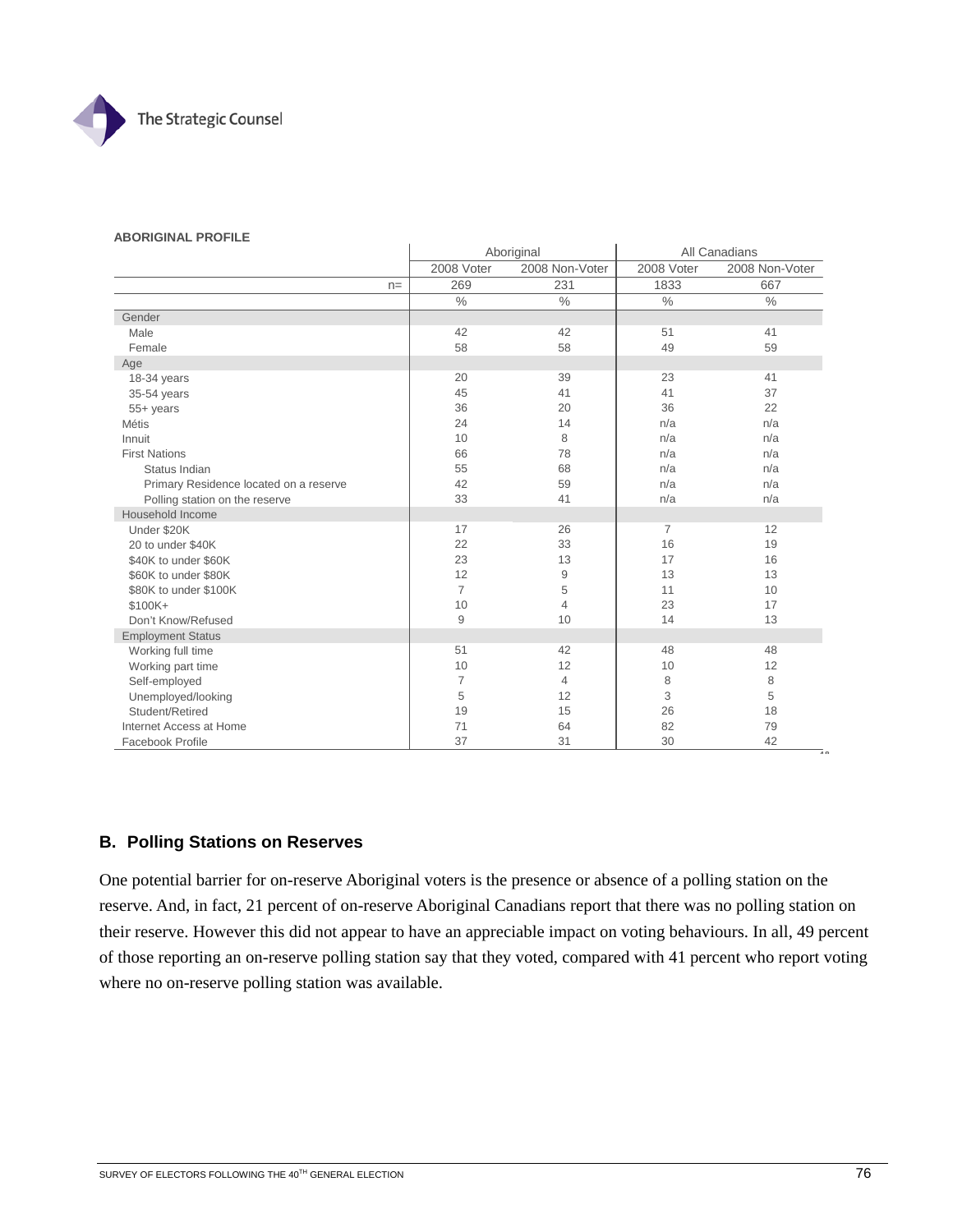

#### **ABORIGINAL PROFILE**

|                                        | Aboriginal     |                |                | All Canadians  |
|----------------------------------------|----------------|----------------|----------------|----------------|
|                                        | 2008 Voter     | 2008 Non-Voter | 2008 Voter     | 2008 Non-Voter |
| $n =$                                  | 269            | 231            | 1833           | 667            |
|                                        | $\%$           | $\frac{0}{0}$  | $\frac{0}{0}$  | $\%$           |
| Gender                                 |                |                |                |                |
| Male                                   | 42             | 42             | 51             | 41             |
| Female                                 | 58             | 58             | 49             | 59             |
| Age                                    |                |                |                |                |
| 18-34 years                            | 20             | 39             | 23             | 41             |
| 35-54 years                            | 45             | 41             | 41             | 37             |
| 55+ years                              | 36             | 20             | 36             | 22             |
| Métis                                  | 24             | 14             | n/a            | n/a            |
| Innuit                                 | 10             | 8              | n/a            | n/a            |
| <b>First Nations</b>                   | 66             | 78             | n/a            | n/a            |
| Status Indian                          | 55             | 68             | n/a            | n/a            |
| Primary Residence located on a reserve | 42             | 59             | n/a            | n/a            |
| Polling station on the reserve         | 33             | 41             | n/a            | n/a            |
| Household Income                       |                |                |                |                |
| Under \$20K                            | 17             | 26             | $\overline{7}$ | 12             |
| 20 to under \$40K                      | 22             | 33             | 16             | 19             |
| \$40K to under \$60K                   | 23             | 13             | 17             | 16             |
| \$60K to under \$80K                   | 12             | 9              | 13             | 13             |
| \$80K to under \$100K                  | $\overline{7}$ | 5              | 11             | 10             |
| \$100K+                                | 10             | 4              | 23             | 17             |
| Don't Know/Refused                     | 9              | 10             | 14             | 13             |
| <b>Employment Status</b>               |                |                |                |                |
| Working full time                      | 51             | 42             | 48             | 48             |
| Working part time                      | 10             | 12             | 10             | 12             |
| Self-employed                          | $\overline{7}$ | 4              | 8              | 8              |
| Unemployed/looking                     | 5              | 12             | 3              | 5              |
| Student/Retired                        | 19             | 15             | 26             | 18             |
| Internet Access at Home                | 71             | 64             | 82             | 79             |
| Facebook Profile                       | 37             | 31             | 30             | 42             |

### **B. Polling Stations on Reserves**

One potential barrier for on-reserve Aboriginal voters is the presence or absence of a polling station on the reserve. And, in fact, 21 percent of on-reserve Aboriginal Canadians report that there was no polling station on their reserve. However this did not appear to have an appreciable impact on voting behaviours. In all, 49 percent of those reporting an on-reserve polling station say that they voted, compared with 41 percent who report voting where no on-reserve polling station was available.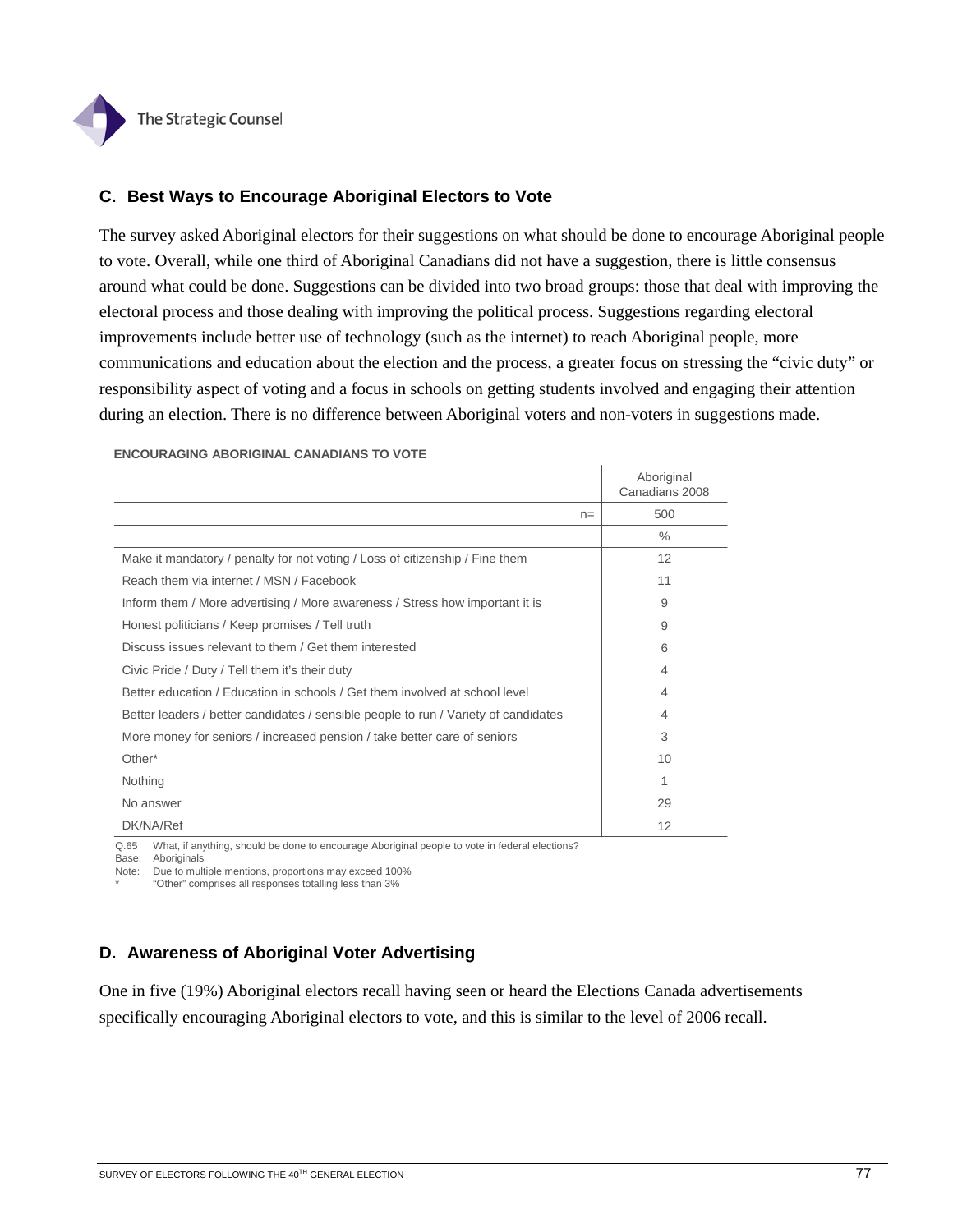

## **C. Best Ways to Encourage Aboriginal Electors to Vote**

The survey asked Aboriginal electors for their suggestions on what should be done to encourage Aboriginal people to vote. Overall, while one third of Aboriginal Canadians did not have a suggestion, there is little consensus around what could be done. Suggestions can be divided into two broad groups: those that deal with improving the electoral process and those dealing with improving the political process. Suggestions regarding electoral improvements include better use of technology (such as the internet) to reach Aboriginal people, more communications and education about the election and the process, a greater focus on stressing the "civic duty" or responsibility aspect of voting and a focus in schools on getting students involved and engaging their attention during an election. There is no difference between Aboriginal voters and non-voters in suggestions made.

|                                                                                     | Aboriginal<br>Canadians 2008 |
|-------------------------------------------------------------------------------------|------------------------------|
| $n =$                                                                               | 500                          |
|                                                                                     | $\frac{0}{0}$                |
| Make it mandatory / penalty for not voting / Loss of citizenship / Fine them        | 12                           |
| Reach them via internet / MSN / Facebook                                            | 11                           |
| Inform them / More advertising / More awareness / Stress how important it is        | 9                            |
| Honest politicians / Keep promises / Tell truth                                     | 9                            |
| Discuss issues relevant to them / Get them interested                               | 6                            |
| Civic Pride / Duty / Tell them it's their duty                                      | $\overline{4}$               |
| Better education / Education in schools / Get them involved at school level         | 4                            |
| Better leaders / better candidates / sensible people to run / Variety of candidates | $\overline{4}$               |
| More money for seniors / increased pension / take better care of seniors            | 3                            |
| Other*                                                                              | 10                           |
| Nothing                                                                             | 1                            |
| No answer                                                                           | 29                           |
| DK/NA/Ref                                                                           | 12                           |

#### **ENCOURAGING ABORIGINAL CANADIANS TO VOTE**

Q.65 What, if anything, should be done to encourage Aboriginal people to vote in federal elections?

Base: Aboriginals

Note: Due to multiple mentions, proportions may exceed 100%

\* "Other" comprises all responses totalling less than 3%

### **D. Awareness of Aboriginal Voter Advertising**

One in five (19%) Aboriginal electors recall having seen or heard the Elections Canada advertisements specifically encouraging Aboriginal electors to vote, and this is similar to the level of 2006 recall.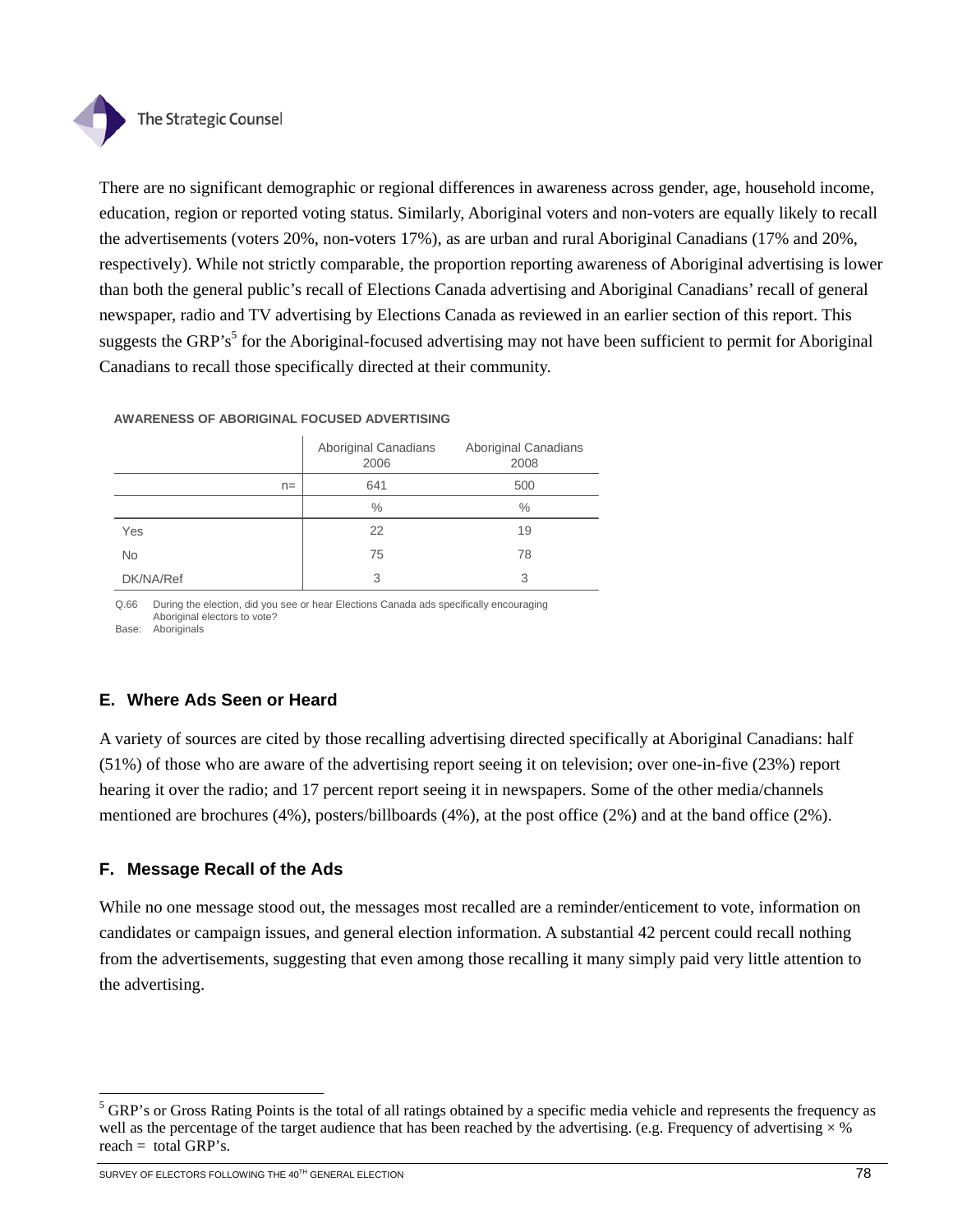

There are no significant demographic or regional differences in awareness across gender, age, household income, education, region or reported voting status. Similarly, Aboriginal voters and non-voters are equally likely to recall the advertisements (voters 20%, non-voters 17%), as are urban and rural Aboriginal Canadians (17% and 20%, respectively). While not strictly comparable, the proportion reporting awareness of Aboriginal advertising is lower than both the general public's recall of Elections Canada advertising and Aboriginal Canadians' recall of general newspaper, radio and TV advertising by Elections Canada as reviewed in an earlier section of this report. This suggests the GRP's<sup>5</sup> for the Aboriginal-focused advertising may not have been sufficient to permit for Aboriginal Canadians to recall those specifically directed at their community.

|           | Aboriginal Canadians<br>2006 | Aboriginal Canadians<br>2008 |
|-----------|------------------------------|------------------------------|
| $n =$     | 641                          | 500                          |
|           | $\%$                         | $\frac{0}{0}$                |
| Yes       | 22                           | 19                           |
| <b>No</b> | 75                           | 78                           |
| DK/NA/Ref | 3                            | 3                            |

#### **AWARENESS OF ABORIGINAL FOCUSED ADVERTISING**

Q.66 During the election, did you see or hear Elections Canada ads specifically encouraging Aboriginal electors to vote? Base: Aboriginals

## **E. Where Ads Seen or Heard**

A variety of sources are cited by those recalling advertising directed specifically at Aboriginal Canadians: half (51%) of those who are aware of the advertising report seeing it on television; over one-in-five (23%) report hearing it over the radio; and 17 percent report seeing it in newspapers. Some of the other media/channels mentioned are brochures (4%), posters/billboards (4%), at the post office (2%) and at the band office (2%).

## **F. Message Recall of the Ads**

While no one message stood out, the messages most recalled are a reminder/enticement to vote, information on candidates or campaign issues, and general election information. A substantial 42 percent could recall nothing from the advertisements, suggesting that even among those recalling it many simply paid very little attention to the advertising.

l

<sup>&</sup>lt;sup>5</sup> GRP's or Gross Rating Points is the total of all ratings obtained by a specific media vehicle and represents the frequency as well as the percentage of the target audience that has been reached by the advertising. (e.g. Frequency of advertising  $\times$  % reach = total GRP's.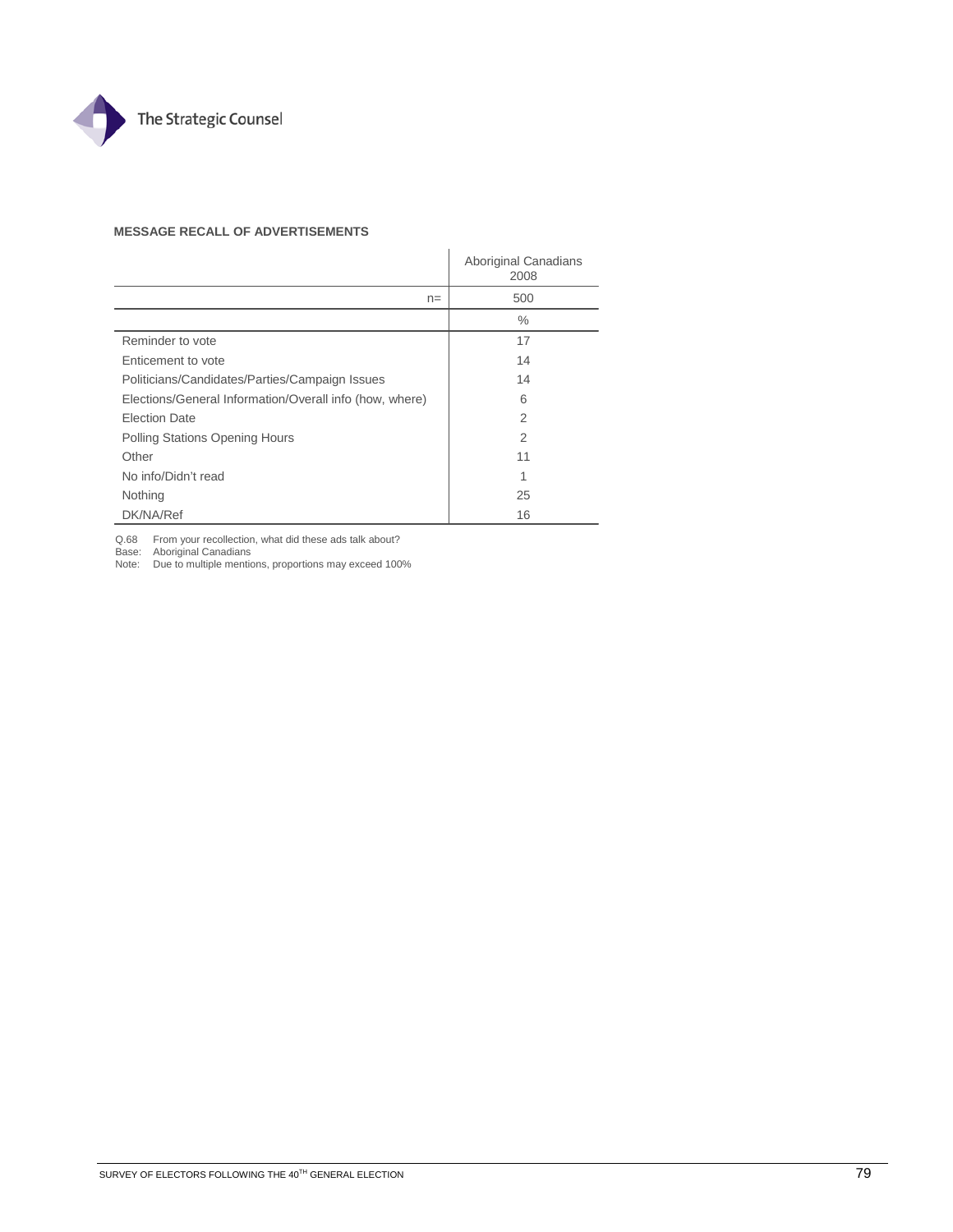

### **MESSAGE RECALL OF ADVERTISEMENTS**

|                                                         | Aboriginal Canadians<br>2008 |
|---------------------------------------------------------|------------------------------|
| $n =$                                                   | 500                          |
|                                                         | $\%$                         |
| Reminder to vote                                        | 17                           |
| Enticement to vote                                      | 14                           |
| Politicians/Candidates/Parties/Campaign Issues          | 14                           |
| Elections/General Information/Overall info (how, where) | 6                            |
| <b>Election Date</b>                                    | $\overline{2}$               |
| Polling Stations Opening Hours                          | 2                            |
| Other                                                   | 11                           |
| No info/Didn't read                                     | 1                            |
| Nothing                                                 | 25                           |
| DK/NA/Ref                                               | 16                           |

Q.68 From your recollection, what did these ads talk about? Base: Aboriginal Canadians Note: Due to multiple mentions, proportions may exceed 100%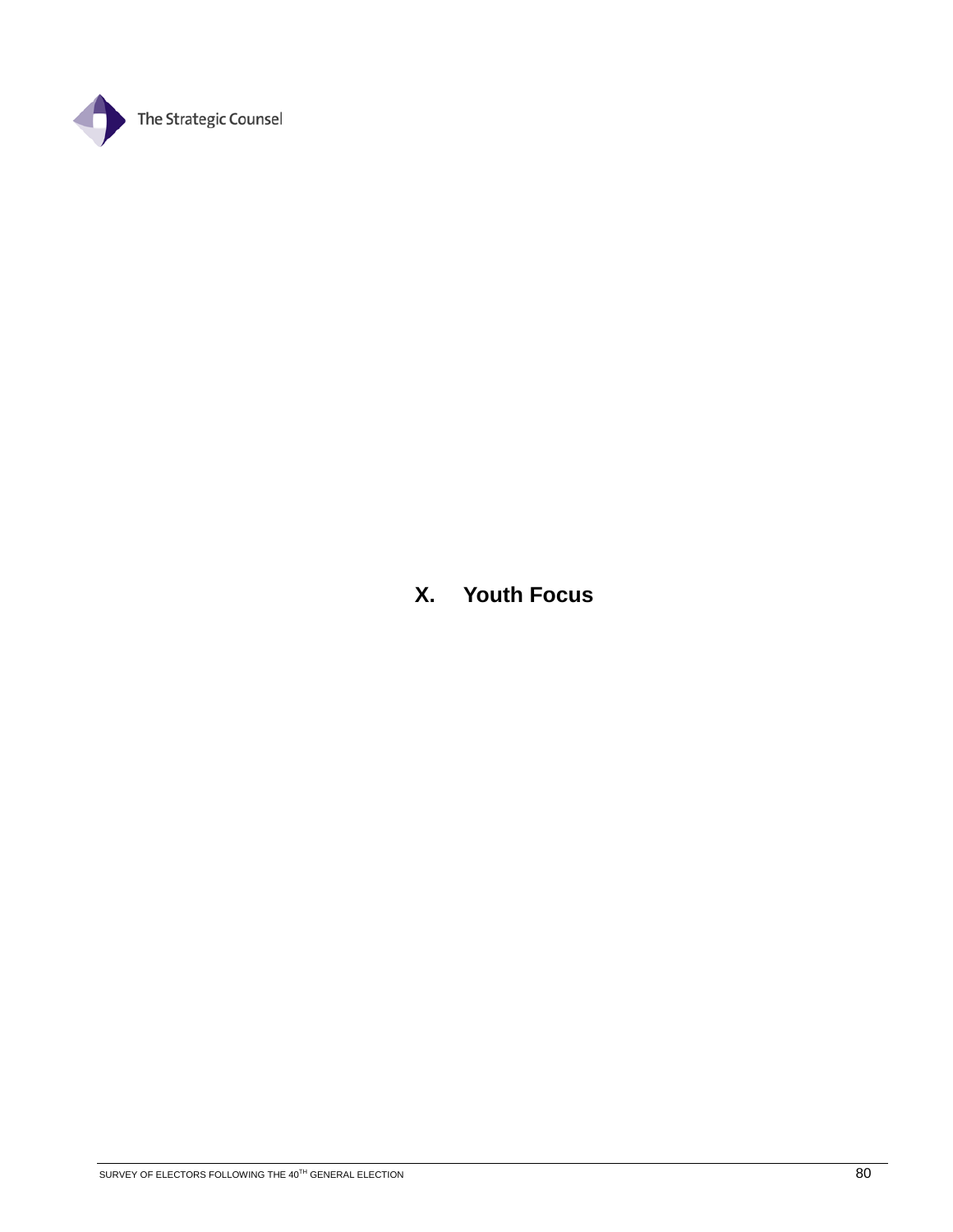

## **X. Youth Focus**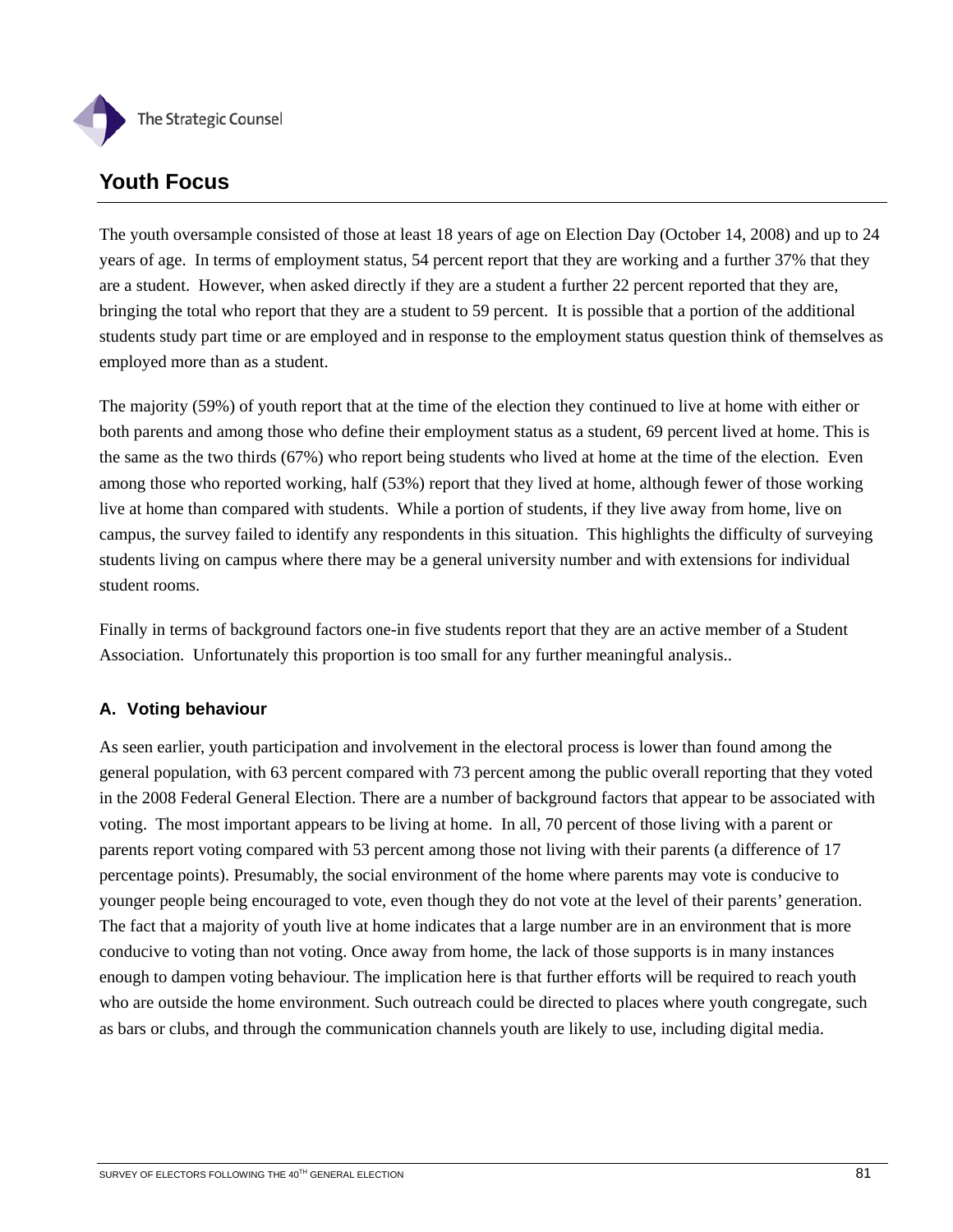

## **Youth Focus**

The youth oversample consisted of those at least 18 years of age on Election Day (October 14, 2008) and up to 24 years of age. In terms of employment status, 54 percent report that they are working and a further 37% that they are a student. However, when asked directly if they are a student a further 22 percent reported that they are, bringing the total who report that they are a student to 59 percent. It is possible that a portion of the additional students study part time or are employed and in response to the employment status question think of themselves as employed more than as a student.

The majority (59%) of youth report that at the time of the election they continued to live at home with either or both parents and among those who define their employment status as a student, 69 percent lived at home. This is the same as the two thirds (67%) who report being students who lived at home at the time of the election. Even among those who reported working, half (53%) report that they lived at home, although fewer of those working live at home than compared with students. While a portion of students, if they live away from home, live on campus, the survey failed to identify any respondents in this situation. This highlights the difficulty of surveying students living on campus where there may be a general university number and with extensions for individual student rooms.

Finally in terms of background factors one-in five students report that they are an active member of a Student Association. Unfortunately this proportion is too small for any further meaningful analysis..

## **A. Voting behaviour**

As seen earlier, youth participation and involvement in the electoral process is lower than found among the general population, with 63 percent compared with 73 percent among the public overall reporting that they voted in the 2008 Federal General Election. There are a number of background factors that appear to be associated with voting. The most important appears to be living at home. In all, 70 percent of those living with a parent or parents report voting compared with 53 percent among those not living with their parents (a difference of 17 percentage points). Presumably, the social environment of the home where parents may vote is conducive to younger people being encouraged to vote, even though they do not vote at the level of their parents' generation. The fact that a majority of youth live at home indicates that a large number are in an environment that is more conducive to voting than not voting. Once away from home, the lack of those supports is in many instances enough to dampen voting behaviour. The implication here is that further efforts will be required to reach youth who are outside the home environment. Such outreach could be directed to places where youth congregate, such as bars or clubs, and through the communication channels youth are likely to use, including digital media.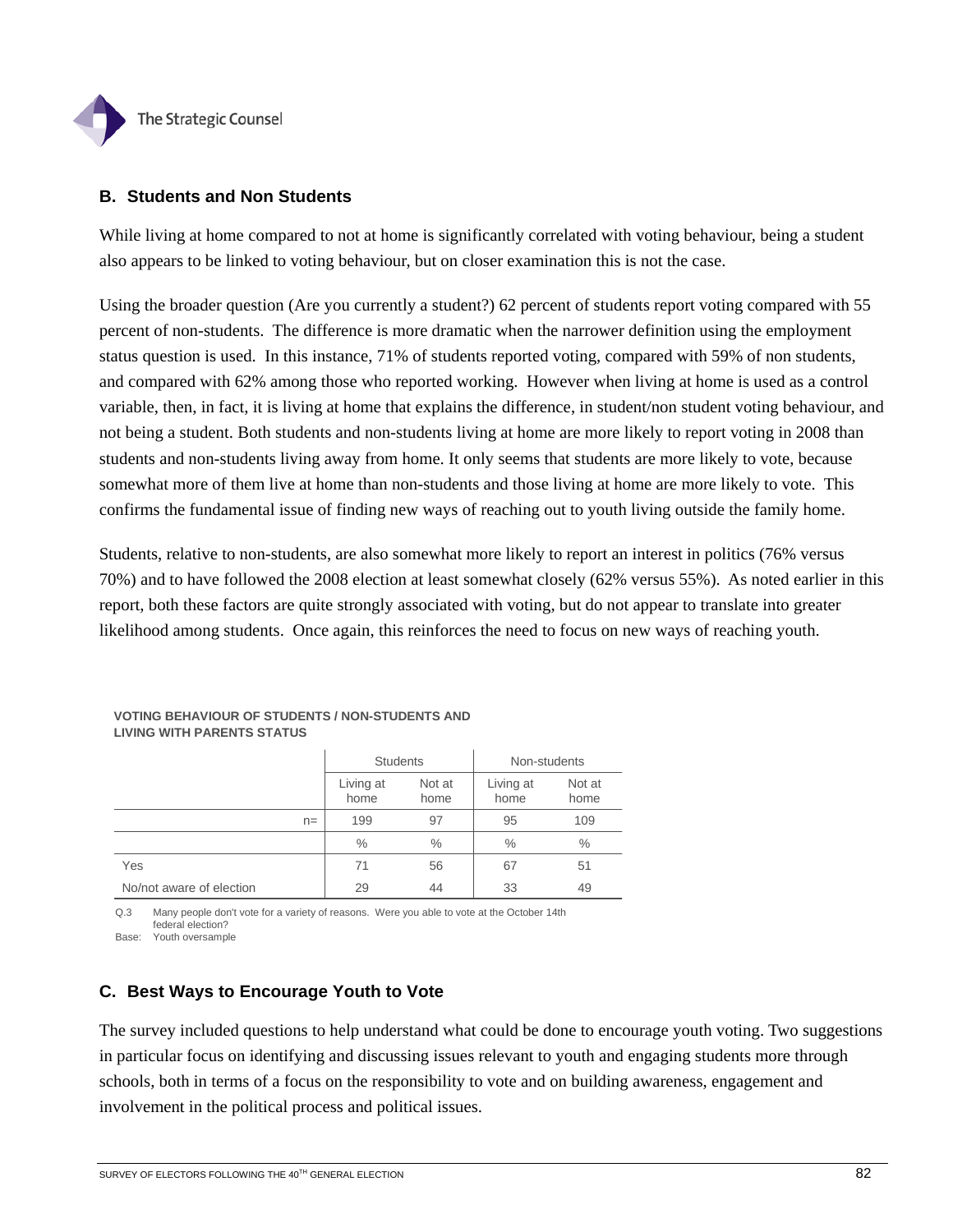

### **B. Students and Non Students**

While living at home compared to not at home is significantly correlated with voting behaviour, being a student also appears to be linked to voting behaviour, but on closer examination this is not the case.

Using the broader question (Are you currently a student?) 62 percent of students report voting compared with 55 percent of non-students. The difference is more dramatic when the narrower definition using the employment status question is used. In this instance, 71% of students reported voting, compared with 59% of non students, and compared with 62% among those who reported working. However when living at home is used as a control variable, then, in fact, it is living at home that explains the difference, in student/non student voting behaviour, and not being a student. Both students and non-students living at home are more likely to report voting in 2008 than students and non-students living away from home. It only seems that students are more likely to vote, because somewhat more of them live at home than non-students and those living at home are more likely to vote. This confirms the fundamental issue of finding new ways of reaching out to youth living outside the family home.

Students, relative to non-students, are also somewhat more likely to report an interest in politics (76% versus 70%) and to have followed the 2008 election at least somewhat closely (62% versus 55%). As noted earlier in this report, both these factors are quite strongly associated with voting, but do not appear to translate into greater likelihood among students. Once again, this reinforces the need to focus on new ways of reaching youth.

|                          | <b>Students</b>   |                | Non-students      |                |
|--------------------------|-------------------|----------------|-------------------|----------------|
|                          | Living at<br>home | Not at<br>home | Living at<br>home | Not at<br>home |
| $n =$                    | 199               | 97             | 95                | 109            |
|                          | $\frac{0}{0}$     | $\frac{0}{0}$  | $\%$              | $\%$           |
| Yes                      | 71                | 56             | 67                | 51             |
| No/not aware of election | 29                | 44             | 33                | 49             |

**VOTING BEHAVIOUR OF STUDENTS / NON-STUDENTS AND LIVING WITH PARENTS STATUS**

Q.3 Many people don't vote for a variety of reasons. Were you able to vote at the October 14th federal election?

Base: Youth oversample

### **C. Best Ways to Encourage Youth to Vote**

The survey included questions to help understand what could be done to encourage youth voting. Two suggestions in particular focus on identifying and discussing issues relevant to youth and engaging students more through schools, both in terms of a focus on the responsibility to vote and on building awareness, engagement and involvement in the political process and political issues.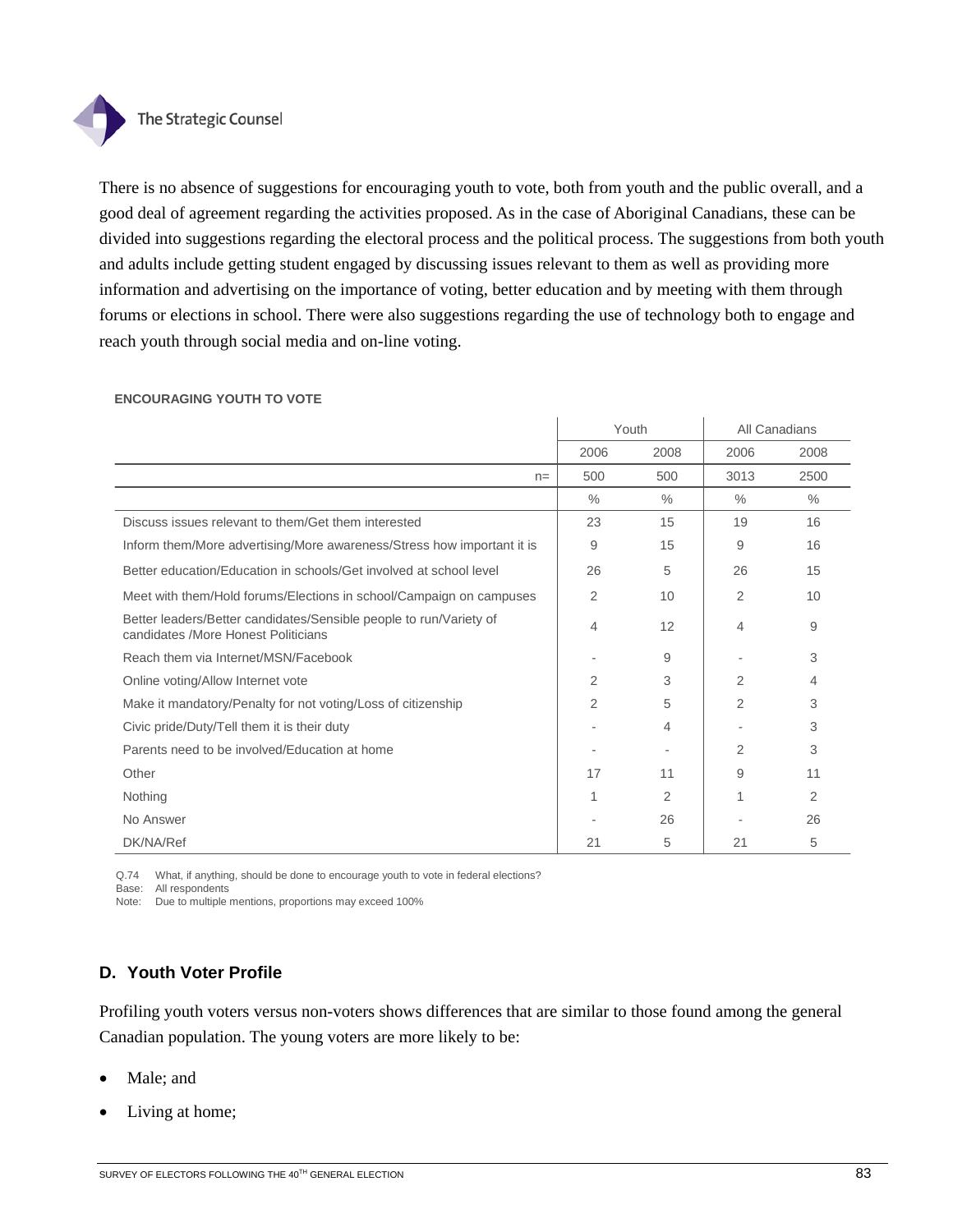

There is no absence of suggestions for encouraging youth to vote, both from youth and the public overall, and a good deal of agreement regarding the activities proposed. As in the case of Aboriginal Canadians, these can be divided into suggestions regarding the electoral process and the political process. The suggestions from both youth and adults include getting student engaged by discussing issues relevant to them as well as providing more information and advertising on the importance of voting, better education and by meeting with them through forums or elections in school. There were also suggestions regarding the use of technology both to engage and reach youth through social media and on-line voting.

|                                                                                                           | Youth         |      |                | All Canadians |
|-----------------------------------------------------------------------------------------------------------|---------------|------|----------------|---------------|
|                                                                                                           | 2006          | 2008 | 2006           | 2008          |
| $n=$                                                                                                      | 500           | 500  | 3013           | 2500          |
|                                                                                                           | $\frac{0}{0}$ | $\%$ | $\%$           | $\%$          |
| Discuss issues relevant to them/Get them interested                                                       | 23            | 15   | 19             | 16            |
| Inform them/More advertising/More awareness/Stress how important it is                                    | 9             | 15   | 9              | 16            |
| Better education/Education in schools/Get involved at school level                                        | 26            | 5    | 26             | 15            |
| Meet with them/Hold forums/Elections in school/Campaign on campuses                                       | 2             | 10   | $\overline{2}$ | 10            |
| Better leaders/Better candidates/Sensible people to run/Variety of<br>candidates /More Honest Politicians | 4             | 12   | 4              | 9             |
| Reach them via Internet/MSN/Facebook                                                                      |               | 9    |                | 3             |
| Online voting/Allow Internet vote                                                                         | 2             | 3    | $\overline{2}$ | 4             |
| Make it mandatory/Penalty for not voting/Loss of citizenship                                              | 2             | 5    | $\overline{2}$ | 3             |
| Civic pride/Duty/Tell them it is their duty                                                               |               | 4    |                | 3             |
| Parents need to be involved/Education at home                                                             |               |      | $\overline{2}$ | 3             |
| Other                                                                                                     | 17            | 11   | 9              | 11            |
| Nothing                                                                                                   |               | 2    |                | 2             |
| No Answer                                                                                                 |               | 26   |                | 26            |
| DK/NA/Ref                                                                                                 | 21            | 5    | 21             | 5             |

### **ENCOURAGING YOUTH TO VOTE**

Q.74 What, if anything, should be done to encourage youth to vote in federal elections?

Base: All respondents

Note: Due to multiple mentions, proportions may exceed 100%

### **D. Youth Voter Profile**

Profiling youth voters versus non-voters shows differences that are similar to those found among the general Canadian population. The young voters are more likely to be:

- Male; and
- Living at home;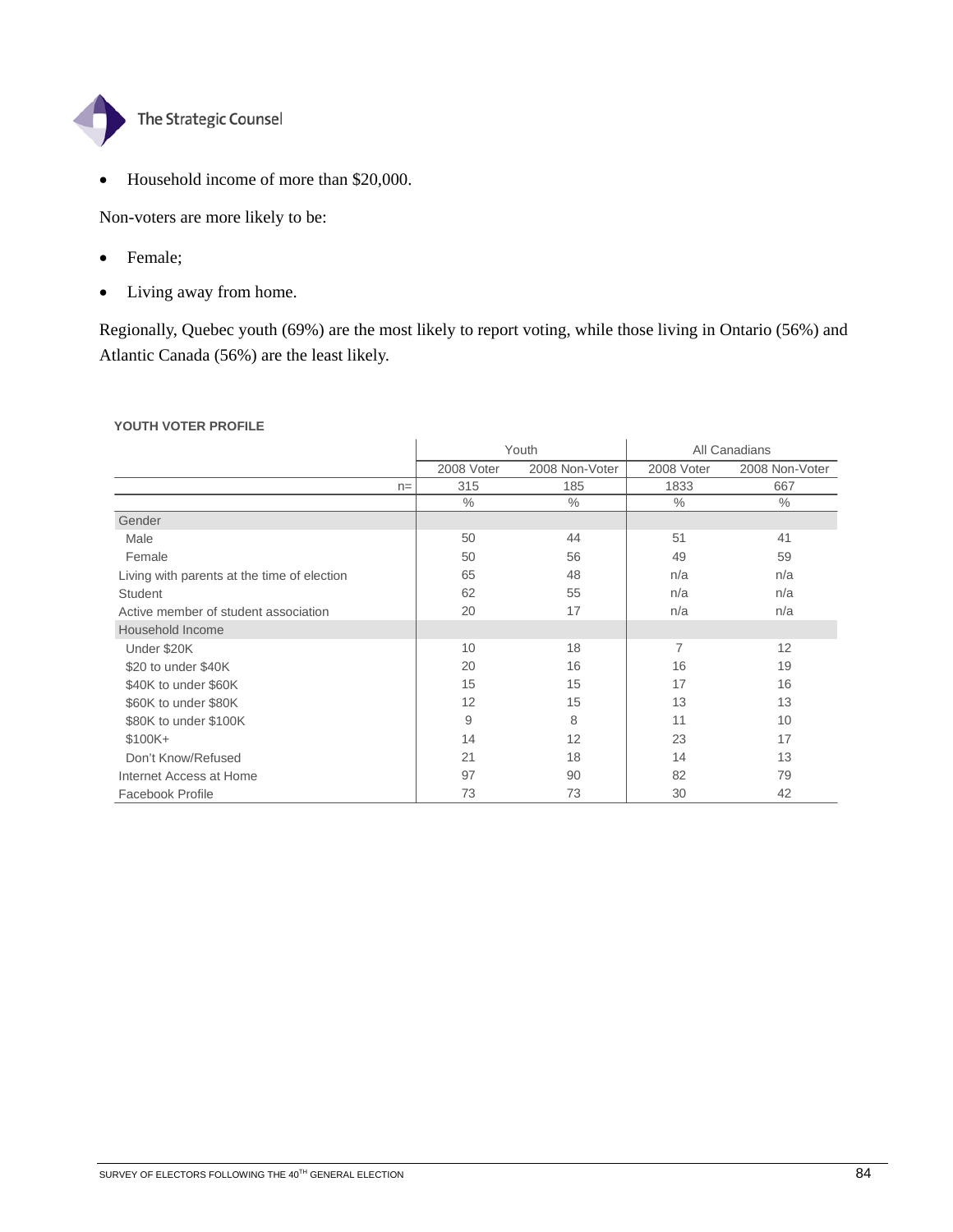

• Household income of more than \$20,000.

Non-voters are more likely to be:

- Female;
- Living away from home.

Regionally, Quebec youth (69%) are the most likely to report voting, while those living in Ontario (56%) and Atlantic Canada (56%) are the least likely.

### **YOUTH VOTER PROFILE**

|                                             | Youth         |                |               | All Canadians  |
|---------------------------------------------|---------------|----------------|---------------|----------------|
|                                             | 2008 Voter    | 2008 Non-Voter | 2008 Voter    | 2008 Non-Voter |
| $n =$                                       | 315           | 185            | 1833          | 667            |
|                                             | $\frac{0}{0}$ | $\frac{0}{0}$  | $\frac{0}{0}$ | $\frac{0}{0}$  |
| Gender                                      |               |                |               |                |
| Male                                        | 50            | 44             | 51            | 41             |
| Female                                      | 50            | 56             | 49            | 59             |
| Living with parents at the time of election | 65            | 48             | n/a           | n/a            |
| <b>Student</b>                              | 62            | 55             | n/a           | n/a            |
| Active member of student association        | 20            | 17             | n/a           | n/a            |
| Household Income                            |               |                |               |                |
| Under \$20K                                 | 10            | 18             | 7             | 12             |
| \$20 to under \$40K                         | 20            | 16             | 16            | 19             |
| \$40K to under \$60K                        | 15            | 15             | 17            | 16             |
| \$60K to under \$80K                        | 12            | 15             | 13            | 13             |
| \$80K to under \$100K                       | 9             | 8              | 11            | 10             |
| $$100K +$                                   | 14            | 12             | 23            | 17             |
| Don't Know/Refused                          | 21            | 18             | 14            | 13             |
| Internet Access at Home                     | 97            | 90             | 82            | 79             |
| Facebook Profile                            | 73            | 73             | 30            | 42             |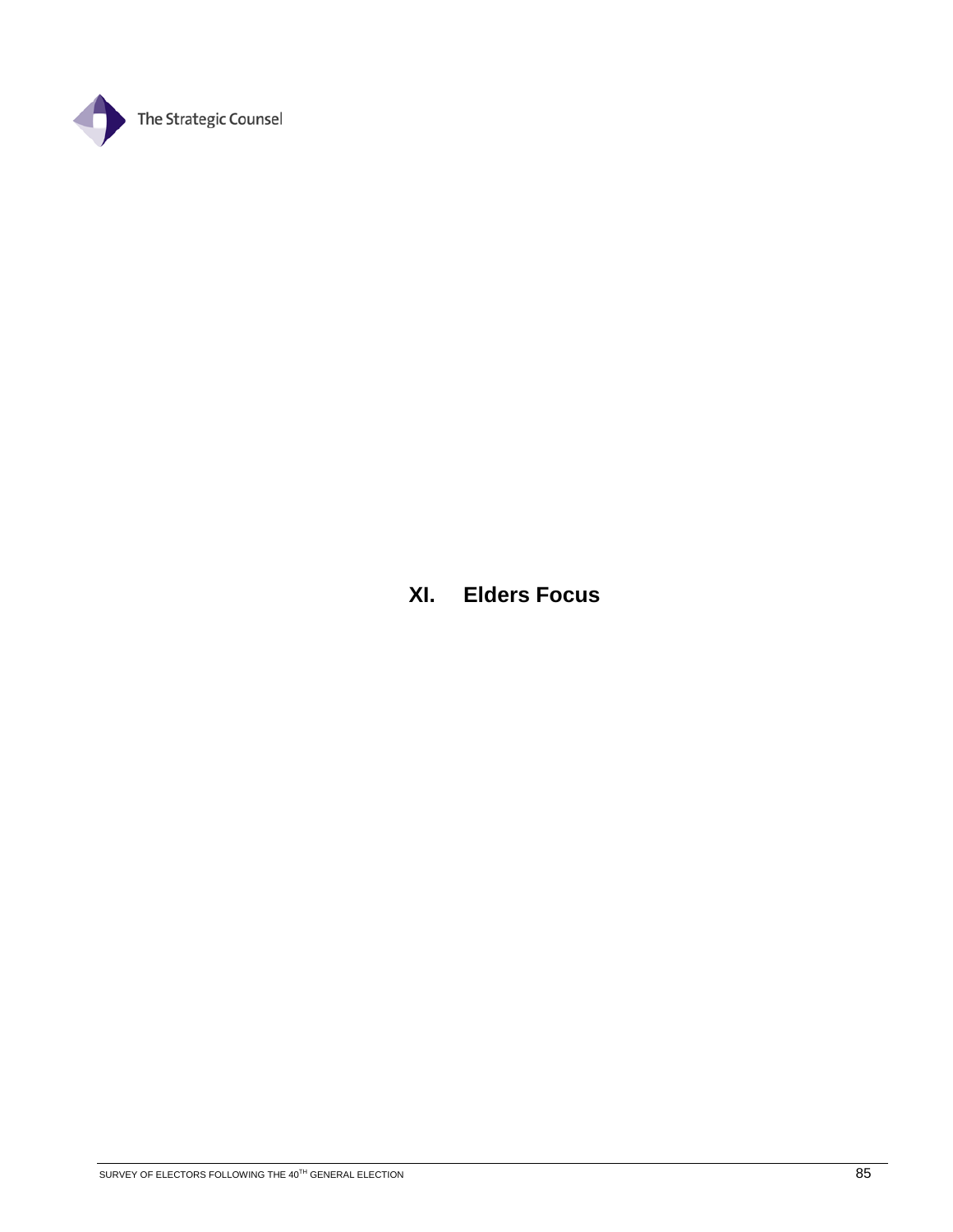

**XI. Elders Focus**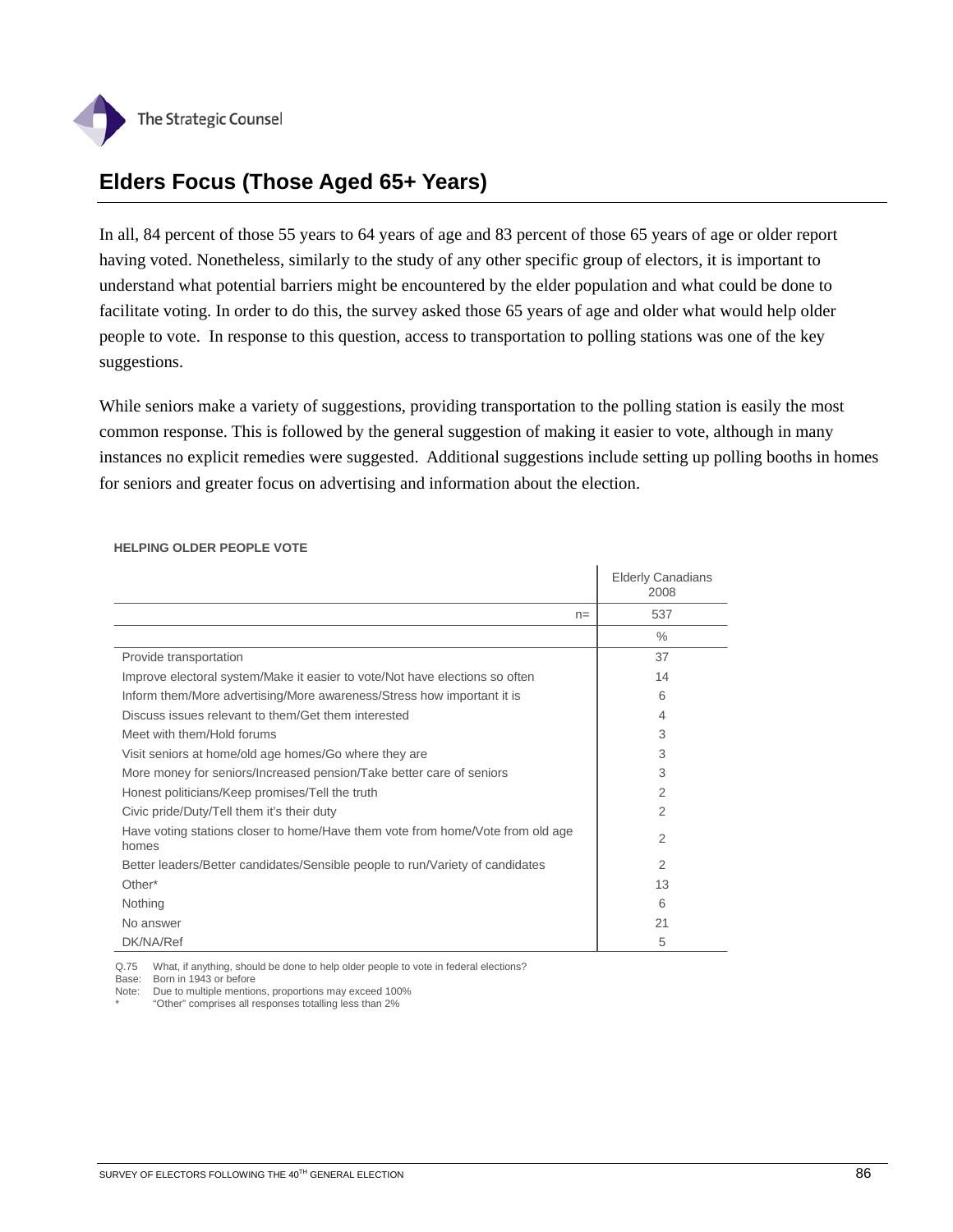

## **Elders Focus (Those Aged 65+ Years)**

In all, 84 percent of those 55 years to 64 years of age and 83 percent of those 65 years of age or older report having voted. Nonetheless, similarly to the study of any other specific group of electors, it is important to understand what potential barriers might be encountered by the elder population and what could be done to facilitate voting. In order to do this, the survey asked those 65 years of age and older what would help older people to vote. In response to this question, access to transportation to polling stations was one of the key suggestions.

While seniors make a variety of suggestions, providing transportation to the polling station is easily the most common response. This is followed by the general suggestion of making it easier to vote, although in many instances no explicit remedies were suggested. Additional suggestions include setting up polling booths in homes for seniors and greater focus on advertising and information about the election.

|                                                                                         | <b>Elderly Canadians</b><br>2008 |
|-----------------------------------------------------------------------------------------|----------------------------------|
| $n =$                                                                                   | 537                              |
|                                                                                         | $\%$                             |
| Provide transportation                                                                  | 37                               |
| Improve electoral system/Make it easier to vote/Not have elections so often             | 14                               |
| Inform them/More advertising/More awareness/Stress how important it is                  | 6                                |
| Discuss issues relevant to them/Get them interested                                     | 4                                |
| Meet with them/Hold forums                                                              | 3                                |
| Visit seniors at home/old age homes/Go where they are                                   | 3                                |
| More money for seniors/Increased pension/Take better care of seniors                    | 3                                |
| Honest politicians/Keep promises/Tell the truth                                         | $\overline{2}$                   |
| Civic pride/Duty/Tell them it's their duty                                              | 2                                |
| Have voting stations closer to home/Have them vote from home/Vote from old age<br>homes | 2                                |
| Better leaders/Better candidates/Sensible people to run/Variety of candidates           | 2                                |
| Other*                                                                                  | 13                               |
| Nothing                                                                                 | 6                                |
| No answer                                                                               | 21                               |
| DK/NA/Ref                                                                               | 5                                |

#### **HELPING OLDER PEOPLE VOTE**

Q.75 What, if anything, should be done to help older people to vote in federal elections?

Base: Born in 1943 or before

Note: Due to multiple mentions, proportions may exceed 100%

\* "Other" comprises all responses totalling less than 2%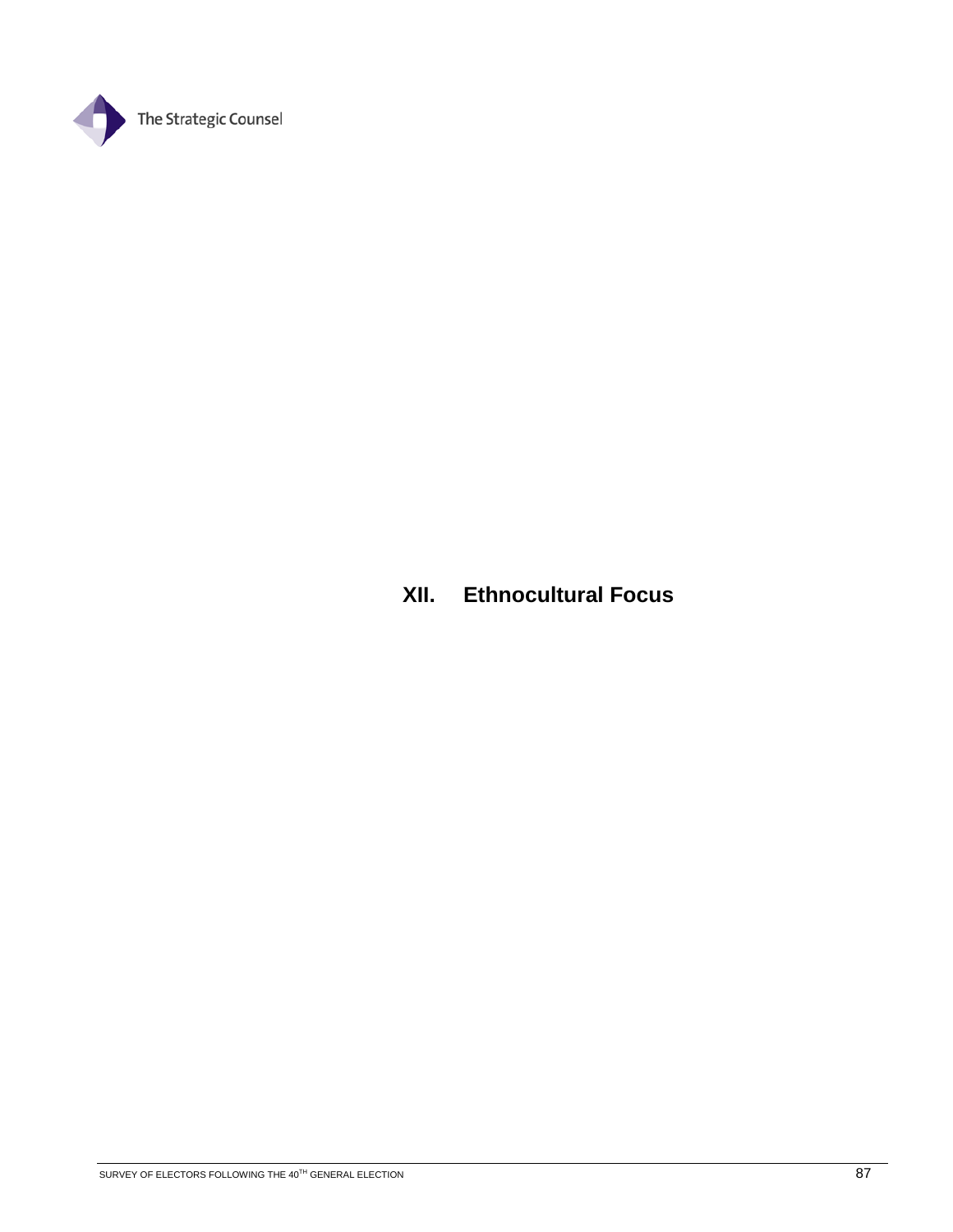

## **XII. Ethnocultural Focus**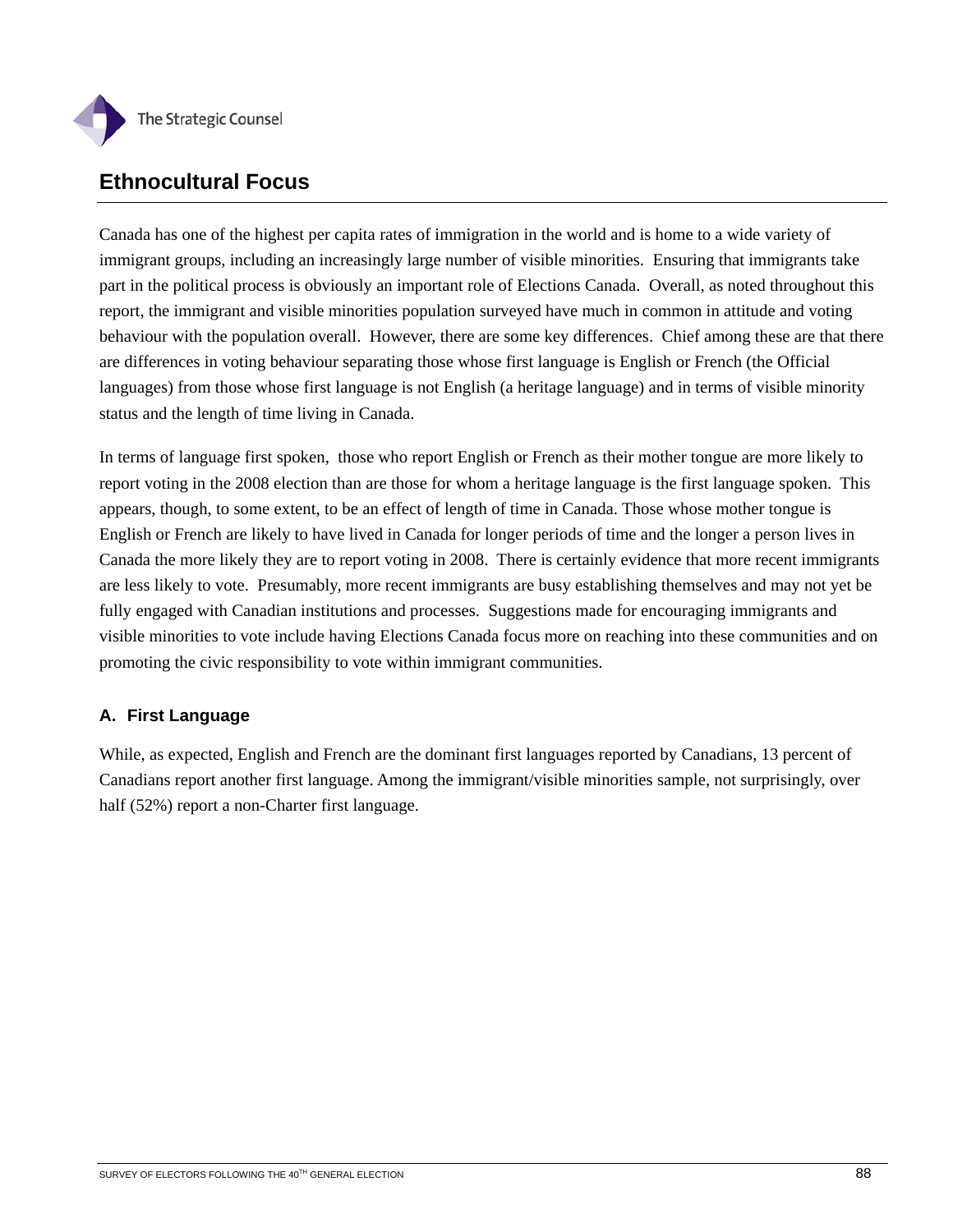

## **Ethnocultural Focus**

Canada has one of the highest per capita rates of immigration in the world and is home to a wide variety of immigrant groups, including an increasingly large number of visible minorities. Ensuring that immigrants take part in the political process is obviously an important role of Elections Canada. Overall, as noted throughout this report, the immigrant and visible minorities population surveyed have much in common in attitude and voting behaviour with the population overall. However, there are some key differences. Chief among these are that there are differences in voting behaviour separating those whose first language is English or French (the Official languages) from those whose first language is not English (a heritage language) and in terms of visible minority status and the length of time living in Canada.

In terms of language first spoken, those who report English or French as their mother tongue are more likely to report voting in the 2008 election than are those for whom a heritage language is the first language spoken. This appears, though, to some extent, to be an effect of length of time in Canada. Those whose mother tongue is English or French are likely to have lived in Canada for longer periods of time and the longer a person lives in Canada the more likely they are to report voting in 2008. There is certainly evidence that more recent immigrants are less likely to vote. Presumably, more recent immigrants are busy establishing themselves and may not yet be fully engaged with Canadian institutions and processes. Suggestions made for encouraging immigrants and visible minorities to vote include having Elections Canada focus more on reaching into these communities and on promoting the civic responsibility to vote within immigrant communities.

## **A. First Language**

While, as expected, English and French are the dominant first languages reported by Canadians, 13 percent of Canadians report another first language. Among the immigrant/visible minorities sample, not surprisingly, over half (52%) report a non-Charter first language.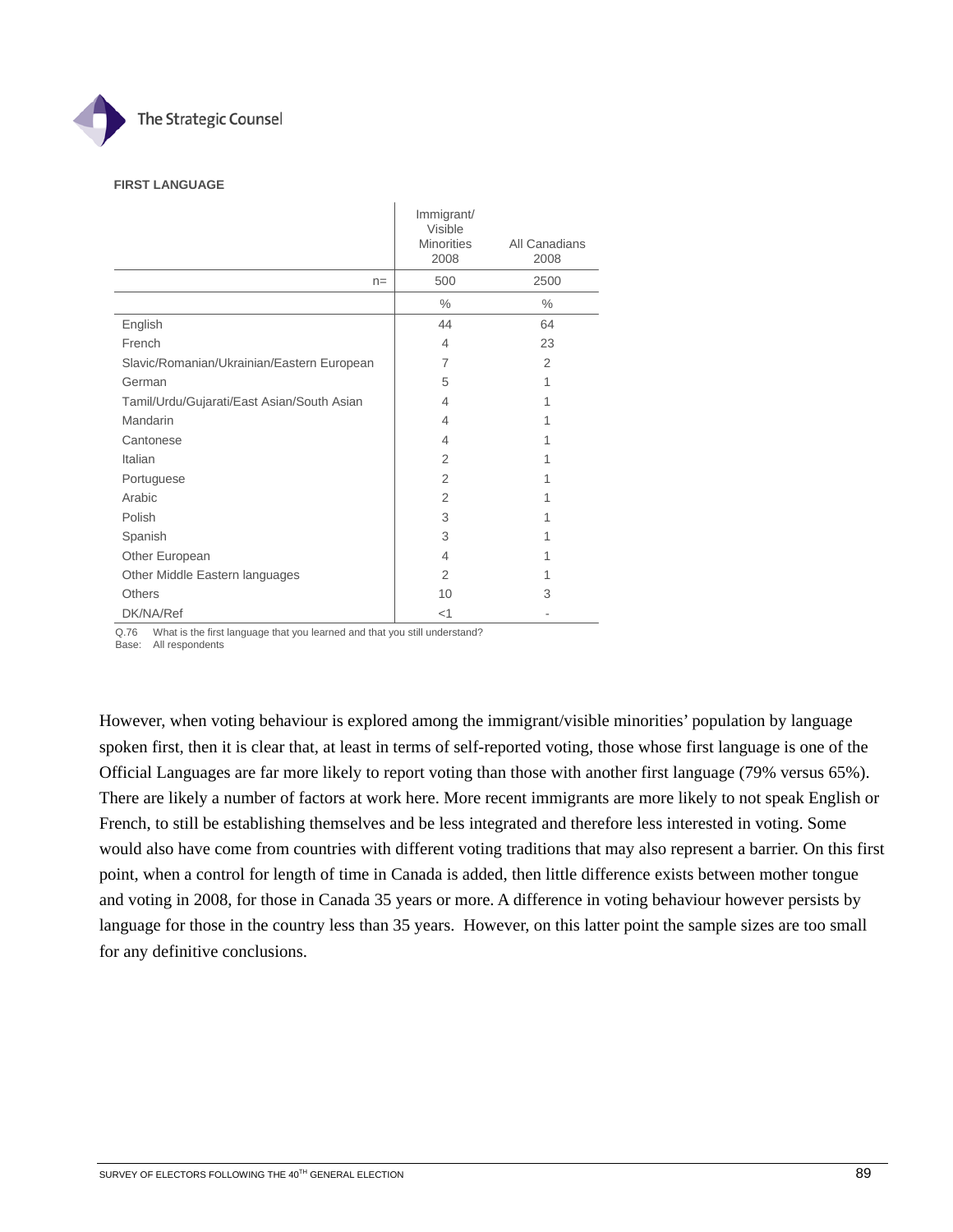

#### **FIRST LANGUAGE**

|                                            | Immigrant/<br>Visible |                |
|--------------------------------------------|-----------------------|----------------|
|                                            | <b>Minorities</b>     | All Canadians  |
|                                            | 2008                  | 2008           |
| $n =$                                      | 500                   | 2500           |
|                                            | $\%$                  | $\%$           |
| English                                    | 44                    | 64             |
| French                                     | 4                     | 23             |
| Slavic/Romanian/Ukrainian/Eastern European | 7                     | $\overline{2}$ |
| German                                     | 5                     | 1              |
| Tamil/Urdu/Gujarati/East Asian/South Asian | 4                     | 1              |
| Mandarin                                   | 4                     | 1              |
| Cantonese                                  | 4                     | 1              |
| Italian                                    | 2                     | 1              |
| Portuguese                                 | 2                     | 1              |
| Arabic                                     | 2                     | 1              |
| Polish                                     | 3                     | 1              |
| Spanish                                    | 3                     | 1              |
| Other European                             | 4                     | 1              |
| Other Middle Eastern languages             | 2                     | 1              |
| <b>Others</b>                              | 10                    | 3              |
| DK/NA/Ref                                  | $<$ 1                 |                |

Q.76 What is the first language that you learned and that you still understand?

Base: All respondents

However, when voting behaviour is explored among the immigrant/visible minorities' population by language spoken first, then it is clear that, at least in terms of self-reported voting, those whose first language is one of the Official Languages are far more likely to report voting than those with another first language (79% versus 65%). There are likely a number of factors at work here. More recent immigrants are more likely to not speak English or French, to still be establishing themselves and be less integrated and therefore less interested in voting. Some would also have come from countries with different voting traditions that may also represent a barrier. On this first point, when a control for length of time in Canada is added, then little difference exists between mother tongue and voting in 2008, for those in Canada 35 years or more. A difference in voting behaviour however persists by language for those in the country less than 35 years. However, on this latter point the sample sizes are too small for any definitive conclusions.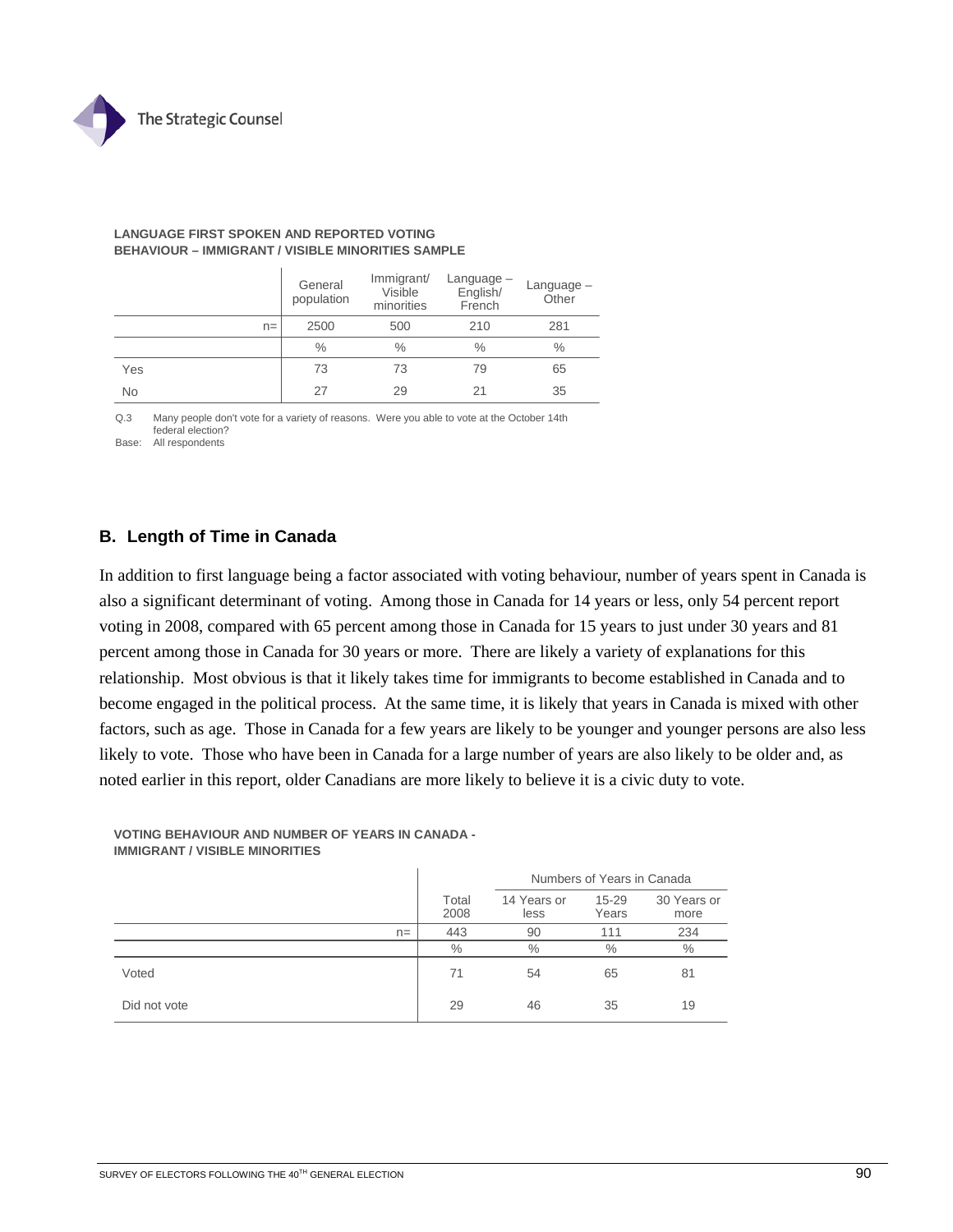

|           | General<br>population | Immigrant/<br>$L$ anguage $-$<br>English/<br>Visible<br>minorities<br>French |      | Language -<br>Other |
|-----------|-----------------------|------------------------------------------------------------------------------|------|---------------------|
| $n =$     | 2500                  | 500                                                                          | 210  | 281                 |
|           | $\frac{0}{0}$         | $\frac{0}{0}$                                                                | $\%$ | $\%$                |
| Yes       | 73                    | 73                                                                           | 79   | 65                  |
| <b>No</b> | 27                    | 29                                                                           | 21   | 35                  |

#### **LANGUAGE FIRST SPOKEN AND REPORTED VOTING BEHAVIOUR – IMMIGRANT / VISIBLE MINORITIES SAMPLE**

Q.3 Many people don't vote for a variety of reasons. Were you able to vote at the October 14th federal election?

Base: All respondents

### **B. Length of Time in Canada**

In addition to first language being a factor associated with voting behaviour, number of years spent in Canada is also a significant determinant of voting. Among those in Canada for 14 years or less, only 54 percent report voting in 2008, compared with 65 percent among those in Canada for 15 years to just under 30 years and 81 percent among those in Canada for 30 years or more. There are likely a variety of explanations for this relationship. Most obvious is that it likely takes time for immigrants to become established in Canada and to become engaged in the political process. At the same time, it is likely that years in Canada is mixed with other factors, such as age. Those in Canada for a few years are likely to be younger and younger persons are also less likely to vote. Those who have been in Canada for a large number of years are also likely to be older and, as noted earlier in this report, older Canadians are more likely to believe it is a civic duty to vote.

**VOTING BEHAVIOUR AND NUMBER OF YEARS IN CANADA - IMMIGRANT / VISIBLE MINORITIES**

|              |               | Numbers of Years in Canada |                    |                     |  |  |
|--------------|---------------|----------------------------|--------------------|---------------------|--|--|
|              | Total<br>2008 | 14 Years or<br>less        | $15 - 29$<br>Years | 30 Years or<br>more |  |  |
| $n =$        | 443           | 90                         | 111                | 234                 |  |  |
|              | $\%$          | $\%$                       | $\%$               | $\%$                |  |  |
| Voted        | 71            | 54                         | 65                 | 81                  |  |  |
| Did not vote | 29            | 46                         | 35                 | 19                  |  |  |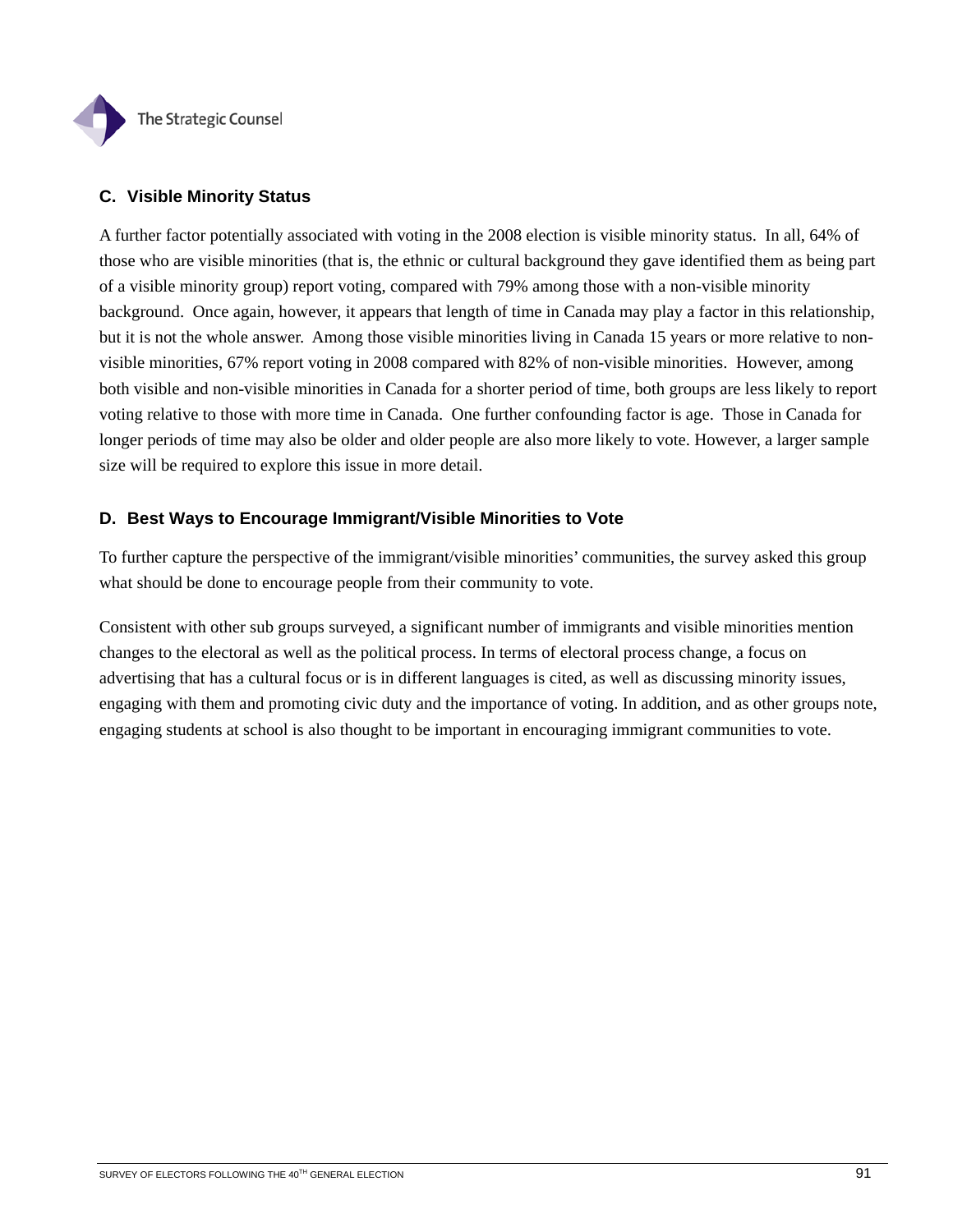

### **C. Visible Minority Status**

A further factor potentially associated with voting in the 2008 election is visible minority status. In all, 64% of those who are visible minorities (that is, the ethnic or cultural background they gave identified them as being part of a visible minority group) report voting, compared with 79% among those with a non-visible minority background. Once again, however, it appears that length of time in Canada may play a factor in this relationship, but it is not the whole answer. Among those visible minorities living in Canada 15 years or more relative to nonvisible minorities, 67% report voting in 2008 compared with 82% of non-visible minorities. However, among both visible and non-visible minorities in Canada for a shorter period of time, both groups are less likely to report voting relative to those with more time in Canada. One further confounding factor is age. Those in Canada for longer periods of time may also be older and older people are also more likely to vote. However, a larger sample size will be required to explore this issue in more detail.

### **D. Best Ways to Encourage Immigrant/Visible Minorities to Vote**

To further capture the perspective of the immigrant/visible minorities' communities, the survey asked this group what should be done to encourage people from their community to vote.

Consistent with other sub groups surveyed, a significant number of immigrants and visible minorities mention changes to the electoral as well as the political process. In terms of electoral process change, a focus on advertising that has a cultural focus or is in different languages is cited, as well as discussing minority issues, engaging with them and promoting civic duty and the importance of voting. In addition, and as other groups note, engaging students at school is also thought to be important in encouraging immigrant communities to vote.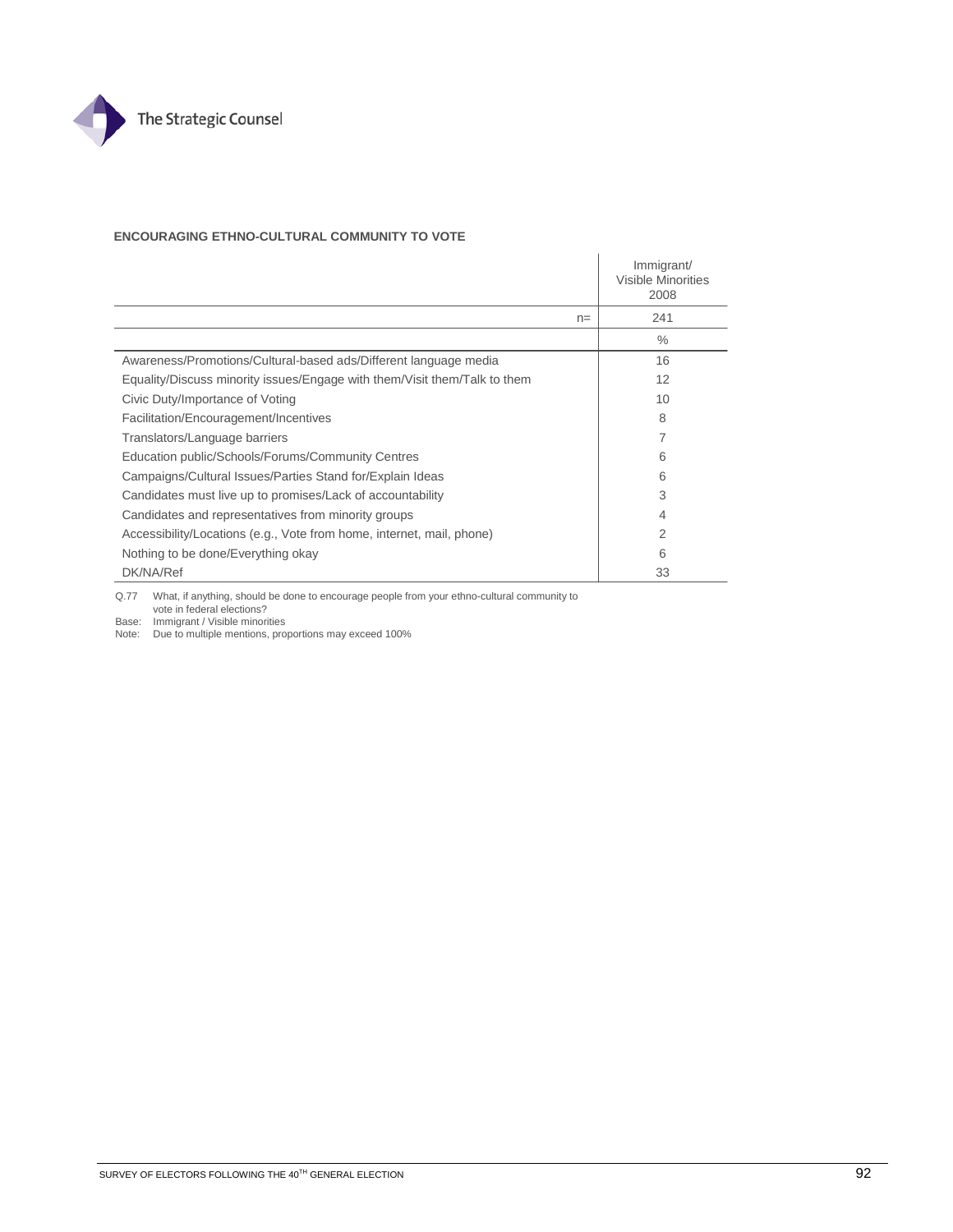

### **ENCOURAGING ETHNO-CULTURAL COMMUNITY TO VOTE**

|                                                                           |      | Immigrant/<br>Visible Minorities<br>2008 |
|---------------------------------------------------------------------------|------|------------------------------------------|
|                                                                           | $n=$ | 241                                      |
|                                                                           |      | $\%$                                     |
| Awareness/Promotions/Cultural-based ads/Different language media          |      | 16                                       |
| Equality/Discuss minority issues/Engage with them/Visit them/Talk to them |      | 12                                       |
| Civic Duty/Importance of Voting                                           |      | 10                                       |
| Facilitation/Encouragement/Incentives                                     |      | 8                                        |
| Translators/Language barriers                                             |      | 7                                        |
| Education public/Schools/Forums/Community Centres                         |      | 6                                        |
| Campaigns/Cultural Issues/Parties Stand for/Explain Ideas                 |      | 6                                        |
| Candidates must live up to promises/Lack of accountability                |      | 3                                        |
| Candidates and representatives from minority groups                       |      | $\overline{4}$                           |
| Accessibility/Locations (e.g., Vote from home, internet, mail, phone)     |      | 2                                        |
| Nothing to be done/Everything okay                                        |      | 6                                        |
| DK/NA/Ref                                                                 |      | 33                                       |

Q.77 What, if anything, should be done to encourage people from your ethno-cultural community to vote in federal elections? Base: Immigrant / Visible minorities

Note: Due to multiple mentions, proportions may exceed 100%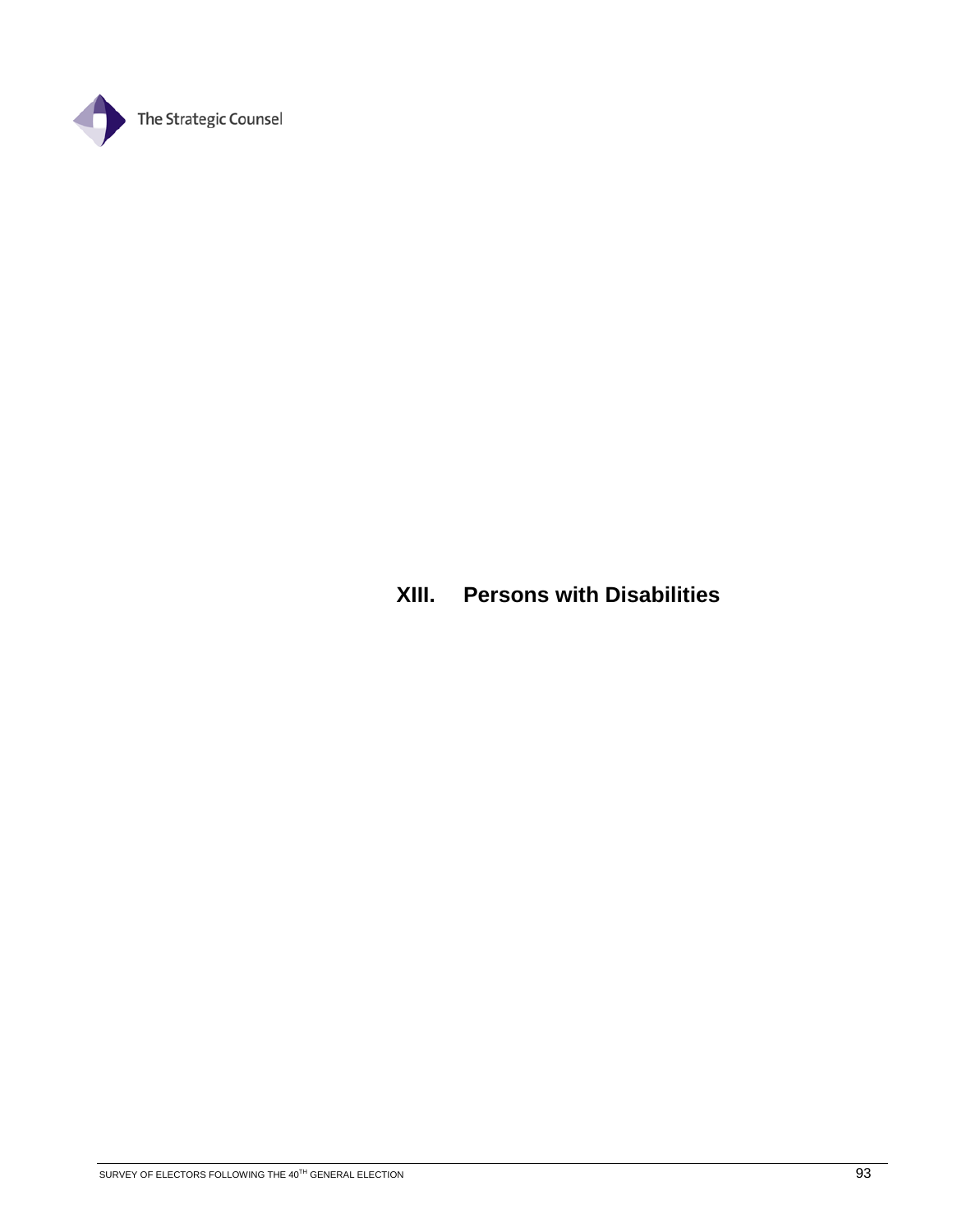

## **XIII. Persons with Disabilities**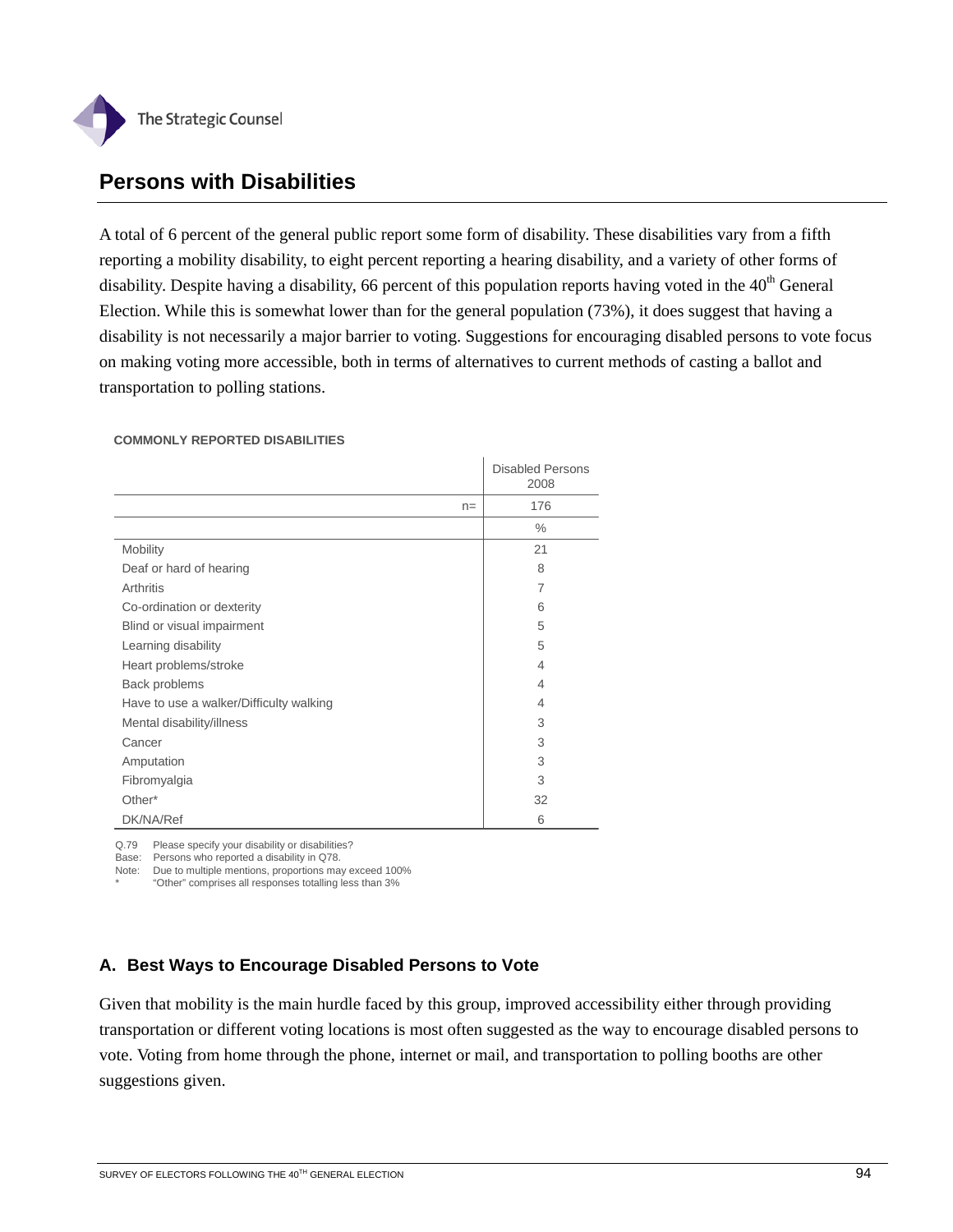

## **Persons with Disabilities**

A total of 6 percent of the general public report some form of disability. These disabilities vary from a fifth reporting a mobility disability, to eight percent reporting a hearing disability, and a variety of other forms of disability. Despite having a disability, 66 percent of this population reports having voted in the 40<sup>th</sup> General Election. While this is somewhat lower than for the general population (73%), it does suggest that having a disability is not necessarily a major barrier to voting. Suggestions for encouraging disabled persons to vote focus on making voting more accessible, both in terms of alternatives to current methods of casting a ballot and transportation to polling stations.

#### **COMMONLY REPORTED DISABILITIES**

|                                         |       | <b>Disabled Persons</b><br>2008 |
|-----------------------------------------|-------|---------------------------------|
|                                         | $n =$ | 176                             |
|                                         |       | $\%$                            |
| Mobility                                |       | 21                              |
| Deaf or hard of hearing                 |       | 8                               |
| Arthritis                               |       | $\overline{7}$                  |
| Co-ordination or dexterity              |       | 6                               |
| Blind or visual impairment              |       | 5                               |
| Learning disability                     |       | 5                               |
| Heart problems/stroke                   |       | $\overline{4}$                  |
| Back problems                           |       | 4                               |
| Have to use a walker/Difficulty walking |       | 4                               |
| Mental disability/illness               |       | 3                               |
| Cancer                                  |       | 3                               |
| Amputation                              |       | 3                               |
| Fibromyalgia                            |       | 3                               |
| Other*                                  |       | 32                              |
| DK/NA/Ref                               |       | 6                               |

Q.79 Please specify your disability or disabilities?

Base: Persons who reported a disability in Q78. Note: Due to multiple mentions, proportions may exceed 100%

\* "Other" comprises all responses totalling less than 3%

### **A. Best Ways to Encourage Disabled Persons to Vote**

Given that mobility is the main hurdle faced by this group, improved accessibility either through providing transportation or different voting locations is most often suggested as the way to encourage disabled persons to vote. Voting from home through the phone, internet or mail, and transportation to polling booths are other suggestions given.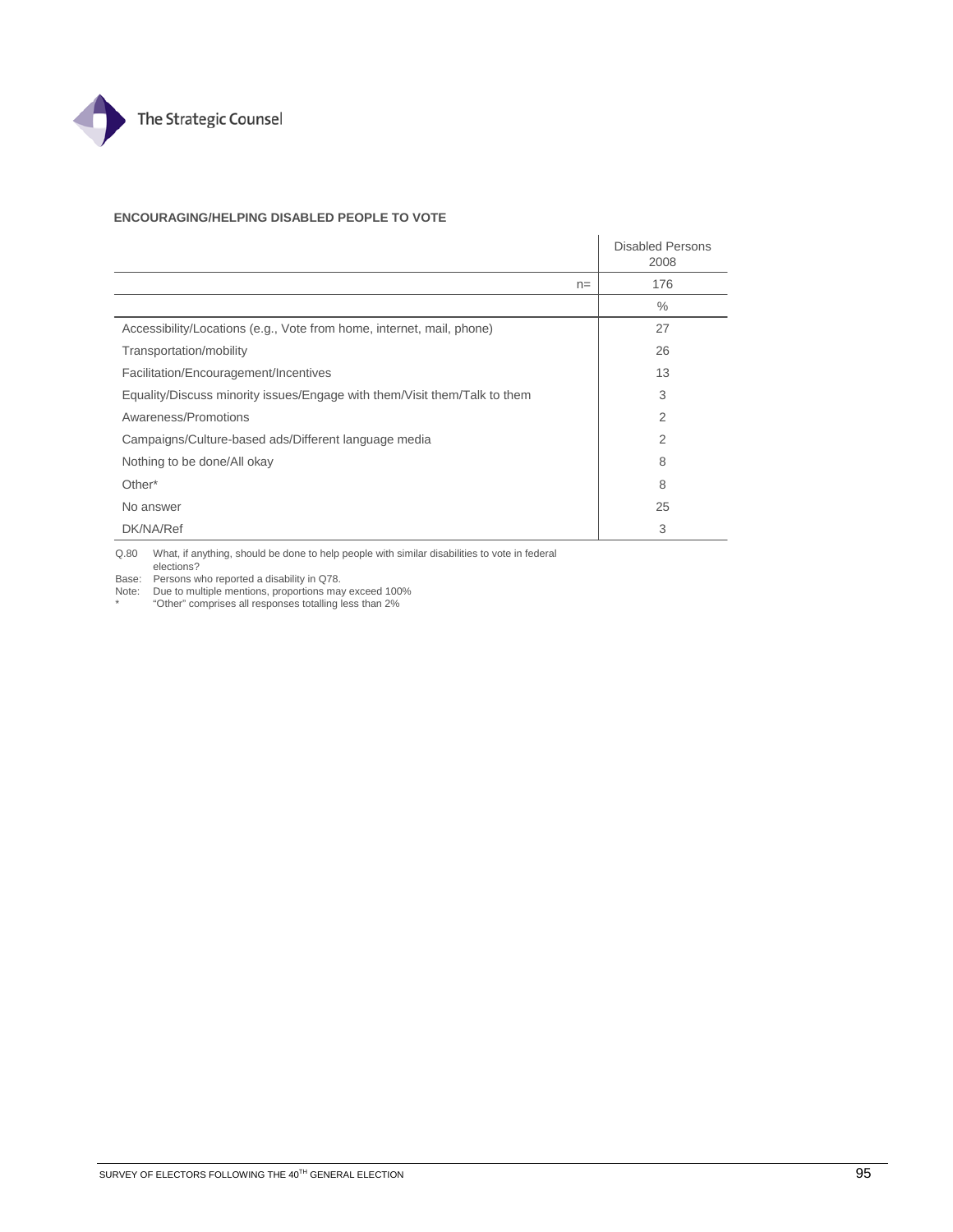

#### **ENCOURAGING/HELPING DISABLED PEOPLE TO VOTE**

|                                                                           |       | <b>Disabled Persons</b><br>2008 |
|---------------------------------------------------------------------------|-------|---------------------------------|
|                                                                           | $n =$ | 176                             |
|                                                                           |       | $\%$                            |
| Accessibility/Locations (e.g., Vote from home, internet, mail, phone)     |       | 27                              |
| Transportation/mobility                                                   |       | 26                              |
| Facilitation/Encouragement/Incentives                                     |       | 13                              |
| Equality/Discuss minority issues/Engage with them/Visit them/Talk to them |       | 3                               |
| Awareness/Promotions                                                      |       | 2                               |
| Campaigns/Culture-based ads/Different language media                      |       | 2                               |
| Nothing to be done/All okay                                               |       | 8                               |
| Other*                                                                    |       | 8                               |
| No answer                                                                 |       | 25                              |
| DK/NA/Ref                                                                 |       | 3                               |

 $\overline{1}$ 

Q.80 What, if anything, should be done to help people with similar disabilities to vote in federal elections?

Base: Persons who reported a disability in Q78.

Note: Due to multiple mentions, proportions may exceed 100% \* "Other" comprises all responses totalling less than 2%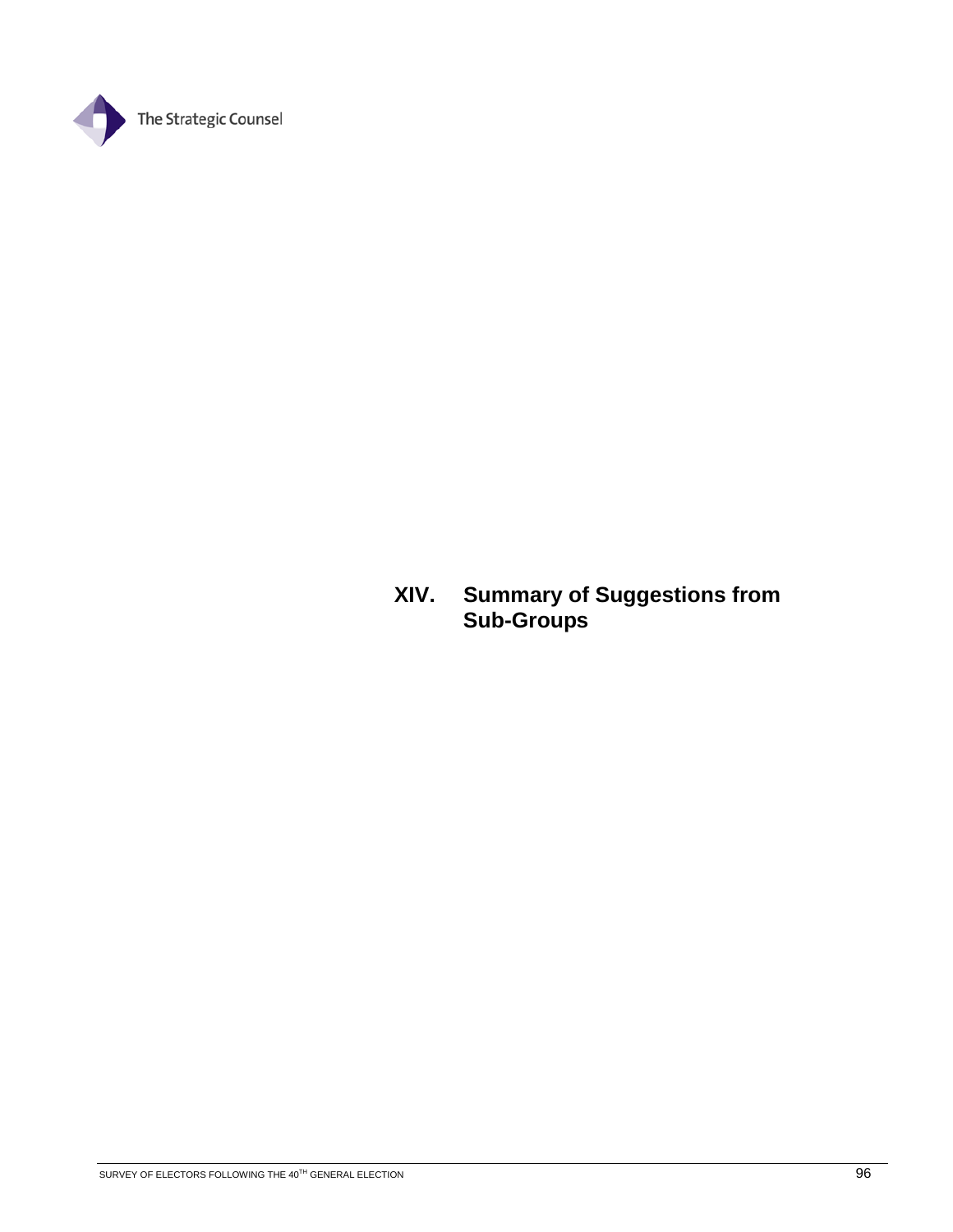

## **XIV. Summary of Suggestions from Sub-Groups**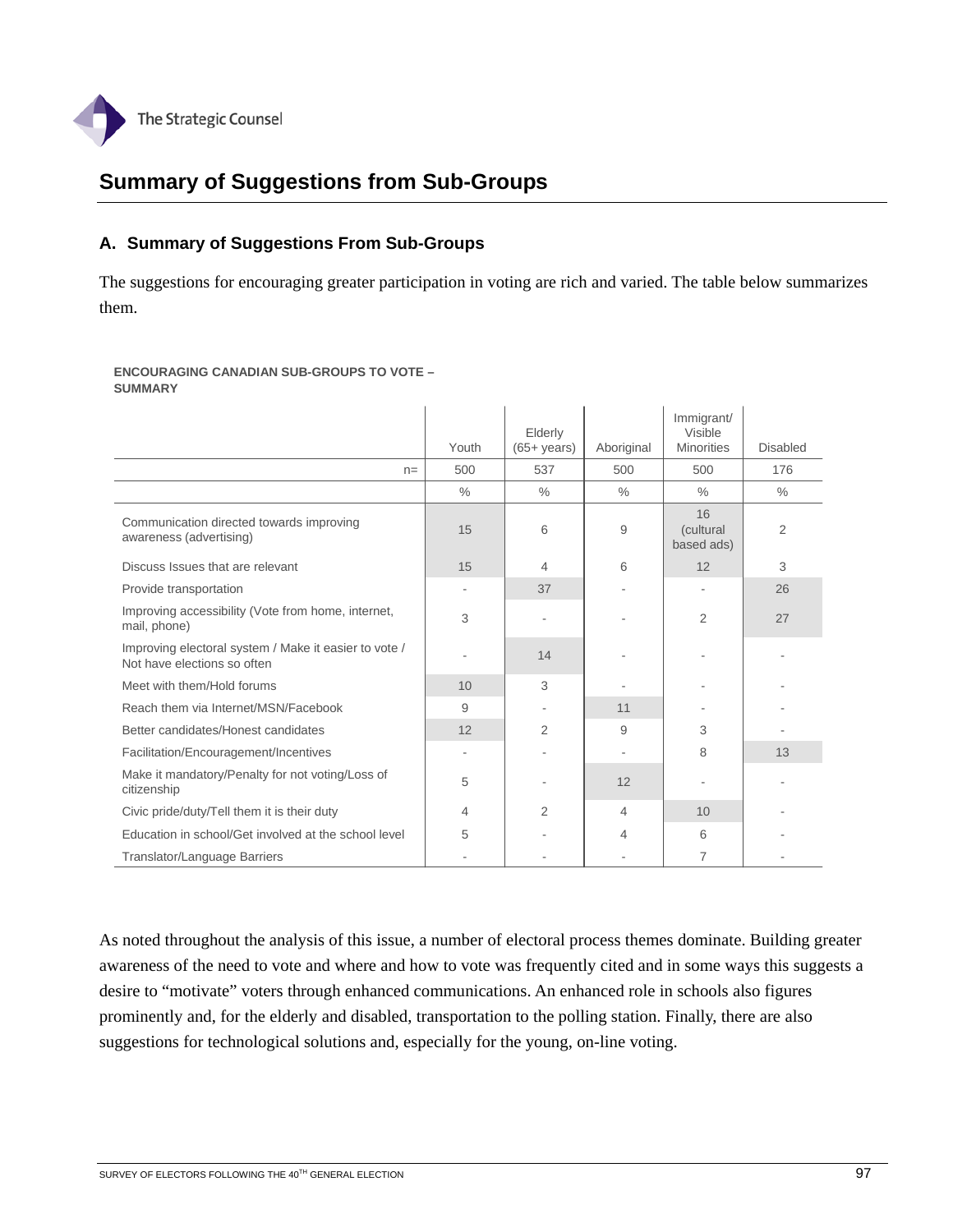

## **Summary of Suggestions from Sub-Groups**

### **A. Summary of Suggestions From Sub-Groups**

The suggestions for encouraging greater participation in voting are rich and varied. The table below summarizes them.

**ENCOURAGING CANADIAN SUB-GROUPS TO VOTE – SUMMARY** 

|                                                                                      | Youth         | Elderly<br>$(65 + \mathrm{years})$ | Aboriginal    | Immigrant/<br>Visible<br><b>Minorities</b> | <b>Disabled</b> |
|--------------------------------------------------------------------------------------|---------------|------------------------------------|---------------|--------------------------------------------|-----------------|
| $n=$                                                                                 | 500           | 537                                | 500           | 500                                        | 176             |
|                                                                                      | $\frac{0}{0}$ | $\frac{0}{0}$                      | $\frac{0}{0}$ | $\frac{0}{0}$                              | $\frac{0}{0}$   |
| Communication directed towards improving<br>awareness (advertising)                  | 15            | 6                                  | 9             | 16<br>(cultural<br>based ads)              | 2               |
| Discuss Issues that are relevant                                                     | 15            | 4                                  | 6             | 12                                         | 3               |
| Provide transportation                                                               |               | 37                                 |               |                                            | 26              |
| Improving accessibility (Vote from home, internet,<br>mail, phone)                   | 3             |                                    |               | 2                                          | 27              |
| Improving electoral system / Make it easier to vote /<br>Not have elections so often |               | 14                                 |               |                                            |                 |
| Meet with them/Hold forums                                                           | 10            | 3                                  |               |                                            |                 |
| Reach them via Internet/MSN/Facebook                                                 | 9             |                                    | 11            |                                            |                 |
| Better candidates/Honest candidates                                                  | 12            | 2                                  | 9             | 3                                          |                 |
| Facilitation/Encouragement/Incentives                                                |               |                                    |               | 8                                          | 13              |
| Make it mandatory/Penalty for not voting/Loss of<br>citizenship                      | 5             |                                    | 12            |                                            |                 |
| Civic pride/duty/Tell them it is their duty                                          | 4             | 2                                  | 4             | 10                                         |                 |
| Education in school/Get involved at the school level                                 | 5             |                                    | 4             | 6                                          |                 |
| Translator/Language Barriers                                                         |               |                                    |               | 7                                          |                 |

As noted throughout the analysis of this issue, a number of electoral process themes dominate. Building greater awareness of the need to vote and where and how to vote was frequently cited and in some ways this suggests a desire to "motivate" voters through enhanced communications. An enhanced role in schools also figures prominently and, for the elderly and disabled, transportation to the polling station. Finally, there are also suggestions for technological solutions and, especially for the young, on-line voting.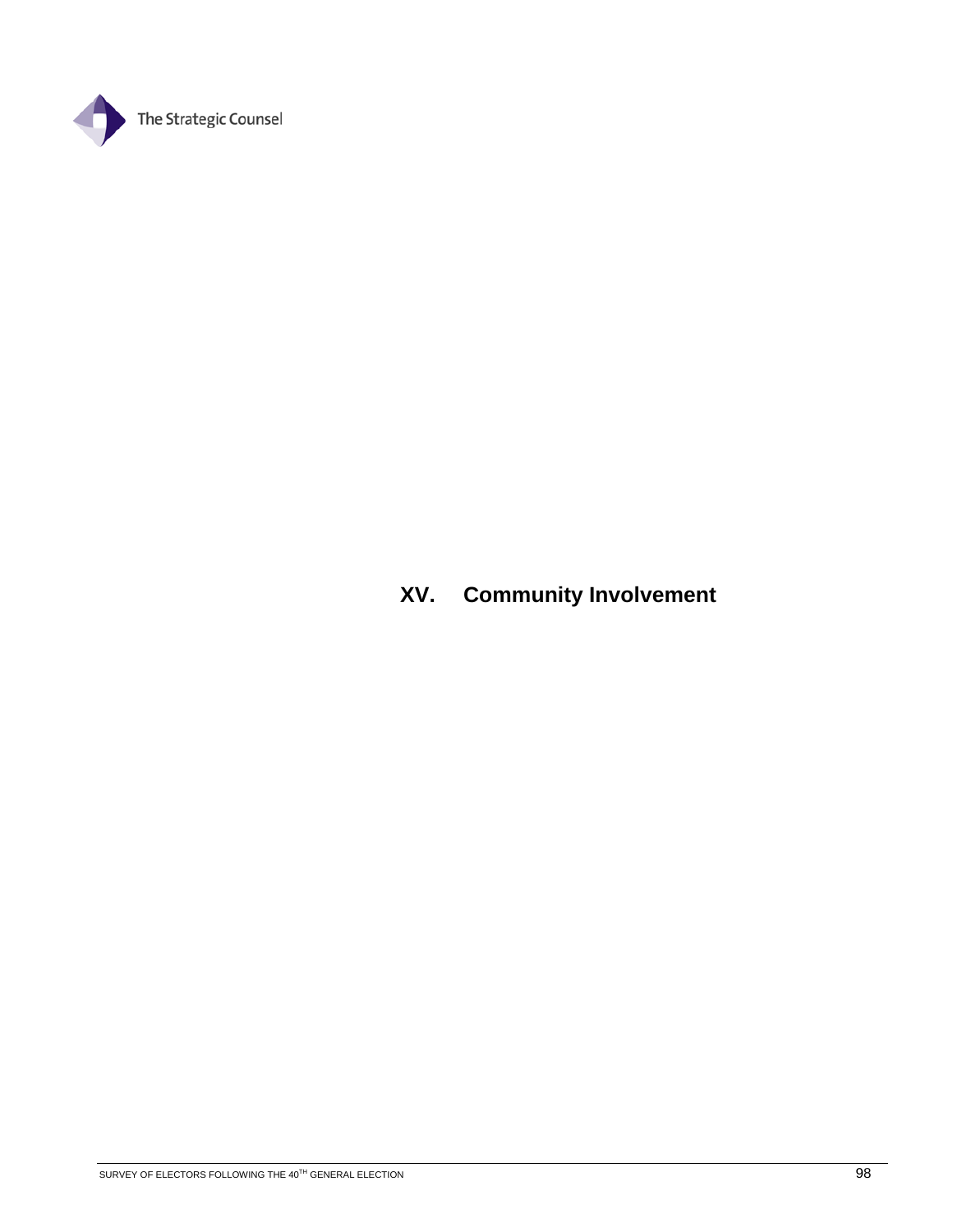

# **XV. Community Involvement**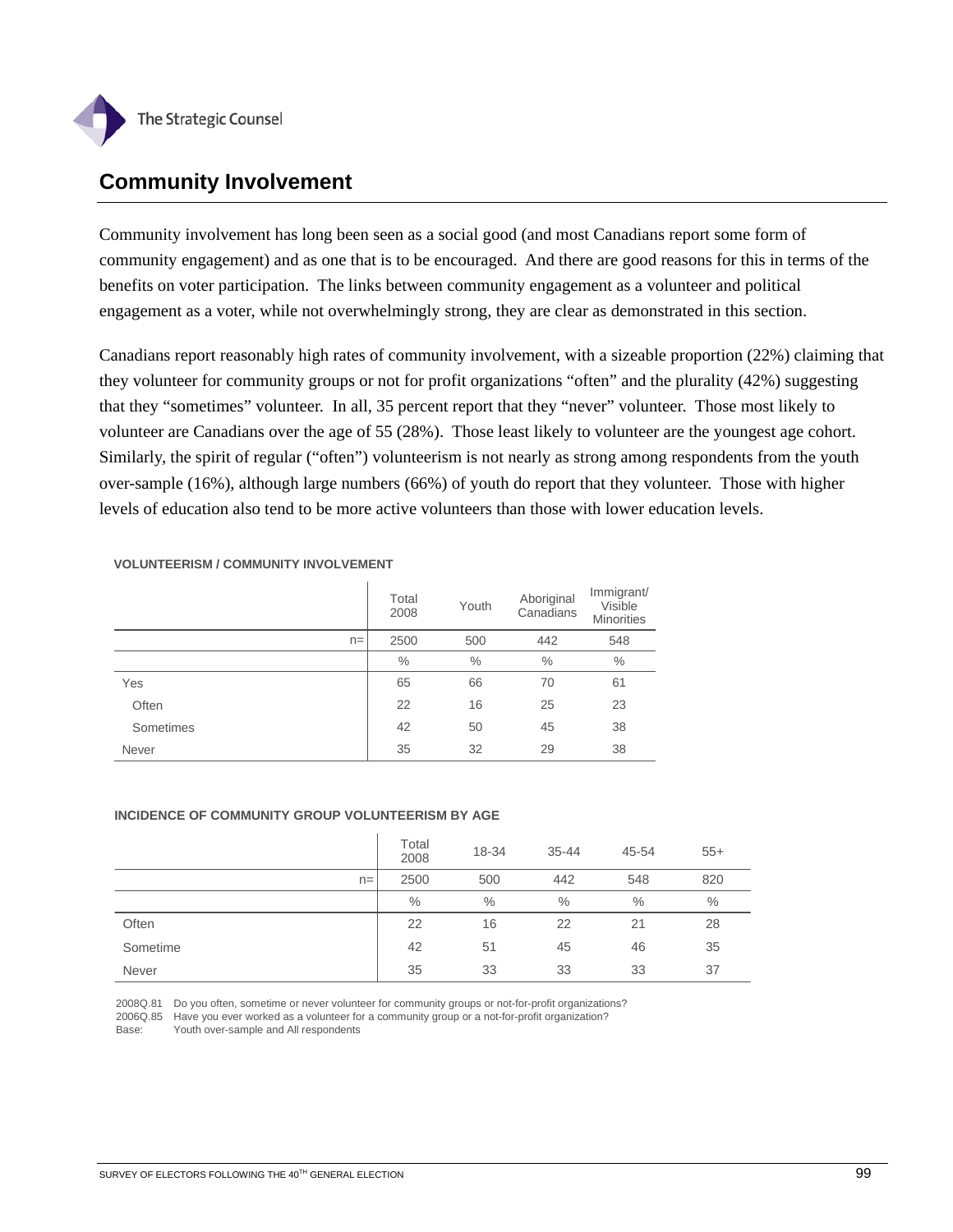

## **Community Involvement**

Community involvement has long been seen as a social good (and most Canadians report some form of community engagement) and as one that is to be encouraged. And there are good reasons for this in terms of the benefits on voter participation. The links between community engagement as a volunteer and political engagement as a voter, while not overwhelmingly strong, they are clear as demonstrated in this section.

Canadians report reasonably high rates of community involvement, with a sizeable proportion (22%) claiming that they volunteer for community groups or not for profit organizations "often" and the plurality (42%) suggesting that they "sometimes" volunteer. In all, 35 percent report that they "never" volunteer. Those most likely to volunteer are Canadians over the age of 55 (28%). Those least likely to volunteer are the youngest age cohort. Similarly, the spirit of regular ("often") volunteerism is not nearly as strong among respondents from the youth over-sample (16%), although large numbers (66%) of youth do report that they volunteer. Those with higher levels of education also tend to be more active volunteers than those with lower education levels.

|           | Total<br>2008 | Youth         | Aboriginal<br>Canadians | Immigrant/<br>Visible<br><b>Minorities</b> |
|-----------|---------------|---------------|-------------------------|--------------------------------------------|
| $n =$     | 2500          | 500           | 442                     | 548                                        |
|           | $\%$          | $\frac{0}{0}$ | $\%$                    | $\%$                                       |
| Yes       | 65            | 66            | 70                      | 61                                         |
| Often     | 22            | 16            | 25                      | 23                                         |
| Sometimes | 42            | 50            | 45                      | 38                                         |
| Never     | 35            | 32            | 29                      | 38                                         |

**VOLUNTEERISM / COMMUNITY INVOLVEMENT**

#### **INCIDENCE OF COMMUNITY GROUP VOLUNTEERISM BY AGE**

|          |       | Total<br>2008 | 18-34 | $35 - 44$ | 45-54 | $55+$ |
|----------|-------|---------------|-------|-----------|-------|-------|
|          | $n =$ | 2500          | 500   | 442       | 548   | 820   |
|          |       | $\%$          | $\%$  | $\%$      | $\%$  | $\%$  |
| Often    |       | 22            | 16    | 22        | 21    | 28    |
| Sometime |       | 42            | 51    | 45        | 46    | 35    |
| Never    |       | 35            | 33    | 33        | 33    | 37    |

2008Q.81 Do you often, sometime or never volunteer for community groups or not-for-profit organizations?

2006Q.85 Have you ever worked as a volunteer for a community group or a not-for-profit organization?

Base: Youth over-sample and All respondents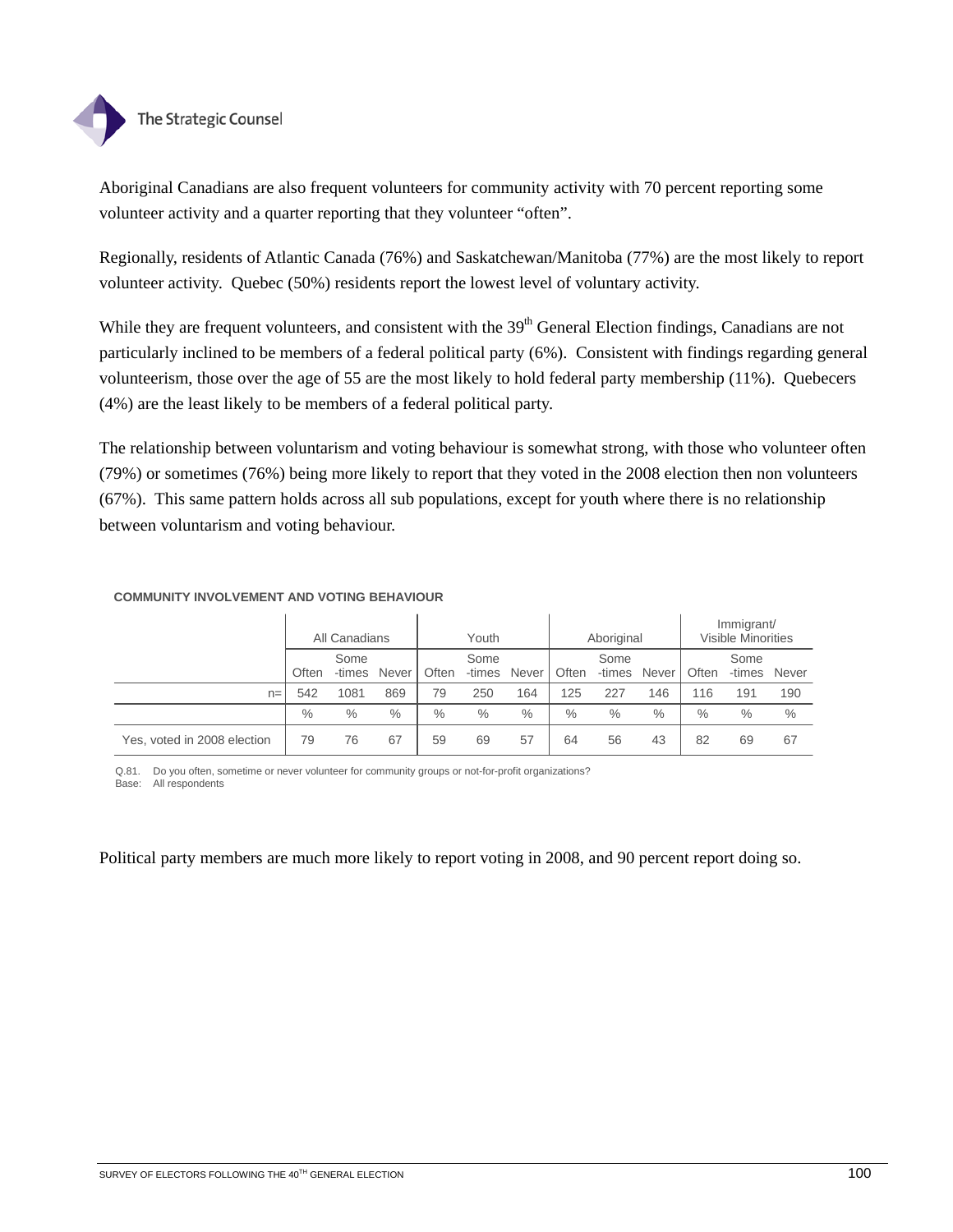

Aboriginal Canadians are also frequent volunteers for community activity with 70 percent reporting some volunteer activity and a quarter reporting that they volunteer "often".

Regionally, residents of Atlantic Canada (76%) and Saskatchewan/Manitoba (77%) are the most likely to report volunteer activity. Quebec (50%) residents report the lowest level of voluntary activity.

While they are frequent volunteers, and consistent with the 39<sup>th</sup> General Election findings, Canadians are not particularly inclined to be members of a federal political party (6%). Consistent with findings regarding general volunteerism, those over the age of 55 are the most likely to hold federal party membership (11%). Quebecers (4%) are the least likely to be members of a federal political party.

The relationship between voluntarism and voting behaviour is somewhat strong, with those who volunteer often (79%) or sometimes (76%) being more likely to report that they voted in the 2008 election then non volunteers (67%). This same pattern holds across all sub populations, except for youth where there is no relationship between voluntarism and voting behaviour.

|                             |       | All Canadians  |       | Youth |                | Aboriginal |       |                | Immigrant/<br><b>Visible Minorities</b> |       |                |       |
|-----------------------------|-------|----------------|-------|-------|----------------|------------|-------|----------------|-----------------------------------------|-------|----------------|-------|
|                             | Often | Some<br>-times | Never | Often | Some<br>-times | Never      | Often | Some<br>-times | Never                                   | Often | Some<br>-times | Never |
| $n =$                       | 542   | 1081           | 869   | 79    | 250            | 164        | 125   | 227            | 146                                     | 116   | 191            | 190   |
|                             | $\%$  | $\%$           | $\%$  | $\%$  | $\%$           | $\%$       | $\%$  | $\%$           | $\%$                                    | $\%$  | $\%$           | $\%$  |
| Yes, voted in 2008 election | 79    | 76             | 67    | 59    | 69             | 57         | 64    | 56             | 43                                      | 82    | 69             | 67    |

### **COMMUNITY INVOLVEMENT AND VOTING BEHAVIOUR**

Q.81. Do you often, sometime or never volunteer for community groups or not-for-profit organizations? Base: All respondents

Political party members are much more likely to report voting in 2008, and 90 percent report doing so.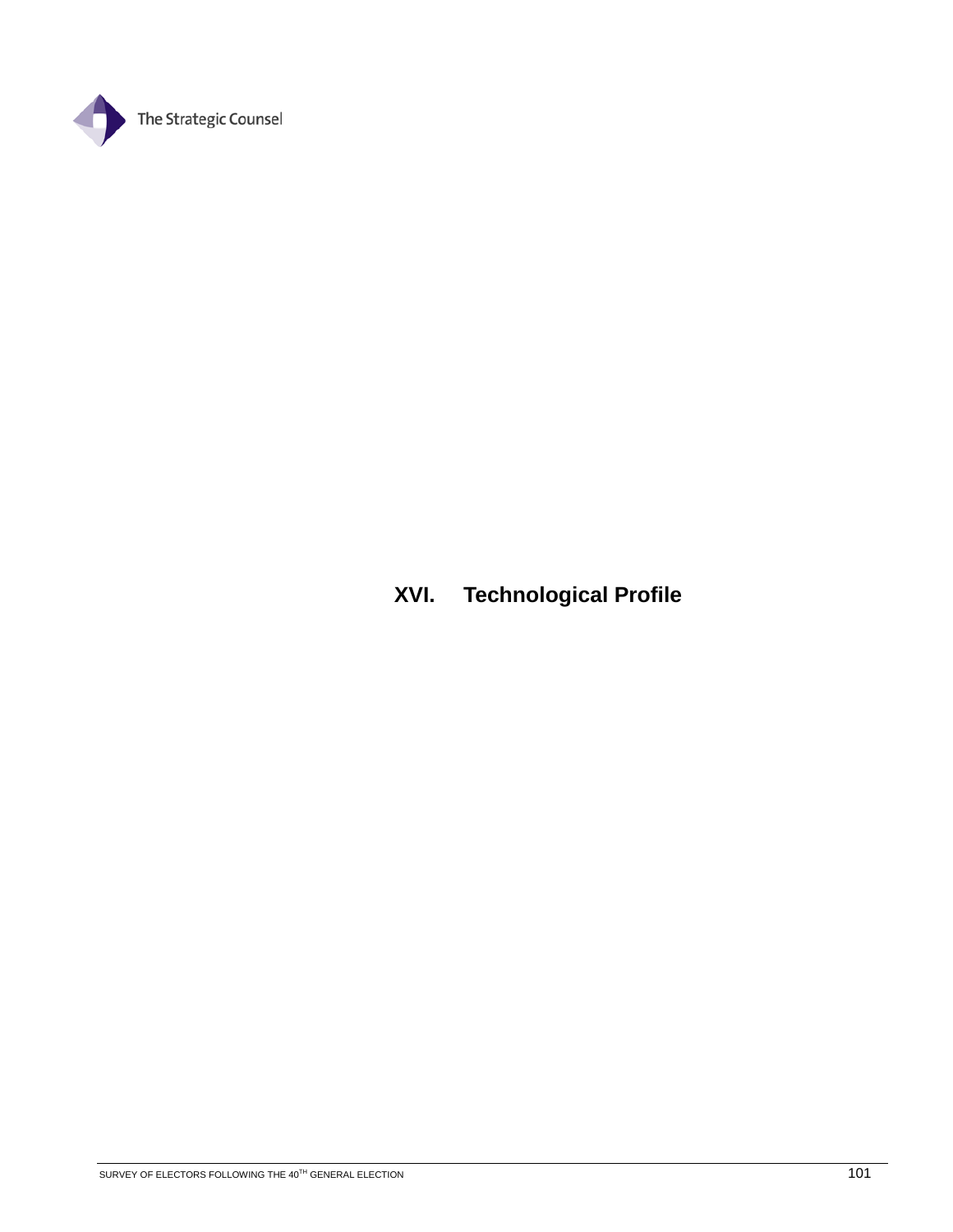

# **XVI. Technological Profile**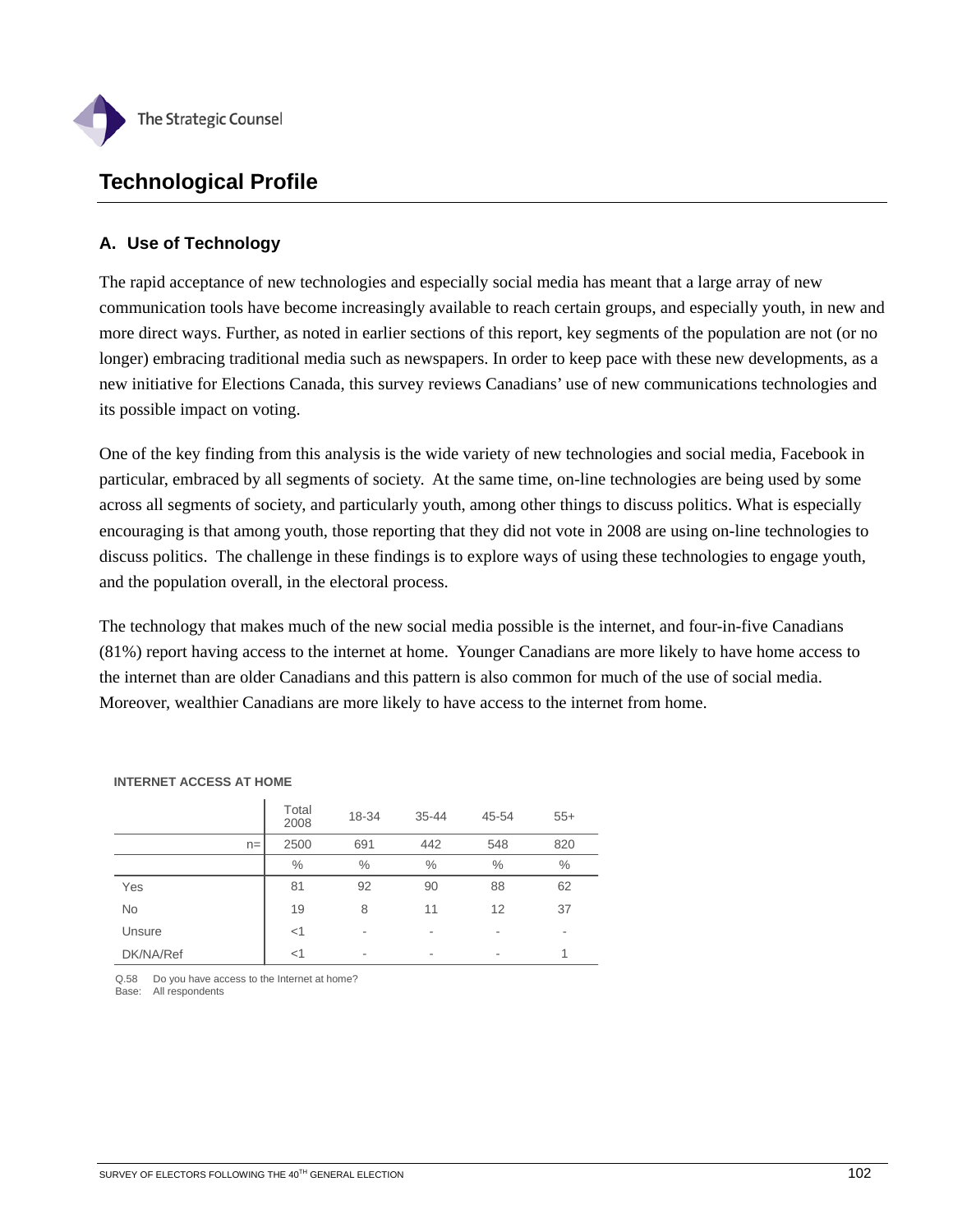

## **Technological Profile**

## **A. Use of Technology**

The rapid acceptance of new technologies and especially social media has meant that a large array of new communication tools have become increasingly available to reach certain groups, and especially youth, in new and more direct ways. Further, as noted in earlier sections of this report, key segments of the population are not (or no longer) embracing traditional media such as newspapers. In order to keep pace with these new developments, as a new initiative for Elections Canada, this survey reviews Canadians' use of new communications technologies and its possible impact on voting.

One of the key finding from this analysis is the wide variety of new technologies and social media, Facebook in particular, embraced by all segments of society. At the same time, on-line technologies are being used by some across all segments of society, and particularly youth, among other things to discuss politics. What is especially encouraging is that among youth, those reporting that they did not vote in 2008 are using on-line technologies to discuss politics. The challenge in these findings is to explore ways of using these technologies to engage youth, and the population overall, in the electoral process.

The technology that makes much of the new social media possible is the internet, and four-in-five Canadians (81%) report having access to the internet at home. Younger Canadians are more likely to have home access to the internet than are older Canadians and this pattern is also common for much of the use of social media. Moreover, wealthier Canadians are more likely to have access to the internet from home.

|           | Total<br>2008 | 18-34 | $35 - 44$ | 45-54 | $55+$ |
|-----------|---------------|-------|-----------|-------|-------|
| $n =$     | 2500          | 691   | 442       | 548   | 820   |
|           | $\%$          | $\%$  | $\%$      | $\%$  | $\%$  |
| Yes       | 81            | 92    | 90        | 88    | 62    |
| No        | 19            | 8     | 11        | 12    | 37    |
| Unsure    | $<$ 1         | ٠     | ٠         | ٠     | ٠     |
| DK/NA/Ref | $<$ 1         | ٠     | ٠         | ٠     | 1     |

#### **INTERNET ACCESS AT HOME**

Q.58 Do you have access to the Internet at home? Base: All respondents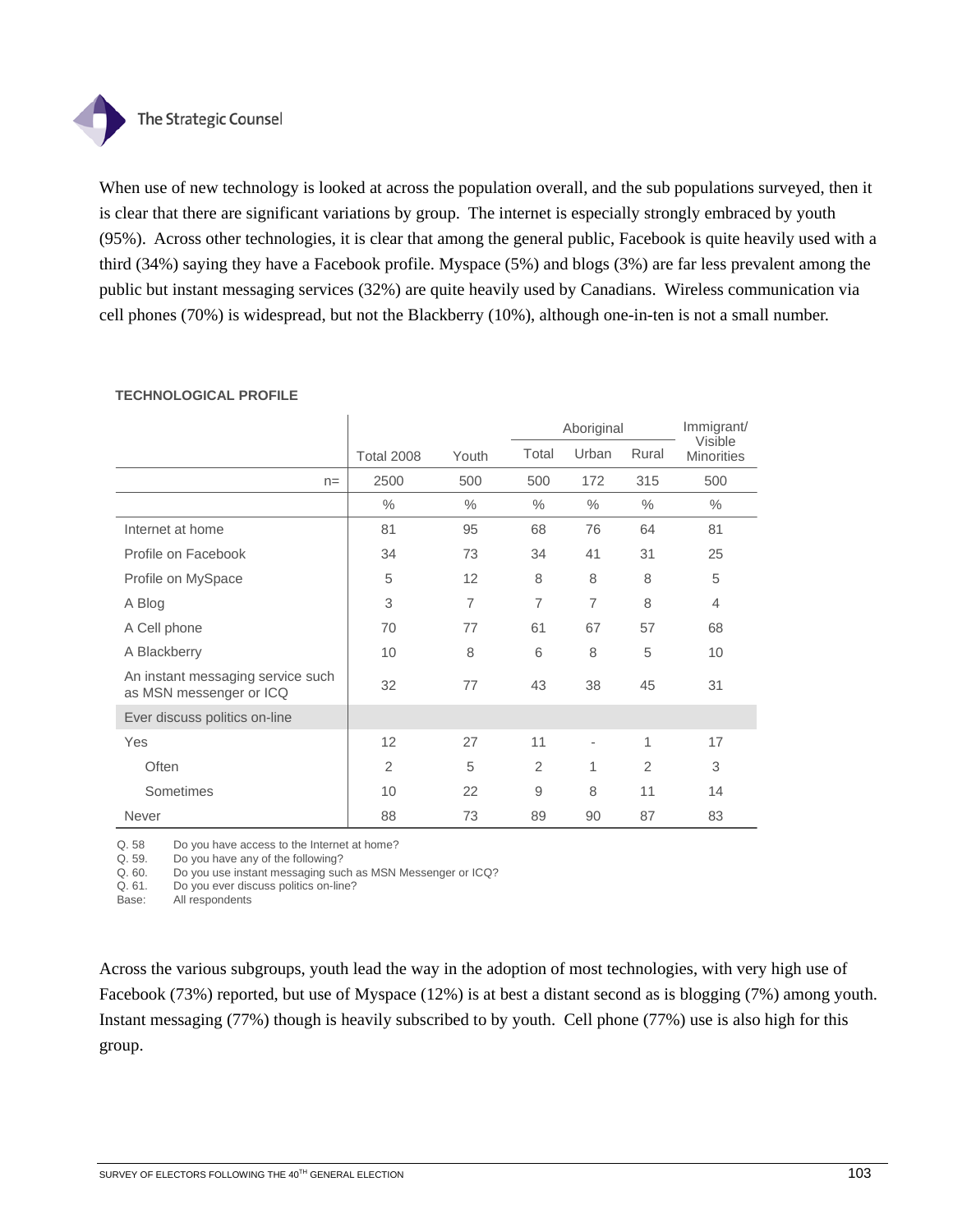

When use of new technology is looked at across the population overall, and the sub populations surveyed, then it is clear that there are significant variations by group. The internet is especially strongly embraced by youth (95%). Across other technologies, it is clear that among the general public, Facebook is quite heavily used with a third (34%) saying they have a Facebook profile. Myspace (5%) and blogs (3%) are far less prevalent among the public but instant messaging services (32%) are quite heavily used by Canadians. Wireless communication via cell phones (70%) is widespread, but not the Blackberry (10%), although one-in-ten is not a small number.

|                                                              |                   | Aboriginal     |                |                          |                |                              |  |  |  |  | Immigrant/ |
|--------------------------------------------------------------|-------------------|----------------|----------------|--------------------------|----------------|------------------------------|--|--|--|--|------------|
|                                                              | <b>Total 2008</b> | Youth          | Total          | Urban                    | Rural          | Visible<br><b>Minorities</b> |  |  |  |  |            |
| $n =$                                                        | 2500              | 500            | 500            | 172                      | 315            | 500                          |  |  |  |  |            |
|                                                              | $\%$              | $\%$           | $\%$           | $\%$                     | $\frac{0}{0}$  | $\%$                         |  |  |  |  |            |
| Internet at home                                             | 81                | 95             | 68             | 76                       | 64             | 81                           |  |  |  |  |            |
| Profile on Facebook                                          | 34                | 73             | 34             | 41                       | 31             | 25                           |  |  |  |  |            |
| Profile on MySpace                                           | 5                 | 12             | 8              | 8                        | 8              | 5                            |  |  |  |  |            |
| A Blog                                                       | 3                 | $\overline{7}$ | $\overline{7}$ | $\overline{7}$           | 8              | $\overline{4}$               |  |  |  |  |            |
| A Cell phone                                                 | 70                | 77             | 61             | 67                       | 57             | 68                           |  |  |  |  |            |
| A Blackberry                                                 | 10                | 8              | 6              | 8                        | 5              | 10                           |  |  |  |  |            |
| An instant messaging service such<br>as MSN messenger or ICQ | 32                | 77             | 43             | 38                       | 45             | 31                           |  |  |  |  |            |
| Ever discuss politics on-line                                |                   |                |                |                          |                |                              |  |  |  |  |            |
| Yes                                                          | 12                | 27             | 11             | $\overline{\phantom{a}}$ | 1              | 17                           |  |  |  |  |            |
| Often                                                        | $\overline{2}$    | 5              | $\overline{2}$ | 1                        | $\overline{2}$ | 3                            |  |  |  |  |            |
| Sometimes                                                    | 10                | 22             | 9              | 8                        | 11             | 14                           |  |  |  |  |            |
| Never                                                        | 88                | 73             | 89             | 90                       | 87             | 83                           |  |  |  |  |            |

### **TECHNOLOGICAL PROFILE**

Q. 58 Do you have access to the Internet at home?

Q. 59. Do you have any of the following?<br>Q. 60. Do you use instant messaging suc

Do you use instant messaging such as MSN Messenger or ICQ?

Q. 61. Do you ever discuss politics on-line?

Base: All respondents

Across the various subgroups, youth lead the way in the adoption of most technologies, with very high use of Facebook (73%) reported, but use of Myspace (12%) is at best a distant second as is blogging (7%) among youth. Instant messaging (77%) though is heavily subscribed to by youth. Cell phone (77%) use is also high for this group.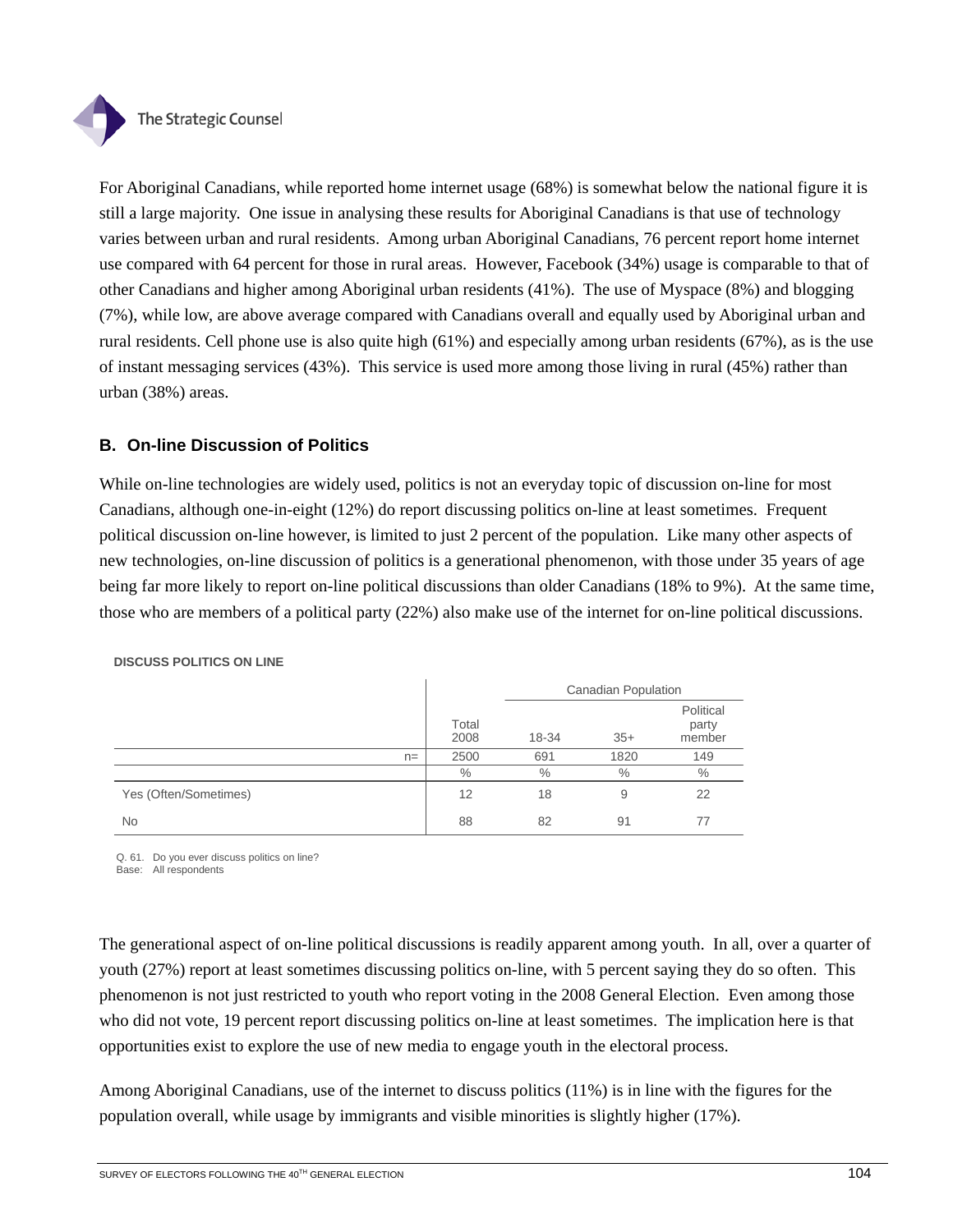

For Aboriginal Canadians, while reported home internet usage (68%) is somewhat below the national figure it is still a large majority. One issue in analysing these results for Aboriginal Canadians is that use of technology varies between urban and rural residents. Among urban Aboriginal Canadians, 76 percent report home internet use compared with 64 percent for those in rural areas. However, Facebook (34%) usage is comparable to that of other Canadians and higher among Aboriginal urban residents (41%). The use of Myspace (8%) and blogging (7%), while low, are above average compared with Canadians overall and equally used by Aboriginal urban and rural residents. Cell phone use is also quite high (61%) and especially among urban residents (67%), as is the use of instant messaging services (43%). This service is used more among those living in rural (45%) rather than urban (38%) areas.

### **B. On-line Discussion of Politics**

While on-line technologies are widely used, politics is not an everyday topic of discussion on-line for most Canadians, although one-in-eight (12%) do report discussing politics on-line at least sometimes. Frequent political discussion on-line however, is limited to just 2 percent of the population. Like many other aspects of new technologies, on-line discussion of politics is a generational phenomenon, with those under 35 years of age being far more likely to report on-line political discussions than older Canadians (18% to 9%). At the same time, those who are members of a political party (22%) also make use of the internet for on-line political discussions.

|                       |               | <b>Canadian Population</b> |       |                              |  |  |
|-----------------------|---------------|----------------------------|-------|------------------------------|--|--|
|                       | Total<br>2008 | 18-34                      | $35+$ | Political<br>party<br>member |  |  |
| $n =$                 | 2500          | 691                        | 1820  | 149                          |  |  |
|                       | $\%$          | $\%$                       | $\%$  | $\%$                         |  |  |
| Yes (Often/Sometimes) | 12            | 18                         | 9     | 22                           |  |  |
| No                    | 88            | 82                         | 91    | 77                           |  |  |

**DISCUSS POLITICS ON LINE**

Q. 61. Do you ever discuss politics on line?

Base: All respondents

The generational aspect of on-line political discussions is readily apparent among youth. In all, over a quarter of youth (27%) report at least sometimes discussing politics on-line, with 5 percent saying they do so often. This phenomenon is not just restricted to youth who report voting in the 2008 General Election. Even among those who did not vote, 19 percent report discussing politics on-line at least sometimes. The implication here is that opportunities exist to explore the use of new media to engage youth in the electoral process.

Among Aboriginal Canadians, use of the internet to discuss politics (11%) is in line with the figures for the population overall, while usage by immigrants and visible minorities is slightly higher (17%).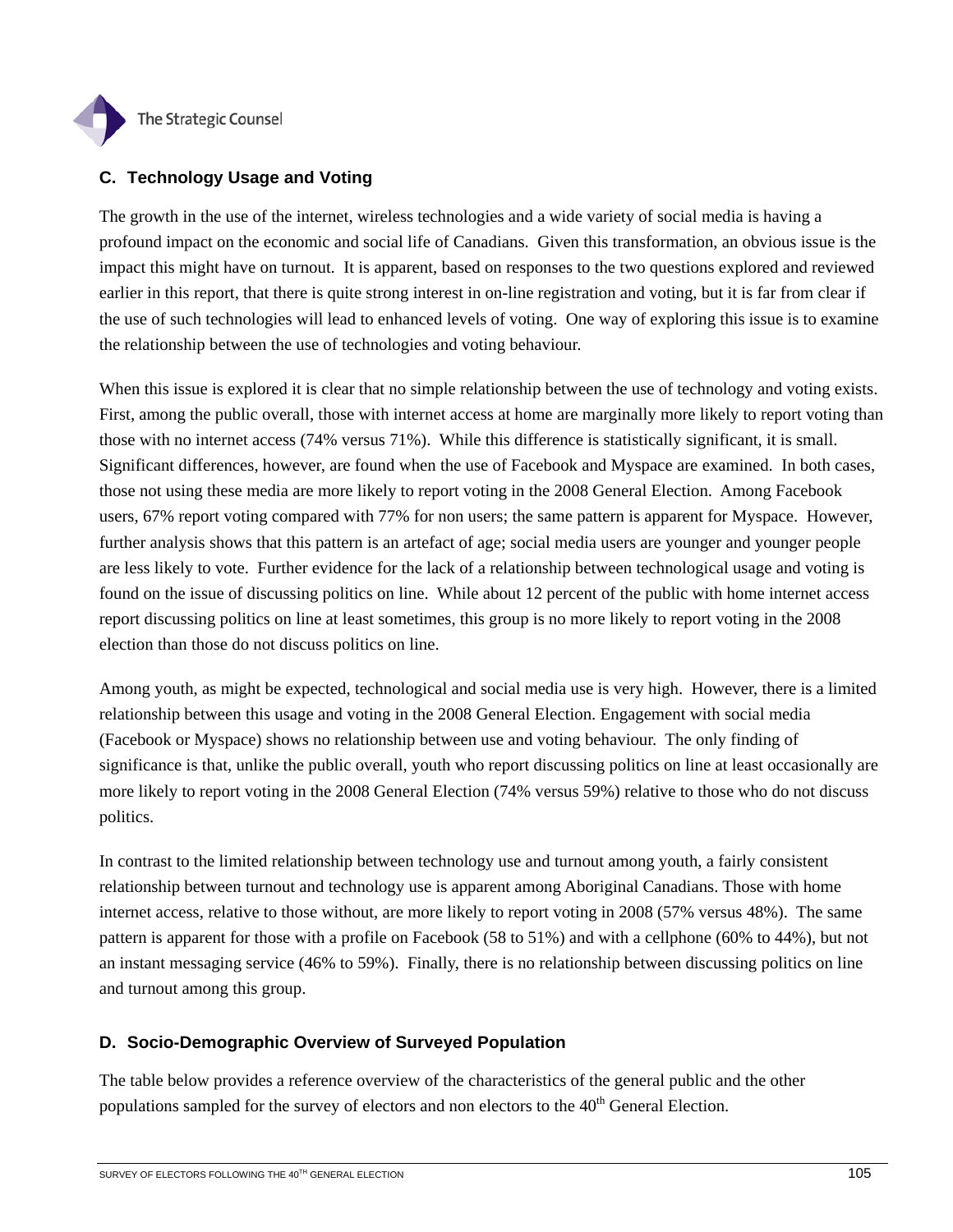

## **C. Technology Usage and Voting**

The growth in the use of the internet, wireless technologies and a wide variety of social media is having a profound impact on the economic and social life of Canadians. Given this transformation, an obvious issue is the impact this might have on turnout. It is apparent, based on responses to the two questions explored and reviewed earlier in this report, that there is quite strong interest in on-line registration and voting, but it is far from clear if the use of such technologies will lead to enhanced levels of voting. One way of exploring this issue is to examine the relationship between the use of technologies and voting behaviour.

When this issue is explored it is clear that no simple relationship between the use of technology and voting exists. First, among the public overall, those with internet access at home are marginally more likely to report voting than those with no internet access (74% versus 71%). While this difference is statistically significant, it is small. Significant differences, however, are found when the use of Facebook and Myspace are examined. In both cases, those not using these media are more likely to report voting in the 2008 General Election. Among Facebook users, 67% report voting compared with 77% for non users; the same pattern is apparent for Myspace. However, further analysis shows that this pattern is an artefact of age; social media users are younger and younger people are less likely to vote. Further evidence for the lack of a relationship between technological usage and voting is found on the issue of discussing politics on line. While about 12 percent of the public with home internet access report discussing politics on line at least sometimes, this group is no more likely to report voting in the 2008 election than those do not discuss politics on line.

Among youth, as might be expected, technological and social media use is very high. However, there is a limited relationship between this usage and voting in the 2008 General Election. Engagement with social media (Facebook or Myspace) shows no relationship between use and voting behaviour. The only finding of significance is that, unlike the public overall, youth who report discussing politics on line at least occasionally are more likely to report voting in the 2008 General Election (74% versus 59%) relative to those who do not discuss politics.

In contrast to the limited relationship between technology use and turnout among youth, a fairly consistent relationship between turnout and technology use is apparent among Aboriginal Canadians. Those with home internet access, relative to those without, are more likely to report voting in 2008 (57% versus 48%). The same pattern is apparent for those with a profile on Facebook (58 to 51%) and with a cellphone (60% to 44%), but not an instant messaging service (46% to 59%). Finally, there is no relationship between discussing politics on line and turnout among this group.

## **D. Socio-Demographic Overview of Surveyed Population**

The table below provides a reference overview of the characteristics of the general public and the other populations sampled for the survey of electors and non electors to the  $40<sup>th</sup>$  General Election.